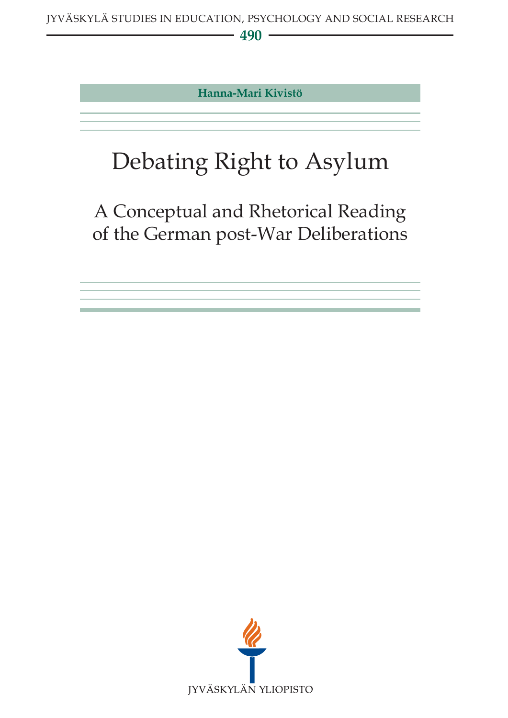**Hanna-Mari Kivistö**

# Debating Right to Asylum

A Conceptual and Rhetorical Reading of the German post-War Deliberations

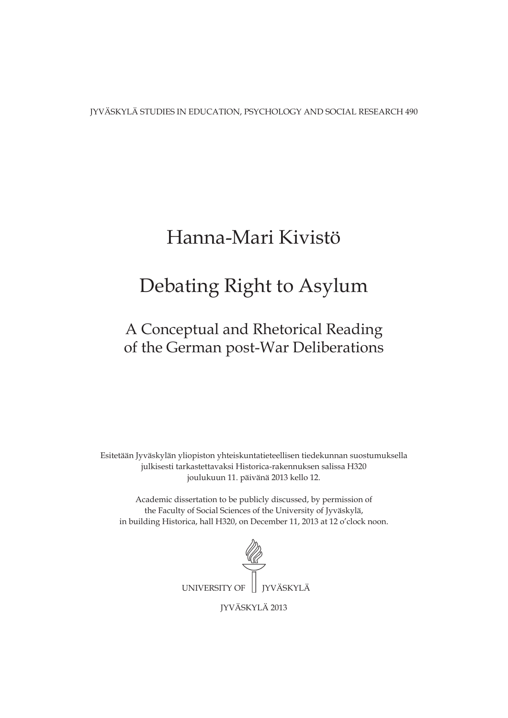JYVÄSKYLÄ STUDIES IN EDUCATION, PSYCHOLOGY AND SOCIAL RESEARCH 490

### Hanna-Mari Kivistö

### Debating Right to Asylum

### A Conceptual and Rhetorical Reading of the German post-War Deliberations

Esitetään Jyväskylän yliopiston yhteiskuntatieteellisen tiedekunnan suostumuksella julkisesti tarkastettavaksi Historica-rakennuksen salissa H320 joulukuun 11. päivänä 2013 kello 12.

Academic dissertation to be publicly discussed, by permission of the Faculty of Social Sciences of the University of Jyväskylä, in building Historica, hall H320, on December 11, 2013 at 12 o'clock noon.



JYVÄSKYLÄ 2013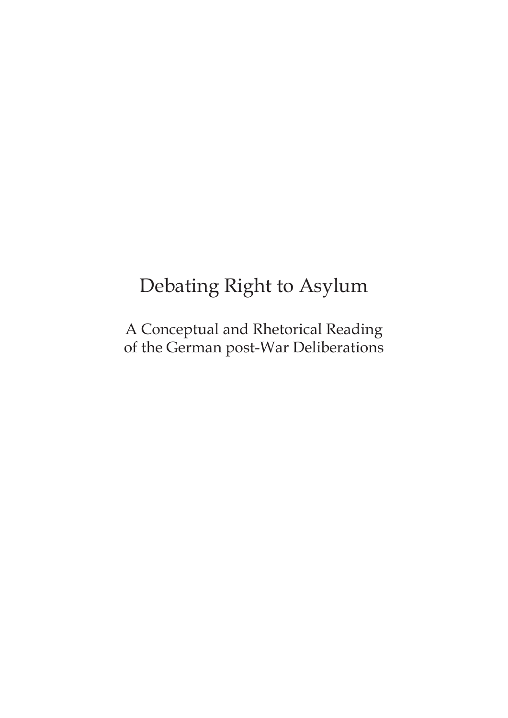## Debating Right to Asylum

A Conceptual and Rhetorical Reading of the German post-War Deliberations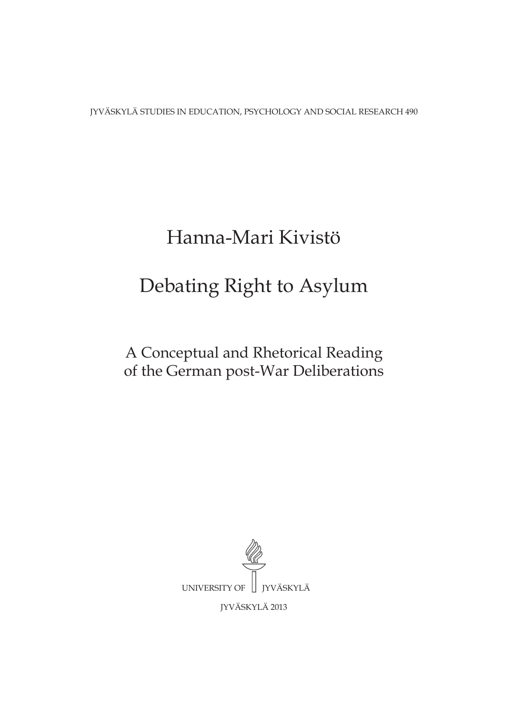JYVÄSKYLÄ STUDIES IN EDUCATION, PSYCHOLOGY AND SOCIAL RESEARCH 490

# Hanna-Mari Kivistö

## Debating Right to Asylum

### A Conceptual and Rhetorical Reading of the German post-War Deliberations

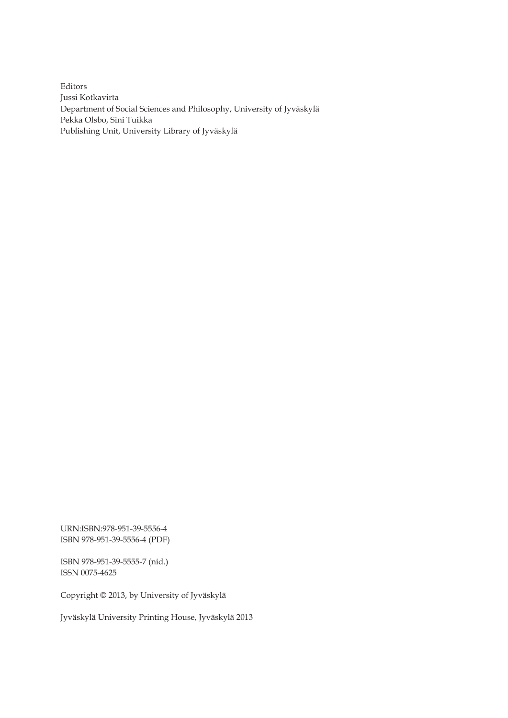Editors Jussi Kotkavirta Department of Social Sciences and Philosophy, University of Jyväskylä Pekka Olsbo, Sini Tuikka Publishing Unit, University Library of Jyväskylä

URN:ISBN:978-951-39-5556-4 ISBN 978-951-39-5556-4 (PDF)

ISBN 978-951-39-5555-7 (nid.) ISSN 0075-4625

Copyright © 2013, by University of Jyväskylä

Jyväskylä University Printing House, Jyväskylä 2013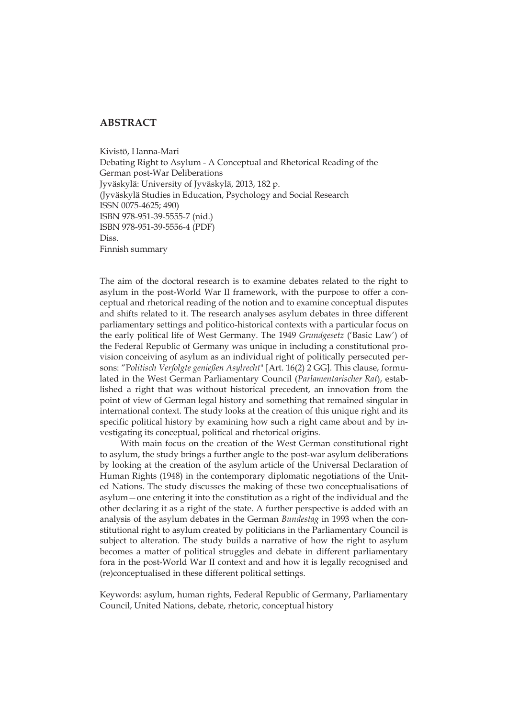#### **ABSTRACT**

Kivistö, Hanna-Mari Debating Right to Asylum - A Conceptual and Rhetorical Reading of the German post-War Deliberations Jyväskylä: University of Jyväskylä, 2013, 182 p. (Jyväskylä Studies in Education, Psychology and Social Research ISSN 0075-4625; 490) ISBN 978-951-39-5555-7 (nid.) ISBN 978-951-39-5556-4 (PDF) Diss. Finnish summary

The aim of the doctoral research is to examine debates related to the right to asylum in the post-World War II framework, with the purpose to offer a conceptual and rhetorical reading of the notion and to examine conceptual disputes and shifts related to it. The research analyses asylum debates in three different parliamentary settings and politico-historical contexts with a particular focus on the early political life of West Germany. The 1949 *Grundgesetz* ('Basic Law') of the Federal Republic of Germany was unique in including a constitutional provision conceiving of asylum as an individual right of politically persecuted persons: "P*olitisch Verfolgte genießen Asylrecht*" [Art. 16(2) 2 GG]. This clause, formulated in the West German Parliamentary Council (*Parlamentarischer Rat*), established a right that was without historical precedent, an innovation from the point of view of German legal history and something that remained singular in international context. The study looks at the creation of this unique right and its specific political history by examining how such a right came about and by investigating its conceptual, political and rhetorical origins.

With main focus on the creation of the West German constitutional right to asylum, the study brings a further angle to the post-war asylum deliberations by looking at the creation of the asylum article of the Universal Declaration of Human Rights (1948) in the contemporary diplomatic negotiations of the United Nations. The study discusses the making of these two conceptualisations of asylum—one entering it into the constitution as a right of the individual and the other declaring it as a right of the state. A further perspective is added with an analysis of the asylum debates in the German *Bundestag* in 1993 when the constitutional right to asylum created by politicians in the Parliamentary Council is subject to alteration. The study builds a narrative of how the right to asylum becomes a matter of political struggles and debate in different parliamentary fora in the post-World War II context and and how it is legally recognised and (re)conceptualised in these different political settings.

Keywords: asylum, human rights, Federal Republic of Germany, Parliamentary Council, United Nations, debate, rhetoric, conceptual history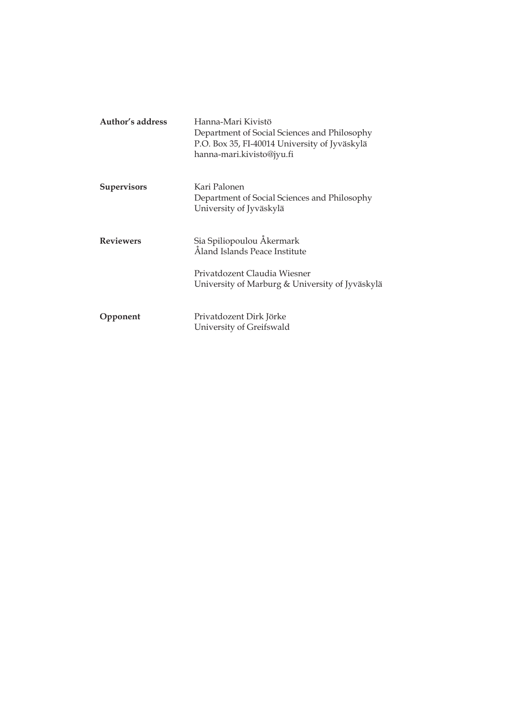| Author's address   | Hanna-Mari Kivistö<br>Department of Social Sciences and Philosophy<br>P.O. Box 35, FI-40014 University of Jyväskylä<br>hanna-mari.kivisto@jyu.fi |
|--------------------|--------------------------------------------------------------------------------------------------------------------------------------------------|
| <b>Supervisors</b> | Kari Palonen<br>Department of Social Sciences and Philosophy<br>University of Jyväskylä                                                          |
| <b>Reviewers</b>   | Sia Spiliopoulou Åkermark<br>Åland Islands Peace Institute<br>Privatdozent Claudia Wiesner<br>University of Marburg & University of Jyväskylä    |
| Opponent           | Privatdozent Dirk Jörke<br>University of Greifswald                                                                                              |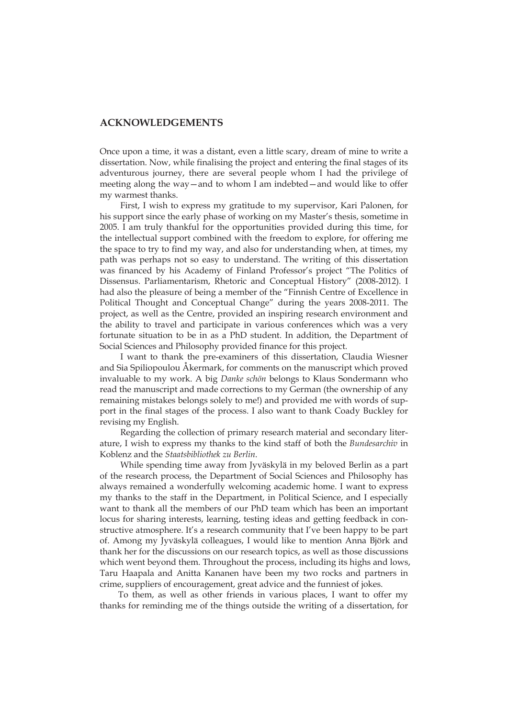#### **ACKNOWLEDGEMENTS**

Once upon a time, it was a distant, even a little scary, dream of mine to write a dissertation. Now, while finalising the project and entering the final stages of its adventurous journey, there are several people whom I had the privilege of meeting along the way—and to whom I am indebted—and would like to offer my warmest thanks.

First, I wish to express my gratitude to my supervisor, Kari Palonen, for his support since the early phase of working on my Master's thesis, sometime in 2005. I am truly thankful for the opportunities provided during this time, for the intellectual support combined with the freedom to explore, for offering me the space to try to find my way, and also for understanding when, at times, my path was perhaps not so easy to understand. The writing of this dissertation was financed by his Academy of Finland Professor's project "The Politics of Dissensus. Parliamentarism, Rhetoric and Conceptual History" (2008-2012). I had also the pleasure of being a member of the "Finnish Centre of Excellence in Political Thought and Conceptual Change" during the years 2008-2011. The project, as well as the Centre, provided an inspiring research environment and the ability to travel and participate in various conferences which was a very fortunate situation to be in as a PhD student. In addition, the Department of Social Sciences and Philosophy provided finance for this project.

I want to thank the pre-examiners of this dissertation, Claudia Wiesner and Sia Spiliopoulou Åkermark, for comments on the manuscript which proved invaluable to my work. A big *Danke schön* belongs to Klaus Sondermann who read the manuscript and made corrections to my German (the ownership of any remaining mistakes belongs solely to me!) and provided me with words of support in the final stages of the process. I also want to thank Coady Buckley for revising my English.

Regarding the collection of primary research material and secondary literature, I wish to express my thanks to the kind staff of both the *Bundesarchiv* in Koblenz and the *Staatsbibliothek zu Berlin*.

While spending time away from Jyväskylä in my beloved Berlin as a part of the research process, the Department of Social Sciences and Philosophy has always remained a wonderfully welcoming academic home. I want to express my thanks to the staff in the Department, in Political Science, and I especially want to thank all the members of our PhD team which has been an important locus for sharing interests, learning, testing ideas and getting feedback in constructive atmosphere. It's a research community that I've been happy to be part of. Among my Jyväskylä colleagues, I would like to mention Anna Björk and thank her for the discussions on our research topics, as well as those discussions which went beyond them. Throughout the process, including its highs and lows, Taru Haapala and Anitta Kananen have been my two rocks and partners in crime, suppliers of encouragement, great advice and the funniest of jokes.

To them, as well as other friends in various places, I want to offer my thanks for reminding me of the things outside the writing of a dissertation, for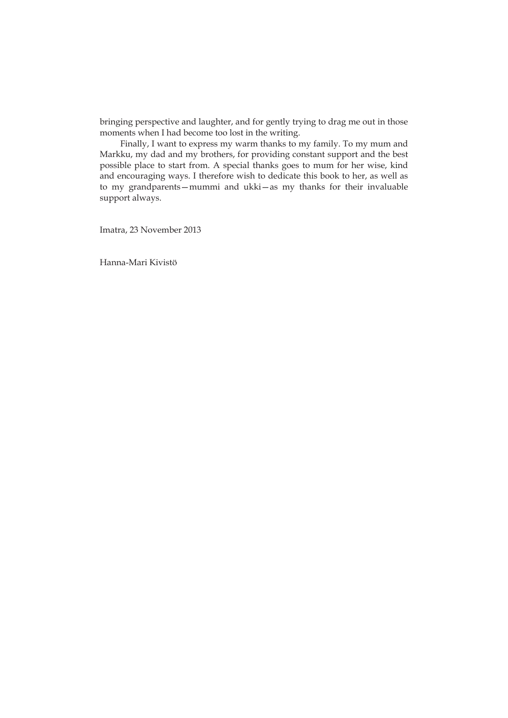bringing perspective and laughter, and for gently trying to drag me out in those moments when I had become too lost in the writing.

Finally, I want to express my warm thanks to my family. To my mum and Markku, my dad and my brothers, for providing constant support and the best possible place to start from. A special thanks goes to mum for her wise, kind and encouraging ways. I therefore wish to dedicate this book to her, as well as to my grandparents—mummi and ukki—as my thanks for their invaluable support always.

Imatra, 23 November 2013

Hanna-Mari Kivistö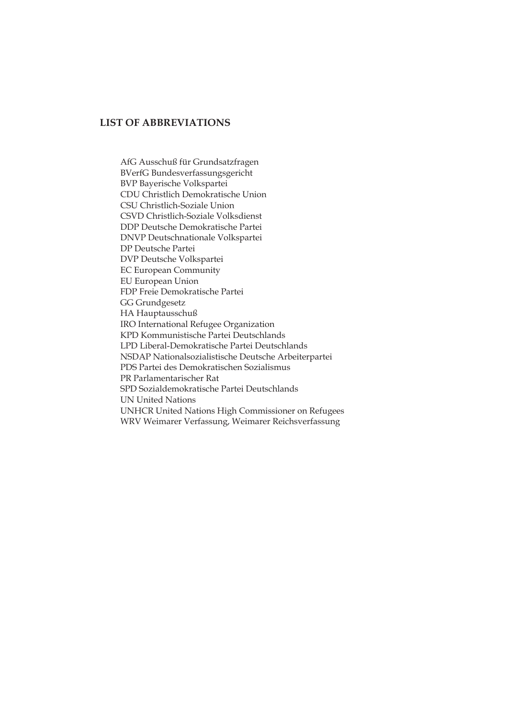#### **LIST OF ABBREVIATIONS**

AfG Ausschuß für Grundsatzfragen BVerfG Bundesverfassungsgericht BVP Bayerische Volkspartei CDU Christlich Demokratische Union CSU Christlich-Soziale Union CSVD Christlich-Soziale Volksdienst DDP Deutsche Demokratische Partei DNVP Deutschnationale Volkspartei DP Deutsche Partei DVP Deutsche Volkspartei EC European Community EU European Union FDP Freie Demokratische Partei GG Grundgesetz HA Hauptausschuß IRO International Refugee Organization KPD Kommunistische Partei Deutschlands LPD Liberal-Demokratische Partei Deutschlands NSDAP Nationalsozialistische Deutsche Arbeiterpartei PDS Partei des Demokratischen Sozialismus PR Parlamentarischer Rat SPD Sozialdemokratische Partei Deutschlands UN United Nations UNHCR United Nations High Commissioner on Refugees WRV Weimarer Verfassung, Weimarer Reichsverfassung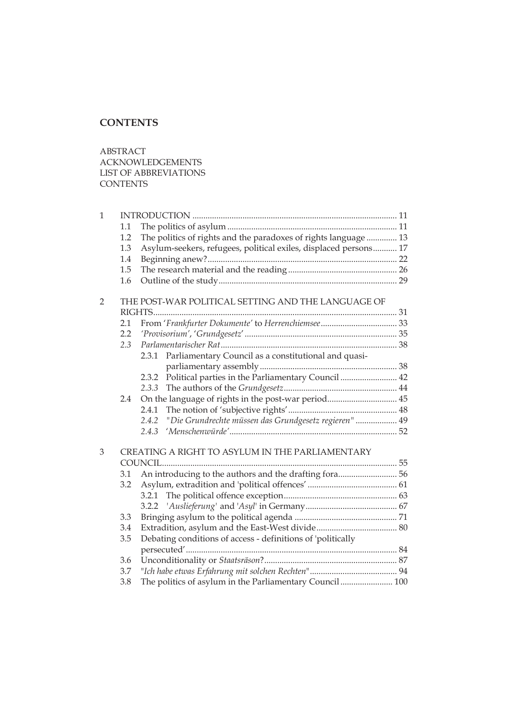#### **CONTENTS**

ABSTRACT ACKNOWLEDGEMENTS LIST OF ABBREVIATIONS **CONTENTS** 

| $\mathbf{1}$   |     |                                                                  |  |
|----------------|-----|------------------------------------------------------------------|--|
|                | 1.1 |                                                                  |  |
|                | 1.2 | The politics of rights and the paradoxes of rights language  13  |  |
|                | 1.3 | Asylum-seekers, refugees, political exiles, displaced persons 17 |  |
|                | 1.4 |                                                                  |  |
|                | 1.5 |                                                                  |  |
|                | 1.6 |                                                                  |  |
| $\overline{2}$ |     | THE POST-WAR POLITICAL SETTING AND THE LANGUAGE OF               |  |
|                |     |                                                                  |  |
|                | 2.1 |                                                                  |  |
|                | 2.2 |                                                                  |  |
|                |     |                                                                  |  |
|                | 2.3 | Parliamentary Council as a constitutional and quasi-<br>2.3.1    |  |
|                |     |                                                                  |  |
|                |     | Political parties in the Parliamentary Council  42<br>2.3.2      |  |
|                |     |                                                                  |  |
|                | 2.4 | On the language of rights in the post-war period 45              |  |
|                |     | 2.4.1                                                            |  |
|                |     | "Die Grundrechte müssen das Grundgesetz regieren"  49<br>2.4.2   |  |
|                |     | 2.4.3                                                            |  |
|                |     |                                                                  |  |
| 3              |     | CREATING A RIGHT TO ASYLUM IN THE PARLIAMENTARY                  |  |
|                |     |                                                                  |  |
|                | 3.1 | An introducing to the authors and the drafting fora 56           |  |
|                | 3.2 |                                                                  |  |
|                |     |                                                                  |  |
|                |     |                                                                  |  |
|                | 3.3 |                                                                  |  |
|                | 3.4 |                                                                  |  |
|                | 3.5 | Debating conditions of access - definitions of 'politically      |  |
|                |     |                                                                  |  |
|                | 3.6 |                                                                  |  |
|                | 3.7 |                                                                  |  |
|                | 3.8 | The politics of asylum in the Parliamentary Council  100         |  |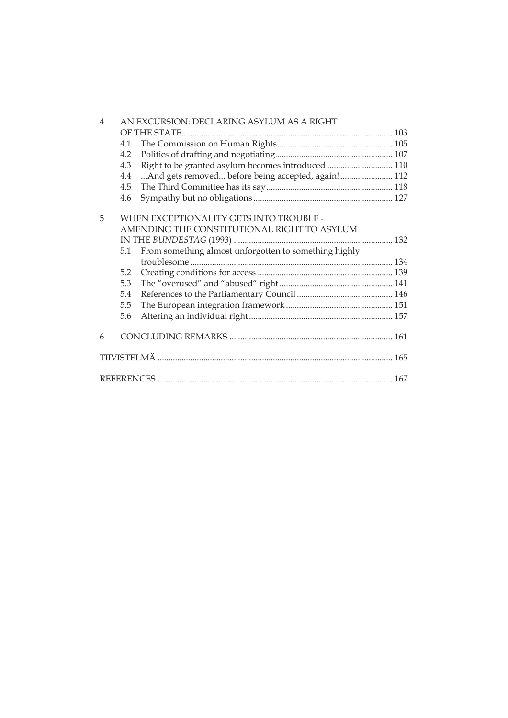| $\overline{4}$ | AN EXCURSION: DECLARING ASYLUM AS A RIGHT |                                                       |  |  |  |
|----------------|-------------------------------------------|-------------------------------------------------------|--|--|--|
|                |                                           |                                                       |  |  |  |
|                | 4.1                                       |                                                       |  |  |  |
|                | 4.2                                       |                                                       |  |  |  |
|                | 4.3                                       | Right to be granted asylum becomes introduced  110    |  |  |  |
|                | 4.4                                       | And gets removed before being accepted, again! 112    |  |  |  |
|                | 4.5                                       |                                                       |  |  |  |
|                | 4.6                                       |                                                       |  |  |  |
|                |                                           |                                                       |  |  |  |
| 5              | WHEN EXCEPTIONALITY GETS INTO TROUBLE -   |                                                       |  |  |  |
|                |                                           | AMENDING THE CONSTITUTIONAL RIGHT TO ASYLUM           |  |  |  |
|                |                                           |                                                       |  |  |  |
|                | 5.1                                       | From something almost unforgotten to something highly |  |  |  |
|                |                                           |                                                       |  |  |  |
|                | 5.2                                       |                                                       |  |  |  |
|                | 5.3                                       |                                                       |  |  |  |
|                | 5.4                                       |                                                       |  |  |  |
|                | 5.5                                       |                                                       |  |  |  |
|                | 5.6                                       |                                                       |  |  |  |
|                |                                           |                                                       |  |  |  |
| 6              |                                           |                                                       |  |  |  |
|                |                                           |                                                       |  |  |  |
|                |                                           |                                                       |  |  |  |
|                |                                           |                                                       |  |  |  |
|                |                                           |                                                       |  |  |  |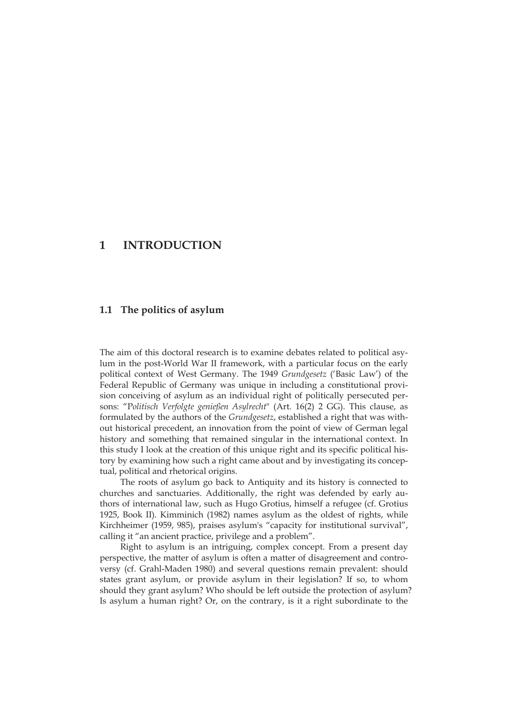#### **1 INTRODUCTION**

#### **1.1 The politics of asylum**

The aim of this doctoral research is to examine debates related to political asylum in the post-World War II framework, with a particular focus on the early political context of West Germany. The 1949 *Grundgesetz* ('Basic Law') of the Federal Republic of Germany was unique in including a constitutional provision conceiving of asylum as an individual right of politically persecuted persons: "P*olitisch Verfolgte genießen Asylrecht*" (Art. 16(2) 2 GG). This clause, as formulated by the authors of the *Grundgesetz*, established a right that was without historical precedent, an innovation from the point of view of German legal history and something that remained singular in the international context. In this study I look at the creation of this unique right and its specific political history by examining how such a right came about and by investigating its conceptual, political and rhetorical origins.

The roots of asylum go back to Antiquity and its history is connected to churches and sanctuaries. Additionally, the right was defended by early authors of international law, such as Hugo Grotius, himself a refugee (cf. Grotius 1925, Book II). Kimminich (1982) names asylum as the oldest of rights, while Kirchheimer (1959, 985), praises asylum's "capacity for institutional survival", calling it "an ancient practice, privilege and a problem".

Right to asylum is an intriguing, complex concept. From a present day perspective, the matter of asylum is often a matter of disagreement and controversy (cf. Grahl-Maden 1980) and several questions remain prevalent: should states grant asylum, or provide asylum in their legislation? If so, to whom should they grant asylum? Who should be left outside the protection of asylum? Is asylum a human right? Or, on the contrary, is it a right subordinate to the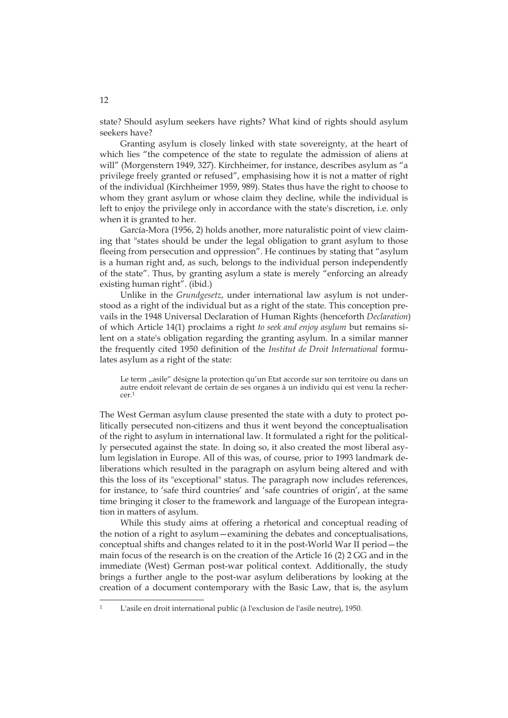state? Should asylum seekers have rights? What kind of rights should asylum seekers have?

Granting asylum is closely linked with state sovereignty, at the heart of which lies "the competence of the state to regulate the admission of aliens at will" (Morgenstern 1949, 327). Kirchheimer, for instance, describes asylum as "a privilege freely granted or refused", emphasising how it is not a matter of right of the individual (Kirchheimer 1959, 989). States thus have the right to choose to whom they grant asylum or whose claim they decline, while the individual is left to enjoy the privilege only in accordance with the state's discretion, i.e. only when it is granted to her.

García-Mora (1956, 2) holds another, more naturalistic point of view claiming that "states should be under the legal obligation to grant asylum to those fleeing from persecution and oppression". He continues by stating that "asylum is a human right and, as such, belongs to the individual person independently of the state". Thus, by granting asylum a state is merely "enforcing an already existing human right". (ibid.)

Unlike in the *Grundgesetz*, under international law asylum is not understood as a right of the individual but as a right of the state. This conception prevails in the 1948 Universal Declaration of Human Rights (henceforth *Declaration*) of which Article 14(1) proclaims a right *to seek and enjoy asylum* but remains silent on a state's obligation regarding the granting asylum. In a similar manner the frequently cited 1950 definition of the *Institut de Droit International* formulates asylum as a right of the state:

Le term "asile" désigne la protection qu'un Etat accorde sur son territoire ou dans un autre endoit relevant de certain de ses organes à un individu qui est venu la rechercer.1

The West German asylum clause presented the state with a duty to protect politically persecuted non-citizens and thus it went beyond the conceptualisation of the right to asylum in international law. It formulated a right for the politically persecuted against the state. In doing so, it also created the most liberal asylum legislation in Europe. All of this was, of course, prior to 1993 landmark deliberations which resulted in the paragraph on asylum being altered and with this the loss of its "exceptional" status. The paragraph now includes references, for instance, to 'safe third countries' and 'safe countries of origin', at the same time bringing it closer to the framework and language of the European integration in matters of asylum.

While this study aims at offering a rhetorical and conceptual reading of the notion of a right to asylum—examining the debates and conceptualisations, conceptual shifts and changes related to it in the post-World War II period—the main focus of the research is on the creation of the Article 16 (2) 2 GG and in the immediate (West) German post-war political context. Additionally, the study brings a further angle to the post-war asylum deliberations by looking at the creation of a document contemporary with the Basic Law, that is, the asylum

<sup>1</sup> L'asile en droit international public (à l'exclusion de l'asile neutre), 1950.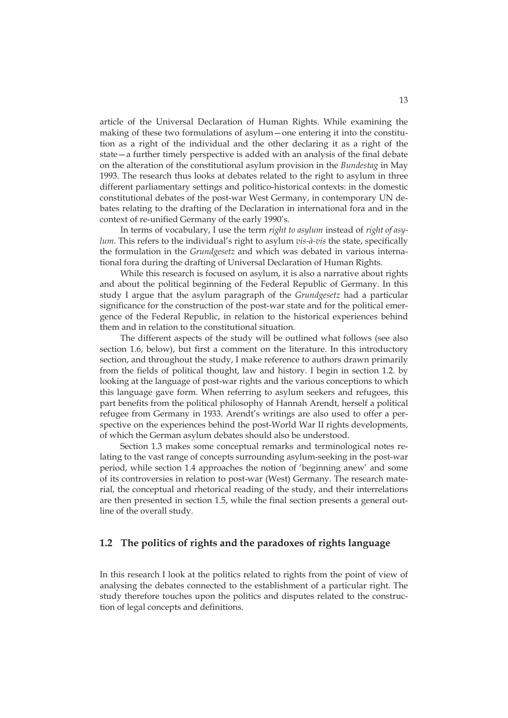article of the Universal Declaration of Human Rights. While examining the making of these two formulations of asylum—one entering it into the constitution as a right of the individual and the other declaring it as a right of the state—a further timely perspective is added with an analysis of the final debate on the alteration of the constitutional asylum provision in the *Bundestag* in May 1993. The research thus looks at debates related to the right to asylum in three different parliamentary settings and politico-historical contexts: in the domestic constitutional debates of the post-war West Germany, in contemporary UN debates relating to the drafting of the Declaration in international fora and in the context of re-unified Germany of the early 1990's.

In terms of vocabulary, I use the term *right to asylum* instead of *right of asylum*. This refers to the individual's right to asylum *vis-à-vis* the state, specifically the formulation in the *Grundgesetz* and which was debated in various international fora during the drafting of Universal Declaration of Human Rights.

While this research is focused on asylum, it is also a narrative about rights and about the political beginning of the Federal Republic of Germany. In this study I argue that the asylum paragraph of the *Grundgesetz* had a particular significance for the construction of the post-war state and for the political emergence of the Federal Republic, in relation to the historical experiences behind them and in relation to the constitutional situation.

The different aspects of the study will be outlined what follows (see also section 1.6, below), but first a comment on the literature. In this introductory section, and throughout the study, I make reference to authors drawn primarily from the fields of political thought, law and history. I begin in section 1.2. by looking at the language of post-war rights and the various conceptions to which this language gave form. When referring to asylum seekers and refugees, this part benefits from the political philosophy of Hannah Arendt, herself a political refugee from Germany in 1933. Arendt's writings are also used to offer a perspective on the experiences behind the post-World War II rights developments, of which the German asylum debates should also be understood.

Section 1.3 makes some conceptual remarks and terminological notes relating to the vast range of concepts surrounding asylum-seeking in the post-war period, while section 1.4 approaches the notion of 'beginning anew' and some of its controversies in relation to post-war (West) Germany. The research material, the conceptual and rhetorical reading of the study, and their interrelations are then presented in section 1.5, while the final section presents a general outline of the overall study.

#### **1.2 The politics of rights and the paradoxes of rights language**

In this research I look at the politics related to rights from the point of view of analysing the debates connected to the establishment of a particular right. The study therefore touches upon the politics and disputes related to the construction of legal concepts and definitions.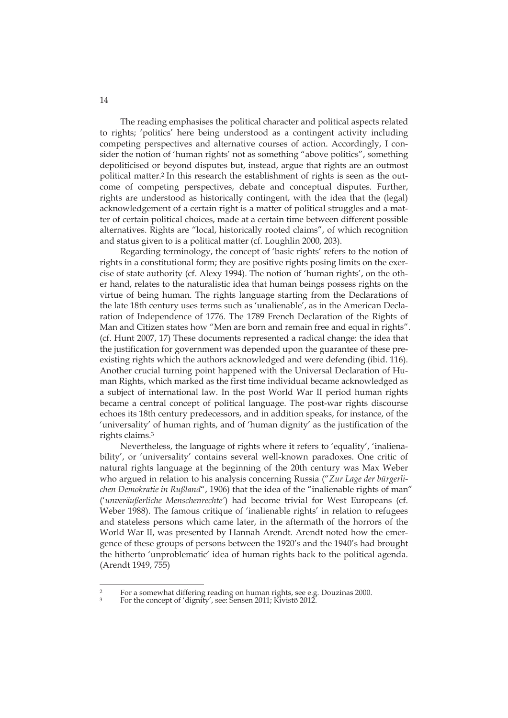The reading emphasises the political character and political aspects related to rights; 'politics' here being understood as a contingent activity including competing perspectives and alternative courses of action. Accordingly, I consider the notion of 'human rights' not as something "above politics", something depoliticised or beyond disputes but, instead, argue that rights are an outmost political matter.2 In this research the establishment of rights is seen as the outcome of competing perspectives, debate and conceptual disputes. Further, rights are understood as historically contingent, with the idea that the (legal) acknowledgement of a certain right is a matter of political struggles and a matter of certain political choices, made at a certain time between different possible alternatives. Rights are "local, historically rooted claims", of which recognition and status given to is a political matter (cf. Loughlin 2000, 203).

Regarding terminology, the concept of 'basic rights' refers to the notion of rights in a constitutional form; they are positive rights posing limits on the exercise of state authority (cf. Alexy 1994). The notion of 'human rights', on the other hand, relates to the naturalistic idea that human beings possess rights on the virtue of being human. The rights language starting from the Declarations of the late 18th century uses terms such as 'unalienable', as in the American Declaration of Independence of 1776. The 1789 French Declaration of the Rights of Man and Citizen states how "Men are born and remain free and equal in rights". (cf. Hunt 2007, 17) These documents represented a radical change: the idea that the justification for government was depended upon the guarantee of these preexisting rights which the authors acknowledged and were defending (ibid. 116). Another crucial turning point happened with the Universal Declaration of Human Rights, which marked as the first time individual became acknowledged as a subject of international law. In the post World War II period human rights became a central concept of political language. The post-war rights discourse echoes its 18th century predecessors, and in addition speaks, for instance, of the 'universality' of human rights, and of 'human dignity' as the justification of the rights claims.3

Nevertheless, the language of rights where it refers to 'equality', 'inalienability', or 'universality' contains several well-known paradoxes. One critic of natural rights language at the beginning of the 20th century was Max Weber who argued in relation to his analysis concerning Russia ("*Zur Lage der bürgerlichen Demokratie in Rußland*", 1906) that the idea of the "inalienable rights of man" ('*unveräußerliche Menschenrechte'*) had become trivial for West Europeans (cf. Weber 1988). The famous critique of 'inalienable rights' in relation to refugees and stateless persons which came later, in the aftermath of the horrors of the World War II, was presented by Hannah Arendt. Arendt noted how the emergence of these groups of persons between the 1920's and the 1940's had brought the hitherto 'unproblematic' idea of human rights back to the political agenda. (Arendt 1949, 755)

<sup>-</sup><sup>2</sup> For a somewhat differing reading on human rights, see e.g. Douzinas 2000.

<sup>3</sup> For the concept of 'dignity', see: Sensen 2011; Kivistö 2012.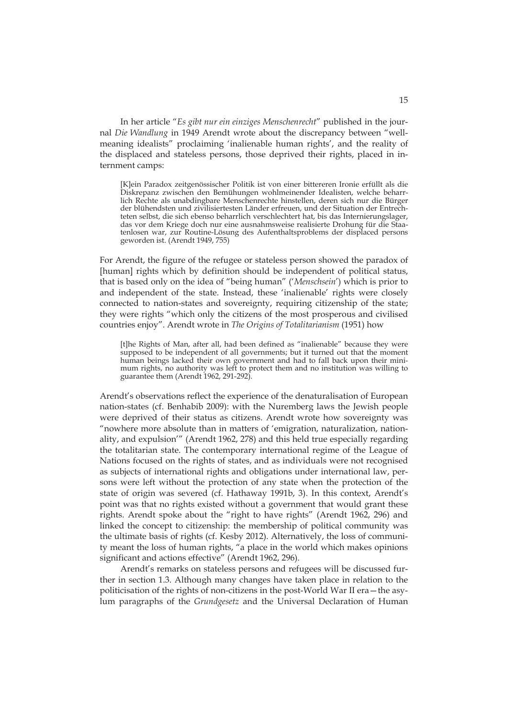In her article "*Es gibt nur ein einziges Menschenrecht*" published in the journal *Die Wandlung* in 1949 Arendt wrote about the discrepancy between "wellmeaning idealists" proclaiming 'inalienable human rights', and the reality of the displaced and stateless persons, those deprived their rights, placed in internment camps:

[K]ein Paradox zeitgenössischer Politik ist von einer bittereren Ironie erfüllt als die Diskrepanz zwischen den Bemühungen wohlmeinender Idealisten, welche beharrlich Rechte als unabdingbare Menschenrechte hinstellen, deren sich nur die Bürger der blühendsten und zivilisiertesten Länder erfreuen, und der Situation der Entrechteten selbst, die sich ebenso beharrlich verschlechtert hat, bis das Internierungslager, das vor dem Kriege doch nur eine ausnahmsweise realisierte Drohung für die Staatenlosen war, zur Routine-Lösung des Aufenthaltsproblems der displaced persons geworden ist. (Arendt 1949, 755)

For Arendt, the figure of the refugee or stateless person showed the paradox of [human] rights which by definition should be independent of political status, that is based only on the idea of "being human" ('*Menschsein*') which is prior to and independent of the state. Instead, these 'inalienable' rights were closely connected to nation-states and sovereignty, requiring citizenship of the state; they were rights "which only the citizens of the most prosperous and civilised countries enjoy". Arendt wrote in *The Origins of Totalitarianism* (1951) how

[t]he Rights of Man, after all, had been defined as "inalienable" because they were supposed to be independent of all governments; but it turned out that the moment human beings lacked their own government and had to fall back upon their minimum rights, no authority was left to protect them and no institution was willing to guarantee them (Arendt 1962, 291-292).

Arendt's observations reflect the experience of the denaturalisation of European nation-states (cf. Benhabib 2009): with the Nuremberg laws the Jewish people were deprived of their status as citizens. Arendt wrote how sovereignty was "nowhere more absolute than in matters of 'emigration, naturalization, nationality, and expulsion'" (Arendt 1962, 278) and this held true especially regarding the totalitarian state. The contemporary international regime of the League of Nations focused on the rights of states, and as individuals were not recognised as subjects of international rights and obligations under international law, persons were left without the protection of any state when the protection of the state of origin was severed (cf. Hathaway 1991b, 3). In this context, Arendt's point was that no rights existed without a government that would grant these rights. Arendt spoke about the "right to have rights" (Arendt 1962, 296) and linked the concept to citizenship: the membership of political community was the ultimate basis of rights (cf. Kesby 2012). Alternatively, the loss of community meant the loss of human rights, "a place in the world which makes opinions significant and actions effective" (Arendt 1962, 296).

Arendt's remarks on stateless persons and refugees will be discussed further in section 1.3. Although many changes have taken place in relation to the politicisation of the rights of non-citizens in the post-World War II era—the asylum paragraphs of the *Grundgesetz* and the Universal Declaration of Human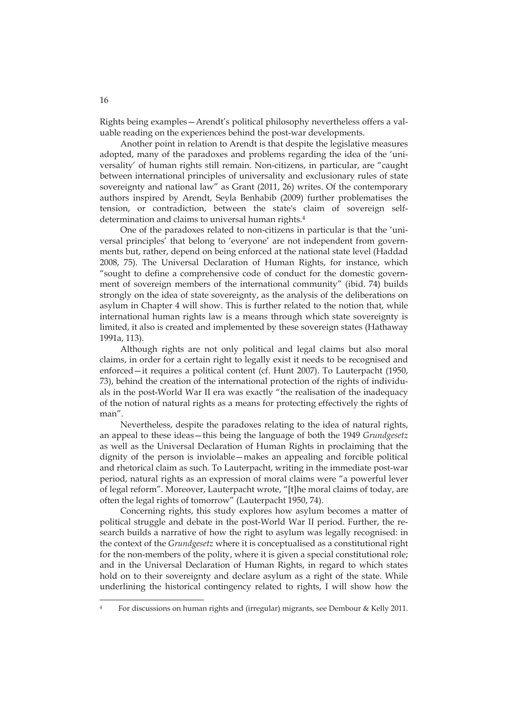Rights being examples—Arendt's political philosophy nevertheless offers a valuable reading on the experiences behind the post-war developments.

Another point in relation to Arendt is that despite the legislative measures adopted, many of the paradoxes and problems regarding the idea of the 'universality' of human rights still remain. Non-citizens, in particular, are "caught between international principles of universality and exclusionary rules of state sovereignty and national law" as Grant (2011, 26) writes. Of the contemporary authors inspired by Arendt, Seyla Benhabib (2009) further problematises the tension, or contradiction, between the state's claim of sovereign selfdetermination and claims to universal human rights.4

One of the paradoxes related to non-citizens in particular is that the 'universal principles' that belong to 'everyone' are not independent from governments but, rather, depend on being enforced at the national state level (Haddad 2008, 75). The Universal Declaration of Human Rights, for instance, which "sought to define a comprehensive code of conduct for the domestic government of sovereign members of the international community" (ibid. 74) builds strongly on the idea of state sovereignty, as the analysis of the deliberations on asylum in Chapter 4 will show. This is further related to the notion that, while international human rights law is a means through which state sovereignty is limited, it also is created and implemented by these sovereign states (Hathaway 1991a, 113).

Although rights are not only political and legal claims but also moral claims, in order for a certain right to legally exist it needs to be recognised and enforced—it requires a political content (cf. Hunt 2007). To Lauterpacht (1950, 73), behind the creation of the international protection of the rights of individuals in the post-World War II era was exactly "the realisation of the inadequacy of the notion of natural rights as a means for protecting effectively the rights of man".

Nevertheless, despite the paradoxes relating to the idea of natural rights, an appeal to these ideas—this being the language of both the 1949 *Grundgesetz* as well as the Universal Declaration of Human Rights in proclaiming that the dignity of the person is inviolable—makes an appealing and forcible political and rhetorical claim as such. To Lauterpacht, writing in the immediate post-war period, natural rights as an expression of moral claims were "a powerful lever of legal reform". Moreover, Lauterpacht wrote, "[t]he moral claims of today, are often the legal rights of tomorrow" (Lauterpacht 1950, 74).

Concerning rights, this study explores how asylum becomes a matter of political struggle and debate in the post-World War II period. Further, the research builds a narrative of how the right to asylum was legally recognised: in the context of the *Grundgesetz* where it is conceptualised as a constitutional right for the non-members of the polity, where it is given a special constitutional role; and in the Universal Declaration of Human Rights, in regard to which states hold on to their sovereignty and declare asylum as a right of the state. While underlining the historical contingency related to rights, I will show how the

<sup>4</sup> For discussions on human rights and (irregular) migrants, see Dembour & Kelly 2011.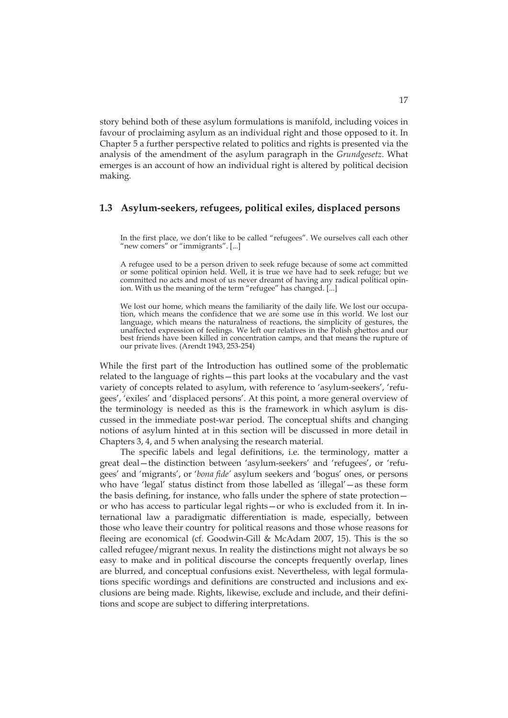story behind both of these asylum formulations is manifold, including voices in favour of proclaiming asylum as an individual right and those opposed to it. In Chapter 5 a further perspective related to politics and rights is presented via the analysis of the amendment of the asylum paragraph in the *Grundgesetz*. What emerges is an account of how an individual right is altered by political decision making.

#### **1.3 Asylum-seekers, refugees, political exiles, displaced persons**

In the first place, we don't like to be called "refugees". We ourselves call each other "new comers" or "immigrants". [...]

A refugee used to be a person driven to seek refuge because of some act committed or some political opinion held. Well, it is true we have had to seek refuge; but we committed no acts and most of us never dreamt of having any radical political opinion. With us the meaning of the term "refugee" has changed. [...]

We lost our home, which means the familiarity of the daily life. We lost our occupation, which means the confidence that we are some use in this world. We lost our language, which means the naturalness of reactions, the simplicity of gestures, the unaffected expression of feelings. We left our relatives in the Polish ghettos and our best friends have been killed in concentration camps, and that means the rupture of our private lives. (Arendt 1943, 253-254)

While the first part of the Introduction has outlined some of the problematic related to the language of rights—this part looks at the vocabulary and the vast variety of concepts related to asylum, with reference to 'asylum-seekers', 'refugees', 'exiles' and 'displaced persons'. At this point, a more general overview of the terminology is needed as this is the framework in which asylum is discussed in the immediate post-war period. The conceptual shifts and changing notions of asylum hinted at in this section will be discussed in more detail in Chapters 3, 4, and 5 when analysing the research material.

The specific labels and legal definitions, i.e. the terminology, matter a great deal—the distinction between 'asylum-seekers' and 'refugees', or 'refugees' and 'migrants', or '*bona fide'* asylum seekers and 'bogus' ones, or persons who have 'legal' status distinct from those labelled as 'illegal'—as these form the basis defining, for instance, who falls under the sphere of state protection or who has access to particular legal rights—or who is excluded from it. In international law a paradigmatic differentiation is made, especially, between those who leave their country for political reasons and those whose reasons for fleeing are economical (cf. Goodwin-Gill & McAdam 2007, 15). This is the so called refugee/migrant nexus. In reality the distinctions might not always be so easy to make and in political discourse the concepts frequently overlap, lines are blurred, and conceptual confusions exist. Nevertheless, with legal formulations specific wordings and definitions are constructed and inclusions and exclusions are being made. Rights, likewise, exclude and include, and their definitions and scope are subject to differing interpretations.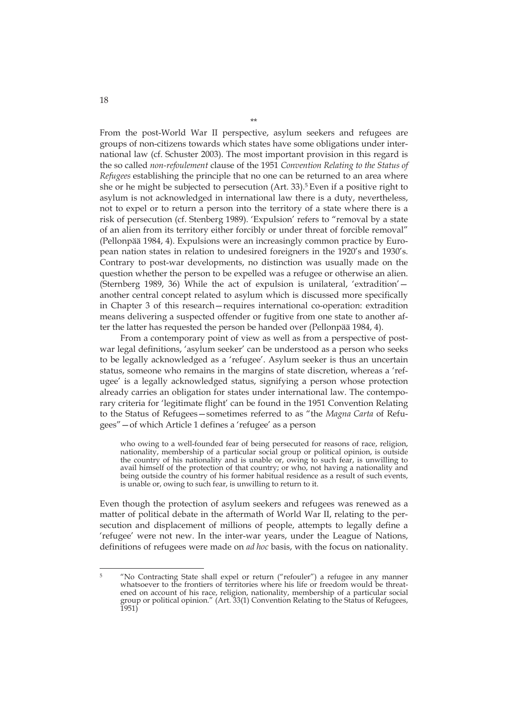From the post-World War II perspective, asylum seekers and refugees are groups of non-citizens towards which states have some obligations under international law (cf. Schuster 2003). The most important provision in this regard is the so called *non-refoulement* clause of the 1951 *Convention Relating to the Status of Refugees* establishing the principle that no one can be returned to an area where she or he might be subjected to persecution (Art. 33).5 Even if a positive right to asylum is not acknowledged in international law there is a duty, nevertheless, not to expel or to return a person into the territory of a state where there is a risk of persecution (cf. Stenberg 1989). 'Expulsion' refers to "removal by a state of an alien from its territory either forcibly or under threat of forcible removal" (Pellonpää 1984, 4). Expulsions were an increasingly common practice by European nation states in relation to undesired foreigners in the 1920's and 1930's. Contrary to post-war developments, no distinction was usually made on the question whether the person to be expelled was a refugee or otherwise an alien. (Sternberg 1989, 36) While the act of expulsion is unilateral, 'extradition' another central concept related to asylum which is discussed more specifically in Chapter 3 of this research—requires international co-operation: extradition means delivering a suspected offender or fugitive from one state to another after the latter has requested the person be handed over (Pellonpää 1984, 4).

From a contemporary point of view as well as from a perspective of postwar legal definitions, 'asylum seeker' can be understood as a person who seeks to be legally acknowledged as a 'refugee'. Asylum seeker is thus an uncertain status, someone who remains in the margins of state discretion, whereas a 'refugee' is a legally acknowledged status, signifying a person whose protection already carries an obligation for states under international law. The contemporary criteria for 'legitimate flight' can be found in the 1951 Convention Relating to the Status of Refugees—sometimes referred to as "the *Magna Carta* of Refugees"—of which Article 1 defines a 'refugee' as a person

who owing to a well-founded fear of being persecuted for reasons of race, religion, nationality, membership of a particular social group or political opinion, is outside the country of his nationality and is unable or, owing to such fear, is unwilling to avail himself of the protection of that country; or who, not having a nationality and being outside the country of his former habitual residence as a result of such events, is unable or, owing to such fear, is unwilling to return to it.

Even though the protection of asylum seekers and refugees was renewed as a matter of political debate in the aftermath of World War II, relating to the persecution and displacement of millions of people, attempts to legally define a 'refugee' were not new. In the inter-war years, under the League of Nations, definitions of refugees were made on *ad hoc* basis, with the focus on nationality.

<sup>5 &</sup>quot;No Contracting State shall expel or return ("refouler") a refugee in any manner whatsoever to the frontiers of territories where his life or freedom would be threatened on account of his race, religion, nationality, membership of a particular social group or political opinion." (Art. 33(1) Convention Relating to the Status of Refugees, 1951)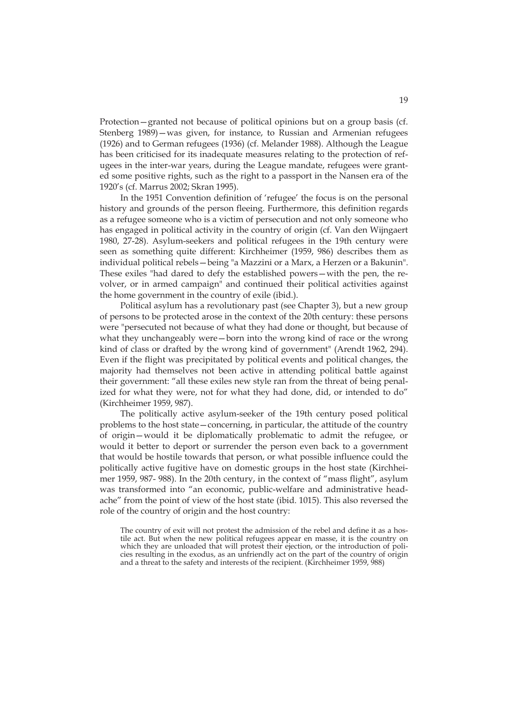Protection—granted not because of political opinions but on a group basis (cf. Stenberg 1989)—was given, for instance, to Russian and Armenian refugees (1926) and to German refugees (1936) (cf. Melander 1988). Although the League has been criticised for its inadequate measures relating to the protection of refugees in the inter-war years, during the League mandate, refugees were granted some positive rights, such as the right to a passport in the Nansen era of the 1920's (cf. Marrus 2002; Skran 1995).

In the 1951 Convention definition of 'refugee' the focus is on the personal history and grounds of the person fleeing. Furthermore, this definition regards as a refugee someone who is a victim of persecution and not only someone who has engaged in political activity in the country of origin (cf. Van den Wijngaert 1980, 27-28). Asylum-seekers and political refugees in the 19th century were seen as something quite different: Kirchheimer (1959, 986) describes them as individual political rebels—being "a Mazzini or a Marx, a Herzen or a Bakunin". These exiles "had dared to defy the established powers—with the pen, the revolver, or in armed campaign" and continued their political activities against the home government in the country of exile (ibid.).

Political asylum has a revolutionary past (see Chapter 3), but a new group of persons to be protected arose in the context of the 20th century: these persons were "persecuted not because of what they had done or thought, but because of what they unchangeably were—born into the wrong kind of race or the wrong kind of class or drafted by the wrong kind of government" (Arendt 1962, 294). Even if the flight was precipitated by political events and political changes, the majority had themselves not been active in attending political battle against their government: "all these exiles new style ran from the threat of being penalized for what they were, not for what they had done, did, or intended to do" (Kirchheimer 1959, 987).

The politically active asylum-seeker of the 19th century posed political problems to the host state—concerning, in particular, the attitude of the country of origin—would it be diplomatically problematic to admit the refugee, or would it better to deport or surrender the person even back to a government that would be hostile towards that person, or what possible influence could the politically active fugitive have on domestic groups in the host state (Kirchheimer 1959, 987- 988). In the 20th century, in the context of "mass flight", asylum was transformed into "an economic, public-welfare and administrative headache" from the point of view of the host state (ibid. 1015). This also reversed the role of the country of origin and the host country:

The country of exit will not protest the admission of the rebel and define it as a hostile act. But when the new political refugees appear en masse, it is the country on which they are unloaded that will protest their ejection, or the introduction of policies resulting in the exodus, as an unfriendly act on the part of the country of origin and a threat to the safety and interests of the recipient. (Kirchheimer 1959, 988)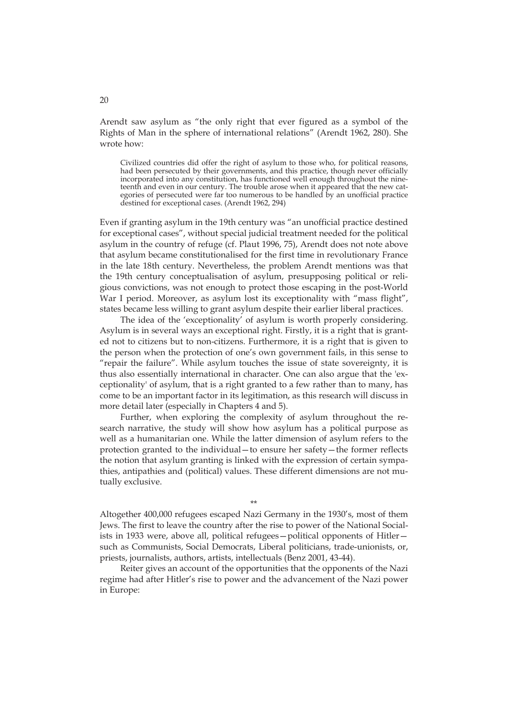Arendt saw asylum as "the only right that ever figured as a symbol of the Rights of Man in the sphere of international relations" (Arendt 1962, 280). She wrote how:

Civilized countries did offer the right of asylum to those who, for political reasons, had been persecuted by their governments, and this practice, though never officially incorporated into any constitution, has functioned well enough throughout the nineteenth and even in our century. The trouble arose when it appeared that the new categories of persecuted were far too numerous to be handled by an unofficial practice destined for exceptional cases. (Arendt 1962, 294)

Even if granting asylum in the 19th century was "an unofficial practice destined for exceptional cases", without special judicial treatment needed for the political asylum in the country of refuge (cf. Plaut 1996, 75), Arendt does not note above that asylum became constitutionalised for the first time in revolutionary France in the late 18th century. Nevertheless, the problem Arendt mentions was that the 19th century conceptualisation of asylum, presupposing political or religious convictions, was not enough to protect those escaping in the post-World War I period. Moreover, as asylum lost its exceptionality with "mass flight", states became less willing to grant asylum despite their earlier liberal practices.

The idea of the 'exceptionality' of asylum is worth properly considering. Asylum is in several ways an exceptional right. Firstly, it is a right that is granted not to citizens but to non-citizens. Furthermore, it is a right that is given to the person when the protection of one's own government fails, in this sense to "repair the failure". While asylum touches the issue of state sovereignty, it is thus also essentially international in character. One can also argue that the 'exceptionality' of asylum, that is a right granted to a few rather than to many, has come to be an important factor in its legitimation, as this research will discuss in more detail later (especially in Chapters 4 and 5).

Further, when exploring the complexity of asylum throughout the research narrative, the study will show how asylum has a political purpose as well as a humanitarian one. While the latter dimension of asylum refers to the protection granted to the individual—to ensure her safety—the former reflects the notion that asylum granting is linked with the expression of certain sympathies, antipathies and (political) values. These different dimensions are not mutually exclusive.

Altogether 400,000 refugees escaped Nazi Germany in the 1930's, most of them Jews. The first to leave the country after the rise to power of the National Socialists in 1933 were, above all, political refugees—political opponents of Hitler such as Communists, Social Democrats, Liberal politicians, trade-unionists, or, priests, journalists, authors, artists, intellectuals (Benz 2001, 43-44).

\*\*

Reiter gives an account of the opportunities that the opponents of the Nazi regime had after Hitler's rise to power and the advancement of the Nazi power in Europe: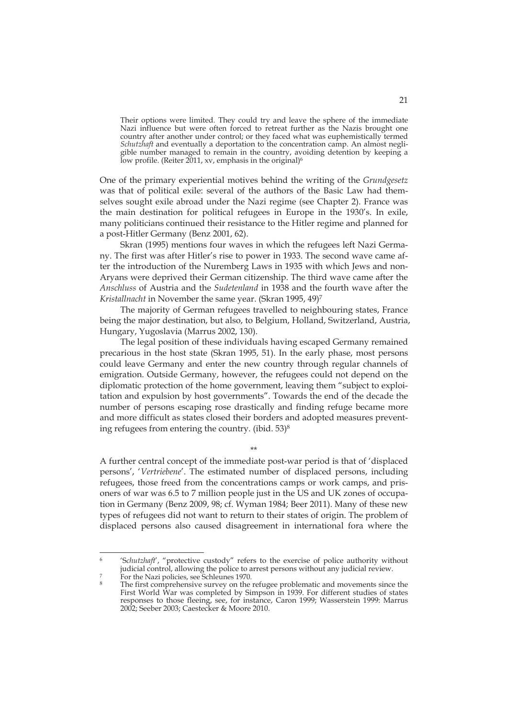Their options were limited. They could try and leave the sphere of the immediate Nazi influence but were often forced to retreat further as the Nazis brought one country after another under control; or they faced what was euphemistically termed *Schutzhaft* and eventually a deportation to the concentration camp. An almost negligible number managed to remain in the country, avoiding detention by keeping a low profile. (Reiter 2011, xv, emphasis in the original)<sup>6</sup>

One of the primary experiential motives behind the writing of the *Grundgesetz* was that of political exile: several of the authors of the Basic Law had themselves sought exile abroad under the Nazi regime (see Chapter 2). France was the main destination for political refugees in Europe in the 1930's. In exile, many politicians continued their resistance to the Hitler regime and planned for a post-Hitler Germany (Benz 2001, 62).

Skran (1995) mentions four waves in which the refugees left Nazi Germany. The first was after Hitler's rise to power in 1933. The second wave came after the introduction of the Nuremberg Laws in 1935 with which Jews and non-Aryans were deprived their German citizenship. The third wave came after the *Anschluss* of Austria and the *Sudetenland* in 1938 and the fourth wave after the *Kristallnacht* in November the same year. (Skran 1995, 49)7

The majority of German refugees travelled to neighbouring states, France being the major destination, but also, to Belgium, Holland, Switzerland, Austria, Hungary, Yugoslavia (Marrus 2002, 130).

The legal position of these individuals having escaped Germany remained precarious in the host state (Skran 1995, 51). In the early phase, most persons could leave Germany and enter the new country through regular channels of emigration. Outside Germany, however, the refugees could not depend on the diplomatic protection of the home government, leaving them "subject to exploitation and expulsion by host governments". Towards the end of the decade the number of persons escaping rose drastically and finding refuge became more and more difficult as states closed their borders and adopted measures preventing refugees from entering the country. (ibid.  $53$ )<sup>8</sup>

\*\*

A further central concept of the immediate post-war period is that of 'displaced persons', '*Vertriebene*'. The estimated number of displaced persons, including refugees, those freed from the concentrations camps or work camps, and prisoners of war was 6.5 to 7 million people just in the US and UK zones of occupation in Germany (Benz 2009, 98; cf. Wyman 1984; Beer 2011). Many of these new types of refugees did not want to return to their states of origin. The problem of displaced persons also caused disagreement in international fora where the

<sup>&#</sup>x27;Schutzhaft', "protective custody" refers to the exercise of police authority without judicial control, allowing the police to arrest persons without any judicial review.<br>For the Nazi policies, see Schleunes 1970.

The first comprehensive survey on the refugee problematic and movements since the First World War was completed by Simpson in 1939. For different studies of states responses to those fleeing, see, for instance, Caron 1999; Wasserstein 1999: Marrus 2002; Seeber 2003; Caestecker & Moore 2010.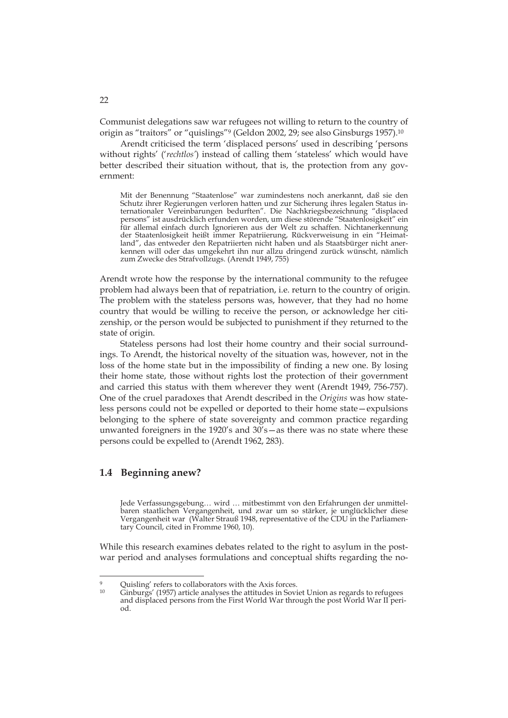Communist delegations saw war refugees not willing to return to the country of origin as "traitors" or "quislings"9 (Geldon 2002, 29; see also Ginsburgs 1957).10

Arendt criticised the term 'displaced persons' used in describing 'persons without rights' ('*rechtlos'*) instead of calling them 'stateless' which would have better described their situation without, that is, the protection from any government:

Mit der Benennung "Staatenlose" war zumindestens noch anerkannt, daß sie den Schutz ihrer Regierungen verloren hatten und zur Sicherung ihres legalen Status internationaler Vereinbarungen bedurften". Die Nachkriegsbezeichnung "displaced persons" ist ausdrücklich erfunden worden, um diese störende "Staatenlosigkeit" ein für allemal einfach durch Ignorieren aus der Welt zu schaffen. Nichtanerkennung der Staatenlosigkeit heißt immer Repatriierung, Rückverweisung in ein "Heimatland", das entweder den Repatriierten nicht haben und als Staatsbürger nicht anerkennen will oder das umgekehrt ihn nur allzu dringend zurück wünscht, nämlich zum Zwecke des Strafvollzugs. (Arendt 1949, 755)

Arendt wrote how the response by the international community to the refugee problem had always been that of repatriation, i.e. return to the country of origin. The problem with the stateless persons was, however, that they had no home country that would be willing to receive the person, or acknowledge her citizenship, or the person would be subjected to punishment if they returned to the state of origin.

Stateless persons had lost their home country and their social surroundings. To Arendt, the historical novelty of the situation was, however, not in the loss of the home state but in the impossibility of finding a new one. By losing their home state, those without rights lost the protection of their government and carried this status with them wherever they went (Arendt 1949, 756-757). One of the cruel paradoxes that Arendt described in the *Origins* was how stateless persons could not be expelled or deported to their home state—expulsions belonging to the sphere of state sovereignty and common practice regarding unwanted foreigners in the 1920's and 30's—as there was no state where these persons could be expelled to (Arendt 1962, 283).

#### **1.4 Beginning anew?**

-

Jede Verfassungsgebung… wird … mitbestimmt von den Erfahrungen der unmittelbaren staatlichen Vergangenheit, und zwar um so stärker, je unglücklicher diese Vergangenheit war (Walter Strauß 1948, representative of the CDU in the Parliamentary Council, cited in Fromme 1960, 10).

While this research examines debates related to the right to asylum in the postwar period and analyses formulations and conceptual shifts regarding the no-

Ouisling' refers to collaborators with the Axis forces.

Ginburgs' (1957) article analyses the attitudes in Soviet Union as regards to refugees and displaced persons from the First World War through the post World War II period.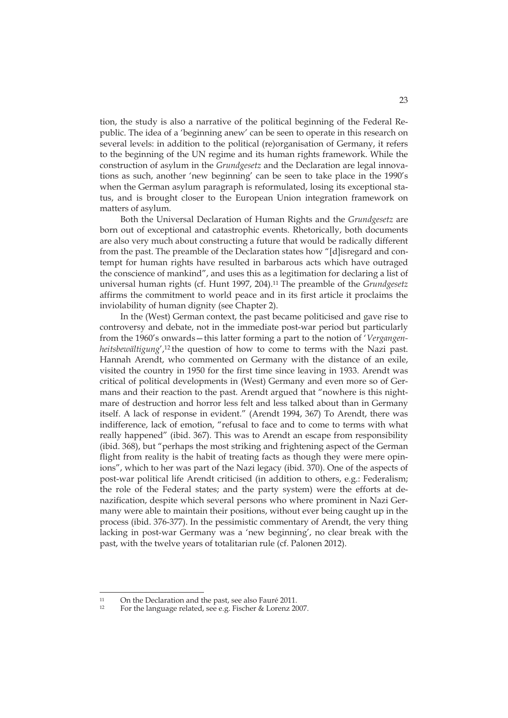tion, the study is also a narrative of the political beginning of the Federal Republic. The idea of a 'beginning anew' can be seen to operate in this research on several levels: in addition to the political (re)organisation of Germany, it refers to the beginning of the UN regime and its human rights framework. While the construction of asylum in the *Grundgesetz* and the Declaration are legal innovations as such, another 'new beginning' can be seen to take place in the 1990's when the German asylum paragraph is reformulated, losing its exceptional status, and is brought closer to the European Union integration framework on matters of asylum.

Both the Universal Declaration of Human Rights and the *Grundgesetz* are born out of exceptional and catastrophic events. Rhetorically, both documents are also very much about constructing a future that would be radically different from the past. The preamble of the Declaration states how "[d]isregard and contempt for human rights have resulted in barbarous acts which have outraged the conscience of mankind", and uses this as a legitimation for declaring a list of universal human rights (cf. Hunt 1997, 204).11 The preamble of the *Grundgesetz*  affirms the commitment to world peace and in its first article it proclaims the inviolability of human dignity (see Chapter 2).

In the (West) German context, the past became politicised and gave rise to controversy and debate, not in the immediate post-war period but particularly from the 1960's onwards—this latter forming a part to the notion of '*Vergangenheitsbewältigung*',<sup>12</sup> the question of how to come to terms with the Nazi past. Hannah Arendt, who commented on Germany with the distance of an exile, visited the country in 1950 for the first time since leaving in 1933. Arendt was critical of political developments in (West) Germany and even more so of Germans and their reaction to the past. Arendt argued that "nowhere is this nightmare of destruction and horror less felt and less talked about than in Germany itself. A lack of response in evident." (Arendt 1994, 367) To Arendt, there was indifference, lack of emotion, "refusal to face and to come to terms with what really happened" (ibid. 367). This was to Arendt an escape from responsibility (ibid. 368), but "perhaps the most striking and frightening aspect of the German flight from reality is the habit of treating facts as though they were mere opinions", which to her was part of the Nazi legacy (ibid. 370). One of the aspects of post-war political life Arendt criticised (in addition to others, e.g.: Federalism; the role of the Federal states; and the party system) were the efforts at denazification, despite which several persons who where prominent in Nazi Germany were able to maintain their positions, without ever being caught up in the process (ibid. 376-377). In the pessimistic commentary of Arendt, the very thing lacking in post-war Germany was a 'new beginning', no clear break with the past, with the twelve years of totalitarian rule (cf. Palonen 2012).

<sup>&</sup>lt;sup>11</sup> On the Declaration and the past, see also Fauré 2011.

<sup>12</sup> For the language related, see e.g. Fischer & Lorenz 2007.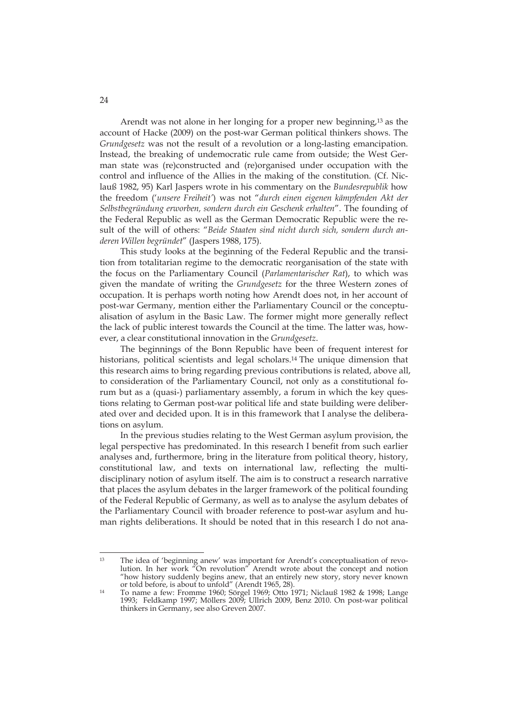Arendt was not alone in her longing for a proper new beginning,13 as the account of Hacke (2009) on the post-war German political thinkers shows. The *Grundgesetz* was not the result of a revolution or a long-lasting emancipation. Instead, the breaking of undemocratic rule came from outside; the West German state was (re)constructed and (re)organised under occupation with the control and influence of the Allies in the making of the constitution. (Cf. Niclauß 1982, 95) Karl Jaspers wrote in his commentary on the *Bundesrepublik* how the freedom ('*unsere Freiheit'*) was not "*durch einen eigenen kämpfenden Akt der Selbstbegründung erworben, sondern durch ein Geschenk erhalten*". The founding of the Federal Republic as well as the German Democratic Republic were the result of the will of others: "*Beide Staaten sind nicht durch sich, sondern durch anderen Willen begründet*" (Jaspers 1988, 175).

This study looks at the beginning of the Federal Republic and the transition from totalitarian regime to the democratic reorganisation of the state with the focus on the Parliamentary Council (*Parlamentarischer Rat*), to which was given the mandate of writing the *Grundgesetz* for the three Western zones of occupation. It is perhaps worth noting how Arendt does not, in her account of post-war Germany, mention either the Parliamentary Council or the conceptualisation of asylum in the Basic Law. The former might more generally reflect the lack of public interest towards the Council at the time. The latter was, however, a clear constitutional innovation in the *Grundgesetz*.

The beginnings of the Bonn Republic have been of frequent interest for historians, political scientists and legal scholars.14 The unique dimension that this research aims to bring regarding previous contributions is related, above all, to consideration of the Parliamentary Council, not only as a constitutional forum but as a (quasi-) parliamentary assembly, a forum in which the key questions relating to German post-war political life and state building were deliberated over and decided upon. It is in this framework that I analyse the deliberations on asylum.

In the previous studies relating to the West German asylum provision, the legal perspective has predominated. In this research I benefit from such earlier analyses and, furthermore, bring in the literature from political theory, history, constitutional law, and texts on international law, reflecting the multidisciplinary notion of asylum itself. The aim is to construct a research narrative that places the asylum debates in the larger framework of the political founding of the Federal Republic of Germany, as well as to analyse the asylum debates of the Parliamentary Council with broader reference to post-war asylum and human rights deliberations. It should be noted that in this research I do not ana-

<sup>-</sup><sup>13</sup> The idea of 'beginning anew' was important for Arendt's conceptualisation of revolution. In her work "On revolution" Arendt wrote about the concept and notion "how history suddenly begins anew, that an entirely new story, story never known or told before, is about to unfold" (Arendt 1965, 28).<br>14 To name a few: Fromme 1960; Sörgel 1969; Otto 1971; Niclauß 1982 & 1998; Lange

<sup>1993;</sup> Feldkamp 1997; Möllers 2009; Ullrich 2009, Benz 2010. On post-war political thinkers in Germany, see also Greven 2007.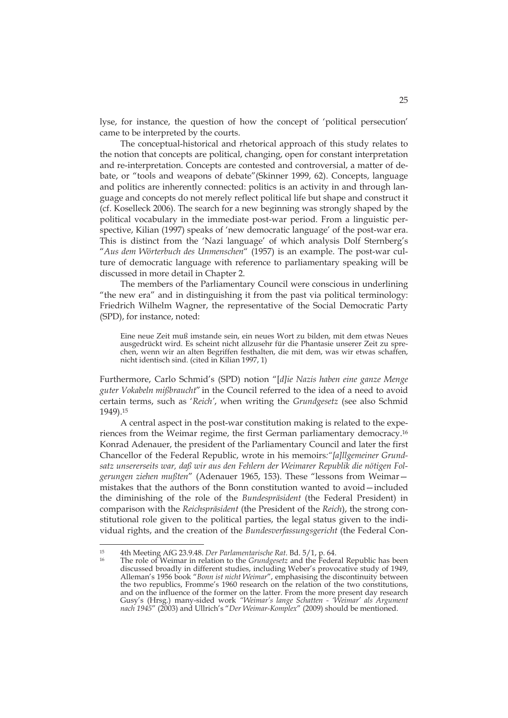lyse, for instance, the question of how the concept of 'political persecution' came to be interpreted by the courts.

The conceptual-historical and rhetorical approach of this study relates to the notion that concepts are political, changing, open for constant interpretation and re-interpretation. Concepts are contested and controversial, a matter of debate, or "tools and weapons of debate"(Skinner 1999, 62). Concepts, language and politics are inherently connected: politics is an activity in and through language and concepts do not merely reflect political life but shape and construct it (cf. Koselleck 2006). The search for a new beginning was strongly shaped by the political vocabulary in the immediate post-war period. From a linguistic perspective, Kilian (1997) speaks of 'new democratic language' of the post-war era. This is distinct from the 'Nazi language' of which analysis Dolf Sternberg's "*Aus dem Wörterbuch des Unmenschen*" (1957) is an example. The post-war culture of democratic language with reference to parliamentary speaking will be discussed in more detail in Chapter 2.

The members of the Parliamentary Council were conscious in underlining "the new era" and in distinguishing it from the past via political terminology: Friedrich Wilhelm Wagner, the representative of the Social Democratic Party (SPD), for instance, noted:

Eine neue Zeit muß imstande sein, ein neues Wort zu bilden, mit dem etwas Neues ausgedrückt wird. Es scheint nicht allzusehr für die Phantasie unserer Zeit zu sprechen, wenn wir an alten Begriffen festhalten, die mit dem, was wir etwas schaffen, nicht identisch sind. (cited in Kilian 1997, 1)

Furthermore, Carlo Schmid's (SPD) notion "[*d]ie Nazis haben eine ganze Menge guter Vokabeln mißbraucht*" in the Council referred to the idea of a need to avoid certain terms, such as '*Reich'*, when writing the *Grundgesetz* (see also Schmid 1949).15

A central aspect in the post-war constitution making is related to the experiences from the Weimar regime, the first German parliamentary democracy.16 Konrad Adenauer, the president of the Parliamentary Council and later the first Chancellor of the Federal Republic, wrote in his memoirs*:"[a]llgemeiner Grundsatz unsererseits war, daß wir aus den Fehlern der Weimarer Republik die nötigen Folgerungen ziehen mußten*" (Adenauer 1965, 153). These "lessons from Weimar mistakes that the authors of the Bonn constitution wanted to avoid—included the diminishing of the role of the *Bundespräsident* (the Federal President) in comparison with the *Reichspräsident* (the President of the *Reich*), the strong constitutional role given to the political parties, the legal status given to the individual rights, and the creation of the *Bundesverfassungsgericht* (the Federal Con-

<sup>&</sup>lt;sup>15</sup> 4th Meeting AfG 23.9.48. *Der Parlamentarische Rat*. Bd. 5/1, p. 64.<br><sup>16</sup> The role of Weimar in relation to the *Grundgesetz* and the Federal Republic has been discussed broadly in different studies, including Weber's provocative study of 1949, Alleman's 1956 book "*Bonn ist nicht Weimar*", emphasising the discontinuity between the two republics, Fromme's 1960 research on the relation of the two constitutions, and on the influence of the former on the latter. From the more present day research Gusy's (Hrsg.) many-sided work *"Weimar's lange Schatten - 'Weimar' als Argument nach 1945*" (2003) and Ullrich's "*Der Weimar-Komplex*" (2009) should be mentioned.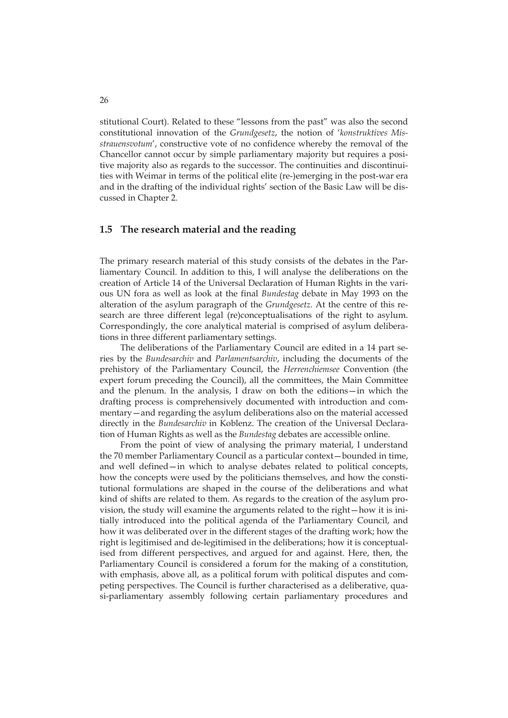stitutional Court). Related to these "lessons from the past" was also the second constitutional innovation of the *Grundgesetz*, the notion of '*konstruktives Misstrauensvotum*', constructive vote of no confidence whereby the removal of the Chancellor cannot occur by simple parliamentary majority but requires a positive majority also as regards to the successor. The continuities and discontinuities with Weimar in terms of the political elite (re-)emerging in the post-war era and in the drafting of the individual rights' section of the Basic Law will be discussed in Chapter 2.

#### **1.5 The research material and the reading**

The primary research material of this study consists of the debates in the Parliamentary Council. In addition to this, I will analyse the deliberations on the creation of Article 14 of the Universal Declaration of Human Rights in the various UN fora as well as look at the final *Bundestag* debate in May 1993 on the alteration of the asylum paragraph of the *Grundgesetz*. At the centre of this research are three different legal (re)conceptualisations of the right to asylum. Correspondingly, the core analytical material is comprised of asylum deliberations in three different parliamentary settings.

The deliberations of the Parliamentary Council are edited in a 14 part series by the *Bundesarchiv* and *Parlamentsarchiv*, including the documents of the prehistory of the Parliamentary Council, the *Herrenchiemsee* Convention (the expert forum preceding the Council), all the committees, the Main Committee and the plenum. In the analysis, I draw on both the editions—in which the drafting process is comprehensively documented with introduction and commentary—and regarding the asylum deliberations also on the material accessed directly in the *Bundesarchiv* in Koblenz. The creation of the Universal Declaration of Human Rights as well as the *Bundestag* debates are accessible online.

From the point of view of analysing the primary material, I understand the 70 member Parliamentary Council as a particular context—bounded in time, and well defined—in which to analyse debates related to political concepts, how the concepts were used by the politicians themselves, and how the constitutional formulations are shaped in the course of the deliberations and what kind of shifts are related to them. As regards to the creation of the asylum provision, the study will examine the arguments related to the right—how it is initially introduced into the political agenda of the Parliamentary Council, and how it was deliberated over in the different stages of the drafting work; how the right is legitimised and de-legitimised in the deliberations; how it is conceptualised from different perspectives, and argued for and against. Here, then, the Parliamentary Council is considered a forum for the making of a constitution, with emphasis, above all, as a political forum with political disputes and competing perspectives. The Council is further characterised as a deliberative, quasi-parliamentary assembly following certain parliamentary procedures and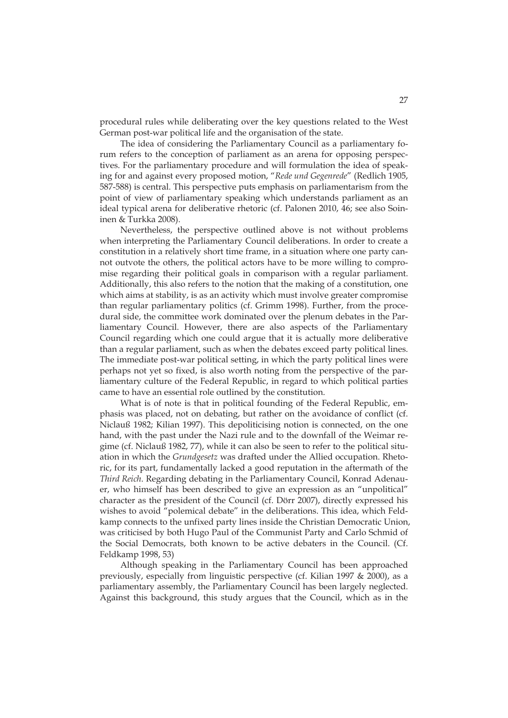procedural rules while deliberating over the key questions related to the West German post-war political life and the organisation of the state.

The idea of considering the Parliamentary Council as a parliamentary forum refers to the conception of parliament as an arena for opposing perspectives. For the parliamentary procedure and will formulation the idea of speaking for and against every proposed motion, "*Rede und Gegenrede*" (Redlich 1905, 587-588) is central. This perspective puts emphasis on parliamentarism from the point of view of parliamentary speaking which understands parliament as an ideal typical arena for deliberative rhetoric (cf. Palonen 2010, 46; see also Soininen & Turkka 2008).

Nevertheless, the perspective outlined above is not without problems when interpreting the Parliamentary Council deliberations. In order to create a constitution in a relatively short time frame, in a situation where one party cannot outvote the others, the political actors have to be more willing to compromise regarding their political goals in comparison with a regular parliament. Additionally, this also refers to the notion that the making of a constitution, one which aims at stability, is as an activity which must involve greater compromise than regular parliamentary politics (cf. Grimm 1998). Further, from the procedural side, the committee work dominated over the plenum debates in the Parliamentary Council. However, there are also aspects of the Parliamentary Council regarding which one could argue that it is actually more deliberative than a regular parliament, such as when the debates exceed party political lines. The immediate post-war political setting, in which the party political lines were perhaps not yet so fixed, is also worth noting from the perspective of the parliamentary culture of the Federal Republic, in regard to which political parties came to have an essential role outlined by the constitution.

What is of note is that in political founding of the Federal Republic, emphasis was placed, not on debating, but rather on the avoidance of conflict (cf. Niclauß 1982; Kilian 1997). This depoliticising notion is connected, on the one hand, with the past under the Nazi rule and to the downfall of the Weimar regime (cf. Niclauß 1982, 77), while it can also be seen to refer to the political situation in which the *Grundgesetz* was drafted under the Allied occupation. Rhetoric, for its part, fundamentally lacked a good reputation in the aftermath of the *Third Reich*. Regarding debating in the Parliamentary Council, Konrad Adenauer, who himself has been described to give an expression as an "unpolitical" character as the president of the Council (cf. Dörr 2007), directly expressed his wishes to avoid "polemical debate" in the deliberations. This idea, which Feldkamp connects to the unfixed party lines inside the Christian Democratic Union, was criticised by both Hugo Paul of the Communist Party and Carlo Schmid of the Social Democrats, both known to be active debaters in the Council. (Cf. Feldkamp 1998, 53)

Although speaking in the Parliamentary Council has been approached previously, especially from linguistic perspective (cf. Kilian 1997 & 2000), as a parliamentary assembly, the Parliamentary Council has been largely neglected. Against this background, this study argues that the Council, which as in the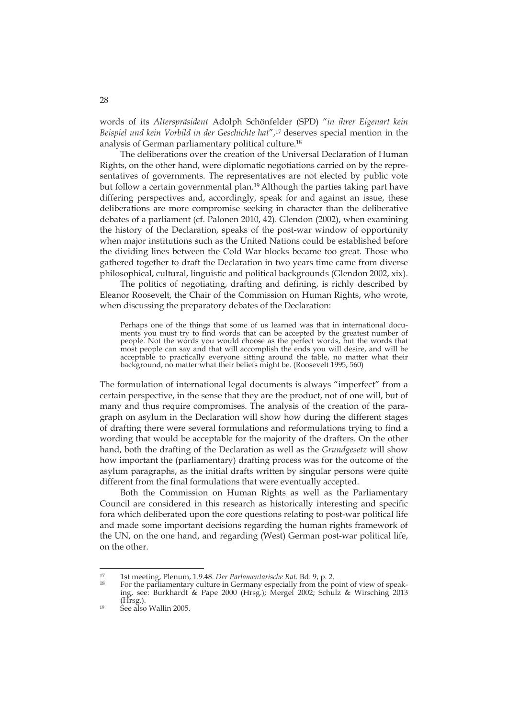words of its *Alterspräsident* Adolph Schönfelder (SPD) "*in ihrer Eigenart kein Beispiel und kein Vorbild in der Geschichte hat*",17 deserves special mention in the analysis of German parliamentary political culture.18

The deliberations over the creation of the Universal Declaration of Human Rights, on the other hand, were diplomatic negotiations carried on by the representatives of governments. The representatives are not elected by public vote but follow a certain governmental plan.19 Although the parties taking part have differing perspectives and, accordingly, speak for and against an issue, these deliberations are more compromise seeking in character than the deliberative debates of a parliament (cf. Palonen 2010, 42). Glendon (2002), when examining the history of the Declaration, speaks of the post-war window of opportunity when major institutions such as the United Nations could be established before the dividing lines between the Cold War blocks became too great. Those who gathered together to draft the Declaration in two years time came from diverse philosophical, cultural, linguistic and political backgrounds (Glendon 2002, xix).

The politics of negotiating, drafting and defining, is richly described by Eleanor Roosevelt, the Chair of the Commission on Human Rights, who wrote, when discussing the preparatory debates of the Declaration:

Perhaps one of the things that some of us learned was that in international documents you must try to find words that can be accepted by the greatest number of people. Not the words you would choose as the perfect words, but the words that most people can say and that will accomplish the ends you will desire, and will be acceptable to practically everyone sitting around the table, no matter what their background, no matter what their beliefs might be. (Roosevelt 1995, 560)

The formulation of international legal documents is always "imperfect" from a certain perspective, in the sense that they are the product, not of one will, but of many and thus require compromises. The analysis of the creation of the paragraph on asylum in the Declaration will show how during the different stages of drafting there were several formulations and reformulations trying to find a wording that would be acceptable for the majority of the drafters. On the other hand, both the drafting of the Declaration as well as the *Grundgesetz* will show how important the (parliamentary) drafting process was for the outcome of the asylum paragraphs, as the initial drafts written by singular persons were quite different from the final formulations that were eventually accepted.

Both the Commission on Human Rights as well as the Parliamentary Council are considered in this research as historically interesting and specific fora which deliberated upon the core questions relating to post-war political life and made some important decisions regarding the human rights framework of the UN, on the one hand, and regarding (West) German post-war political life, on the other.

<sup>&</sup>lt;sup>17</sup> 1st meeting, Plenum, 1.9.48. *Der Parlamentarische Rat*. Bd. 9, p. 2.<br><sup>18</sup> For the parliamentary culture in Germany especially from the point of view of speaking, see: Burkhardt & Pape 2000 (Hrsg.); Mergel 2002; Schulz & Wirsching 2013

 $19$  See also Wallin 2005.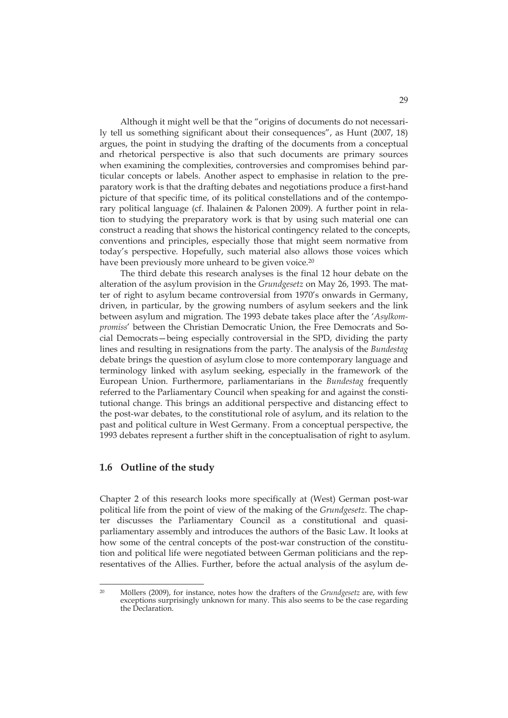Although it might well be that the "origins of documents do not necessarily tell us something significant about their consequences", as Hunt (2007, 18) argues, the point in studying the drafting of the documents from a conceptual and rhetorical perspective is also that such documents are primary sources when examining the complexities, controversies and compromises behind particular concepts or labels. Another aspect to emphasise in relation to the preparatory work is that the drafting debates and negotiations produce a first-hand picture of that specific time, of its political constellations and of the contemporary political language (cf. Ihalainen & Palonen 2009). A further point in relation to studying the preparatory work is that by using such material one can construct a reading that shows the historical contingency related to the concepts, conventions and principles, especially those that might seem normative from today's perspective. Hopefully, such material also allows those voices which have been previously more unheard to be given voice.<sup>20</sup>

The third debate this research analyses is the final 12 hour debate on the alteration of the asylum provision in the *Grundgesetz* on May 26, 1993. The matter of right to asylum became controversial from 1970's onwards in Germany, driven, in particular, by the growing numbers of asylum seekers and the link between asylum and migration. The 1993 debate takes place after the '*Asylkompromiss*' between the Christian Democratic Union, the Free Democrats and Social Democrats—being especially controversial in the SPD, dividing the party lines and resulting in resignations from the party. The analysis of the *Bundestag* debate brings the question of asylum close to more contemporary language and terminology linked with asylum seeking, especially in the framework of the European Union. Furthermore, parliamentarians in the *Bundestag* frequently referred to the Parliamentary Council when speaking for and against the constitutional change. This brings an additional perspective and distancing effect to the post-war debates, to the constitutional role of asylum, and its relation to the past and political culture in West Germany. From a conceptual perspective, the 1993 debates represent a further shift in the conceptualisation of right to asylum.

#### **1.6 Outline of the study**

Chapter 2 of this research looks more specifically at (West) German post-war political life from the point of view of the making of the *Grundgesetz*. The chapter discusses the Parliamentary Council as a constitutional and quasiparliamentary assembly and introduces the authors of the Basic Law. It looks at how some of the central concepts of the post-war construction of the constitution and political life were negotiated between German politicians and the representatives of the Allies. Further, before the actual analysis of the asylum de-

 $\overline{20}$ 20 Möllers (2009), for instance, notes how the drafters of the *Grundgesetz* are, with few exceptions surprisingly unknown for many. This also seems to be the case regarding the Declaration.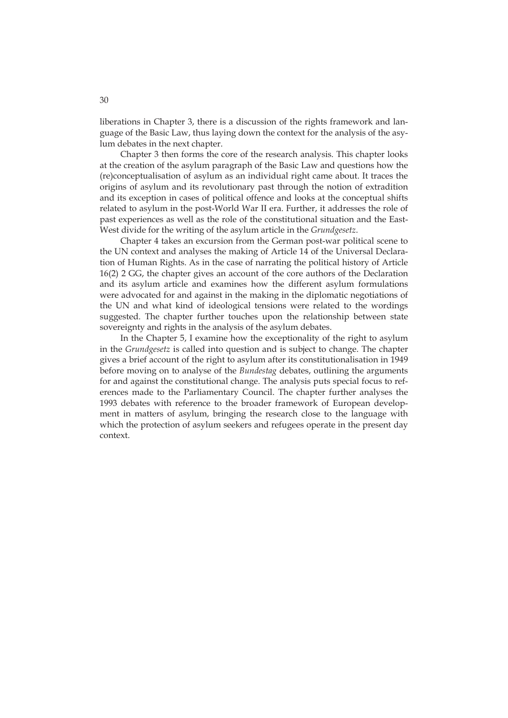liberations in Chapter 3, there is a discussion of the rights framework and language of the Basic Law, thus laying down the context for the analysis of the asylum debates in the next chapter.

Chapter 3 then forms the core of the research analysis. This chapter looks at the creation of the asylum paragraph of the Basic Law and questions how the (re)conceptualisation of asylum as an individual right came about. It traces the origins of asylum and its revolutionary past through the notion of extradition and its exception in cases of political offence and looks at the conceptual shifts related to asylum in the post-World War II era. Further, it addresses the role of past experiences as well as the role of the constitutional situation and the East-West divide for the writing of the asylum article in the *Grundgesetz*.

Chapter 4 takes an excursion from the German post-war political scene to the UN context and analyses the making of Article 14 of the Universal Declaration of Human Rights. As in the case of narrating the political history of Article 16(2) 2 GG, the chapter gives an account of the core authors of the Declaration and its asylum article and examines how the different asylum formulations were advocated for and against in the making in the diplomatic negotiations of the UN and what kind of ideological tensions were related to the wordings suggested. The chapter further touches upon the relationship between state sovereignty and rights in the analysis of the asylum debates.

In the Chapter 5, I examine how the exceptionality of the right to asylum in the *Grundgesetz* is called into question and is subject to change. The chapter gives a brief account of the right to asylum after its constitutionalisation in 1949 before moving on to analyse of the *Bundestag* debates, outlining the arguments for and against the constitutional change. The analysis puts special focus to references made to the Parliamentary Council. The chapter further analyses the 1993 debates with reference to the broader framework of European development in matters of asylum, bringing the research close to the language with which the protection of asylum seekers and refugees operate in the present day context.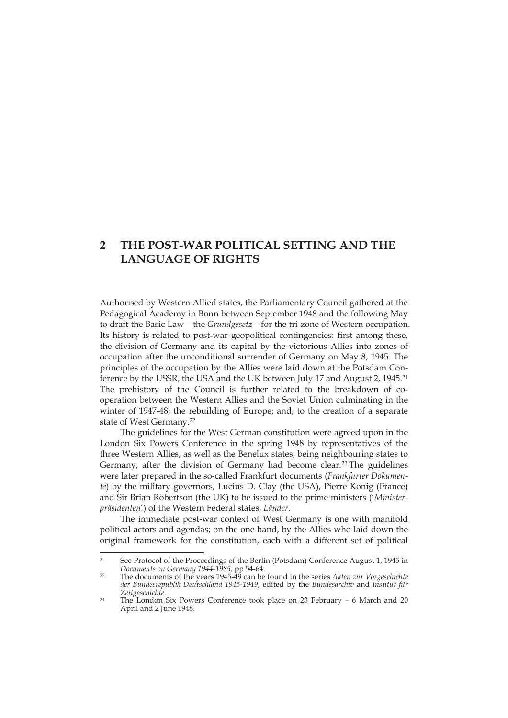#### **2 THE POST-WAR POLITICAL SETTING AND THE LANGUAGE OF RIGHTS**

Authorised by Western Allied states, the Parliamentary Council gathered at the Pedagogical Academy in Bonn between September 1948 and the following May to draft the Basic Law—the *Grundgesetz*—for the tri-zone of Western occupation. Its history is related to post-war geopolitical contingencies: first among these, the division of Germany and its capital by the victorious Allies into zones of occupation after the unconditional surrender of Germany on May 8, 1945. The principles of the occupation by the Allies were laid down at the Potsdam Conference by the USSR, the USA and the UK between July 17 and August 2, 1945.<sup>21</sup> The prehistory of the Council is further related to the breakdown of cooperation between the Western Allies and the Soviet Union culminating in the winter of 1947-48; the rebuilding of Europe; and, to the creation of a separate state of West Germany.22

The guidelines for the West German constitution were agreed upon in the London Six Powers Conference in the spring 1948 by representatives of the three Western Allies, as well as the Benelux states, being neighbouring states to Germany, after the division of Germany had become clear.<sup>23</sup> The guidelines were later prepared in the so-called Frankfurt documents (*Frankfurter Dokumente*) by the military governors, Lucius D. Clay (the USA), Pierre Konig (France) and Sir Brian Robertson (the UK) to be issued to the prime ministers ('*Ministerpräsidenten*') of the Western Federal states, *Länder*.

The immediate post-war context of West Germany is one with manifold political actors and agendas; on the one hand, by the Allies who laid down the original framework for the constitution, each with a different set of political

<sup>&</sup>lt;sup>21</sup> See Protocol of the Proceedings of the Berlin (Potsdam) Conference August 1, 1945 in *Documents on Germany 1944-1985,* pp 54-64. 22 The documents of the years 1945-49 can be found in the series *Akten zur Vorgeschichte* 

*der Bundesrepublik Deutschland 1945-1949*, edited by the *Bundesarchiv* and *Institut für* 

<sup>&</sup>lt;sup>23</sup> The London Six Powers Conference took place on 23 February – 6 March and 20 April and 2 June 1948.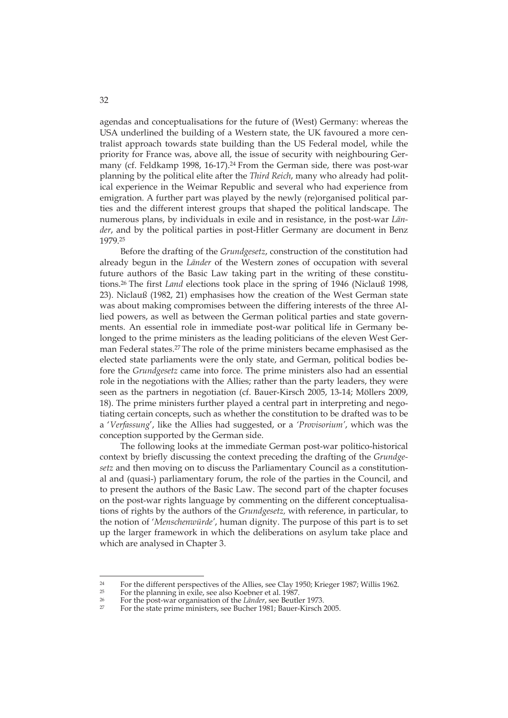agendas and conceptualisations for the future of (West) Germany: whereas the USA underlined the building of a Western state, the UK favoured a more centralist approach towards state building than the US Federal model, while the priority for France was, above all, the issue of security with neighbouring Germany (cf. Feldkamp 1998, 16-17).<sup>24</sup> From the German side, there was post-war planning by the political elite after the *Third Reich*, many who already had political experience in the Weimar Republic and several who had experience from emigration. A further part was played by the newly (re)organised political parties and the different interest groups that shaped the political landscape. The numerous plans, by individuals in exile and in resistance, in the post-war *Länder*, and by the political parties in post-Hitler Germany are document in Benz 1979.25

Before the drafting of the *Grundgesetz*, construction of the constitution had already begun in the *Länder* of the Western zones of occupation with several future authors of the Basic Law taking part in the writing of these constitutions.26 The first *Land* elections took place in the spring of 1946 (Niclauß 1998, 23). Niclauß (1982, 21) emphasises how the creation of the West German state was about making compromises between the differing interests of the three Allied powers, as well as between the German political parties and state governments. An essential role in immediate post-war political life in Germany belonged to the prime ministers as the leading politicians of the eleven West German Federal states.27 The role of the prime ministers became emphasised as the elected state parliaments were the only state, and German, political bodies before the *Grundgesetz* came into force. The prime ministers also had an essential role in the negotiations with the Allies; rather than the party leaders, they were seen as the partners in negotiation (cf. Bauer-Kirsch 2005, 13-14; Möllers 2009, 18). The prime ministers further played a central part in interpreting and negotiating certain concepts, such as whether the constitution to be drafted was to be a '*Verfassung*', like the Allies had suggested, or a *'Provisorium'*, which was the conception supported by the German side.

The following looks at the immediate German post-war politico-historical context by briefly discussing the context preceding the drafting of the *Grundgesetz* and then moving on to discuss the Parliamentary Council as a constitutional and (quasi-) parliamentary forum, the role of the parties in the Council, and to present the authors of the Basic Law. The second part of the chapter focuses on the post-war rights language by commenting on the different conceptualisations of rights by the authors of the *Grundgesetz,* with reference, in particular, to the notion of '*Menschenwürde'*, human dignity. The purpose of this part is to set up the larger framework in which the deliberations on asylum take place and which are analysed in Chapter 3.

<sup>&</sup>lt;sup>24</sup> For the different perspectives of the Allies, see Clay 1950; Krieger 1987; Willis 1962.

<sup>&</sup>lt;sup>25</sup> For the planning in exile, see also Koebner et al. 1987.<br><sup>26</sup> For the post-war organisation of the *Länder*, see Beutler 1973.

For the state prime ministers, see Bucher 1981; Bauer-Kirsch 2005.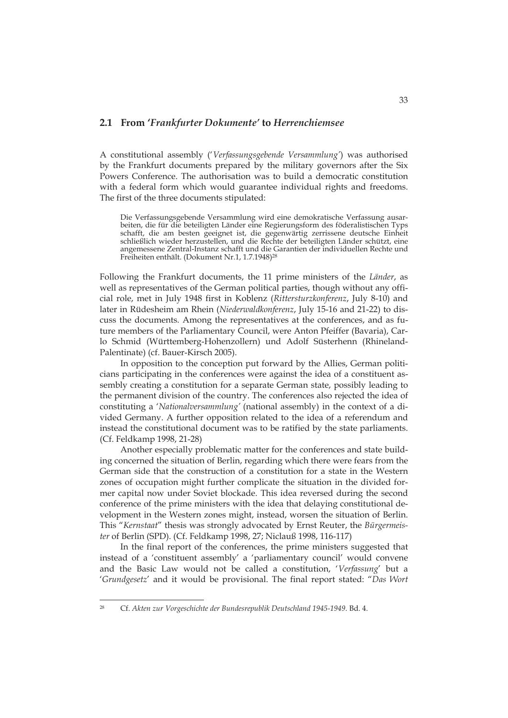#### **2.1 From '***Frankfurter Dokumente'* **to** *Herrenchiemsee*

A constitutional assembly ('*Verfassungsgebende Versammlung'*) was authorised by the Frankfurt documents prepared by the military governors after the Six Powers Conference. The authorisation was to build a democratic constitution with a federal form which would guarantee individual rights and freedoms. The first of the three documents stipulated:

Die Verfassungsgebende Versammlung wird eine demokratische Verfassung ausarbeiten, die für die beteiligten Länder eine Regierungsform des föderalistischen Typs schafft, die am besten geeignet ist, die gegenwärtig zerrissene deutsche Einheit schließlich wieder herzustellen, und die Rechte der beteiligten Länder schützt, eine angemessene Zentral-Instanz schafft und die Garantien der individuellen Rechte und Freiheiten enthält. (Dokument Nr.1, 1.7.1948)28

Following the Frankfurt documents, the 11 prime ministers of the *Länder*, as well as representatives of the German political parties, though without any official role, met in July 1948 first in Koblenz (*Rittersturzkonferenz*, July 8-10) and later in Rüdesheim am Rhein (*Niederwaldkonferenz*, July 15-16 and 21-22) to discuss the documents. Among the representatives at the conferences, and as future members of the Parliamentary Council, were Anton Pfeiffer (Bavaria), Carlo Schmid (Württemberg-Hohenzollern) und Adolf Süsterhenn (Rhineland-Palentinate) (cf. Bauer-Kirsch 2005).

In opposition to the conception put forward by the Allies, German politicians participating in the conferences were against the idea of a constituent assembly creating a constitution for a separate German state, possibly leading to the permanent division of the country. The conferences also rejected the idea of constituting a '*Nationalversammlung'* (national assembly) in the context of a divided Germany. A further opposition related to the idea of a referendum and instead the constitutional document was to be ratified by the state parliaments. (Cf. Feldkamp 1998, 21-28)

Another especially problematic matter for the conferences and state building concerned the situation of Berlin, regarding which there were fears from the German side that the construction of a constitution for a state in the Western zones of occupation might further complicate the situation in the divided former capital now under Soviet blockade. This idea reversed during the second conference of the prime ministers with the idea that delaying constitutional development in the Western zones might, instead, worsen the situation of Berlin. This "*Kernstaat*" thesis was strongly advocated by Ernst Reuter, the *Bürgermeister* of Berlin (SPD). (Cf. Feldkamp 1998, 27; Niclauß 1998, 116-117)

In the final report of the conferences, the prime ministers suggested that instead of a 'constituent assembly' a 'parliamentary council' would convene and the Basic Law would not be called a constitution, '*Verfassung*' but a '*Grundgesetz*' and it would be provisional. The final report stated: "*Das Wort* 

<sup>28</sup> Cf. *Akten zur Vorgeschichte der Bundesrepublik Deutschland 1945-1949*. Bd. 4.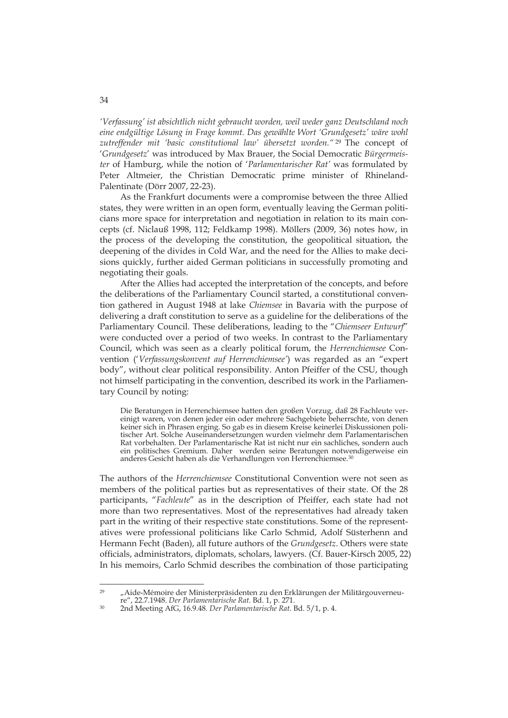*'Verfassung' ist absichtlich nicht gebraucht worden, weil weder ganz Deutschland noch eine endgültige Lösung in Frage kommt. Das gewählte Wort 'Grundgesetz' wäre wohl zutreffender mit 'basic constitutional law' übersetzt worden."* 29 The concept of '*Grundgesetz*' was introduced by Max Brauer, the Social Democratic *Bürgermeister* of Hamburg, while the notion of '*Parlamentarischer Rat'* was formulated by Peter Altmeier, the Christian Democratic prime minister of Rhineland-Palentinate (Dörr 2007, 22-23).

As the Frankfurt documents were a compromise between the three Allied states, they were written in an open form, eventually leaving the German politicians more space for interpretation and negotiation in relation to its main concepts (cf. Niclauß 1998, 112; Feldkamp 1998). Möllers (2009, 36) notes how, in the process of the developing the constitution, the geopolitical situation, the deepening of the divides in Cold War, and the need for the Allies to make decisions quickly, further aided German politicians in successfully promoting and negotiating their goals.

After the Allies had accepted the interpretation of the concepts, and before the deliberations of the Parliamentary Council started, a constitutional convention gathered in August 1948 at lake *Chiemsee* in Bavaria with the purpose of delivering a draft constitution to serve as a guideline for the deliberations of the Parliamentary Council. These deliberations, leading to the "*Chiemseer Entwurf*" were conducted over a period of two weeks. In contrast to the Parliamentary Council, which was seen as a clearly political forum, the *Herrenchiemsee* Convention ('*Verfassungskonvent auf Herrenchiemsee'*) was regarded as an "expert body", without clear political responsibility. Anton Pfeiffer of the CSU, though not himself participating in the convention, described its work in the Parliamentary Council by noting:

Die Beratungen in Herrenchiemsee hatten den großen Vorzug, daß 28 Fachleute vereinigt waren, von denen jeder ein oder mehrere Sachgebiete beherrschte, von denen keiner sich in Phrasen erging. So gab es in diesem Kreise keinerlei Diskussionen politischer Art. Solche Auseinandersetzungen wurden vielmehr dem Parlamentarischen Rat vorbehalten. Der Parlamentarische Rat ist nicht nur ein sachliches, sondern auch ein politisches Gremium. Daher werden seine Beratungen notwendigerweise ein anderes Gesicht haben als die Verhandlungen von Herrenchiemsee.30

The authors of the *Herrenchiemsee* Constitutional Convention were not seen as members of the political parties but as representatives of their state. Of the 28 participants, "*Fachleute*" as in the description of Pfeiffer, each state had not more than two representatives. Most of the representatives had already taken part in the writing of their respective state constitutions. Some of the representatives were professional politicians like Carlo Schmid, Adolf Süsterhenn and Hermann Fecht (Baden), all future authors of the *Grundgesetz*. Others were state officials, administrators, diplomats, scholars, lawyers. (Cf. Bauer-Kirsch 2005, 22) In his memoirs, Carlo Schmid describes the combination of those participating

 $\overline{29}$ "Aide-Mémoire der Ministerpräsidenten zu den Erklärungen der Militärgouverneu-<br>re", 22.7.1948. Der Parlamentarische Rat. Bd. 1, p. 271.

re", 22.7.1948. *Der Parlamentarische Rat*. Bd. 1, p. 271. 30 2nd Meeting AfG, 16.9.48*. Der Parlamentarische Rat*. Bd. 5/1, p. 4.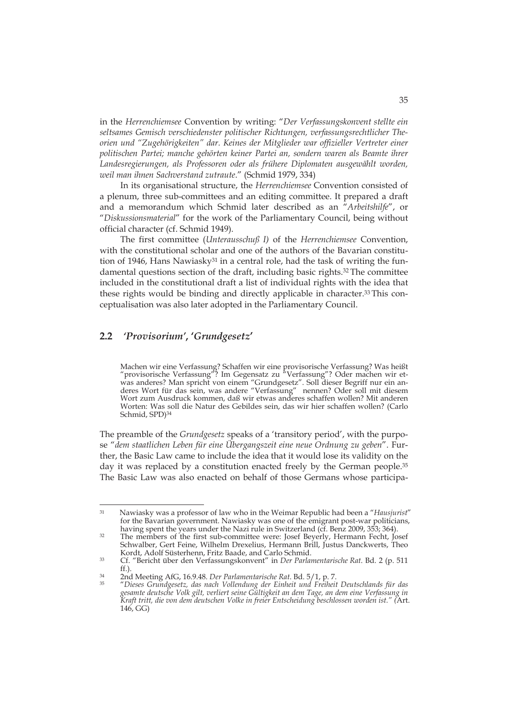in the *Herrenchiemsee* Convention by writing: "*Der Verfassungskonvent stellte ein seltsames Gemisch verschiedenster politischer Richtungen, verfassungsrechtlicher Theorien und "Zugehörigkeiten" dar. Keines der Mitglieder war offizieller Vertreter einer politischen Partei; manche gehörten keiner Partei an, sondern waren als Beamte ihrer Landesregierungen, als Professoren oder als frühere Diplomaten ausgewählt worden, weil man ihnen Sachverstand zutraute*." (Schmid 1979, 334)

In its organisational structure, the *Herrenchiemsee* Convention consisted of a plenum, three sub-committees and an editing committee. It prepared a draft and a memorandum which Schmid later described as an "*Arbeitshilfe*", or "*Diskussionsmaterial*" for the work of the Parliamentary Council, being without official character (cf. Schmid 1949).

The first committee (*Unterausschuß I)* of the *Herrenchiemsee* Convention, with the constitutional scholar and one of the authors of the Bavarian constitution of 1946, Hans Nawiasky<sup>31</sup> in a central role, had the task of writing the fundamental questions section of the draft, including basic rights.32 The committee included in the constitutional draft a list of individual rights with the idea that these rights would be binding and directly applicable in character.33 This conceptualisation was also later adopted in the Parliamentary Council.

# **2.2** *'Provisorium'***, '***Grundgesetz***'**

-

Machen wir eine Verfassung? Schaffen wir eine provisorische Verfassung? Was heißt "provisorische Verfassung"? Im Gegensatz zu "Verfassung"? Oder machen wir etwas anderes? Man spricht von einem "Grundgesetz". Soll dieser Begriff nur ein anderes Wort für das sein, was andere "Verfassung" nennen? Oder soll mit diesem Wort zum Ausdruck kommen, daß wir etwas anderes schaffen wollen? Mit anderen Worten: Was soll die Natur des Gebildes sein, das wir hier schaffen wollen? (Carlo Schmid, SPD)34

The preamble of the *Grundgesetz* speaks of a 'transitory period', with the purpose "*dem staatlichen Leben für eine Übergangszeit eine neue Ordnung zu geben*". Further, the Basic Law came to include the idea that it would lose its validity on the day it was replaced by a constitution enacted freely by the German people.<sup>35</sup> The Basic Law was also enacted on behalf of those Germans whose participa-

<sup>31</sup> Nawiasky was a professor of law who in the Weimar Republic had been a "*Hausjurist*" for the Bavarian government. Nawiasky was one of the emigrant post-war politicians, having spent the vears under the Nazi rule in Switzerland (cf. Benz 2009, 353; 364).

<sup>&</sup>lt;sup>32</sup> The members of the first sub-committee were: Josef Beyerly, Hermann Fecht, Josef Schwalber, Gert Feine, Wilhelm Drexelius, Hermann Brill, Justus Danckwerts, Theo

<sup>33</sup> Cf. "Bericht über den Verfassungskonvent" in *Der Parlamentarische Rat*. Bd. 2 (p. 511

ff.). 34 2nd Meeting AfG, 16.9.48. *Der Parlamentarische Rat*. Bd. 5/1, p. 7. 35 "*Dieses Grundgesetz, das nach Vollendung der Einheit und Freiheit Deutschlands für das gesamte deutsche Volk gilt, verliert seine Gültigkeit an dem Tage, an dem eine Verfassung in Kraft tritt, die von dem deutschen Volke in freier Entscheidung beschlossen worden ist." (*Art. 146, GG)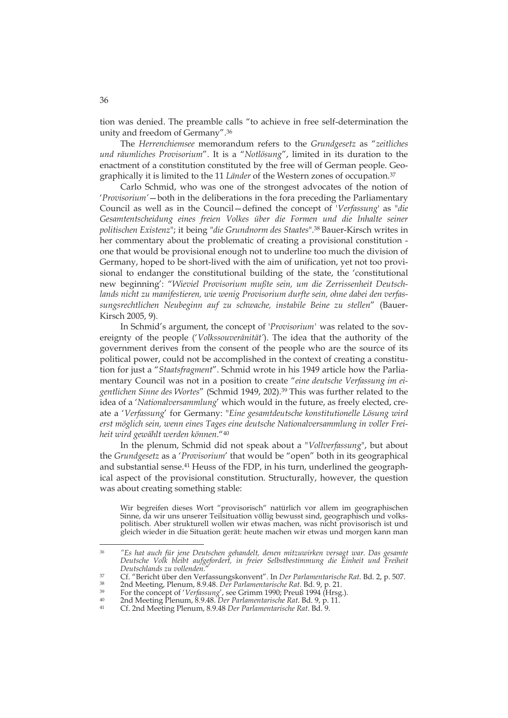tion was denied. The preamble calls "to achieve in free self-determination the unity and freedom of Germany".36

The *Herrenchiemsee* memorandum refers to the *Grundgesetz* as "*zeitliches und räumliches Provisorium*". It is a "*Notlösung*", limited in its duration to the enactment of a constitution constituted by the free will of German people. Geographically it is limited to the 11 *Länder* of the Western zones of occupation.37

Carlo Schmid, who was one of the strongest advocates of the notion of '*Provisorium'*—both in the deliberations in the fora preceding the Parliamentary Council as well as in the Council—defined the concept of '*Verfassung*' as "*die*  Gesamtentscheidung eines freien Volkes über die Formen und die Inhalte seiner *politischen Existenz*"; it being "*die Grundnorm des Staates*".38 Bauer-Kirsch writes in her commentary about the problematic of creating a provisional constitution one that would be provisional enough not to underline too much the division of Germany, hoped to be short-lived with the aim of unification, yet not too provisional to endanger the constitutional building of the state, the 'constitutional new beginning': "*Wieviel Provisorium mußte sein, um die Zerrissenheit Deutschlands nicht zu manifestieren, wie wenig Provisorium durfte sein, ohne dabei den verfassungsrechtlichen Neubeginn auf zu schwache, instabile Beine zu stellen*" (Bauer-Kirsch 2005, 9).

In Schmid's argument, the concept of '*Provisorium'* was related to the sovereignty of the people ('*Volkssouveränität'*). The idea that the authority of the government derives from the consent of the people who are the source of its political power, could not be accomplished in the context of creating a constitution for just a "*Staatsfragment*". Schmid wrote in his 1949 article how the Parliamentary Council was not in a position to create "*eine deutsche Verfassung im eigentlichen Sinne des Wortes*" (Schmid 1949, 202).39 This was further related to the idea of a '*Nationalversammlung*' which would in the future, as freely elected, create a '*Verfassung*' for Germany: "*Eine gesamtdeutsche konstitutionelle Lösung wird erst möglich sein, wenn eines Tages eine deutsche Nationalversammlung in voller Freiheit wird gewählt werden können*."40

In the plenum, Schmid did not speak about a "*Vollverfassung*", but about the *Grundgesetz* as a '*Provisorium*' that would be "open" both in its geographical and substantial sense.41 Heuss of the FDP, in his turn, underlined the geographical aspect of the provisional constitution. Structurally, however, the question was about creating something stable:

Wir begreifen dieses Wort "provisorisch" natürlich vor allem im geographischen Sinne, da wir uns unserer Teilsituation völlig bewusst sind, geographisch und volkspolitisch. Aber strukturell wollen wir etwas machen, was nicht provisorisch ist und gleich wieder in die Situation gerät: heute machen wir etwas und morgen kann man

*<sup>36 &</sup>quot;Es hat auch für jene Deutschen gehandelt, denen mitzuwirken versagt war. Das gesamte Deutsche Volk bleibt aufgefordert, in freier Selbstbestimmung die Einheit und Freiheit*  Deutschlands zu vollenden."<br>
Cf. "Bericht über den Verfassungskonvent". In Der Parlamentarische Rat. Bd. 2, p. 507.<br>
2nd Meeting, Plenum, 8.9.48. Der Parlamentarische Rat. Bd. 9, p. 21.<br>
<sup>39</sup> For the concept of 'Verfassung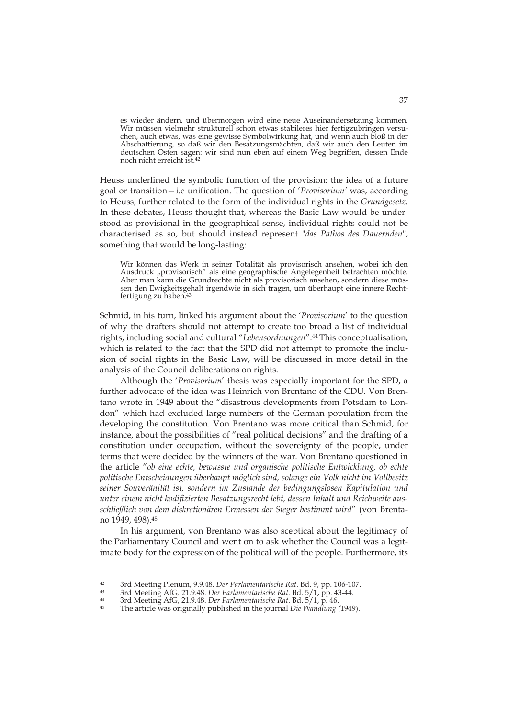es wieder ändern, und übermorgen wird eine neue Auseinandersetzung kommen. Wir müssen vielmehr strukturell schon etwas stabileres hier fertigzubringen versuchen, auch etwas, was eine gewisse Symbolwirkung hat, und wenn auch bloß in der Abschattierung, so daß wir den Besatzungsmächten, daß wir auch den Leuten im deutschen Osten sagen: wir sind nun eben auf einem Weg begriffen, dessen Ende noch nicht erreicht ist.42

Heuss underlined the symbolic function of the provision: the idea of a future goal or transition—i.e unification. The question of '*Provisorium'* was, according to Heuss, further related to the form of the individual rights in the *Grundgesetz*. In these debates, Heuss thought that, whereas the Basic Law would be understood as provisional in the geographical sense, individual rights could not be characterised as so, but should instead represent "*das Pathos des Dauernden*", something that would be long-lasting:

Wir können das Werk in seiner Totalität als provisorisch ansehen, wobei ich den Ausdruck "provisorisch" als eine geographische Angelegenheit betrachten möchte. Aber man kann die Grundrechte nicht als provisorisch ansehen, sondern diese müssen den Ewigkeitsgehalt irgendwie in sich tragen, um überhaupt eine innere Rechtfertigung zu haben.43

Schmid, in his turn, linked his argument about the '*Provisorium*' to the question of why the drafters should not attempt to create too broad a list of individual rights, including social and cultural "*Lebensordnungen*".44 This conceptualisation, which is related to the fact that the SPD did not attempt to promote the inclusion of social rights in the Basic Law, will be discussed in more detail in the analysis of the Council deliberations on rights.

Although the '*Provisorium*' thesis was especially important for the SPD, a further advocate of the idea was Heinrich von Brentano of the CDU. Von Brentano wrote in 1949 about the "disastrous developments from Potsdam to London" which had excluded large numbers of the German population from the developing the constitution. Von Brentano was more critical than Schmid, for instance, about the possibilities of "real political decisions" and the drafting of a constitution under occupation, without the sovereignty of the people, under terms that were decided by the winners of the war. Von Brentano questioned in the article "*ob eine echte, bewusste und organische politische Entwicklung, ob echte politische Entscheidungen überhaupt möglich sind, solange ein Volk nicht im Vollbesitz seiner Souveränität ist, sondern im Zustande der bedingungslosen Kapitulation und unter einem nicht kodifizierten Besatzungsrecht lebt, dessen Inhalt und Reichweite ausschließlich von dem diskretionären Ermessen der Sieger bestimmt wird*" (von Brentano 1949, 498).45

In his argument, von Brentano was also sceptical about the legitimacy of the Parliamentary Council and went on to ask whether the Council was a legitimate body for the expression of the political will of the people. Furthermore, its

 $42$ <sup>42</sup> 3rd Meeting Plenum, 9.9.48. Der Parlamentarische Rat. Bd. 9, pp. 106-107.<br><sup>43</sup> 3rd Meeting AfG, 21.9.48. Der Parlamentarische Rat. Bd. 5/1, pp. 43-44.<br><sup>44</sup> 3rd Meeting AfG, 21.9.48. Der Parlamentarische Rat. Bd. 5/1,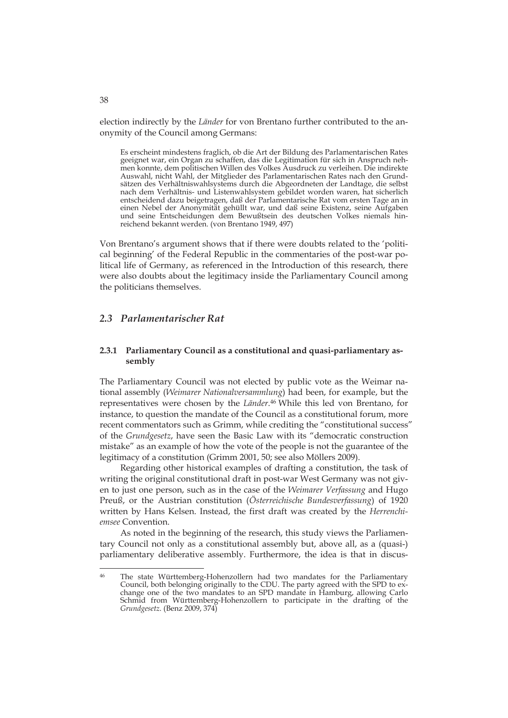election indirectly by the *Länder* for von Brentano further contributed to the anonymity of the Council among Germans:

Es erscheint mindestens fraglich, ob die Art der Bildung des Parlamentarischen Rates geeignet war, ein Organ zu schaffen, das die Legitimation für sich in Anspruch nehmen konnte, dem politischen Willen des Volkes Ausdruck zu verleihen. Die indirekte Auswahl, nicht Wahl, der Mitglieder des Parlamentarischen Rates nach den Grundsätzen des Verhältniswahlsystems durch die Abgeordneten der Landtage, die selbst nach dem Verhältnis- und Listenwahlsystem gebildet worden waren, hat sicherlich entscheidend dazu beigetragen, daß der Parlamentarische Rat vom ersten Tage an in einen Nebel der Anonymität gehüllt war, und daß seine Existenz, seine Aufgaben und seine Entscheidungen dem Bewußtsein des deutschen Volkes niemals hinreichend bekannt werden. (von Brentano 1949, 497)

Von Brentano's argument shows that if there were doubts related to the 'political beginning' of the Federal Republic in the commentaries of the post-war political life of Germany, as referenced in the Introduction of this research, there were also doubts about the legitimacy inside the Parliamentary Council among the politicians themselves.

## *2.3 Parlamentarischer Rat*

## **2.3.1 Parliamentary Council as a constitutional and quasi-parliamentary assembly**

The Parliamentary Council was not elected by public vote as the Weimar national assembly (*Weimarer Nationalversammlung*) had been, for example, but the representatives were chosen by the *Länder*.46 While this led von Brentano, for instance, to question the mandate of the Council as a constitutional forum, more recent commentators such as Grimm, while crediting the "constitutional success" of the *Grundgesetz*, have seen the Basic Law with its "democratic construction mistake" as an example of how the vote of the people is not the guarantee of the legitimacy of a constitution (Grimm 2001, 50; see also Möllers 2009).

Regarding other historical examples of drafting a constitution, the task of writing the original constitutional draft in post-war West Germany was not given to just one person, such as in the case of the *Weimarer Verfassung* and Hugo Preuß, or the Austrian constitution (*Österreichische Bundesverfassung*) of 1920 written by Hans Kelsen. Instead, the first draft was created by the *Herrenchiemsee* Convention.

As noted in the beginning of the research, this study views the Parliamentary Council not only as a constitutional assembly but, above all, as a (quasi-) parliamentary deliberative assembly. Furthermore, the idea is that in discus-

<sup>&</sup>lt;sup>46</sup> The state Württemberg-Hohenzollern had two mandates for the Parliamentary Council, both belonging originally to the CDU. The party agreed with the SPD to exchange one of the two mandates to an SPD mandate in Hamburg, allowing Carlo Schmid from Württemberg-Hohenzollern to participate in the drafting of the *Grundgesetz*. (Benz 2009, 374)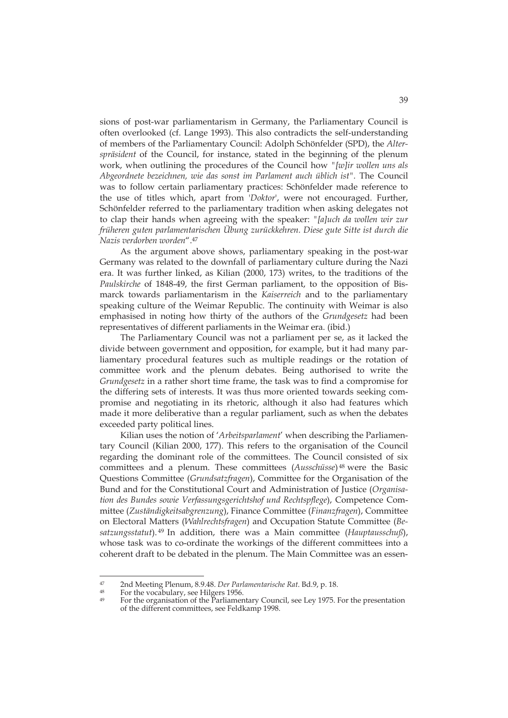sions of post-war parliamentarism in Germany, the Parliamentary Council is often overlooked (cf. Lange 1993). This also contradicts the self-understanding of members of the Parliamentary Council: Adolph Schönfelder (SPD), the *Alterspräsident* of the Council, for instance, stated in the beginning of the plenum work, when outlining the procedures of the Council how *"[w]ir wollen uns als Abgeordnete bezeichnen, wie das sonst im Parlament auch üblich ist".* The Council was to follow certain parliamentary practices: Schönfelder made reference to the use of titles which, apart from '*Doktor*', were not encouraged. Further, Schönfelder referred to the parliamentary tradition when asking delegates not to clap their hands when agreeing with the speaker: *"[a]uch da wollen wir zur früheren guten parlamentarischen Übung zurückkehren. Diese gute Sitte ist durch die Nazis verdorben worden*".47

As the argument above shows, parliamentary speaking in the post-war Germany was related to the downfall of parliamentary culture during the Nazi era. It was further linked, as Kilian (2000, 173) writes, to the traditions of the *Paulskirche* of 1848-49, the first German parliament, to the opposition of Bismarck towards parliamentarism in the *Kaiserreich* and to the parliamentary speaking culture of the Weimar Republic. The continuity with Weimar is also emphasised in noting how thirty of the authors of the *Grundgesetz* had been representatives of different parliaments in the Weimar era. (ibid.)

The Parliamentary Council was not a parliament per se, as it lacked the divide between government and opposition, for example, but it had many parliamentary procedural features such as multiple readings or the rotation of committee work and the plenum debates. Being authorised to write the *Grundgesetz* in a rather short time frame, the task was to find a compromise for the differing sets of interests. It was thus more oriented towards seeking compromise and negotiating in its rhetoric, although it also had features which made it more deliberative than a regular parliament, such as when the debates exceeded party political lines.

Kilian uses the notion of '*Arbeitsparlament*' when describing the Parliamentary Council (Kilian 2000, 177). This refers to the organisation of the Council regarding the dominant role of the committees. The Council consisted of six committees and a plenum. These committees (*Ausschüsse*) 48 were the Basic Questions Committee (*Grundsatzfragen*), Committee for the Organisation of the Bund and for the Constitutional Court and Administration of Justice (*Organisation des Bundes sowie Verfassungsgerichtshof und Rechtspflege*), Competence Committee (*Zuständigkeitsabgrenzung*), Finance Committee (*Finanzfragen*), Committee on Electoral Matters (*Wahlrechtsfragen*) and Occupation Statute Committee (*Besatzungsstatut*). 49 In addition, there was a Main committee (*Hauptausschuß*), whose task was to co-ordinate the workings of the different committees into a coherent draft to be debated in the plenum. The Main Committee was an essen-

<sup>47</sup> 47 2nd Meeting Plenum, 8.9.48. *Der Parlamentarische Rat*. Bd.9, p. 18.<br><sup>48</sup> For the vocabulary, see Hilgers 1956.<br><sup>49</sup> For the opposition of the Berlingers Coursil and Jam<sup>107F</sup>

For the organisation of the Parliamentary Council, see Ley 1975. For the presentation of the different committees, see Feldkamp 1998.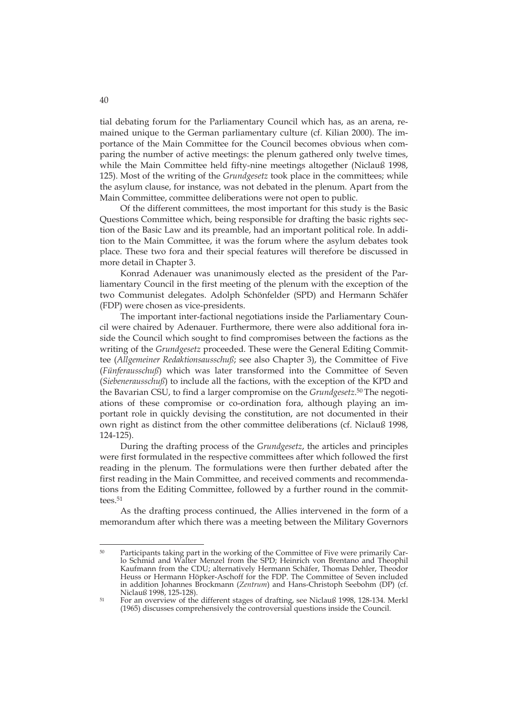tial debating forum for the Parliamentary Council which has, as an arena, remained unique to the German parliamentary culture (cf. Kilian 2000). The importance of the Main Committee for the Council becomes obvious when comparing the number of active meetings: the plenum gathered only twelve times, while the Main Committee held fifty-nine meetings altogether (Niclauß 1998, 125). Most of the writing of the *Grundgesetz* took place in the committees; while the asylum clause, for instance, was not debated in the plenum. Apart from the Main Committee, committee deliberations were not open to public.

Of the different committees, the most important for this study is the Basic Questions Committee which, being responsible for drafting the basic rights section of the Basic Law and its preamble, had an important political role. In addition to the Main Committee, it was the forum where the asylum debates took place. These two fora and their special features will therefore be discussed in more detail in Chapter 3.

Konrad Adenauer was unanimously elected as the president of the Parliamentary Council in the first meeting of the plenum with the exception of the two Communist delegates. Adolph Schönfelder (SPD) and Hermann Schäfer (FDP) were chosen as vice-presidents.

The important inter-factional negotiations inside the Parliamentary Council were chaired by Adenauer. Furthermore, there were also additional fora inside the Council which sought to find compromises between the factions as the writing of the *Grundgesetz* proceeded. These were the General Editing Committee (*Allgemeiner Redaktionsausschuß*; see also Chapter 3), the Committee of Five (*Fünferausschuß*) which was later transformed into the Committee of Seven (*Siebenerausschuß*) to include all the factions, with the exception of the KPD and the Bavarian CSU, to find a larger compromise on the *Grundgesetz*.50 The negotiations of these compromise or co-ordination fora, although playing an important role in quickly devising the constitution, are not documented in their own right as distinct from the other committee deliberations (cf. Niclauß 1998, 124-125).

During the drafting process of the *Grundgesetz*, the articles and principles were first formulated in the respective committees after which followed the first reading in the plenum. The formulations were then further debated after the first reading in the Main Committee, and received comments and recommendations from the Editing Committee, followed by a further round in the committees.<sup>51</sup>

As the drafting process continued, the Allies intervened in the form of a memorandum after which there was a meeting between the Military Governors

<sup>&</sup>lt;sup>50</sup> Participants taking part in the working of the Committee of Five were primarily Carlo Schmid and Walter Menzel from the SPD; Heinrich von Brentano and Theophil Kaufmann from the CDU; alternatively Hermann Schäfer, Thomas Dehler, Theodor Heuss or Hermann Höpker-Aschoff for the FDP. The Committee of Seven included in addition Johannes Brockmann (*Zentrum*) and Hans-Christoph Seebohm (DP) (cf.

<sup>&</sup>lt;sup>51</sup> For an overview of the different stages of drafting, see Niclauß 1998, 128-134. Merkl (1965) discusses comprehensively the controversial questions inside the Council.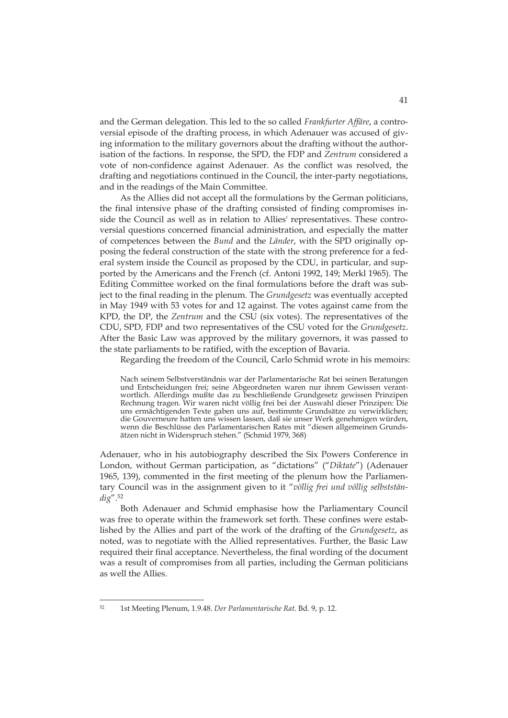and the German delegation. This led to the so called *Frankfurter Affäre*, a controversial episode of the drafting process, in which Adenauer was accused of giving information to the military governors about the drafting without the authorisation of the factions. In response, the SPD, the FDP and *Zentrum* considered a vote of non-confidence against Adenauer. As the conflict was resolved, the drafting and negotiations continued in the Council, the inter-party negotiations, and in the readings of the Main Committee.

As the Allies did not accept all the formulations by the German politicians, the final intensive phase of the drafting consisted of finding compromises inside the Council as well as in relation to Allies' representatives. These controversial questions concerned financial administration, and especially the matter of competences between the *Bund* and the *Länder*, with the SPD originally opposing the federal construction of the state with the strong preference for a federal system inside the Council as proposed by the CDU, in particular, and supported by the Americans and the French (cf. Antoni 1992, 149; Merkl 1965). The Editing Committee worked on the final formulations before the draft was subject to the final reading in the plenum. The *Grundgesetz* was eventually accepted in May 1949 with 53 votes for and 12 against. The votes against came from the KPD, the DP, the *Zentrum* and the CSU (six votes). The representatives of the CDU, SPD, FDP and two representatives of the CSU voted for the *Grundgesetz*. After the Basic Law was approved by the military governors, it was passed to the state parliaments to be ratified, with the exception of Bavaria.

Regarding the freedom of the Council, Carlo Schmid wrote in his memoirs:

Nach seinem Selbstverständnis war der Parlamentarische Rat bei seinen Beratungen und Entscheidungen frei; seine Abgeordneten waren nur ihrem Gewissen verantwortlich. Allerdings mußte das zu beschließende Grundgesetz gewissen Prinzipen Rechnung tragen. Wir waren nicht völlig frei bei der Auswahl dieser Prinzipen: Die uns ermächtigenden Texte gaben uns auf, bestimmte Grundsätze zu verwirklichen; die Gouverneure hatten uns wissen lassen, daß sie unser Werk genehmigen würden, wenn die Beschlüsse des Parlamentarischen Rates mit "diesen allgemeinen Grundsätzen nicht in Widerspruch stehen." (Schmid 1979, 368)

Adenauer, who in his autobiography described the Six Powers Conference in London, without German participation, as "dictations" ("*Diktate*") (Adenauer 1965, 139), commented in the first meeting of the plenum how the Parliamentary Council was in the assignment given to it "*völlig frei und völlig selbstständig*".52

Both Adenauer and Schmid emphasise how the Parliamentary Council was free to operate within the framework set forth. These confines were established by the Allies and part of the work of the drafting of the *Grundgesetz*, as noted, was to negotiate with the Allied representatives. Further, the Basic Law required their final acceptance. Nevertheless, the final wording of the document was a result of compromises from all parties, including the German politicians as well the Allies.

<sup>52 1</sup>st Meeting Plenum, 1.9.48. *Der Parlamentarische Rat*. Bd. 9, p. 12.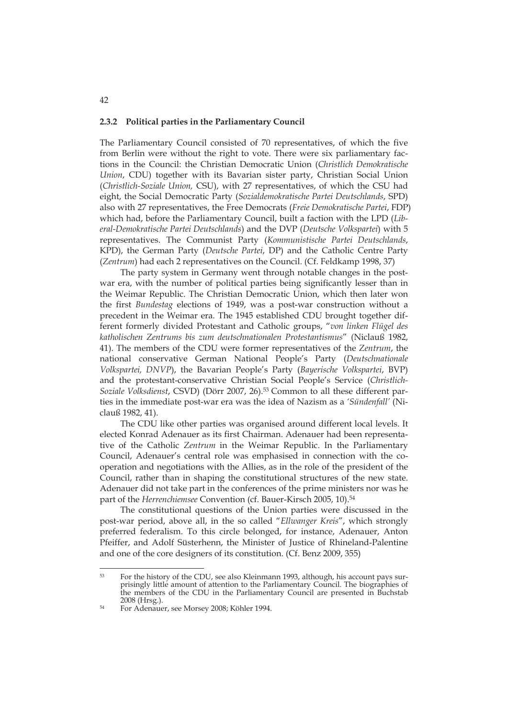#### **2.3.2 Political parties in the Parliamentary Council**

The Parliamentary Council consisted of 70 representatives, of which the five from Berlin were without the right to vote. There were six parliamentary factions in the Council: the Christian Democratic Union (*Christlich Demokratische Union*, CDU) together with its Bavarian sister party, Christian Social Union (*Christlich-Soziale Union,* CSU), with 27 representatives, of which the CSU had eight, the Social Democratic Party (*Sozialdemokratische Partei Deutschlands*, SPD) also with 27 representatives, the Free Democrats (*Freie Demokratische Partei*, FDP) which had, before the Parliamentary Council, built a faction with the LPD (*Liberal-Demokratische Partei Deutschlands*) and the DVP (*Deutsche Volkspartei*) with 5 representatives. The Communist Party (*Kommunistische Partei Deutschlands*, KPD), the German Party (*Deutsche Partei*, DP) and the Catholic Centre Party (*Zentrum*) had each 2 representatives on the Council. (Cf. Feldkamp 1998, 37)

The party system in Germany went through notable changes in the postwar era, with the number of political parties being significantly lesser than in the Weimar Republic. The Christian Democratic Union, which then later won the first *Bundestag* elections of 1949, was a post-war construction without a precedent in the Weimar era. The 1945 established CDU brought together different formerly divided Protestant and Catholic groups, "*von linken Flügel des katholischen Zentrums bis zum deutschnationalen Protestantismus*" (Niclauß 1982, 41). The members of the CDU were former representatives of the *Zentrum*, the national conservative German National People's Party (*Deutschnationale Volkspartei, DNVP*), the Bavarian People's Party (*Bayerische Volkspartei*, BVP) and the protestant-conservative Christian Social People's Service (*Christlich-Soziale Volksdienst*, CSVD) (Dörr 2007, 26).53 Common to all these different parties in the immediate post-war era was the idea of Nazism as a *'Sündenfall'* (Niclauß 1982, 41).

The CDU like other parties was organised around different local levels. It elected Konrad Adenauer as its first Chairman. Adenauer had been representative of the Catholic *Zentrum* in the Weimar Republic. In the Parliamentary Council, Adenauer's central role was emphasised in connection with the cooperation and negotiations with the Allies, as in the role of the president of the Council, rather than in shaping the constitutional structures of the new state. Adenauer did not take part in the conferences of the prime ministers nor was he part of the *Herrenchiemsee* Convention (cf. Bauer-Kirsch 2005, 10).<sup>54</sup>

The constitutional questions of the Union parties were discussed in the post-war period, above all, in the so called "*Ellwanger Kreis*", which strongly preferred federalism. To this circle belonged, for instance, Adenauer, Anton Pfeiffer, and Adolf Süsterhenn, the Minister of Justice of Rhineland-Palentine and one of the core designers of its constitution. (Cf. Benz 2009, 355)

-

42

<sup>53</sup> For the history of the CDU, see also Kleinmann 1993, although, his account pays surprisingly little amount of attention to the Parliamentary Council. The biographies of the members of the CDU in the Parliamentary Council are presented in Buchstab

<sup>&</sup>lt;sup>54</sup> For Adenauer, see Morsey 2008; Köhler 1994.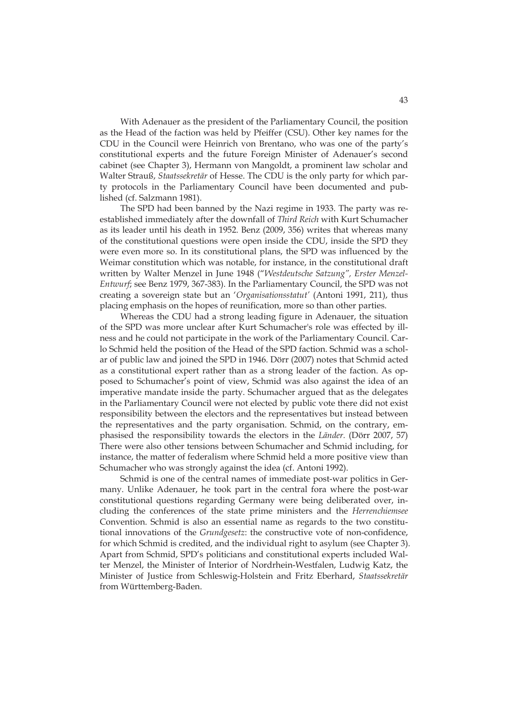With Adenauer as the president of the Parliamentary Council, the position as the Head of the faction was held by Pfeiffer (CSU). Other key names for the CDU in the Council were Heinrich von Brentano, who was one of the party's constitutional experts and the future Foreign Minister of Adenauer's second cabinet (see Chapter 3), Hermann von Mangoldt, a prominent law scholar and Walter Strauß, *Staatssekretär* of Hesse. The CDU is the only party for which party protocols in the Parliamentary Council have been documented and published (cf. Salzmann 1981).

The SPD had been banned by the Nazi regime in 1933. The party was reestablished immediately after the downfall of *Third Reich* with Kurt Schumacher as its leader until his death in 1952. Benz (2009, 356) writes that whereas many of the constitutional questions were open inside the CDU, inside the SPD they were even more so. In its constitutional plans, the SPD was influenced by the Weimar constitution which was notable, for instance, in the constitutional draft written by Walter Menzel in June 1948 ("*Westdeutsche Satzung", Erster Menzel-Entwurf*; see Benz 1979, 367-383). In the Parliamentary Council, the SPD was not creating a sovereign state but an '*Organisationsstatut'* (Antoni 1991, 211), thus placing emphasis on the hopes of reunification, more so than other parties.

Whereas the CDU had a strong leading figure in Adenauer, the situation of the SPD was more unclear after Kurt Schumacher's role was effected by illness and he could not participate in the work of the Parliamentary Council. Carlo Schmid held the position of the Head of the SPD faction. Schmid was a scholar of public law and joined the SPD in 1946. Dörr (2007) notes that Schmid acted as a constitutional expert rather than as a strong leader of the faction. As opposed to Schumacher's point of view, Schmid was also against the idea of an imperative mandate inside the party. Schumacher argued that as the delegates in the Parliamentary Council were not elected by public vote there did not exist responsibility between the electors and the representatives but instead between the representatives and the party organisation. Schmid, on the contrary, emphasised the responsibility towards the electors in the *Länder.* (Dörr 2007, 57) There were also other tensions between Schumacher and Schmid including, for instance, the matter of federalism where Schmid held a more positive view than Schumacher who was strongly against the idea (cf. Antoni 1992).

Schmid is one of the central names of immediate post-war politics in Germany. Unlike Adenauer, he took part in the central fora where the post-war constitutional questions regarding Germany were being deliberated over, including the conferences of the state prime ministers and the *Herrenchiemsee*  Convention. Schmid is also an essential name as regards to the two constitutional innovations of the *Grundgesetz*: the constructive vote of non-confidence, for which Schmid is credited, and the individual right to asylum (see Chapter 3). Apart from Schmid, SPD's politicians and constitutional experts included Walter Menzel, the Minister of Interior of Nordrhein-Westfalen, Ludwig Katz, the Minister of Justice from Schleswig-Holstein and Fritz Eberhard, *Staatssekretär* from Württemberg-Baden.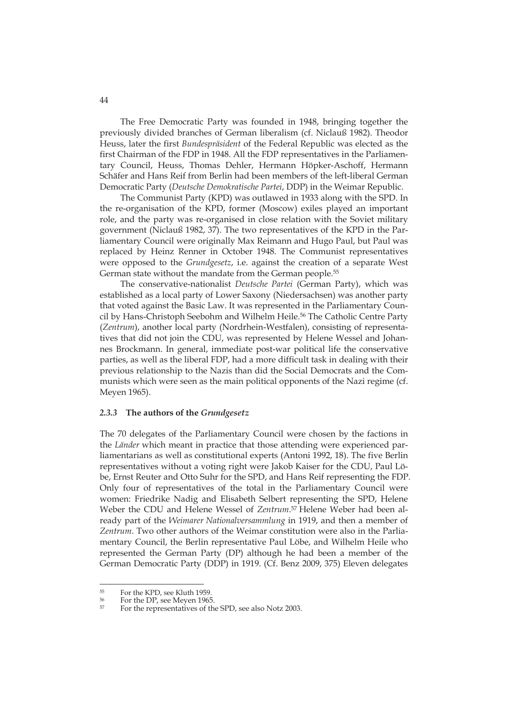The Free Democratic Party was founded in 1948, bringing together the previously divided branches of German liberalism (cf. Niclauß 1982). Theodor Heuss, later the first *Bundespräsident* of the Federal Republic was elected as the first Chairman of the FDP in 1948. All the FDP representatives in the Parliamentary Council, Heuss, Thomas Dehler, Hermann Höpker-Aschoff, Hermann Schäfer and Hans Reif from Berlin had been members of the left-liberal German Democratic Party (*Deutsche Demokratische Partei*, DDP) in the Weimar Republic.

The Communist Party (KPD) was outlawed in 1933 along with the SPD. In the re-organisation of the KPD, former (Moscow) exiles played an important role, and the party was re-organised in close relation with the Soviet military government (Niclauß 1982, 37). The two representatives of the KPD in the Parliamentary Council were originally Max Reimann and Hugo Paul, but Paul was replaced by Heinz Renner in October 1948. The Communist representatives were opposed to the *Grundgesetz*, i.e. against the creation of a separate West German state without the mandate from the German people.<sup>55</sup>

The conservative-nationalist *Deutsche Partei* (German Party), which was established as a local party of Lower Saxony (Niedersachsen) was another party that voted against the Basic Law. It was represented in the Parliamentary Council by Hans-Christoph Seebohm and Wilhelm Heile.<sup>56</sup> The Catholic Centre Party (*Zentrum*), another local party (Nordrhein-Westfalen), consisting of representatives that did not join the CDU, was represented by Helene Wessel and Johannes Brockmann. In general, immediate post-war political life the conservative parties, as well as the liberal FDP, had a more difficult task in dealing with their previous relationship to the Nazis than did the Social Democrats and the Communists which were seen as the main political opponents of the Nazi regime (cf. Meyen 1965).

#### *2.3.3* **The authors of the** *Grundgesetz*

The 70 delegates of the Parliamentary Council were chosen by the factions in the *Länder* which meant in practice that those attending were experienced parliamentarians as well as constitutional experts (Antoni 1992, 18). The five Berlin representatives without a voting right were Jakob Kaiser for the CDU, Paul Löbe, Ernst Reuter and Otto Suhr for the SPD, and Hans Reif representing the FDP. Only four of representatives of the total in the Parliamentary Council were women: Friedrike Nadig and Elisabeth Selbert representing the SPD, Helene Weber the CDU and Helene Wessel of *Zentrum*. 57 Helene Weber had been already part of the *Weimarer Nationalversammlung* in 1919, and then a member of *Zentrum*. Two other authors of the Weimar constitution were also in the Parliamentary Council, the Berlin representative Paul Löbe, and Wilhelm Heile who represented the German Party (DP) although he had been a member of the German Democratic Party (DDP) in 1919. (Cf. Benz 2009, 375) Eleven delegates

 $^{55}$  For the KPD, see Kluth 1959.

<sup>&</sup>lt;sup>56</sup> For the DP, see Meyen 1965.

<sup>57</sup> For the representatives of the SPD, see also Notz 2003.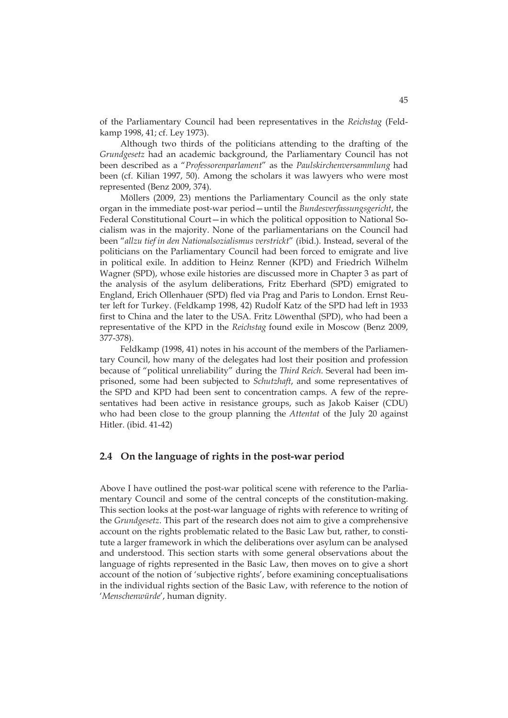of the Parliamentary Council had been representatives in the *Reichstag* (Feldkamp 1998, 41; cf. Ley 1973).

Although two thirds of the politicians attending to the drafting of the *Grundgesetz* had an academic background, the Parliamentary Council has not been described as a "*Professorenparlament*" as the *Paulskirchenversammlung* had been (cf. Kilian 1997, 50). Among the scholars it was lawyers who were most represented (Benz 2009, 374).

Möllers (2009, 23) mentions the Parliamentary Council as the only state organ in the immediate post-war period—until the *Bundesverfassungsgericht*, the Federal Constitutional Court-in which the political opposition to National Socialism was in the majority. None of the parliamentarians on the Council had been "*allzu tief in den Nationalsozialismus verstrickt*" (ibid.). Instead, several of the politicians on the Parliamentary Council had been forced to emigrate and live in political exile. In addition to Heinz Renner (KPD) and Friedrich Wilhelm Wagner (SPD), whose exile histories are discussed more in Chapter 3 as part of the analysis of the asylum deliberations, Fritz Eberhard (SPD) emigrated to England, Erich Ollenhauer (SPD) fled via Prag and Paris to London. Ernst Reuter left for Turkey. (Feldkamp 1998, 42) Rudolf Katz of the SPD had left in 1933 first to China and the later to the USA. Fritz Löwenthal (SPD), who had been a representative of the KPD in the *Reichstag* found exile in Moscow (Benz 2009, 377-378).

Feldkamp (1998, 41) notes in his account of the members of the Parliamentary Council, how many of the delegates had lost their position and profession because of "political unreliability" during the *Third Reich*. Several had been imprisoned, some had been subjected to *Schutzhaft*, and some representatives of the SPD and KPD had been sent to concentration camps. A few of the representatives had been active in resistance groups, such as Jakob Kaiser (CDU) who had been close to the group planning the *Attentat* of the July 20 against Hitler. (ibid. 41-42)

# **2.4 On the language of rights in the post-war period**

Above I have outlined the post-war political scene with reference to the Parliamentary Council and some of the central concepts of the constitution-making. This section looks at the post-war language of rights with reference to writing of the *Grundgesetz*. This part of the research does not aim to give a comprehensive account on the rights problematic related to the Basic Law but, rather, to constitute a larger framework in which the deliberations over asylum can be analysed and understood. This section starts with some general observations about the language of rights represented in the Basic Law, then moves on to give a short account of the notion of 'subjective rights', before examining conceptualisations in the individual rights section of the Basic Law, with reference to the notion of '*Menschenwürde*', human dignity.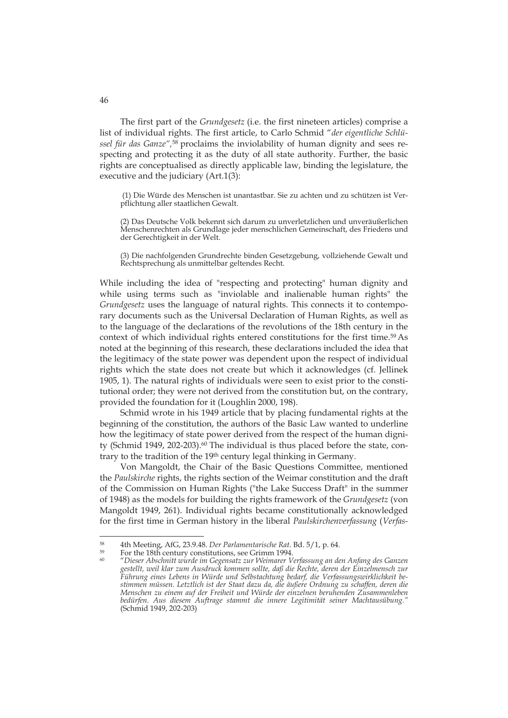The first part of the *Grundgesetz* (i.e. the first nineteen articles) comprise a list of individual rights. The first article, to Carlo Schmid "*der eigentliche Schlüssel für das Ganze",*<sup>58</sup> proclaims the inviolability of human dignity and sees respecting and protecting it as the duty of all state authority. Further, the basic rights are conceptualised as directly applicable law, binding the legislature, the executive and the judiciary (Art.1(3):

 (1) Die Würde des Menschen ist unantastbar. Sie zu achten und zu schützen ist Verpflichtung aller staatlichen Gewalt.

(2) Das Deutsche Volk bekennt sich darum zu unverletzlichen und unveräußerlichen Menschenrechten als Grundlage jeder menschlichen Gemeinschaft, des Friedens und der Gerechtigkeit in der Welt.

(3) Die nachfolgenden Grundrechte binden Gesetzgebung, vollziehende Gewalt und Rechtsprechung als unmittelbar geltendes Recht.

While including the idea of "respecting and protecting" human dignity and while using terms such as "inviolable and inalienable human rights" the *Grundgesetz* uses the language of natural rights. This connects it to contemporary documents such as the Universal Declaration of Human Rights, as well as to the language of the declarations of the revolutions of the 18th century in the context of which individual rights entered constitutions for the first time.<sup>59</sup> As noted at the beginning of this research, these declarations included the idea that the legitimacy of the state power was dependent upon the respect of individual rights which the state does not create but which it acknowledges (cf. Jellinek 1905, 1). The natural rights of individuals were seen to exist prior to the constitutional order; they were not derived from the constitution but, on the contrary, provided the foundation for it (Loughlin 2000, 198).

Schmid wrote in his 1949 article that by placing fundamental rights at the beginning of the constitution, the authors of the Basic Law wanted to underline how the legitimacy of state power derived from the respect of the human dignity (Schmid 1949, 202-203).<sup>60</sup> The individual is thus placed before the state, contrary to the tradition of the 19th century legal thinking in Germany.

Von Mangoldt, the Chair of the Basic Questions Committee, mentioned the *Paulskirche* rights, the rights section of the Weimar constitution and the draft of the Commission on Human Rights ("the Lake Success Draft" in the summer of 1948) as the models for building the rights framework of the *Grundgesetz* (von Mangoldt 1949, 261). Individual rights became constitutionally acknowledged for the first time in German history in the liberal *Paulskirchenverfassung* (*Verfas-*

<sup>&</sup>lt;sup>58</sup> 4th Meeting, AfG, 23.9.48. *Der Parlamentarische Rat*. Bd. 5/1, p. 64.<br><sup>59</sup> For the 18th century constitutions, see Grimm 1994.<br><sup>60</sup> For the 18th century constitutions, see Grimm 1994.

<sup>60 &</sup>quot;*Dieser Abschnitt wurde im Gegensatz zur Weimarer Verfassung an den Anfang des Ganzen gestellt, weil klar zum Ausdruck kommen sollte, daß die Rechte, deren der Einzelmensch zur Führung eines Lebens in Würde und Selbstachtung bedarf, die Verfassungswirklichkeit bestimmen müssen. Letztlich ist der Staat dazu da, die äußere Ordnung zu schaffen, deren die Menschen zu einem auf der Freiheit und Würde der einzelnen beruhenden Zusammenleben bedürfen. Aus diesem Auftrage stammt die innere Legitimität seiner Machtausübung."* (Schmid 1949, 202-203)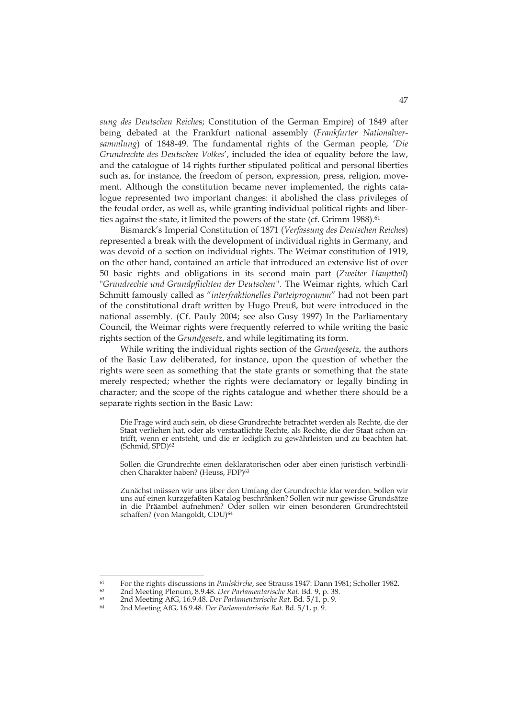*sung des Deutschen Reiche*s; Constitution of the German Empire) of 1849 after being debated at the Frankfurt national assembly (*Frankfurter Nationalversammlung*) of 1848-49. The fundamental rights of the German people, '*Die Grundrechte des Deutschen Volkes*', included the idea of equality before the law, and the catalogue of 14 rights further stipulated political and personal liberties such as, for instance, the freedom of person, expression, press, religion, movement. Although the constitution became never implemented, the rights catalogue represented two important changes: it abolished the class privileges of the feudal order, as well as, while granting individual political rights and liberties against the state, it limited the powers of the state (cf. Grimm 1988).<sup>61</sup>

Bismarck's Imperial Constitution of 1871 (*Verfassung des Deutschen Reiches*) represented a break with the development of individual rights in Germany, and was devoid of a section on individual rights. The Weimar constitution of 1919, on the other hand, contained an article that introduced an extensive list of over 50 basic rights and obligations in its second main part (*Zweiter Hauptteil*) "*Grundrechte und Grundpflichten der Deutschen".* The Weimar rights, which Carl Schmitt famously called as "*interfraktionelles Parteiprogramm*" had not been part of the constitutional draft written by Hugo Preuß, but were introduced in the national assembly. (Cf. Pauly 2004; see also Gusy 1997) In the Parliamentary Council, the Weimar rights were frequently referred to while writing the basic rights section of the *Grundgesetz*, and while legitimating its form.

While writing the individual rights section of the *Grundgesetz*, the authors of the Basic Law deliberated, for instance, upon the question of whether the rights were seen as something that the state grants or something that the state merely respected; whether the rights were declamatory or legally binding in character; and the scope of the rights catalogue and whether there should be a separate rights section in the Basic Law:

Die Frage wird auch sein, ob diese Grundrechte betrachtet werden als Rechte, die der Staat verliehen hat, oder als verstaatlichte Rechte, als Rechte, die der Staat schon antrifft, wenn er entsteht, und die er lediglich zu gewährleisten und zu beachten hat. (Schmid, SPD)62

Sollen die Grundrechte einen deklaratorischen oder aber einen juristisch verbindlichen Charakter haben? (Heuss, FDP)<sup>63</sup>

Zunächst müssen wir uns über den Umfang der Grundrechte klar werden. Sollen wir uns auf einen kurzgefaßten Katalog beschränken? Sollen wir nur gewisse Grundsätze in die Präambel aufnehmen? Oder sollen wir einen besonderen Grundrechtsteil schaffen? (von Mangoldt, CDU)<sup>64</sup>

<sup>&</sup>lt;sup>61</sup> For the rights discussions in *Paulskirche*, see Strauss 1947: Dann 1981; Scholler 1982.<br><sup>62</sup> 2nd Meeting Plenum, 8.9.48. *Der Parlamentarische Rat*. Bd. 9, p. 38.<br><sup>63</sup> 2nd Meeting AfG, 16.9.48. *Der Parlamentarische*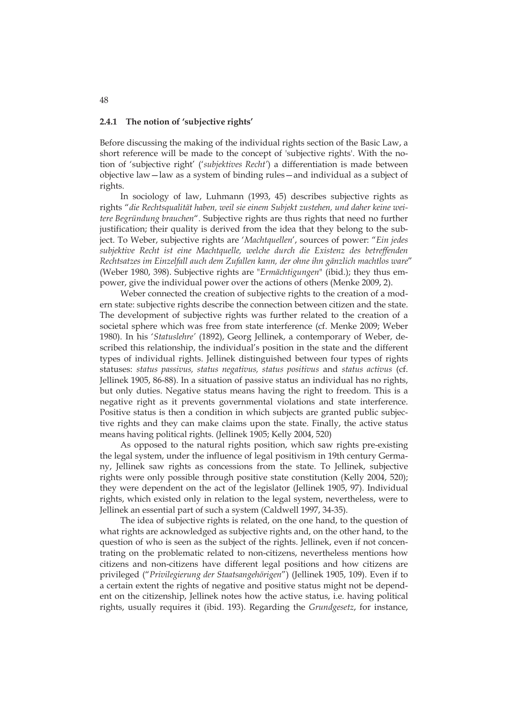#### **2.4.1 The notion of 'subjective rights'**

Before discussing the making of the individual rights section of the Basic Law, a short reference will be made to the concept of 'subjective rights'. With the notion of 'subjective right' ('*subjektives Recht'*) a differentiation is made between objective law—law as a system of binding rules—and individual as a subject of rights.

In sociology of law, Luhmann (1993, 45) describes subjective rights as rights "*die Rechtsqualität haben, weil sie einem Subjekt zustehen, und daher keine weitere Begründung brauchen*". Subjective rights are thus rights that need no further justification; their quality is derived from the idea that they belong to the subject. To Weber, subjective rights are '*Machtquellen*', sources of power: "*Ein jedes subjektive Recht ist eine Machtquelle, welche durch die Existenz des betreffenden Rechtsatzes im Einzelfall auch dem Zufallen kann, der ohne ihn gänzlich machtlos ware*" (Weber 1980, 398). Subjective rights are "*Ermächtigungen*" (ibid.); they thus empower, give the individual power over the actions of others (Menke 2009, 2).

Weber connected the creation of subjective rights to the creation of a modern state: subjective rights describe the connection between citizen and the state. The development of subjective rights was further related to the creation of a societal sphere which was free from state interference (cf. Menke 2009; Weber 1980). In his '*Statuslehre'* (1892), Georg Jellinek, a contemporary of Weber, described this relationship, the individual's position in the state and the different types of individual rights. Jellinek distinguished between four types of rights statuses: *status passivus, status negativus, status positivus* and *status activus* (cf. Jellinek 1905, 86-88). In a situation of passive status an individual has no rights, but only duties. Negative status means having the right to freedom. This is a negative right as it prevents governmental violations and state interference. Positive status is then a condition in which subjects are granted public subjective rights and they can make claims upon the state. Finally, the active status means having political rights. (Jellinek 1905; Kelly 2004, 520)

As opposed to the natural rights position, which saw rights pre-existing the legal system, under the influence of legal positivism in 19th century Germany, Jellinek saw rights as concessions from the state. To Jellinek, subjective rights were only possible through positive state constitution (Kelly 2004, 520); they were dependent on the act of the legislator (Jellinek 1905, 97). Individual rights, which existed only in relation to the legal system, nevertheless, were to Jellinek an essential part of such a system (Caldwell 1997, 34-35).

The idea of subjective rights is related, on the one hand, to the question of what rights are acknowledged as subjective rights and, on the other hand, to the question of who is seen as the subject of the rights. Jellinek, even if not concentrating on the problematic related to non-citizens, nevertheless mentions how citizens and non-citizens have different legal positions and how citizens are privileged ("*Privilegierung der Staatsangehörigen*") (Jellinek 1905, 109). Even if to a certain extent the rights of negative and positive status might not be dependent on the citizenship, Jellinek notes how the active status, i.e. having political rights, usually requires it (ibid. 193). Regarding the *Grundgesetz*, for instance,

48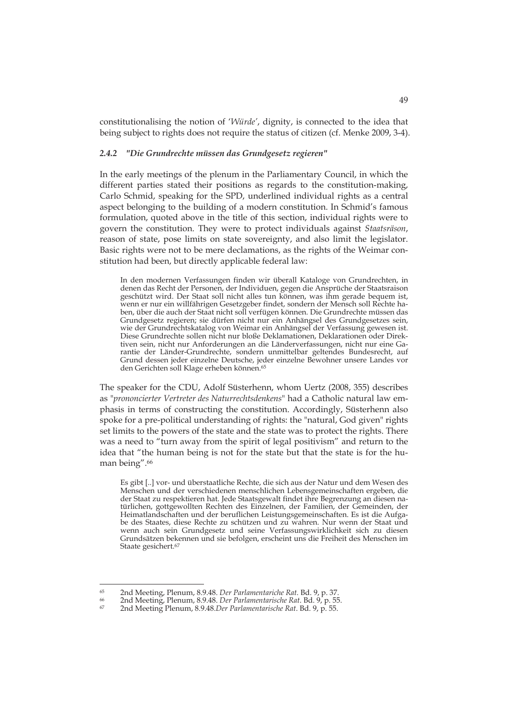constitutionalising the notion of '*Würde'*, dignity, is connected to the idea that being subject to rights does not require the status of citizen (cf. Menke 2009, 3-4).

### *2.4.2 "Die Grundrechte müssen das Grundgesetz regieren"*

In the early meetings of the plenum in the Parliamentary Council, in which the different parties stated their positions as regards to the constitution-making, Carlo Schmid, speaking for the SPD, underlined individual rights as a central aspect belonging to the building of a modern constitution. In Schmid's famous formulation, quoted above in the title of this section, individual rights were to govern the constitution. They were to protect individuals against *Staatsräson*, reason of state, pose limits on state sovereignty, and also limit the legislator. Basic rights were not to be mere declamations, as the rights of the Weimar constitution had been, but directly applicable federal law:

In den modernen Verfassungen finden wir überall Kataloge von Grundrechten, in denen das Recht der Personen, der Individuen, gegen die Ansprüche der Staatsraison geschützt wird. Der Staat soll nicht alles tun können, was ihm gerade bequem ist, wenn er nur ein willfährigen Gesetzgeber findet, sondern der Mensch soll Rechte haben, über die auch der Staat nicht soll verfügen können. Die Grundrechte müssen das Grundgesetz regieren; sie dürfen nicht nur ein Anhängsel des Grundgesetzes sein, wie der Grundrechtskatalog von Weimar ein Anhängsel der Verfassung gewesen ist. Diese Grundrechte sollen nicht nur bloße Deklamationen, Deklarationen oder Direktiven sein, nicht nur Anforderungen an die Länderverfassungen, nicht nur eine Garantie der Länder-Grundrechte, sondern unmittelbar geltendes Bundesrecht, auf Grund dessen jeder einzelne Deutsche, jeder einzelne Bewohner unsere Landes vor den Gerichten soll Klage erheben können.65

The speaker for the CDU, Adolf Süsterhenn, whom Uertz (2008, 355) describes as "*prononcierter Vertreter des Naturrechtsdenkens*" had a Catholic natural law emphasis in terms of constructing the constitution. Accordingly, Süsterhenn also spoke for a pre-political understanding of rights: the "natural, God given" rights set limits to the powers of the state and the state was to protect the rights. There was a need to "turn away from the spirit of legal positivism" and return to the idea that "the human being is not for the state but that the state is for the human being".66

Es gibt [..] vor- und überstaatliche Rechte, die sich aus der Natur und dem Wesen des Menschen und der verschiedenen menschlichen Lebensgemeinschaften ergeben, die der Staat zu respektieren hat. Jede Staatsgewalt findet ihre Begrenzung an diesen natürlichen, gottgewollten Rechten des Einzelnen, der Familien, der Gemeinden, der Heimatlandschaften und der beruflichen Leistungsgemeinschaften. Es ist die Aufgabe des Staates, diese Rechte zu schützen und zu wahren. Nur wenn der Staat und wenn auch sein Grundgesetz und seine Verfassungswirklichkeit sich zu diesen Grundsätzen bekennen und sie befolgen, erscheint uns die Freiheit des Menschen im Staate gesichert.<sup>67</sup>

<sup>&</sup>lt;sup>65</sup> 2nd Meeting, Plenum, 8.9.48. *Der Parlamentariche Rat.* Bd. 9, p. 37.<br><sup>66</sup> 2nd Meeting, Plenum, 8.9.48. *Der Parlamentarische Rat*. Bd. 9, p. 55.<br><sup>67</sup> 2nd Meeting Plenum, 8.9.48. *Der Parlamentarische Rat*. Bd. 9, p.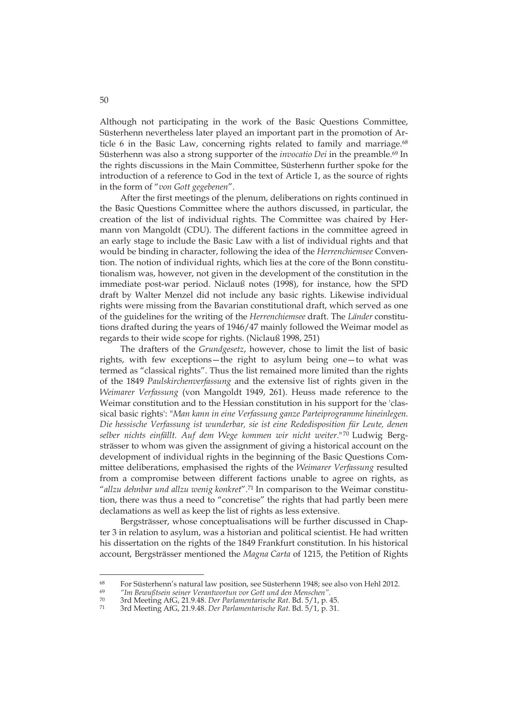Although not participating in the work of the Basic Questions Committee, Süsterhenn nevertheless later played an important part in the promotion of Article 6 in the Basic Law, concerning rights related to family and marriage.<sup>68</sup> Süsterhenn was also a strong supporter of the *invocatio Dei* in the preamble.<sup>69</sup> In the rights discussions in the Main Committee, Süsterhenn further spoke for the introduction of a reference to God in the text of Article 1, as the source of rights in the form of "*von Gott gegebenen*".

After the first meetings of the plenum, deliberations on rights continued in the Basic Questions Committee where the authors discussed, in particular, the creation of the list of individual rights. The Committee was chaired by Hermann von Mangoldt (CDU). The different factions in the committee agreed in an early stage to include the Basic Law with a list of individual rights and that would be binding in character, following the idea of the *Herrenchiemsee* Convention. The notion of individual rights, which lies at the core of the Bonn constitutionalism was, however, not given in the development of the constitution in the immediate post-war period. Niclauß notes (1998), for instance, how the SPD draft by Walter Menzel did not include any basic rights. Likewise individual rights were missing from the Bavarian constitutional draft, which served as one of the guidelines for the writing of the *Herrenchiemsee* draft. The *Länder* constitutions drafted during the years of 1946/47 mainly followed the Weimar model as regards to their wide scope for rights. (Niclauß 1998, 251)

The drafters of the *Grundgesetz*, however, chose to limit the list of basic rights, with few exceptions—the right to asylum being one—to what was termed as "classical rights". Thus the list remained more limited than the rights of the 1849 *Paulskirchenverfassung* and the extensive list of rights given in the *Weimarer Verfassung* (von Mangoldt 1949, 261). Heuss made reference to the Weimar constitution and to the Hessian constitution in his support for the 'classical basic rights': "*Man kann in eine Verfassung ganze Parteiprogramme hineinlegen. Die hessische Verfassung ist wunderbar, sie ist eine Rededisposition für Leute, denen selber nichts einfällt. Auf dem Wege kommen wir nicht weiter*." 70 Ludwig Bergsträsser to whom was given the assignment of giving a historical account on the development of individual rights in the beginning of the Basic Questions Committee deliberations, emphasised the rights of the *Weimarer Verfassung* resulted from a compromise between different factions unable to agree on rights, as "*allzu dehnbar und allzu wenig konkret*".71 In comparison to the Weimar constitution, there was thus a need to "concretise" the rights that had partly been mere declamations as well as keep the list of rights as less extensive.

Bergsträsser, whose conceptualisations will be further discussed in Chapter 3 in relation to asylum, was a historian and political scientist. He had written his dissertation on the rights of the 1849 Frankfurt constitution. In his historical account, Bergsträsser mentioned the *Magna Carta* of 1215, the Petition of Rights

<sup>68</sup> For Süsterhenn's natural law position, see Süsterhenn 1948; see also von Hehl 2012.

<sup>69</sup> *"Im Bewußtsein seiner Verantwortun vor Gott und den Menschen".*

<sup>70 3</sup>rd Meeting AfG, 21.9.48. *Der Parlamentarische Rat*. Bd. 5/1, p. 45. 71 3rd Meeting AfG, 21.9.48. *Der Parlamentarische Rat*. Bd. 5/1, p. 31.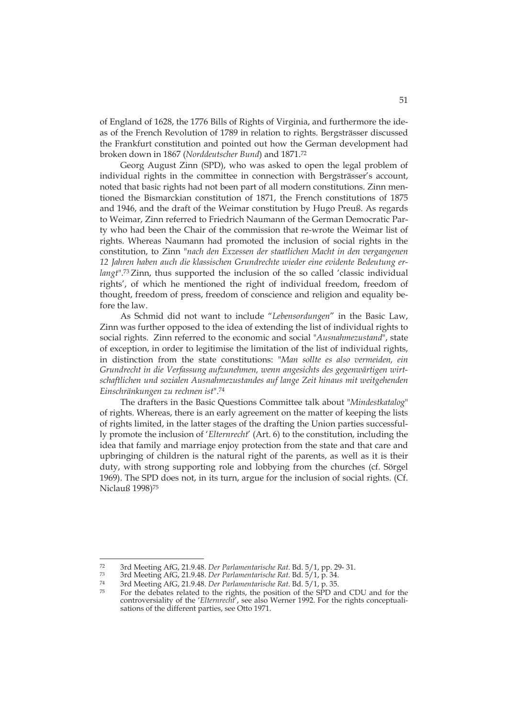of England of 1628, the 1776 Bills of Rights of Virginia, and furthermore the ideas of the French Revolution of 1789 in relation to rights. Bergsträsser discussed the Frankfurt constitution and pointed out how the German development had broken down in 1867 (*Norddeutscher Bund*) and 1871.72

Georg August Zinn (SPD), who was asked to open the legal problem of individual rights in the committee in connection with Bergsträsser's account, noted that basic rights had not been part of all modern constitutions. Zinn mentioned the Bismarckian constitution of 1871, the French constitutions of 1875 and 1946, and the draft of the Weimar constitution by Hugo Preuß. As regards to Weimar, Zinn referred to Friedrich Naumann of the German Democratic Party who had been the Chair of the commission that re-wrote the Weimar list of rights. Whereas Naumann had promoted the inclusion of social rights in the constitution, to Zinn "*nach den Exzessen der staatlichen Macht in den vergangenen 12 Jahren haben auch die klassischen Grundrechte wieder eine evidente Bedeutung erlangt*".73 Zinn, thus supported the inclusion of the so called 'classic individual rights', of which he mentioned the right of individual freedom, freedom of thought, freedom of press, freedom of conscience and religion and equality before the law.

As Schmid did not want to include "*Lebensordungen*" in the Basic Law, Zinn was further opposed to the idea of extending the list of individual rights to social rights. Zinn referred to the economic and social "*Ausnahmezustand*", state of exception, in order to legitimise the limitation of the list of individual rights, in distinction from the state constitutions: "*Man sollte es also vermeiden, ein Grundrecht in die Verfassung aufzunehmen, wenn angesichts des gegenwärtigen wirtschaftlichen und sozialen Ausnahmezustandes auf lange Zeit hinaus mit weitgehenden Einschränkungen zu rechnen ist*".74

The drafters in the Basic Questions Committee talk about "*Mindestkatalog*" of rights. Whereas, there is an early agreement on the matter of keeping the lists of rights limited, in the latter stages of the drafting the Union parties successfully promote the inclusion of '*Elternrecht*' (Art. 6) to the constitution, including the idea that family and marriage enjoy protection from the state and that care and upbringing of children is the natural right of the parents, as well as it is their duty, with strong supporting role and lobbying from the churches (cf. Sörgel 1969). The SPD does not, in its turn, argue for the inclusion of social rights. (Cf. Niclauß 1998)75

 $72$ 

<sup>3</sup>rd Meeting AfG, 21.9.48. Der Parlamentarische Rat. Bd. 5/1, pp. 29-31.<br>3rd Meeting AfG, 21.9.48. Der Parlamentarische Rat. Bd. 5/1, p. 34.<br>3rd Meeting AfG, 21.9.48. Der Parlamentarische Rat. Bd. 5/1, p. 35.<br>5rd Meeting A controversiality of the '*Elternrecht*', see also Werner 1992. For the rights conceptualisations of the different parties, see Otto 1971.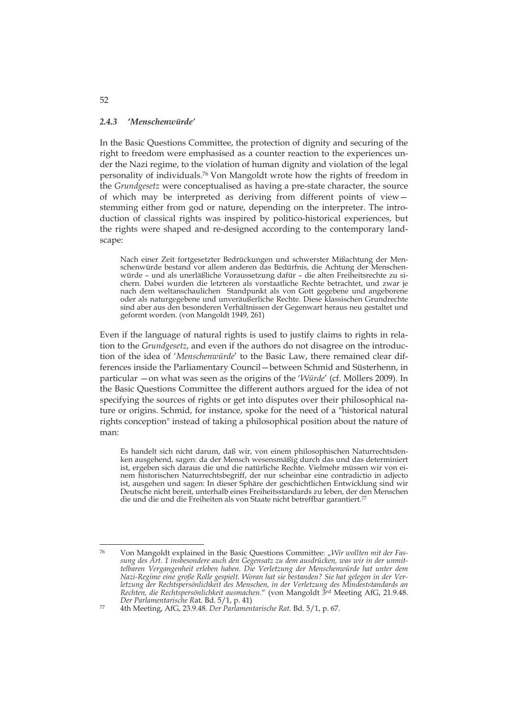#### *2.4.3* **'***Menschenwürde'*

In the Basic Questions Committee, the protection of dignity and securing of the right to freedom were emphasised as a counter reaction to the experiences under the Nazi regime, to the violation of human dignity and violation of the legal personality of individuals.76 Von Mangoldt wrote how the rights of freedom in the *Grundgesetz* were conceptualised as having a pre-state character, the source of which may be interpreted as deriving from different points of view stemming either from god or nature, depending on the interpreter. The introduction of classical rights was inspired by politico-historical experiences, but the rights were shaped and re-designed according to the contemporary landscape:

Nach einer Zeit fortgesetzter Bedrückungen und schwerster Mißachtung der Menschenwürde bestand vor allem anderen das Bedürfnis, die Achtung der Menschenwürde – und als unerläßliche Voraussetzung dafür – die alten Freiheitsrechte zu sichern. Dabei wurden die letzteren als vorstaatliche Rechte betrachtet, und zwar je nach dem weltanschaulichen Standpunkt als von Gott gegebene und angeborene oder als naturgegebene und unveräußerliche Rechte. Diese klassischen Grundrechte sind aber aus den besonderen Verhältnissen der Gegenwart heraus neu gestaltet und geformt worden. (von Mangoldt 1949, 261)

Even if the language of natural rights is used to justify claims to rights in relation to the *Grundgesetz*, and even if the authors do not disagree on the introduction of the idea of '*Menschenwürde*' to the Basic Law, there remained clear differences inside the Parliamentary Council—between Schmid and Süsterhenn, in particular —on what was seen as the origins of the '*Würde*' (cf. Möllers 2009). In the Basic Questions Committee the different authors argued for the idea of not specifying the sources of rights or get into disputes over their philosophical nature or origins. Schmid, for instance, spoke for the need of a "historical natural rights conception" instead of taking a philosophical position about the nature of man:

Es handelt sich nicht darum, daß wir, von einem philosophischen Naturrechtsdenken ausgehend, sagen: da der Mensch wesensmäßig durch das und das determiniert ist, ergeben sich daraus die und die natürliche Rechte. Vielmehr müssen wir von einem historischen Naturrechtsbegriff, der nur scheinbar eine contradictio in adjecto ist, ausgehen und sagen: In dieser Sphäre der geschichtlichen Entwicklung sind wir Deutsche nicht bereit, unterhalb eines Freiheitsstandards zu leben, der den Menschen die und die und die Freiheiten als von Staate nicht betreffbar garantiert.<sup>77</sup>

52

<sup>-</sup>76 Von Mangoldt explained in the Basic Questions Committee: "*Wir wollten mit der Fassung des Art. 1 insbesondere auch den Gegensatz zu dem ausdrücken, was wir in der unmittelbaren Vergangenheit erleben haben. Die Verletzung der Menschenwürde hat unter dem Nazi-Regime eine große Rolle gespielt. Woran hat sie bestanden? Sie hat gelegen in der Verletzung der Rechtspersönlichkeit des Menschen, in der Verletzung des Mindeststandards an Rechten, die Rechtspersönlichkeit ausmachen.*" (von Mangoldt 3rd Meeting AfG, 21.9.48. *Der Parlamentarische R*at. Bd. 5/1, p. 41) 77 4th Meeting, AfG, 23.9.48. *Der Parlamentarische Rat*. Bd. 5/1, p. 67.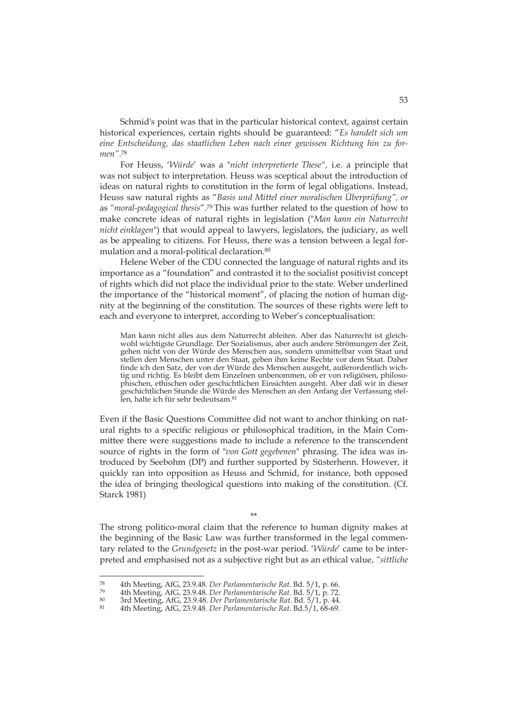Schmid's point was that in the particular historical context, against certain historical experiences, certain rights should be guaranteed: "*Es handelt sich um eine Entscheidung, das staatlichen Leben nach einer gewissen Richtung hin zu formen"*.78

For Heuss, '*Würde*' was a "*nicht interpretierte These",* i.e. a principle that was not subject to interpretation. Heuss was sceptical about the introduction of ideas on natural rights to constitution in the form of legal obligations. Instead, Heuss saw natural rights as "*Basis und Mittel einer moralischen Überprüfung", or*  as *"moral-pedagogical thesis*".79 This was further related to the question of how to make concrete ideas of natural rights in legislation ("*Man kann ein Naturrecht nicht einklagen*") that would appeal to lawyers, legislators, the judiciary, as well as be appealing to citizens. For Heuss, there was a tension between a legal formulation and a moral-political declaration.80

Helene Weber of the CDU connected the language of natural rights and its importance as a "foundation" and contrasted it to the socialist positivist concept of rights which did not place the individual prior to the state. Weber underlined the importance of the "historical moment", of placing the notion of human dignity at the beginning of the constitution. The sources of these rights were left to each and everyone to interpret, according to Weber's conceptualisation:

Man kann nicht alles aus dem Naturrecht ableiten. Aber das Naturrecht ist gleichwohl wichtigste Grundlage. Der Sozialismus, aber auch andere Strömungen der Zeit, gehen nicht von der Würde des Menschen aus, sondern unmittelbar vom Staat und stellen den Menschen unter den Staat, geben ihm keine Rechte vor dem Staat. Daher finde ich den Satz, der von der Würde des Menschen ausgeht, außerordentlich wichtig und richtig. Es bleibt dem Einzelnen unbenommen, ob er von religiösen, philosophischen, ethischen oder geschichtlichen Einsichten ausgeht. Aber daß wir in dieser geschichtlichen Stunde die Würde des Menschen an den Anfang der Verfassung stellen, halte ich für sehr bedeutsam.81

Even if the Basic Questions Committee did not want to anchor thinking on natural rights to a specific religious or philosophical tradition, in the Main Committee there were suggestions made to include a reference to the transcendent source of rights in the form of "*von Gott gegebenen*" phrasing. The idea was introduced by Seebohm (DP) and further supported by Süsterhenn. However, it quickly ran into opposition as Heuss and Schmid, for instance, both opposed the idea of bringing theological questions into making of the constitution. (Cf. Starck 1981)

\*\* The strong politico-moral claim that the reference to human dignity makes at the beginning of the Basic Law was further transformed in the legal commentary related to the *Grundgesetz* in the post-war period. '*Würde*' came to be interpreted and emphasised not as a subjective right but as an ethical value, *"sittliche* 

<sup>&</sup>lt;sup>78</sup> 4th Meeting, AfG, 23.9.48. *Der Parlamentarische Rat.* Bd. 5/1, p. 66.<br><sup>79</sup> 4th Meeting, AfG, 23.9.48. *Der Parlamentarische Rat.* Bd. 5/1, p. 72.<br><sup>80</sup> 3rd Meeting, AfG, 23.9.48. *Der Parlamentarische Rat.* Bd. 5/1, p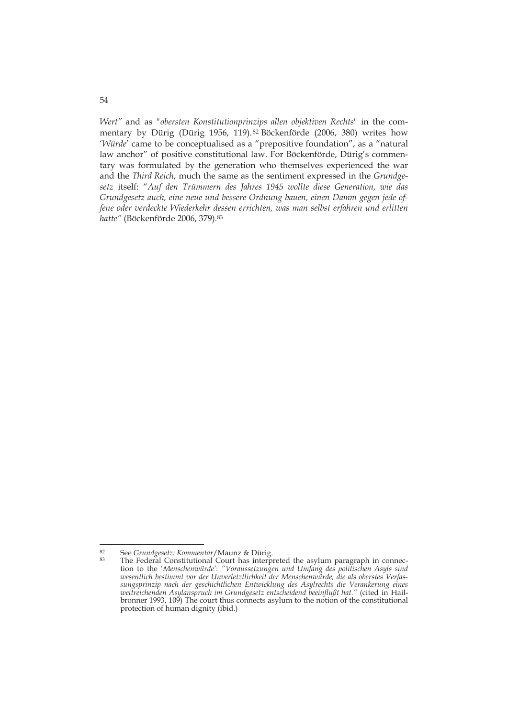*Wert"* and as *"obersten Konstitutionprinzips allen objektiven Rechts*" in the commentary by Dürig (Dürig 1956, 119). 82 Böckenförde (2006, 380) writes how '*Würde*' came to be conceptualised as a "prepositive foundation", as a "natural law anchor" of positive constitutional law. For Böckenförde, Dürig's commentary was formulated by the generation who themselves experienced the war and the *Third Reich*, much the same as the sentiment expressed in the *Grundgesetz* itself: "*Auf den Trümmern des Jahres 1945 wollte diese Generation, wie das Grundgesetz auch, eine neue und bessere Ordnung bauen, einen Damm gegen jede offene oder verdeckte Wiederkehr dessen errichten, was man selbst erfahren und erlitten hatte"* (Böckenförde 2006, 379).83

54

<sup>-</sup>

<sup>&</sup>lt;sup>82</sup> See *Grundgesetz: Kommentar*/Maunz & Dürig.<br><sup>83</sup> The Federal Constitutional Court has interpreted the asylum paragraph in connection to the '*Menschenwürde'*: *"Voraussetzungen und Umfang des politischen Asyls sind wesentlich bestimmt vor der Unverletztlichkeit der Menschenwürde, die als oberstes Verfassungsprinzip nach der geschichtlichen Entwicklung des Asylrechts die Verankerung eines weitreichenden Asylanspruch im Grundgesetz entscheidend beeinflußt hat."* (cited in Hailbronner 1993, 109) The court thus connects asylum to the notion of the constitutional protection of human dignity (ibid.)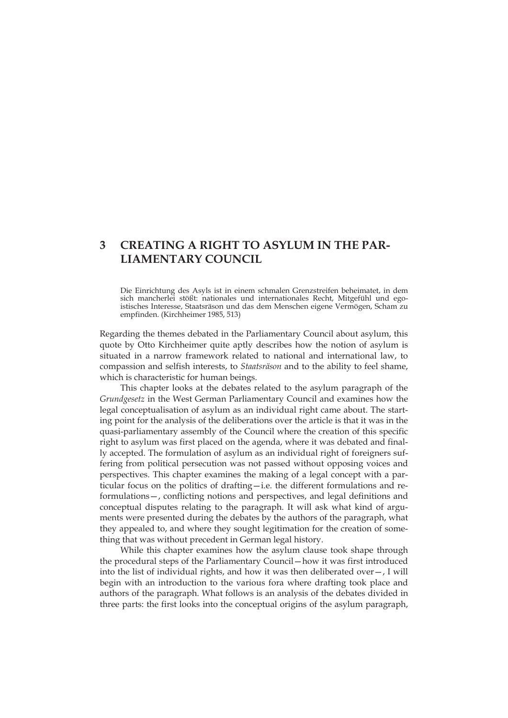# **3 CREATING A RIGHT TO ASYLUM IN THE PAR-LIAMENTARY COUNCIL**

Die Einrichtung des Asyls ist in einem schmalen Grenzstreifen beheimatet, in dem sich mancherlei stößt: nationales und internationales Recht, Mitgefühl und egoistisches Interesse, Staatsräson und das dem Menschen eigene Vermögen, Scham zu empfinden. (Kirchheimer 1985, 513)

Regarding the themes debated in the Parliamentary Council about asylum, this quote by Otto Kirchheimer quite aptly describes how the notion of asylum is situated in a narrow framework related to national and international law, to compassion and selfish interests, to *Staatsräson* and to the ability to feel shame, which is characteristic for human beings.

This chapter looks at the debates related to the asylum paragraph of the *Grundgesetz* in the West German Parliamentary Council and examines how the legal conceptualisation of asylum as an individual right came about. The starting point for the analysis of the deliberations over the article is that it was in the quasi-parliamentary assembly of the Council where the creation of this specific right to asylum was first placed on the agenda, where it was debated and finally accepted. The formulation of asylum as an individual right of foreigners suffering from political persecution was not passed without opposing voices and perspectives. This chapter examines the making of a legal concept with a particular focus on the politics of drafting—i.e. the different formulations and reformulations—, conflicting notions and perspectives, and legal definitions and conceptual disputes relating to the paragraph. It will ask what kind of arguments were presented during the debates by the authors of the paragraph, what they appealed to, and where they sought legitimation for the creation of something that was without precedent in German legal history.

While this chapter examines how the asylum clause took shape through the procedural steps of the Parliamentary Council—how it was first introduced into the list of individual rights, and how it was then deliberated over—, I will begin with an introduction to the various fora where drafting took place and authors of the paragraph. What follows is an analysis of the debates divided in three parts: the first looks into the conceptual origins of the asylum paragraph,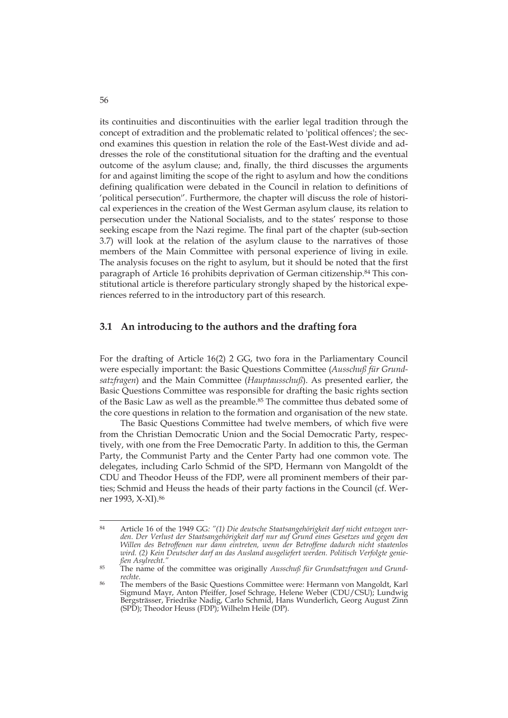its continuities and discontinuities with the earlier legal tradition through the concept of extradition and the problematic related to 'political offences'; the second examines this question in relation the role of the East-West divide and addresses the role of the constitutional situation for the drafting and the eventual outcome of the asylum clause; and, finally, the third discusses the arguments for and against limiting the scope of the right to asylum and how the conditions defining qualification were debated in the Council in relation to definitions of 'political persecution''. Furthermore, the chapter will discuss the role of historical experiences in the creation of the West German asylum clause, its relation to persecution under the National Socialists, and to the states' response to those seeking escape from the Nazi regime. The final part of the chapter (sub-section 3.7) will look at the relation of the asylum clause to the narratives of those members of the Main Committee with personal experience of living in exile. The analysis focuses on the right to asylum, but it should be noted that the first paragraph of Article 16 prohibits deprivation of German citizenship.84 This constitutional article is therefore particulary strongly shaped by the historical experiences referred to in the introductory part of this research.

## **3.1 An introducing to the authors and the drafting fora**

For the drafting of Article 16(2) 2 GG, two fora in the Parliamentary Council were especially important: the Basic Questions Committee (*Ausschuß für Grundsatzfragen*) and the Main Committee (*Hauptausschuß*). As presented earlier, the Basic Questions Committee was responsible for drafting the basic rights section of the Basic Law as well as the preamble.<sup>85</sup> The committee thus debated some of the core questions in relation to the formation and organisation of the new state.

The Basic Questions Committee had twelve members, of which five were from the Christian Democratic Union and the Social Democratic Party, respectively, with one from the Free Democratic Party. In addition to this, the German Party, the Communist Party and the Center Party had one common vote. The delegates, including Carlo Schmid of the SPD, Hermann von Mangoldt of the CDU and Theodor Heuss of the FDP, were all prominent members of their parties; Schmid and Heuss the heads of their party factions in the Council (cf. Werner 1993, X-XI).86

<sup>84</sup> Article 16 of the 1949 GG*: "(1) Die deutsche Staatsangehörigkeit darf nicht entzogen werden. Der Verlust der Staatsangehörigkeit darf nur auf Grund eines Gesetzes und gegen den Willen des Betroffenen nur dann eintreten, wenn der Betroffene dadurch nicht staatenlos wird. (2) Kein Deutscher darf an das Ausland ausgeliefert werden. Politisch Verfolgte genie-*

<sup>&</sup>lt;sup>85</sup> The name of the committee was originally *Ausschuß für Grundsatzfragen und Grund-*<br>rechte.

<sup>&</sup>lt;sup>86</sup> The members of the Basic Ouestions Committee were: Hermann von Mangoldt, Karl Sigmund Mayr, Anton Pfeiffer, Josef Schrage, Helene Weber (CDU/CSU); Lundwig Bergsträsser, Friedrike Nadig, Carlo Schmid, Hans Wunderlich, Georg August Zinn (SPD); Theodor Heuss (FDP); Wilhelm Heile (DP).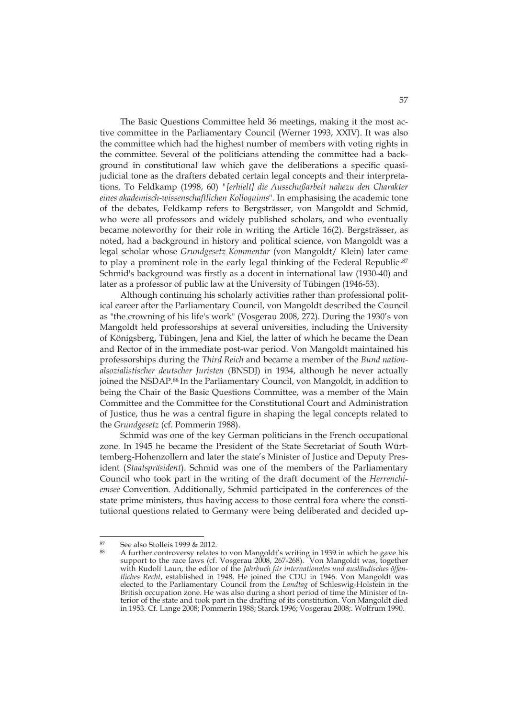The Basic Questions Committee held 36 meetings, making it the most active committee in the Parliamentary Council (Werner 1993, XXIV). It was also the committee which had the highest number of members with voting rights in the committee. Several of the politicians attending the committee had a background in constitutional law which gave the deliberations a specific quasijudicial tone as the drafters debated certain legal concepts and their interpretations. To Feldkamp (1998, 60) *"[erhielt] die Ausschußarbeit nahezu den Charakter eines akademisch-wissenschaftlichen Kolloquims*". In emphasising the academic tone of the debates, Feldkamp refers to Bergsträsser, von Mangoldt and Schmid, who were all professors and widely published scholars, and who eventually became noteworthy for their role in writing the Article 16(2). Bergsträsser, as noted, had a background in history and political science, von Mangoldt was a legal scholar whose *Grundgesetz Kommentar* (von Mangoldt/ Klein) later came to play a prominent role in the early legal thinking of the Federal Republic.<sup>87</sup> Schmid's background was firstly as a docent in international law (1930-40) and later as a professor of public law at the University of Tübingen (1946-53).

Although continuing his scholarly activities rather than professional political career after the Parliamentary Council, von Mangoldt described the Council as "the crowning of his life's work" (Vosgerau 2008, 272). During the 1930's von Mangoldt held professorships at several universities, including the University of Königsberg, Tübingen, Jena and Kiel, the latter of which he became the Dean and Rector of in the immediate post-war period. Von Mangoldt maintained his professorships during the *Third Reich* and became a member of the *Bund nationalsozialistischer deutscher Juristen* (BNSDJ) in 1934, although he never actually joined the NSDAP.<sup>88</sup> In the Parliamentary Council, von Mangoldt, in addition to being the Chair of the Basic Questions Committee, was a member of the Main Committee and the Committee for the Constitutional Court and Administration of Justice, thus he was a central figure in shaping the legal concepts related to the *Grundgesetz* (cf. Pommerin 1988).

Schmid was one of the key German politicians in the French occupational zone. In 1945 he became the President of the State Secretariat of South Württemberg-Hohenzollern and later the state's Minister of Justice and Deputy President (*Staatspräsident*). Schmid was one of the members of the Parliamentary Council who took part in the writing of the draft document of the *Herrenchiemsee* Convention. Additionally, Schmid participated in the conferences of the state prime ministers, thus having access to those central fora where the constitutional questions related to Germany were being deliberated and decided up-

<sup>87</sup> See also Stolleis 1999 & 2012.

A further controversy relates to von Mangoldt's writing in 1939 in which he gave his support to the race laws (cf. Vosgerau 2008, 267-268). Von Mangoldt was, together with Rudolf Laun, the editor of the *Jahrbuch für internationales und ausländisches öffentliches Recht*, established in 1948. He joined the CDU in 1946. Von Mangoldt was elected to the Parliamentary Council from the *Landtag* of Schleswig-Holstein in the British occupation zone. He was also during a short period of time the Minister of Interior of the state and took part in the drafting of its constitution. Von Mangoldt died in 1953. Cf. Lange 2008; Pommerin 1988; Starck 1996; Vosgerau 2008;. Wolfrum 1990.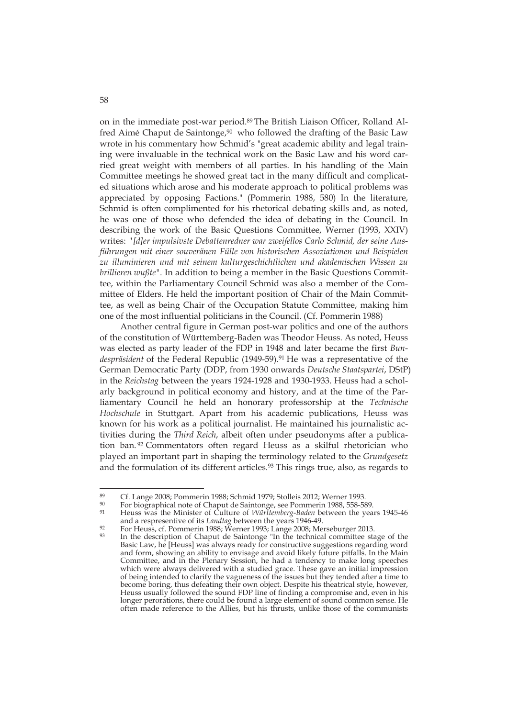on in the immediate post-war period.89 The British Liaison Officer, Rolland Alfred Aimé Chaput de Saintonge,<sup>90</sup> who followed the drafting of the Basic Law wrote in his commentary how Schmid's "great academic ability and legal training were invaluable in the technical work on the Basic Law and his word carried great weight with members of all parties. In his handling of the Main Committee meetings he showed great tact in the many difficult and complicated situations which arose and his moderate approach to political problems was appreciated by opposing Factions." (Pommerin 1988, 580) In the literature, Schmid is often complimented for his rhetorical debating skills and, as noted, he was one of those who defended the idea of debating in the Council. In describing the work of the Basic Questions Committee, Werner (1993, XXIV) writes: *"[d]er impulsivste Debattenredner war zweifellos Carlo Schmid, der seine Ausführungen mit einer souveränen Fülle von historischen Assoziationen und Beispielen zu illuminieren und mit seinem kulturgeschichtlichen und akademischen Wissen zu brillieren wußte".* In addition to being a member in the Basic Questions Committee, within the Parliamentary Council Schmid was also a member of the Committee of Elders. He held the important position of Chair of the Main Committee, as well as being Chair of the Occupation Statute Committee, making him one of the most influential politicians in the Council. (Cf. Pommerin 1988)

Another central figure in German post-war politics and one of the authors of the constitution of Württemberg-Baden was Theodor Heuss. As noted, Heuss was elected as party leader of the FDP in 1948 and later became the first *Bun*despräsident of the Federal Republic (1949-59).<sup>91</sup> He was a representative of the German Democratic Party (DDP, from 1930 onwards *Deutsche Staatspartei*, DStP) in the *Reichstag* between the years 1924-1928 and 1930-1933. Heuss had a scholarly background in political economy and history, and at the time of the Parliamentary Council he held an honorary professorship at the *Technische Hochschule* in Stuttgart. Apart from his academic publications, Heuss was known for his work as a political journalist. He maintained his journalistic activities during the *Third Reich*, albeit often under pseudonyms after a publication ban. 92 Commentators often regard Heuss as a skilful rhetorician who played an important part in shaping the terminology related to the *Grundgesetz* and the formulation of its different articles.<sup>93</sup> This rings true, also, as regards to

 $89$ 89 Cf. Lange 2008; Pommerin 1988; Schmid 1979; Stolleis 2012; Werner 1993.<br>
<sup>90</sup> For biographical note of Chaput de Saintonge, see Pommerin 1988, 558-589.<br>
<sup>91</sup> House was the Minister of Culture of Wirttawhere Baday botwoo

<sup>91</sup> Heuss was the Minister of Culture of *Württemberg-Baden* between the years 1945-46

and a respresentive of its *Landtag* between the years 1946-49.<br>For Heuss, cf. Pommerin 1988; Werner 1993; Lange 2008; Merseburger 2013.<br>In the description of Chaput de Saintonge "In the technical committee stage of the Basic Law, he [Heuss] was always ready for constructive suggestions regarding word and form, showing an ability to envisage and avoid likely future pitfalls. In the Main Committee, and in the Plenary Session, he had a tendency to make long speeches which were always delivered with a studied grace. These gave an initial impression of being intended to clarify the vagueness of the issues but they tended after a time to become boring, thus defeating their own object. Despite his theatrical style, however, Heuss usually followed the sound FDP line of finding a compromise and, even in his longer perorations, there could be found a large element of sound common sense. He often made reference to the Allies, but his thrusts, unlike those of the communists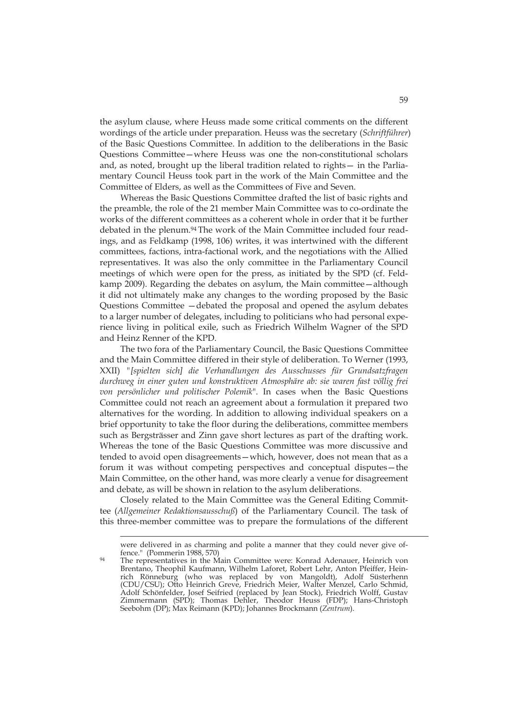the asylum clause, where Heuss made some critical comments on the different wordings of the article under preparation. Heuss was the secretary (*Schriftführer*) of the Basic Questions Committee. In addition to the deliberations in the Basic Questions Committee—where Heuss was one the non-constitutional scholars and, as noted, brought up the liberal tradition related to rights— in the Parliamentary Council Heuss took part in the work of the Main Committee and the Committee of Elders, as well as the Committees of Five and Seven.

Whereas the Basic Questions Committee drafted the list of basic rights and the preamble, the role of the 21 member Main Committee was to co-ordinate the works of the different committees as a coherent whole in order that it be further debated in the plenum.<sup>94</sup> The work of the Main Committee included four readings, and as Feldkamp (1998, 106) writes, it was intertwined with the different committees, factions, intra-factional work, and the negotiations with the Allied representatives. It was also the only committee in the Parliamentary Council meetings of which were open for the press, as initiated by the SPD (cf. Feldkamp 2009). Regarding the debates on asylum, the Main committee—although it did not ultimately make any changes to the wording proposed by the Basic Questions Committee —debated the proposal and opened the asylum debates to a larger number of delegates, including to politicians who had personal experience living in political exile, such as Friedrich Wilhelm Wagner of the SPD and Heinz Renner of the KPD.

The two fora of the Parliamentary Council, the Basic Questions Committee and the Main Committee differed in their style of deliberation. To Werner (1993, XXII) *"[spielten sich] die Verhandlungen des Ausschusses für Grundsatzfragen durchweg in einer guten und konstruktiven Atmosphäre ab: sie waren fast völlig frei von persönlicher und politischer Polemik*". In cases when the Basic Questions Committee could not reach an agreement about a formulation it prepared two alternatives for the wording. In addition to allowing individual speakers on a brief opportunity to take the floor during the deliberations, committee members such as Bergsträsser and Zinn gave short lectures as part of the drafting work. Whereas the tone of the Basic Questions Committee was more discussive and tended to avoid open disagreements—which, however, does not mean that as a forum it was without competing perspectives and conceptual disputes—the Main Committee, on the other hand, was more clearly a venue for disagreement and debate, as will be shown in relation to the asylum deliberations.

Closely related to the Main Committee was the General Editing Committee (*Allgemeiner Redaktionsausschuß*) of the Parliamentary Council. The task of this three-member committee was to prepare the formulations of the different

were delivered in as charming and polite a manner that they could never give of-<br>fence." (Pommerin 1988, 570)

<sup>&</sup>lt;sup>94</sup> The representatives in the Main Committee were: Konrad Adenauer, Heinrich von Brentano, Theophil Kaufmann, Wilhelm Laforet, Robert Lehr, Anton Pfeiffer, Heinrich Rönneburg (who was replaced by von Mangoldt), Adolf Süsterhenn (CDU/CSU); Otto Heinrich Greve, Friedrich Meier, Walter Menzel, Carlo Schmid, Adolf Schönfelder, Josef Seifried (replaced by Jean Stock), Friedrich Wolff, Gustav Zimmermann (SPD); Thomas Dehler, Theodor Heuss (FDP); Hans-Christoph Seebohm (DP); Max Reimann (KPD); Johannes Brockmann (*Zentrum*).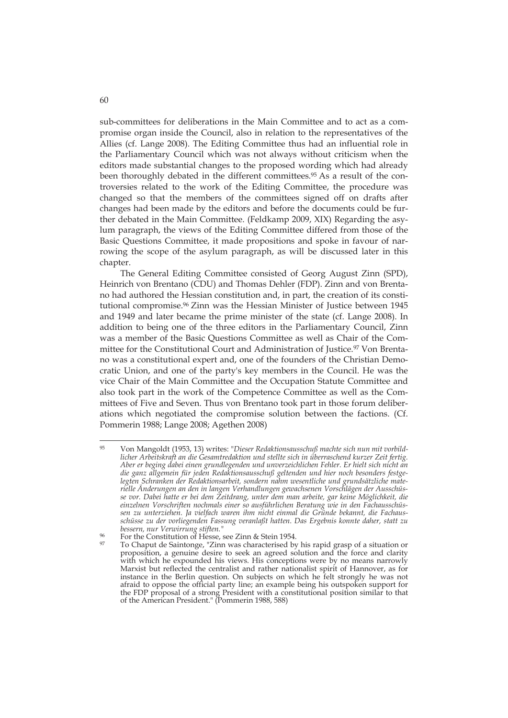sub-committees for deliberations in the Main Committee and to act as a compromise organ inside the Council, also in relation to the representatives of the Allies (cf. Lange 2008). The Editing Committee thus had an influential role in the Parliamentary Council which was not always without criticism when the editors made substantial changes to the proposed wording which had already been thoroughly debated in the different committees.<sup>95</sup> As a result of the controversies related to the work of the Editing Committee, the procedure was changed so that the members of the committees signed off on drafts after changes had been made by the editors and before the documents could be further debated in the Main Committee. (Feldkamp 2009, XIX) Regarding the asylum paragraph, the views of the Editing Committee differed from those of the Basic Questions Committee, it made propositions and spoke in favour of narrowing the scope of the asylum paragraph, as will be discussed later in this chapter.

The General Editing Committee consisted of Georg August Zinn (SPD), Heinrich von Brentano (CDU) and Thomas Dehler (FDP). Zinn and von Brentano had authored the Hessian constitution and, in part, the creation of its constitutional compromise.96 Zinn was the Hessian Minister of Justice between 1945 and 1949 and later became the prime minister of the state (cf. Lange 2008). In addition to being one of the three editors in the Parliamentary Council, Zinn was a member of the Basic Questions Committee as well as Chair of the Committee for the Constitutional Court and Administration of Justice.97 Von Brentano was a constitutional expert and, one of the founders of the Christian Democratic Union, and one of the party's key members in the Council. He was the vice Chair of the Main Committee and the Occupation Statute Committee and also took part in the work of the Competence Committee as well as the Committees of Five and Seven. Thus von Brentano took part in those forum deliberations which negotiated the compromise solution between the factions. (Cf. Pommerin 1988; Lange 2008; Agethen 2008)

<sup>95</sup> Von Mangoldt (1953, 13) writes: "*Dieser Redaktionsausschuß machte sich nun mit vorbildlicher Arbeitskraft an die Gesamtredaktion und stellte sich in überraschend kurzer Zeit fertig. Aber er beging dabei einen grundlegenden und unverzeichlichen Fehler. Er hielt sich nicht an die ganz allgemein für jeden Redaktionsausschuß geltenden und hier noch besonders festgelegten Schranken der Redaktionsarbeit, sondern nahm wesentliche und grundsätzliche materielle Änderungen an den in langen Verhandlungen gewachsenen Vorschlägen der Ausschüsse vor. Dabei hatte er bei dem Zeitdrang, unter dem man arbeite, gar keine Möglichkeit, die einzelnen Vorschriften nochmals einer so ausführlichen Beratung wie in den Fachausschüssen zu unterziehen. Ja vielfach waren ihm nicht einmal die Gründe bekannt, die Fachausschüsse zu der vorliegenden Fassung veranlaßt hatten. Das Ergebnis konnte daher, statt zu bessern, nur Verwirrung stiften."*

<sup>96</sup> For the Constitution of Hesse, see Zinn & Stein 1954.

 $97$  To Chaput de Saintonge, "Zinn was characterised by his rapid grasp of a situation or proposition, a genuine desire to seek an agreed solution and the force and clarity with which he expounded his views. His conceptions were by no means narrowly Marxist but reflected the centralist and rather nationalist spirit of Hannover, as for instance in the Berlin question. On subjects on which he felt strongly he was not afraid to oppose the official party line; an example being his outspoken support for the FDP proposal of a strong President with a constitutional position similar to that of the American President." (Pommerin 1988, 588)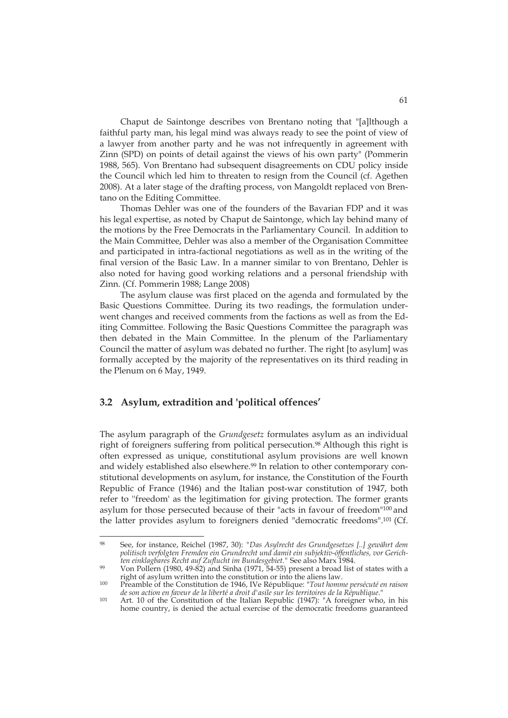Chaput de Saintonge describes von Brentano noting that "[a]lthough a faithful party man, his legal mind was always ready to see the point of view of a lawyer from another party and he was not infrequently in agreement with Zinn (SPD) on points of detail against the views of his own party" (Pommerin 1988, 565). Von Brentano had subsequent disagreements on CDU policy inside the Council which led him to threaten to resign from the Council (cf. Agethen 2008). At a later stage of the drafting process, von Mangoldt replaced von Brentano on the Editing Committee.

Thomas Dehler was one of the founders of the Bavarian FDP and it was his legal expertise, as noted by Chaput de Saintonge, which lay behind many of the motions by the Free Democrats in the Parliamentary Council. In addition to the Main Committee, Dehler was also a member of the Organisation Committee and participated in intra-factional negotiations as well as in the writing of the final version of the Basic Law. In a manner similar to von Brentano, Dehler is also noted for having good working relations and a personal friendship with Zinn. (Cf. Pommerin 1988; Lange 2008)

The asylum clause was first placed on the agenda and formulated by the Basic Questions Committee. During its two readings, the formulation underwent changes and received comments from the factions as well as from the Editing Committee. Following the Basic Questions Committee the paragraph was then debated in the Main Committee. In the plenum of the Parliamentary Council the matter of asylum was debated no further. The right [to asylum] was formally accepted by the majority of the representatives on its third reading in the Plenum on 6 May, 1949.

## **3.2 Asylum, extradition and 'political offences'**

-

The asylum paragraph of the *Grundgesetz* formulates asylum as an individual right of foreigners suffering from political persecution.<sup>98</sup> Although this right is often expressed as unique, constitutional asylum provisions are well known and widely established also elsewhere.99 In relation to other contemporary constitutional developments on asylum, for instance, the Constitution of the Fourth Republic of France (1946) and the Italian post-war constitution of 1947, both refer to ''freedom' as the legitimation for giving protection. The former grants asylum for those persecuted because of their "acts in favour of freedom"100 and the latter provides asylum to foreigners denied "democratic freedoms".101 (Cf.

<sup>98</sup> See, for instance, Reichel (1987, 30): *"Das Asylrecht des Grundgesetzes [..] gewährt dem politisch verfolgten Fremden ein Grundrecht und damit ein subjektiv-öffentliches, vor Gerich-*

*ten einklagbares Recht auf Zuflucht im Bundesgebiet.*" See also Marx 1984.<br>
Yon Pollern (1980, 49-82) and Sinha (1971, 54-55) present a broad list of states with a right of asylum written into the constitution or into the

right of asylum written into the constitution or into the aliens law. 100 Preamble of the Constitution de 1946, IVe République: "*Tout homme persécuté en raison de son action en faveur de la liberté a droit d'asile sur les territoires de la République*."

<sup>101</sup> Art. 10 of the Constitution of the Italian Republic (1947): "A foreigner who, in his home country, is denied the actual exercise of the democratic freedoms guaranteed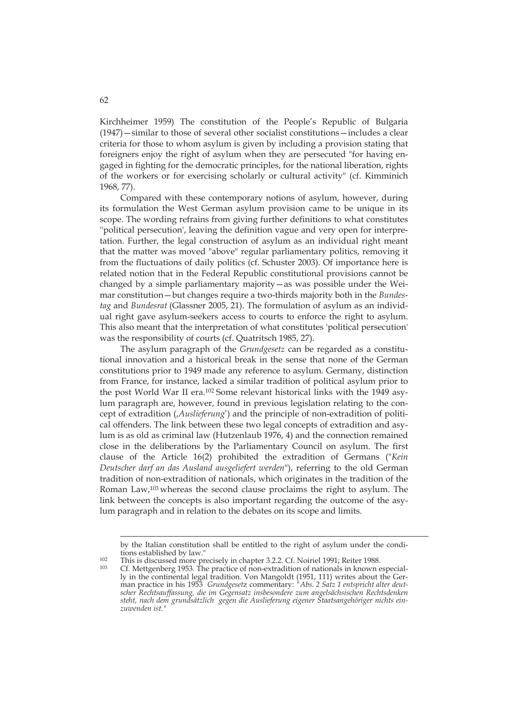Kirchheimer 1959) The constitution of the People's Republic of Bulgaria (1947)—similar to those of several other socialist constitutions—includes a clear criteria for those to whom asylum is given by including a provision stating that foreigners enjoy the right of asylum when they are persecuted "for having engaged in fighting for the democratic principles, for the national liberation, rights of the workers or for exercising scholarly or cultural activity" (cf. Kimminich 1968, 77).

Compared with these contemporary notions of asylum, however, during its formulation the West German asylum provision came to be unique in its scope. The wording refrains from giving further definitions to what constitutes ''political persecution', leaving the definition vague and very open for interpretation. Further, the legal construction of asylum as an individual right meant that the matter was moved "above" regular parliamentary politics, removing it from the fluctuations of daily politics (cf. Schuster 2003). Of importance here is related notion that in the Federal Republic constitutional provisions cannot be changed by a simple parliamentary majority—as was possible under the Weimar constitution—but changes require a two-thirds majority both in the *Bundestag* and *Bundesrat* (Glassner 2005, 21). The formulation of asylum as an individual right gave asylum-seekers access to courts to enforce the right to asylum. This also meant that the interpretation of what constitutes 'political persecution' was the responsibility of courts (cf. Quatritsch 1985, 27).

The asylum paragraph of the *Grundgesetz* can be regarded as a constitutional innovation and a historical break in the sense that none of the German constitutions prior to 1949 made any reference to asylum. Germany, distinction from France, for instance, lacked a similar tradition of political asylum prior to the post World War II era.102 Some relevant historical links with the 1949 asylum paragraph are, however, found in previous legislation relating to the concept of extradition (, *Auslieferung'*) and the principle of non-extradition of political offenders. The link between these two legal concepts of extradition and asylum is as old as criminal law (Hutzenlaub 1976, 4) and the connection remained close in the deliberations by the Parliamentary Council on asylum. The first clause of the Article 16(2) prohibited the extradition of Germans ("*Kein Deutscher darf an das Ausland ausgeliefert werden*"), referring to the old German tradition of non-extradition of nationals, which originates in the tradition of the Roman Law,103 whereas the second clause proclaims the right to asylum. The link between the concepts is also important regarding the outcome of the asylum paragraph and in relation to the debates on its scope and limits.

by the Italian constitution shall be entitled to the right of asylum under the conditions established by law."

This is discussed more precisely in chapter 3.2.2. Cf. Noiriel 1991; Reiter 1988.<br>
203 Cf. Mettgenberg 1953. The practice of non-extradition of nationals in known especially in the continental legal tradition. Von Mangoldt (1951, 111) writes about the German practice in his 1953 *Grundgeset*z commentary: *"Abs. 2 Satz 1 entspricht alter deutscher Rechtsauffassung, die im Gegensatz insbesondere zum angelsächsischen Rechtsdenken steht, nach dem grundsätzlich gegen die Auslieferung eigener Staatsangehöriger nichts einzuwenden ist."*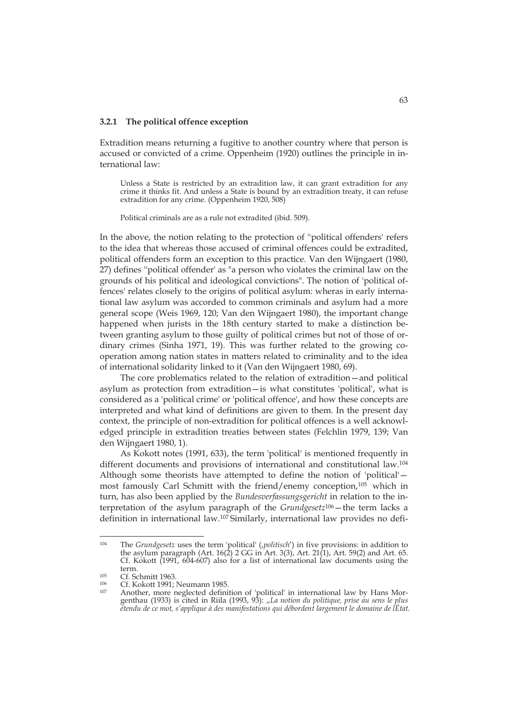#### **3.2.1 The political offence exception**

Extradition means returning a fugitive to another country where that person is accused or convicted of a crime. Oppenheim (1920) outlines the principle in international law:

Unless a State is restricted by an extradition law, it can grant extradition for any crime it thinks fit. And unless a State is bound by an extradition treaty, it can refuse extradition for any crime. (Oppenheim 1920, 508)

Political criminals are as a rule not extradited (ibid. 509).

In the above, the notion relating to the protection of ''political offenders' refers to the idea that whereas those accused of criminal offences could be extradited, political offenders form an exception to this practice. Van den Wijngaert (1980, 27) defines ''political offender' as "a person who violates the criminal law on the grounds of his political and ideological convictions". The notion of 'political offences' relates closely to the origins of political asylum: wheras in early international law asylum was accorded to common criminals and asylum had a more general scope (Weis 1969, 120; Van den Wijngaert 1980), the important change happened when jurists in the 18th century started to make a distinction between granting asylum to those guilty of political crimes but not of those of ordinary crimes (Sinha 1971, 19). This was further related to the growing cooperation among nation states in matters related to criminality and to the idea of international solidarity linked to it (Van den Wijngaert 1980, 69).

The core problematics related to the relation of extradition—and political asylum as protection from extradition—is what constitutes 'political', what is considered as a 'political crime' or 'political offence', and how these concepts are interpreted and what kind of definitions are given to them. In the present day context, the principle of non-extradition for political offences is a well acknowledged principle in extradition treaties between states (Felchlin 1979, 139; Van den Wijngaert 1980, 1).

As Kokott notes (1991, 633), the term 'political' is mentioned frequently in different documents and provisions of international and constitutional law.104 Although some theorists have attempted to define the notion of 'political' most famously Carl Schmitt with the friend/enemy conception,105 which in turn, has also been applied by the *Bundesverfassungsgericht* in relation to the interpretation of the asylum paragraph of the *Grundgesetz*106—the term lacks a definition in international law.107 Similarly, international law provides no defi-

<sup>&</sup>lt;sup>104</sup> The *Grundgesetz* uses the term 'political' (*,politisch'*) in five provisions: in addition to the asylum paragraph (Art.  $16(2)$  2 GG in Art.  $3(3)$ , Art.  $21(1)$ , Art.  $59(2)$  and Art. 65. Cf. Kokott (1991, 604-607) also for a list of international law documents using the

term.<br>1<sup>05</sup> Cf. Schmitt 1963.<br>1<sup>06</sup> Cf. Kokott 1991; Neumann 1985.<br><sup>107</sup> Another, more neglected definition of 'political' in international law by Hans Morgenthau (1933) is cited in Riila (1993, 93): "La notion du politique, prise au sens le plus *étendu de ce mot, s'applique à des manifestations qui débordent largement le domaine de lÉtat.*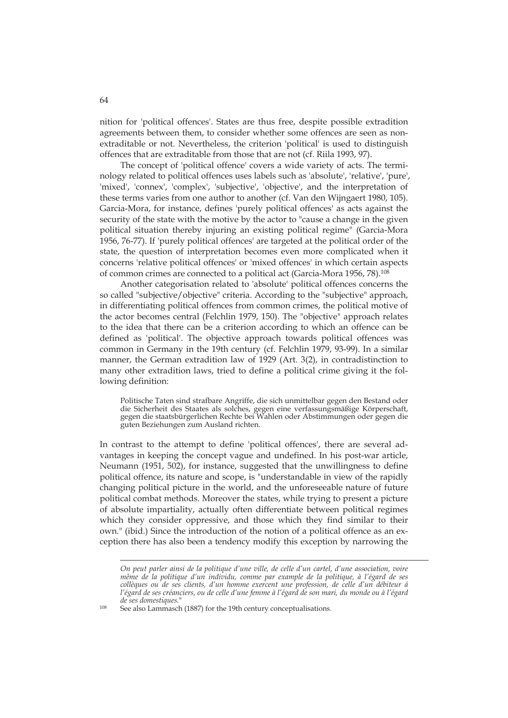nition for 'political offences'. States are thus free, despite possible extradition agreements between them, to consider whether some offences are seen as nonextraditable or not. Nevertheless, the criterion 'political' is used to distinguish offences that are extraditable from those that are not (cf. Riila 1993, 97).

The concept of 'political offence' covers a wide variety of acts. The terminology related to political offences uses labels such as 'absolute', 'relative', 'pure', 'mixed', 'connex', 'complex', 'subjective', 'objective', and the interpretation of these terms varies from one author to another (cf. Van den Wijngaert 1980, 105). Garcia-Mora, for instance, defines 'purely political offences' as acts against the security of the state with the motive by the actor to "cause a change in the given political situation thereby injuring an existing political regime" (Garcia-Mora 1956, 76-77). If 'purely political offences' are targeted at the political order of the state, the question of interpretation becomes even more complicated when it concerns 'relative political offences' or 'mixed offences' in which certain aspects of common crimes are connected to a political act (Garcia-Mora 1956, 78).108

Another categorisation related to 'absolute' political offences concerns the so called "subjective/objective" criteria. According to the "subjective" approach, in differentiating political offences from common crimes, the political motive of the actor becomes central (Felchlin 1979, 150). The "objective" approach relates to the idea that there can be a criterion according to which an offence can be defined as 'political'. The objective approach towards political offences was common in Germany in the 19th century (cf. Felchlin 1979, 93-99). In a similar manner, the German extradition law of 1929 (Art. 3(2), in contradistinction to many other extradition laws, tried to define a political crime giving it the following definition:

Politische Taten sind strafbare Angriffe, die sich unmittelbar gegen den Bestand oder die Sicherheit des Staates als solches, gegen eine verfassungsmäßige Körperschaft, gegen die staatsbürgerlichen Rechte bei Wahlen oder Abstimmungen oder gegen die guten Beziehungen zum Ausland richten.

In contrast to the attempt to define 'political offences', there are several advantages in keeping the concept vague and undefined. In his post-war article, Neumann (1951, 502), for instance, suggested that the unwillingness to define political offence, its nature and scope, is "understandable in view of the rapidly changing political picture in the world, and the unforeseeable nature of future political combat methods. Moreover the states, while trying to present a picture of absolute impartiality, actually often differentiate between political regimes which they consider oppressive, and those which they find similar to their own." (ibid.) Since the introduction of the notion of a political offence as an exception there has also been a tendency modify this exception by narrowing the

*On peut parler ainsi de la politique d'une ville, de celle d'un cartel, d'une association, voire même de la politique d'un individu, comme par example de la politique, à l'égard de ses collèques ou de ses clients, d'un homme exercent une profession, de celle d'un débiteur á l'égard de ses créanciers, ou de celle d'une femme à l'égard de son mari, du monde ou à l'égard* 

<sup>&</sup>lt;sup>108</sup> See also Lammasch (1887) for the 19th century conceptualisations.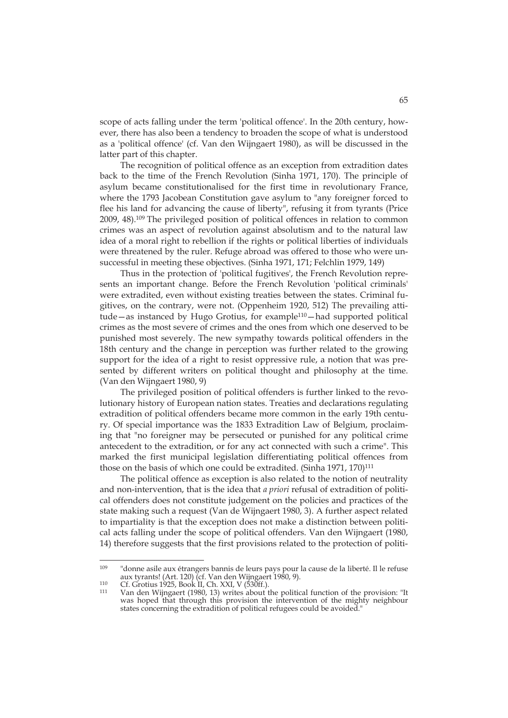scope of acts falling under the term 'political offence'. In the 20th century, however, there has also been a tendency to broaden the scope of what is understood as a 'political offence' (cf. Van den Wijngaert 1980), as will be discussed in the latter part of this chapter.

The recognition of political offence as an exception from extradition dates back to the time of the French Revolution (Sinha 1971, 170). The principle of asylum became constitutionalised for the first time in revolutionary France, where the 1793 Jacobean Constitution gave asylum to "any foreigner forced to flee his land for advancing the cause of liberty", refusing it from tyrants (Price 2009, 48).109 The privileged position of political offences in relation to common crimes was an aspect of revolution against absolutism and to the natural law idea of a moral right to rebellion if the rights or political liberties of individuals were threatened by the ruler. Refuge abroad was offered to those who were unsuccessful in meeting these objectives. (Sinha 1971, 171; Felchlin 1979, 149)

Thus in the protection of 'political fugitives', the French Revolution represents an important change. Before the French Revolution 'political criminals' were extradited, even without existing treaties between the states. Criminal fugitives, on the contrary, were not. (Oppenheim 1920, 512) The prevailing attitude—as instanced by Hugo Grotius, for example110—had supported political crimes as the most severe of crimes and the ones from which one deserved to be punished most severely. The new sympathy towards political offenders in the 18th century and the change in perception was further related to the growing support for the idea of a right to resist oppressive rule, a notion that was presented by different writers on political thought and philosophy at the time. (Van den Wijngaert 1980, 9)

The privileged position of political offenders is further linked to the revolutionary history of European nation states. Treaties and declarations regulating extradition of political offenders became more common in the early 19th century. Of special importance was the 1833 Extradition Law of Belgium, proclaiming that "no foreigner may be persecuted or punished for any political crime antecedent to the extradition, or for any act connected with such a crime". This marked the first municipal legislation differentiating political offences from those on the basis of which one could be extradited. (Sinha 1971, 170)<sup>111</sup>

The political offence as exception is also related to the notion of neutrality and non-intervention, that is the idea that *a priori* refusal of extradition of political offenders does not constitute judgement on the policies and practices of the state making such a request (Van de Wijngaert 1980, 3). A further aspect related to impartiality is that the exception does not make a distinction between political acts falling under the scope of political offenders. Van den Wijngaert (1980, 14) therefore suggests that the first provisions related to the protection of politi-

<sup>109</sup> "donne asile aux étrangers bannis de leurs pays pour la cause de la liberté. Il le refuse aux tyrants! (Art. 120) (cf. Van den Wijngaert 1980, 9).

aux tyrants. (Art. 120) (cf. Van den Vrypsbert 1999, 9).<br>110 Cf. Grotius 1925, Book II, Ch. XXI, V (530ff.).<br>111 Van den Wijngaert (1980, 13) writes about the political function of the provision: "It was hoped that through this provision the intervention of the mighty neighbour states concerning the extradition of political refugees could be avoided."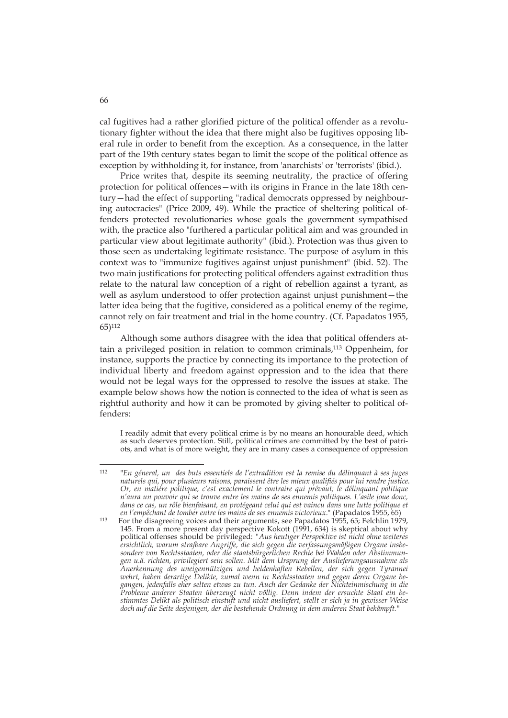cal fugitives had a rather glorified picture of the political offender as a revolutionary fighter without the idea that there might also be fugitives opposing liberal rule in order to benefit from the exception. As a consequence, in the latter part of the 19th century states began to limit the scope of the political offence as exception by withholding it, for instance, from 'anarchists' or 'terrorists' (ibid.).

Price writes that, despite its seeming neutrality, the practice of offering protection for political offences—with its origins in France in the late 18th century—had the effect of supporting "radical democrats oppressed by neighbouring autocracies" (Price 2009, 49). While the practice of sheltering political offenders protected revolutionaries whose goals the government sympathised with, the practice also "furthered a particular political aim and was grounded in particular view about legitimate authority" (ibid.). Protection was thus given to those seen as undertaking legitimate resistance. The purpose of asylum in this context was to "immunize fugitives against unjust punishment" (ibid. 52). The two main justifications for protecting political offenders against extradition thus relate to the natural law conception of a right of rebellion against a tyrant, as well as asylum understood to offer protection against unjust punishment—the latter idea being that the fugitive, considered as a political enemy of the regime, cannot rely on fair treatment and trial in the home country. (Cf. Papadatos 1955, 65)112

Although some authors disagree with the idea that political offenders attain a privileged position in relation to common criminals,113 Oppenheim, for instance, supports the practice by connecting its importance to the protection of individual liberty and freedom against oppression and to the idea that there would not be legal ways for the oppressed to resolve the issues at stake. The example below shows how the notion is connected to the idea of what is seen as rightful authority and how it can be promoted by giving shelter to political offenders:

I readily admit that every political crime is by no means an honourable deed, which as such deserves protection. Still, political crimes are committed by the best of patriots, and what is of more weight, they are in many cases a consequence of oppression

 $112$ 112 "*En géneral, un des buts essentiels de l'extradition est la remise du délinquant à ses juges naturels qui, pour plusieurs raisons, paraissent être les mieux qualifiés pour lui rendre justice. Or, en matiére politique, c'est exactement le contraire qui prévaut; le délinquant politique n'aura un pouvoir qui se trouve entre les mains de ses ennemis politiques. L'asile joue donc, dans ce cas, un rôle bienfaisant, en protégeant celui qui est vaincu dans une lutte politique et* 

<sup>&</sup>lt;sup>113</sup> For the disagreeing voices and their arguments, see Papadatos 1955, 65; Felchlin 1979, 145. From a more present day perspective Kokott (1991, 634) is skeptical about why political offenses should be privileged: *"Aus heutiger Perspektive ist nicht ohne weiteres ersichtlich, warum strafbare Angriffe, die sich gegen die verfassungsmäßigen Organe insbesondere von Rechtsstaaten, oder die staatsbürgerlichen Rechte bei Wahlen oder Abstimmungen u.ä. richten, privilegiert sein sollen. Mit dem Ursprung der Auslieferungsausnahme als Anerkennung des uneigennützigen und heldenhaften Rebellen, der sich gegen Tyrannei wehrt, haben derartige Delikte, zumal wenn in Rechtsstaaten und gegen deren Organe begangen, jedenfalls eher selten etwas zu tun. Auch der Gedanke der Nichteinmischung in die Probleme anderer Staaten überzeugt nicht völlig. Denn indem der ersuchte Staat ein bestimmtes Delikt als politisch einstuft und nicht ausliefert, stellt er sich ja in gewisser Weise doch auf die Seite desjenigen, der die bestehende Ordnung in dem anderen Staat bekämpft."*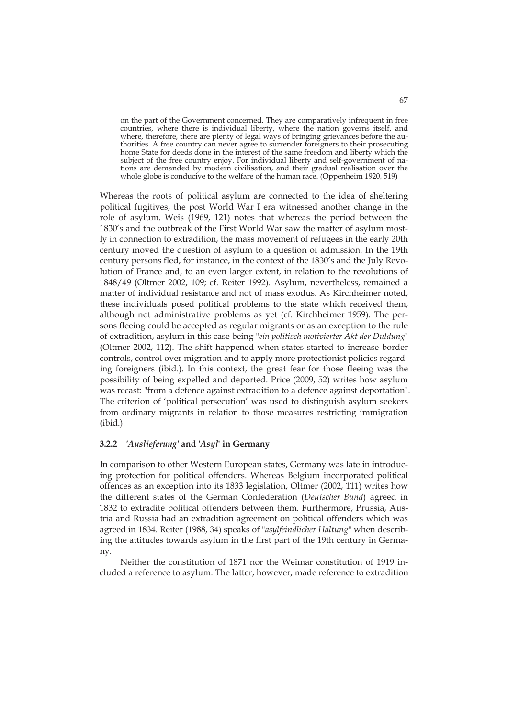on the part of the Government concerned. They are comparatively infrequent in free countries, where there is individual liberty, where the nation governs itself, and where, therefore, there are plenty of legal ways of bringing grievances before the authorities. A free country can never agree to surrender foreigners to their prosecuting home State for deeds done in the interest of the same freedom and liberty which the subject of the free country enjoy. For individual liberty and self-government of nations are demanded by modern civilisation, and their gradual realisation over the whole globe is conducive to the welfare of the human race. (Oppenheim 1920, 519)

Whereas the roots of political asylum are connected to the idea of sheltering political fugitives, the post World War I era witnessed another change in the role of asylum. Weis (1969, 121) notes that whereas the period between the 1830's and the outbreak of the First World War saw the matter of asylum mostly in connection to extradition, the mass movement of refugees in the early 20th century moved the question of asylum to a question of admission. In the 19th century persons fled, for instance, in the context of the 1830's and the July Revolution of France and, to an even larger extent, in relation to the revolutions of 1848/49 (Oltmer 2002, 109; cf. Reiter 1992). Asylum, nevertheless, remained a matter of individual resistance and not of mass exodus. As Kirchheimer noted, these individuals posed political problems to the state which received them, although not administrative problems as yet (cf. Kirchheimer 1959). The persons fleeing could be accepted as regular migrants or as an exception to the rule of extradition, asylum in this case being "*ein politisch motivierter Akt der Duldung*" (Oltmer 2002, 112). The shift happened when states started to increase border controls, control over migration and to apply more protectionist policies regarding foreigners (ibid.). In this context, the great fear for those fleeing was the possibility of being expelled and deported. Price (2009, 52) writes how asylum was recast: "from a defence against extradition to a defence against deportation". The criterion of 'political persecution' was used to distinguish asylum seekers from ordinary migrants in relation to those measures restricting immigration (ibid.).

#### **3.2.2** *'Auslieferung'* **and '***Asyl***' in Germany**

In comparison to other Western European states, Germany was late in introducing protection for political offenders. Whereas Belgium incorporated political offences as an exception into its 1833 legislation, Oltmer (2002, 111) writes how the different states of the German Confederation (*Deutscher Bund*) agreed in 1832 to extradite political offenders between them. Furthermore, Prussia, Austria and Russia had an extradition agreement on political offenders which was agreed in 1834. Reiter (1988, 34) speaks of "*asylfeindlicher Haltung*" when describing the attitudes towards asylum in the first part of the 19th century in Germany.

Neither the constitution of 1871 nor the Weimar constitution of 1919 included a reference to asylum. The latter, however, made reference to extradition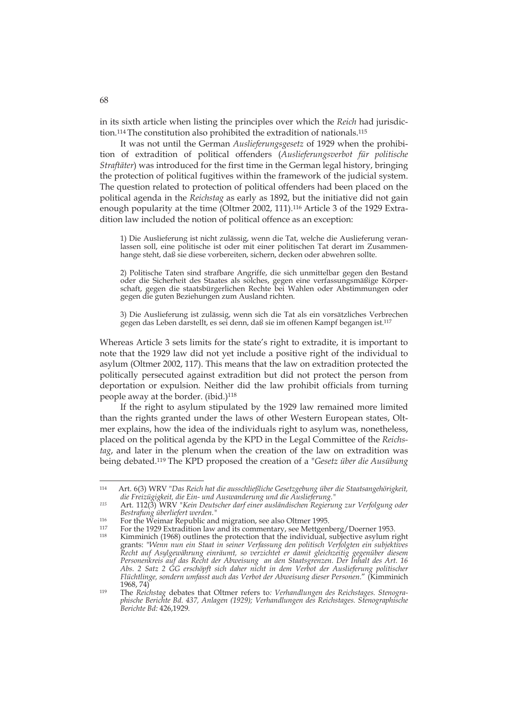in its sixth article when listing the principles over which the *Reich* had jurisdiction.114 The constitution also prohibited the extradition of nationals.115

It was not until the German *Auslieferungsgesetz* of 1929 when the prohibition of extradition of political offenders (*Auslieferungsverbot für politische Straftäter*) was introduced for the first time in the German legal history, bringing the protection of political fugitives within the framework of the judicial system. The question related to protection of political offenders had been placed on the political agenda in the *Reichstag* as early as 1892, but the initiative did not gain enough popularity at the time (Oltmer 2002, 111).116 Article 3 of the 1929 Extradition law included the notion of political offence as an exception:

1) Die Auslieferung ist nicht zulässig, wenn die Tat, welche die Auslieferung veranlassen soll, eine politische ist oder mit einer politischen Tat derart im Zusammenhange steht, daß sie diese vorbereiten, sichern, decken oder abwehren sollte.

2) Politische Taten sind strafbare Angriffe, die sich unmittelbar gegen den Bestand oder die Sicherheit des Staates als solches, gegen eine verfassungsmäßige Körperschaft, gegen die staatsbürgerlichen Rechte bei Wahlen oder Abstimmungen oder gegen die guten Beziehungen zum Ausland richten.

3) Die Auslieferung ist zulässig, wenn sich die Tat als ein vorsätzliches Verbrechen gegen das Leben darstellt, es sei denn, daß sie im offenen Kampf begangen ist.117

Whereas Article 3 sets limits for the state's right to extradite, it is important to note that the 1929 law did not yet include a positive right of the individual to asylum (Oltmer 2002, 117). This means that the law on extradition protected the politically persecuted against extradition but did not protect the person from deportation or expulsion. Neither did the law prohibit officials from turning people away at the border. (ibid.)<sup>118</sup>

If the right to asylum stipulated by the 1929 law remained more limited than the rights granted under the laws of other Western European states, Oltmer explains, how the idea of the individuals right to asylum was, nonetheless, placed on the political agenda by the KPD in the Legal Committee of the *Reichstag*, and later in the plenum when the creation of the law on extradition was being debated.119 The KPD proposed the creation of a "*Gesetz über die Ausübung* 

*Berichte Bd:* 426,1929*.*

<sup>114</sup> Art. 6(3) WRV "*Das Reich hat die ausschließliche Gesetzgebung über die Staatsangehörigkeit, die Freizügigkeit, die Ein- und Auswanderung und die Auslieferung."*

*<sup>115</sup>* Art. 112(3) WRV "*Kein Deutscher darf einer ausländischen Regierung zur Verfolgung oder Bestrafung überliefert werden."*

<sup>&</sup>lt;sup>116</sup> For the Weimar Republic and migration, see also Oltmer 1995.<br><sup>117</sup> For the 1929 Extradition law and its commentary, see Mettgenberg/Doerner 1953.<br><sup>118</sup> Kimminich (1968) outlines the protection that the individual, su grants: "*Wenn nun ein Staat in seiner Verfassung den politisch Verfolgten ein subjektives Recht auf Asylgewährung einräumt, so verzichtet er damit gleichzeitig gegenüber diesem Personenkreis auf das Recht der Abweisung an den Staatsgrenzen. Der Inhalt des Art. 16 Abs. 2 Satz 2 GG erschöpft sich daher nicht in dem Verbot der Auslieferung politischer* 

*Flüchtlinge, sondern umfasst auch das Verbot der Abweisung dieser Personen*." (Kimminich 1968, 74) 119 The *Reichstag* debates that Oltmer refers to*: Verhandlungen des Reichstages. Stenographische Berichte Bd. 437, Anlagen (1929); Verhandlungen des Reichstages. Stenographische*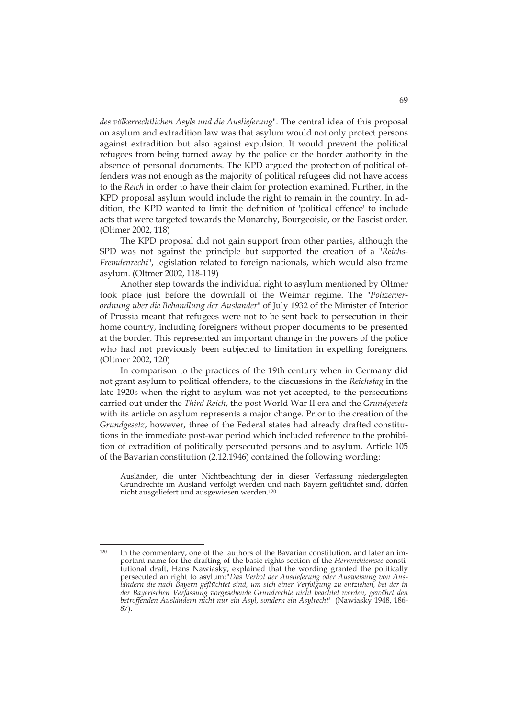*des völkerrechtlichen Asyls und die Auslieferung*". The central idea of this proposal on asylum and extradition law was that asylum would not only protect persons against extradition but also against expulsion. It would prevent the political refugees from being turned away by the police or the border authority in the absence of personal documents. The KPD argued the protection of political offenders was not enough as the majority of political refugees did not have access to the *Reich* in order to have their claim for protection examined. Further, in the KPD proposal asylum would include the right to remain in the country. In addition, the KPD wanted to limit the definition of 'political offence' to include acts that were targeted towards the Monarchy, Bourgeoisie, or the Fascist order. (Oltmer 2002, 118)

The KPD proposal did not gain support from other parties, although the SPD was not against the principle but supported the creation of a "*Reichs-Fremdenrecht*", legislation related to foreign nationals, which would also frame asylum. (Oltmer 2002, 118-119)

Another step towards the individual right to asylum mentioned by Oltmer took place just before the downfall of the Weimar regime. The "*Polizeiverordnung über die Behandlung der Ausländer*" of July 1932 of the Minister of Interior of Prussia meant that refugees were not to be sent back to persecution in their home country, including foreigners without proper documents to be presented at the border. This represented an important change in the powers of the police who had not previously been subjected to limitation in expelling foreigners. (Oltmer 2002, 120)

In comparison to the practices of the 19th century when in Germany did not grant asylum to political offenders, to the discussions in the *Reichstag* in the late 1920s when the right to asylum was not yet accepted, to the persecutions carried out under the *Third Reich*, the post World War II era and the *Grundgesetz* with its article on asylum represents a major change. Prior to the creation of the *Grundgesetz*, however, three of the Federal states had already drafted constitutions in the immediate post-war period which included reference to the prohibition of extradition of politically persecuted persons and to asylum. Article 105 of the Bavarian constitution (2.12.1946) contained the following wording:

Ausländer, die unter Nichtbeachtung der in dieser Verfassung niedergelegten Grundrechte im Ausland verfolgt werden und nach Bayern geflüchtet sind, dürfen nicht ausgeliefert und ausgewiesen werden.120

<sup>-</sup>120 In the commentary, one of the authors of the Bavarian constitution, and later an important name for the drafting of the basic rights section of the *Herrenchiemsee* constitutional draft, Hans Nawiasky, explained that the wording granted the politically persecuted an right to asylum:*"Das Verbot der Auslieferung oder Ausweisung von Ausländern die nach Bayern geflüchtet sind, um sich einer Verfolgung zu entziehen, bei der in der Bayerischen Verfassung vorgesehende Grundrechte nicht beachtet werden, gewährt den betroffenden Ausländern nicht nur ein Asyl, sondern ein Asylrecht"* (Nawiasky 1948, 186- 87).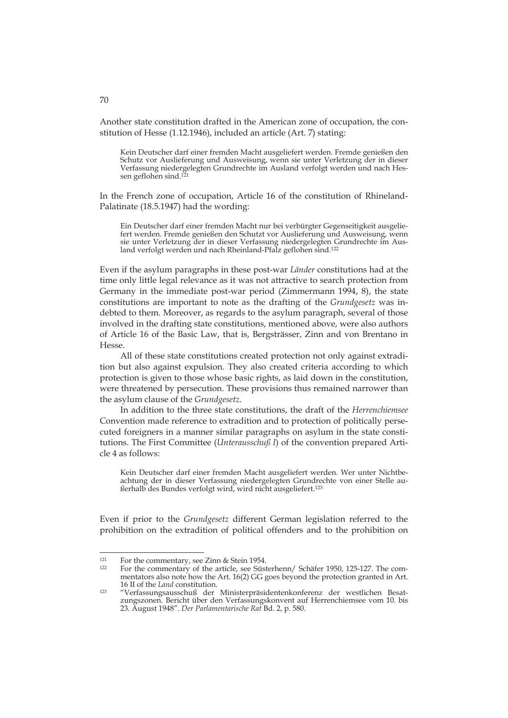Another state constitution drafted in the American zone of occupation, the constitution of Hesse (1.12.1946), included an article (Art. 7) stating:

Kein Deutscher darf einer fremden Macht ausgeliefert werden. Fremde genießen den Schutz vor Auslieferung und Ausweisung, wenn sie unter Verletzung der in dieser Verfassung niedergelegten Grundrechte im Ausland verfolgt werden und nach Hessen geflohen sind.121

In the French zone of occupation, Article 16 of the constitution of Rhineland-Palatinate (18.5.1947) had the wording:

Ein Deutscher darf einer fremden Macht nur bei verbürgter Gegenseitigkeit ausgeliefert werden. Fremde genießen den Schutzt vor Auslieferung und Ausweisung, wenn sie unter Verletzung der in dieser Verfassung niedergelegten Grundrechte im Ausland verfolgt werden und nach Rheinland-Pfalz geflohen sind.122

Even if the asylum paragraphs in these post-war *Länder* constitutions had at the time only little legal relevance as it was not attractive to search protection from Germany in the immediate post-war period (Zimmermann 1994, 8), the state constitutions are important to note as the drafting of the *Grundgesetz* was indebted to them. Moreover, as regards to the asylum paragraph, several of those involved in the drafting state constitutions, mentioned above, were also authors of Article 16 of the Basic Law, that is, Bergsträsser, Zinn and von Brentano in Hesse.

All of these state constitutions created protection not only against extradition but also against expulsion. They also created criteria according to which protection is given to those whose basic rights, as laid down in the constitution, were threatened by persecution. These provisions thus remained narrower than the asylum clause of the *Grundgesetz*.

In addition to the three state constitutions, the draft of the *Herrenchiemsee*  Convention made reference to extradition and to protection of politically persecuted foreigners in a manner similar paragraphs on asylum in the state constitutions. The First Committee (*Unterausschuß I*) of the convention prepared Article 4 as follows:

Kein Deutscher darf einer fremden Macht ausgeliefert werden. Wer unter Nichtbeachtung der in dieser Verfassung niedergelegten Grundrechte von einer Stelle außerhalb des Bundes verfolgt wird, wird nicht ausgeliefert.123

Even if prior to the *Grundgesetz* different German legislation referred to the prohibition on the extradition of political offenders and to the prohibition on

-

70

<sup>121</sup> For the commentary, see Zinn & Stein 1954.<br>122 For the commentary of the article, see Süsterhenn/ Schäfer 1950, 125-127. The commentators also note how the Art. 16(2) GG goes beyond the protection granted in Art.

<sup>16</sup> II of the *Land* constitution. 123 "Verfassungsausschuß der Ministerpräsidentenkonferenz der westlichen Besatzungszonen. Bericht über den Verfassungskonvent auf Herrenchiemsee vom 10. bis 23. August 1948". *Der Parlamentarische Rat* Bd. 2, p. 580.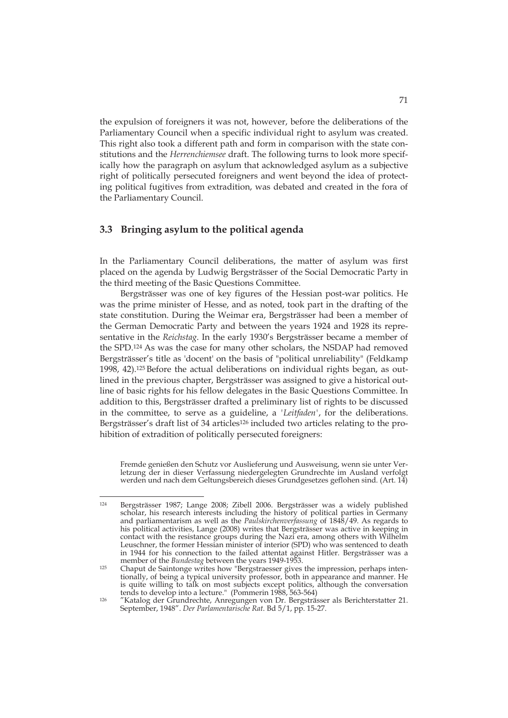the expulsion of foreigners it was not, however, before the deliberations of the Parliamentary Council when a specific individual right to asylum was created. This right also took a different path and form in comparison with the state constitutions and the *Herrenchiemsee* draft. The following turns to look more specifically how the paragraph on asylum that acknowledged asylum as a subjective right of politically persecuted foreigners and went beyond the idea of protecting political fugitives from extradition, was debated and created in the fora of the Parliamentary Council.

## **3.3 Bringing asylum to the political agenda**

-

In the Parliamentary Council deliberations, the matter of asylum was first placed on the agenda by Ludwig Bergsträsser of the Social Democratic Party in the third meeting of the Basic Questions Committee.

Bergsträsser was one of key figures of the Hessian post-war politics. He was the prime minister of Hesse, and as noted, took part in the drafting of the state constitution. During the Weimar era, Bergsträsser had been a member of the German Democratic Party and between the years 1924 and 1928 its representative in the *Reichstag*. In the early 1930's Bergsträsser became a member of the SPD.124 As was the case for many other scholars, the NSDAP had removed Bergsträsser's title as 'docent' on the basis of "political unreliability" (Feldkamp 1998, 42).125 Before the actual deliberations on individual rights began, as outlined in the previous chapter, Bergsträsser was assigned to give a historical outline of basic rights for his fellow delegates in the Basic Questions Committee. In addition to this, Bergsträsser drafted a preliminary list of rights to be discussed in the committee, to serve as a guideline, a *'Leitfaden'*, for the deliberations. Bergsträsser's draft list of 34 articles<sup>126</sup> included two articles relating to the prohibition of extradition of politically persecuted foreigners:

Fremde genießen den Schutz vor Auslieferung und Ausweisung, wenn sie unter Verletzung der in dieser Verfassung niedergelegten Grundrechte im Ausland verfolgt werden und nach dem Geltungsbereich dieses Grundgesetzes geflohen sind. (Art. 14)

<sup>124</sup> Bergsträsser 1987; Lange 2008; Zibell 2006. Bergsträsser was a widely published scholar, his research interests including the history of political parties in Germany and parliamentarism as well as the *Paulskirchenverfassung* of 1848/49. As regards to his political activities, Lange (2008) writes that Bergsträsser was active in keeping in contact with the resistance groups during the Nazi era, among others with Wilhelm Leuschner, the former Hessian minister of interior (SPD) who was sentenced to death in 1944 for his connection to the failed attentat against Hitler. Bergsträsser was a member of the *Bundestag* between the years 1949-1953.<br>Chaput de Saintonge writes how "Bergstraesser gives the impression, perhaps inten-

tionally, of being a typical university professor, both in appearance and manner. He is quite willing to talk on most subjects except politics, although the conversation tends to develop into a lecture." (Pommerin 1988, 563-564) 126 "Katalog der Grundrechte, Anregungen von Dr. Bergsträsser als Berichterstatter 21.

September, 1948". *Der Parlamentarische Rat*. Bd 5/1, pp. 15-27.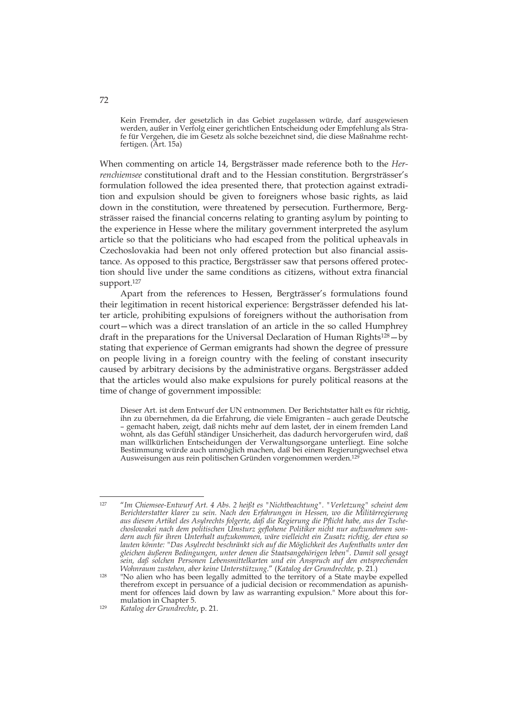Kein Fremder, der gesetzlich in das Gebiet zugelassen würde, darf ausgewiesen werden, außer in Verfolg einer gerichtlichen Entscheidung oder Empfehlung als Strafe für Vergehen, die im Gesetz als solche bezeichnet sind, die diese Maßnahme rechtfertigen. (Art. 15a)

When commenting on article 14, Bergsträsser made reference both to the *Herrenchiemsee* constitutional draft and to the Hessian constitution. Bergrsträsser's formulation followed the idea presented there, that protection against extradition and expulsion should be given to foreigners whose basic rights, as laid down in the constitution, were threatened by persecution. Furthermore, Bergsträsser raised the financial concerns relating to granting asylum by pointing to the experience in Hesse where the military government interpreted the asylum article so that the politicians who had escaped from the political upheavals in Czechoslovakia had been not only offered protection but also financial assistance. As opposed to this practice, Bergsträsser saw that persons offered protection should live under the same conditions as citizens, without extra financial support.127

Apart from the references to Hessen, Bergträsser's formulations found their legitimation in recent historical experience: Bergsträsser defended his latter article, prohibiting expulsions of foreigners without the authorisation from court—which was a direct translation of an article in the so called Humphrey draft in the preparations for the Universal Declaration of Human Rights<sup>128</sup> – by stating that experience of German emigrants had shown the degree of pressure on people living in a foreign country with the feeling of constant insecurity caused by arbitrary decisions by the administrative organs. Bergsträsser added that the articles would also make expulsions for purely political reasons at the time of change of government impossible:

Dieser Art. ist dem Entwurf der UN entnommen. Der Berichtstatter hält es für richtig, ihn zu übernehmen, da die Erfahrung, die viele Emigranten – auch gerade Deutsche – gemacht haben, zeigt, daß nichts mehr auf dem lastet, der in einem fremden Land wohnt, als das Gefühl ständiger Unsicherheit, das dadurch hervorgerufen wird, daß man willkürlichen Entscheidungen der Verwaltungsorgane unterliegt. Eine solche Bestimmung würde auch unmöglich machen, daß bei einem Regierungwechsel etwa Ausweisungen aus rein politischen Gründen vorgenommen werden.129

-

72

<sup>127 &</sup>quot;*Im Chiemsee-Entwurf Art. 4 Abs. 2 heißt es "Nichtbeachtung". "Verletzung" scheint dem Berichterstatter klarer zu sein. Nach den Erfahrungen in Hessen, wo die Militärregierung aus diesem Artikel des Asylrechts folgerte, daß die Regierung die Pflicht habe, aus der Tschechoslowakei nach dem politischen Umsturz geflohene Politiker nicht nur aufzunehmen sondern auch für ihren Unterhalt aufzukommen, wäre vielleicht ein Zusatz richtig, der etwa so lauten könnte: "Das Asylrecht beschränkt sich auf die Möglichkeit des Aufenthalts unter den gleichen äußeren Bedingungen, unter denen die Staatsangehörigen leben". Damit soll gesagt sein, daß solchen Personen Lebensmittelkarten und ein Anspruch auf den entsprechenden* 

*Wohnraum zustehen, aber keine Unterstützung." (Katalog der Grundrechte, p. 21.)* <sup>128</sup> "No alien who has been legally admitted to the territory of a State maybe expelled therefrom except in persuance of a judicial decision or recommendation as apunishment for offences laid down by law as warranting expulsion." More about this for-<br>mulation in Chapter 5.

<sup>&</sup>lt;sup>129</sup> Katalog der Grundrechte, p. 21.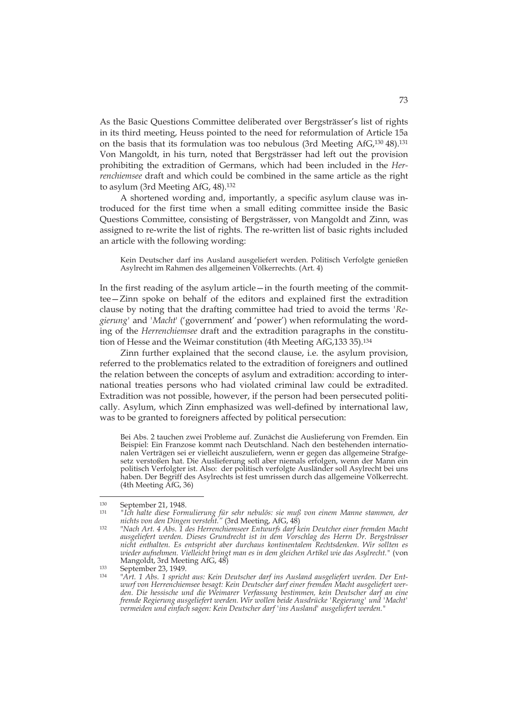As the Basic Questions Committee deliberated over Bergsträsser's list of rights in its third meeting, Heuss pointed to the need for reformulation of Article 15a on the basis that its formulation was too nebulous (3rd Meeting AfG,130 48).131 Von Mangoldt, in his turn, noted that Bergsträsser had left out the provision prohibiting the extradition of Germans, which had been included in the *Herrenchiemsee* draft and which could be combined in the same article as the right to asylum (3rd Meeting AfG, 48).132

A shortened wording and, importantly, a specific asylum clause was introduced for the first time when a small editing committee inside the Basic Questions Committee, consisting of Bergsträsser, von Mangoldt and Zinn, was assigned to re-write the list of rights. The re-written list of basic rights included an article with the following wording:

Kein Deutscher darf ins Ausland ausgeliefert werden. Politisch Verfolgte genießen Asylrecht im Rahmen des allgemeinen Völkerrechts. (Art. 4)

In the first reading of the asylum article—in the fourth meeting of the committee—Zinn spoke on behalf of the editors and explained first the extradition clause by noting that the drafting committee had tried to avoid the terms *'Regierung'* and *'Macht*' ('government' and 'power') when reformulating the wording of the *Herrenchiemsee* draft and the extradition paragraphs in the constitution of Hesse and the Weimar constitution (4th Meeting AfG,133 35).134

Zinn further explained that the second clause, i.e. the asylum provision, referred to the problematics related to the extradition of foreigners and outlined the relation between the concepts of asylum and extradition: according to international treaties persons who had violated criminal law could be extradited. Extradition was not possible, however, if the person had been persecuted politically. Asylum, which Zinn emphasized was well-defined by international law, was to be granted to foreigners affected by political persecution:

Bei Abs. 2 tauchen zwei Probleme auf. Zunächst die Auslieferung von Fremden. Ein Beispiel: Ein Franzose kommt nach Deutschland. Nach den bestehenden internationalen Verträgen sei er vielleicht auszuliefern, wenn er gegen das allgemeine Strafgesetz verstoßen hat. Die Auslieferung soll aber niemals erfolgen, wenn der Mann ein politisch Verfolgter ist. Also: der politisch verfolgte Ausländer soll Asylrecht bei uns haben. Der Begriff des Asylrechts ist fest umrissen durch das allgemeine Völkerrecht. (4th Meeting AfG, 36)

<sup>130</sup> September 21, 1948. 131 *"Ich halte diese Formulierung für sehr nebulös: sie muß von einem Manne stammen, der* 

*nichts von den Dingen versteht."* (3rd Meeting, AfG, 48) 132 "*Nach Art. 4 Abs. 1 des Herrenchiemseer Entwurfs darf kein Deutcher einer fremden Macht ausgeliefert werden. Dieses Grundrecht ist in dem Vorschlag des Herrn Dr. Bergsträsser nicht enthalten. Es entspricht aber durchaus kontinentalem Rechtsdenken. Wir sollten es wieder aufnehmen. Vielleicht bringt man es in dem gleichen Artikel wie das Asylrecht."* (von

Mangoldt, 3rd Meeting AfG, 48) 133 September 23, 1949. 134 "*Art. 1 Abs. 1 spricht aus: Kein Deutscher darf ins Ausland ausgeliefert werden. Der Entwurf von Herrenchiemsee besagt: Kein Deutscher darf einer fremden Macht ausgeliefert werden. Die hessische und die Weimarer Verfassung bestimmen, kein Deutscher darf an eine fremde Regierung ausgeliefert werden. Wir wollen beide Ausdrücke 'Regierung' und 'Macht' vermeiden und einfach sagen: Kein Deutscher darf 'ins Ausland' ausgeliefert werden."*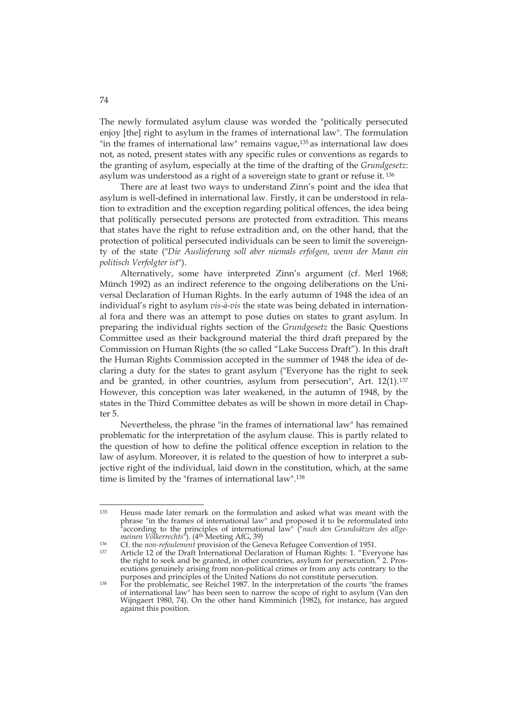The newly formulated asylum clause was worded the "politically persecuted enjoy [the] right to asylum in the frames of international law". The formulation "in the frames of international law" remains vague,<sup>135</sup> as international law does not, as noted, present states with any specific rules or conventions as regards to the granting of asylum, especially at the time of the drafting of the *Grundgesetz*: asylum was understood as a right of a sovereign state to grant or refuse it. 136

There are at least two ways to understand Zinn's point and the idea that asylum is well-defined in international law. Firstly, it can be understood in relation to extradition and the exception regarding political offences, the idea being that politically persecuted persons are protected from extradition. This means that states have the right to refuse extradition and, on the other hand, that the protection of political persecuted individuals can be seen to limit the sovereignty of the state ("*Die Auslieferung soll aber niemals erfolgen, wenn der Mann ein politisch Verfolgter ist*").

Alternatively, some have interpreted Zinn's argument (cf. Merl 1968; Münch 1992) as an indirect reference to the ongoing deliberations on the Universal Declaration of Human Rights. In the early autumn of 1948 the idea of an individual's right to asylum *vis-à-vis* the state was being debated in international fora and there was an attempt to pose duties on states to grant asylum. In preparing the individual rights section of the *Grundgesetz* the Basic Questions Committee used as their background material the third draft prepared by the Commission on Human Rights (the so called "Lake Success Draft"). In this draft the Human Rights Commission accepted in the summer of 1948 the idea of declaring a duty for the states to grant asylum ("Everyone has the right to seek and be granted, in other countries, asylum from persecution", Art. 12(1).<sup>137</sup> However, this conception was later weakened, in the autumn of 1948, by the states in the Third Committee debates as will be shown in more detail in Chapter 5.

Nevertheless, the phrase "in the frames of international law" has remained problematic for the interpretation of the asylum clause. This is partly related to the question of how to define the political offence exception in relation to the law of asylum. Moreover, it is related to the question of how to interpret a subjective right of the individual, laid down in the constitution, which, at the same time is limited by the "frames of international law".138

 $135$ Heuss made later remark on the formulation and asked what was meant with the phrase "in the frames of international law" and proposed it to be reformulated into "according to the principles of international law" ("*nach den Grundsätzen des allge-*

<sup>&</sup>lt;sup>136</sup> Cf. the *non-refoulement* provision of the Geneva Refugee Convention of 1951.<br><sup>137</sup> Article 12 of the Draft International Declaration of Human Rights: 1. "Everyone has the right to seek and be granted, in other countries, asylum for persecution." 2. Prosecutions genuinely arising from non-political crimes or from any acts contrary to the purposes and principles of the United Nations do not constitute persecution. purposes and principles of the United Nations do not constitute persecution.<br><sup>138</sup> For the problematic, see Reichel 1987. In the interpretation of the courts "the frames

of international law" has been seen to narrow the scope of right to asylum (Van den Wijngaert 1980, 74). On the other hand Kimminich (1982), for instance, has argued against this position.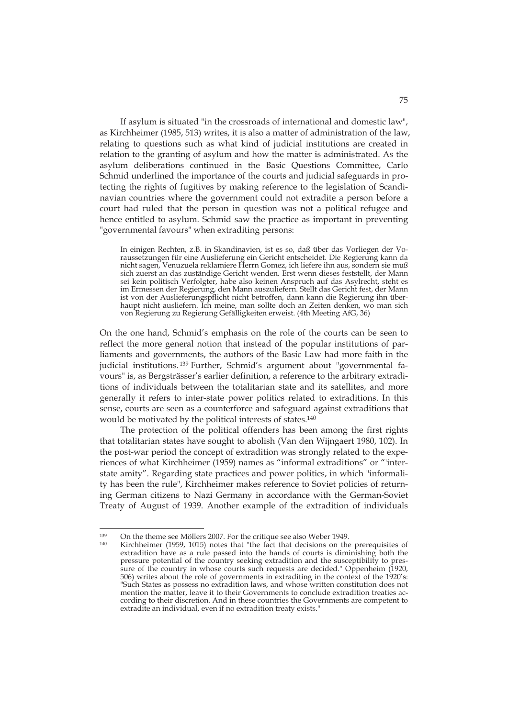If asylum is situated "in the crossroads of international and domestic law", as Kirchheimer (1985, 513) writes, it is also a matter of administration of the law, relating to questions such as what kind of judicial institutions are created in relation to the granting of asylum and how the matter is administrated. As the asylum deliberations continued in the Basic Questions Committee, Carlo Schmid underlined the importance of the courts and judicial safeguards in protecting the rights of fugitives by making reference to the legislation of Scandinavian countries where the government could not extradite a person before a court had ruled that the person in question was not a political refugee and hence entitled to asylum. Schmid saw the practice as important in preventing "governmental favours" when extraditing persons:

In einigen Rechten, z.B. in Skandinavien, ist es so, daß über das Vorliegen der Voraussetzungen für eine Auslieferung ein Gericht entscheidet. Die Regierung kann da nicht sagen, Venuzuela reklamiere Herrn Gomez, ich liefere ihn aus, sondern sie muß sich zuerst an das zuständige Gericht wenden. Erst wenn dieses feststellt, der Mann sei kein politisch Verfolgter, habe also keinen Anspruch auf das Asylrecht, steht es im Ermessen der Regierung, den Mann auszuliefern. Stellt das Gericht fest, der Mann ist von der Auslieferungspflicht nicht betroffen, dann kann die Regierung ihn überhaupt nicht ausliefern. Ich meine, man sollte doch an Zeiten denken, wo man sich von Regierung zu Regierung Gefälligkeiten erweist. (4th Meeting AfG, 36)

On the one hand, Schmid's emphasis on the role of the courts can be seen to reflect the more general notion that instead of the popular institutions of parliaments and governments, the authors of the Basic Law had more faith in the judicial institutions. 139 Further, Schmid's argument about "governmental favours" is, as Bergsträsser's earlier definition, a reference to the arbitrary extraditions of individuals between the totalitarian state and its satellites, and more generally it refers to inter-state power politics related to extraditions. In this sense, courts are seen as a counterforce and safeguard against extraditions that would be motivated by the political interests of states.140

The protection of the political offenders has been among the first rights that totalitarian states have sought to abolish (Van den Wijngaert 1980, 102). In the post-war period the concept of extradition was strongly related to the experiences of what Kirchheimer (1959) names as "informal extraditions" or "'interstate amity". Regarding state practices and power politics, in which "informality has been the rule", Kirchheimer makes reference to Soviet policies of returning German citizens to Nazi Germany in accordance with the German-Soviet Treaty of August of 1939. Another example of the extradition of individuals

<sup>&</sup>lt;sup>139</sup> On the theme see Möllers 2007. For the critique see also Weber 1949.<br><sup>140</sup> Kirchheimer (1959, 1015) notes that "the fact that decisions on the prerequisites of extradition have as a rule passed into the hands of courts is diminishing both the pressure potential of the country seeking extradition and the susceptibility to pressure of the country in whose courts such requests are decided." Oppenheim (1920, 506) writes about the role of governments in extraditing in the context of the 1920's: "Such States as possess no extradition laws, and whose written constitution does not mention the matter, leave it to their Governments to conclude extradition treaties according to their discretion. And in these countries the Governments are competent to extradite an individual, even if no extradition treaty exists."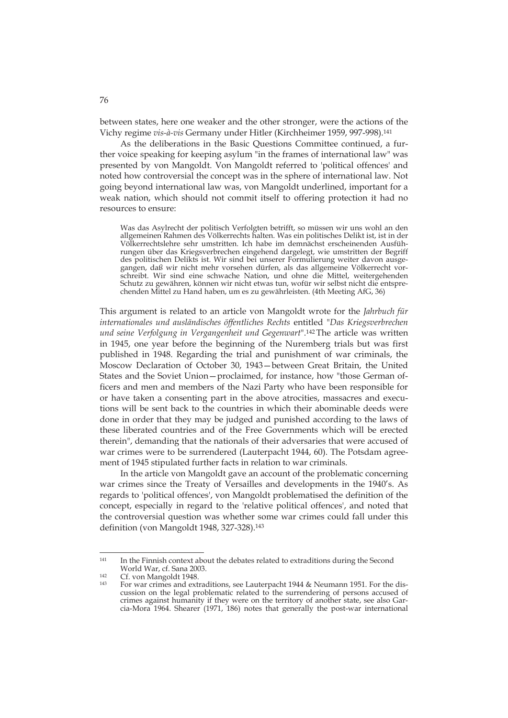between states, here one weaker and the other stronger, were the actions of the Vichy regime *vis-à-vis* Germany under Hitler (Kirchheimer 1959, 997-998).141

As the deliberations in the Basic Questions Committee continued, a further voice speaking for keeping asylum "in the frames of international law" was presented by von Mangoldt. Von Mangoldt referred to 'political offences' and noted how controversial the concept was in the sphere of international law. Not going beyond international law was, von Mangoldt underlined, important for a weak nation, which should not commit itself to offering protection it had no resources to ensure:

Was das Asylrecht der politisch Verfolgten betrifft, so müssen wir uns wohl an den allgemeinen Rahmen des Völkerrechts halten. Was ein politisches Delikt ist, ist in der Völkerrechtslehre sehr umstritten. Ich habe im demnächst erscheinenden Ausführungen über das Kriegsverbrechen eingehend dargelegt, wie umstritten der Begriff des politischen Delikts ist. Wir sind bei unserer Formulierung weiter davon ausgegangen, daß wir nicht mehr vorsehen dürfen, als das allgemeine Völkerrecht vorschreibt. Wir sind eine schwache Nation, und ohne die Mittel, weitergehenden Schutz zu gewähren, können wir nicht etwas tun, wofür wir selbst nicht die entsprechenden Mittel zu Hand haben, um es zu gewährleisten. (4th Meeting AfG, 36)

This argument is related to an article von Mangoldt wrote for the *Jahrbuch für internationales und ausländisches öffentliches Rechts* entitled "*Das Kriegsverbrechen und seine Verfolgung in Vergangenheit und Gegenwart*".142 The article was written in 1945, one year before the beginning of the Nuremberg trials but was first published in 1948. Regarding the trial and punishment of war criminals, the Moscow Declaration of October 30, 1943—between Great Britain, the United States and the Soviet Union—proclaimed, for instance, how "those German officers and men and members of the Nazi Party who have been responsible for or have taken a consenting part in the above atrocities, massacres and executions will be sent back to the countries in which their abominable deeds were done in order that they may be judged and punished according to the laws of these liberated countries and of the Free Governments which will be erected therein", demanding that the nationals of their adversaries that were accused of war crimes were to be surrendered (Lauterpacht 1944, 60). The Potsdam agreement of 1945 stipulated further facts in relation to war criminals.

In the article von Mangoldt gave an account of the problematic concerning war crimes since the Treaty of Versailles and developments in the 1940's. As regards to 'political offences', von Mangoldt problematised the definition of the concept, especially in regard to the 'relative political offences', and noted that the controversial question was whether some war crimes could fall under this definition (von Mangoldt 1948, 327-328).<sup>143</sup>

<sup>141</sup> In the Finnish context about the debates related to extraditions during the Second World War, cf. Sana 2003.

<sup>&</sup>lt;sup>142</sup> Cf. von Mangoldt 1948.<br><sup>143</sup> For war crimes and extraditions, see Lauterpacht 1944 & Neumann 1951. For the discussion on the legal problematic related to the surrendering of persons accused of crimes against humanity if they were on the territory of another state, see also Garcia-Mora 1964. Shearer (1971, 186) notes that generally the post-war international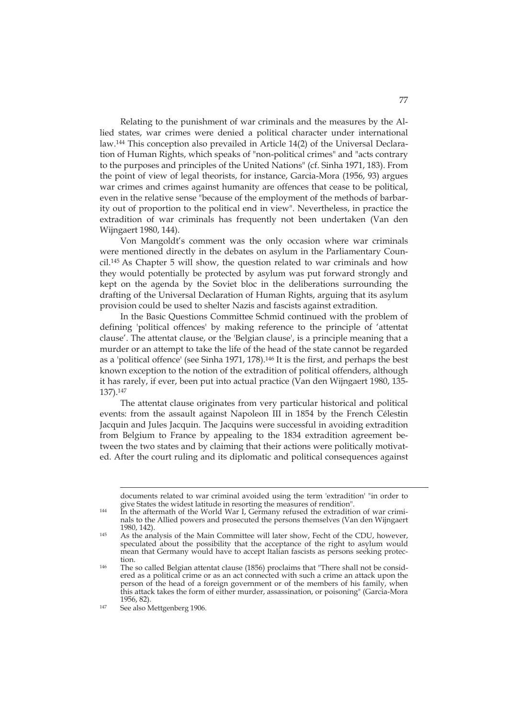Relating to the punishment of war criminals and the measures by the Allied states, war crimes were denied a political character under international law.144 This conception also prevailed in Article 14(2) of the Universal Declaration of Human Rights, which speaks of "non-political crimes" and "acts contrary to the purposes and principles of the United Nations" (cf. Sinha 1971, 183). From the point of view of legal theorists, for instance, Garcia-Mora (1956, 93) argues war crimes and crimes against humanity are offences that cease to be political, even in the relative sense "because of the employment of the methods of barbarity out of proportion to the political end in view". Nevertheless, in practice the extradition of war criminals has frequently not been undertaken (Van den Wijngaert 1980, 144).

Von Mangoldt's comment was the only occasion where war criminals were mentioned directly in the debates on asylum in the Parliamentary Council.145 As Chapter 5 will show, the question related to war criminals and how they would potentially be protected by asylum was put forward strongly and kept on the agenda by the Soviet bloc in the deliberations surrounding the drafting of the Universal Declaration of Human Rights, arguing that its asylum provision could be used to shelter Nazis and fascists against extradition.

In the Basic Questions Committee Schmid continued with the problem of defining 'political offences' by making reference to the principle of 'attentat clause'. The attentat clause, or the 'Belgian clause', is a principle meaning that a murder or an attempt to take the life of the head of the state cannot be regarded as a 'political offence' (see Sinha 1971, 178).146 It is the first, and perhaps the best known exception to the notion of the extradition of political offenders, although it has rarely, if ever, been put into actual practice (Van den Wijngaert 1980, 135- 137).147

The attentat clause originates from very particular historical and political events: from the assault against Napoleon III in 1854 by the French Célestin Jacquin and Jules Jacquin. The Jacquins were successful in avoiding extradition from Belgium to France by appealing to the 1834 extradition agreement between the two states and by claiming that their actions were politically motivated. After the court ruling and its diplomatic and political consequences against

documents related to war criminal avoided using the term 'extradition' "in order to

 $144$  In the aftermath of the World War I, Germany refused the extradition of war criminals to the Allied powers and prosecuted the persons themselves (Van den Wijngaert 1980, 142).<br>
As the analysis of the Main Committee will later show, Fecht of the CDU, however,

speculated about the possibility that the acceptance of the right to asylum would mean that Germany would have to accept Italian fascists as persons seeking protection.<br>
<sup>146</sup> The so called Belgian attentat clause (1856) proclaims that "There shall not be consid-

ered as a political crime or as an act connected with such a crime an attack upon the person of the head of a foreign government or of the members of his family, when this attack takes the form of either murder, assassination, or poisoning" (Garcia-Mora

<sup>147</sup> See also Mettgenberg 1906.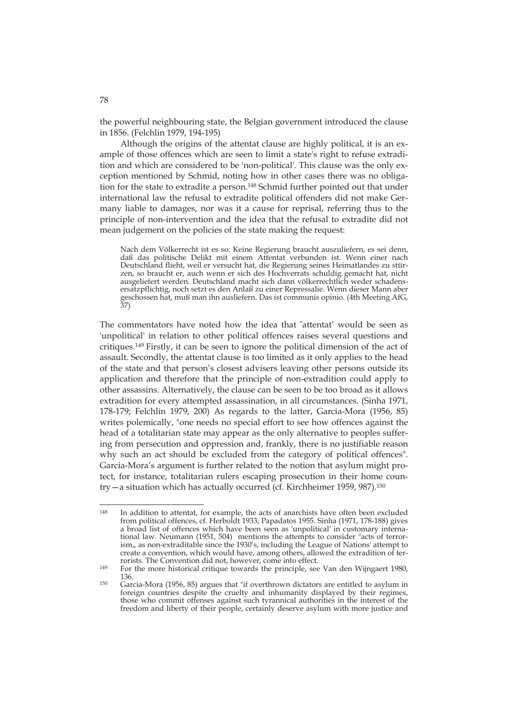the powerful neighbouring state, the Belgian government introduced the clause in 1856. (Felchlin 1979, 194-195)

Although the origins of the attentat clause are highly political, it is an example of those offences which are seen to limit a state's right to refuse extradition and which are considered to be 'non-political'. This clause was the only exception mentioned by Schmid, noting how in other cases there was no obligation for the state to extradite a person.148 Schmid further pointed out that under international law the refusal to extradite political offenders did not make Germany liable to damages, nor was it a cause for reprisal, referring thus to the principle of non-intervention and the idea that the refusal to extradite did not mean judgement on the policies of the state making the request:

Nach dem Völkerrecht ist es so: Keine Regierung braucht auszuliefern, es sei denn, daß das politische Delikt mit einem Attentat verbunden ist. Wenn einer nach Deutschland flieht, weil er versucht hat, die Regierung seines Heimatlandes zu stürzen, so braucht er, auch wenn er sich des Hochverrats schuldig gemacht hat, nicht ausgeliefert werden. Deutschland macht sich dann völkerrechtlich weder schadensersatzpflichtig, noch setzt es den Anlaß zu einer Repressalie. Wenn dieser Mann aber geschossen hat, muß man ihn ausliefern. Das ist communis opinio. (4th Meeting AfG, 37)

The commentators have noted how the idea that 'attentat' would be seen as 'unpolitical' in relation to other political offences raises several questions and critiques.149 Firstly, it can be seen to ignore the political dimension of the act of assault. Secondly, the attentat clause is too limited as it only applies to the head of the state and that person's closest advisers leaving other persons outside its application and therefore that the principle of non-extradition could apply to other assassins. Alternatively, the clause can be seen to be too broad as it allows extradition for every attempted assassination, in all circumstances. (Sinha 1971, 178-179; Felchlin 1979, 200) As regards to the latter, Garcia-Mora (1956, 85) writes polemically, "one needs no special effort to see how offences against the head of a totalitarian state may appear as the only alternative to peoples suffering from persecution and oppression and, frankly, there is no justifiable reason why such an act should be excluded from the category of political offences". Garcia-Mora's argument is further related to the notion that asylum might protect, for instance, totalitarian rulers escaping prosecution in their home country—a situation which has actually occurred (cf. Kirchheimer 1959, 987).150

 $148$ In addition to attentat, for example, the acts of anarchists have often been excluded from political offences, cf. Herboldt 1933; Papadatos 1955. Sinha (1971, 178-188) gives a broad list of offences which have been seen as 'unpolitical' in customary international law. Neumann (1951, 504) mentions the attempts to consider "acts of terrorism,, as non-extraditable since the 1930's, including the League of Nations' attempt to create a convention, which would have, among others, allowed the extradition of ter-

For the more historical critique towards the principle, see Van den Wijngaert 1980,  $136$ 

<sup>136. 150</sup> Garcia-Mora (1956, 85) argues that "if overthrown dictators are entitled to asylum in foreign countries despite the cruelty and inhumanity displayed by their regimes, those who commit offenses against such tyrannical authorities in the interest of the freedom and liberty of their people, certainly deserve asylum with more justice and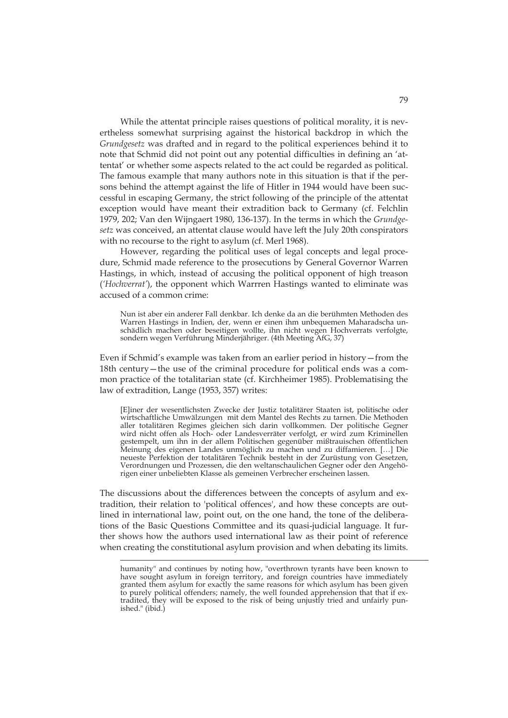While the attentat principle raises questions of political morality, it is nevertheless somewhat surprising against the historical backdrop in which the *Grundgesetz* was drafted and in regard to the political experiences behind it to note that Schmid did not point out any potential difficulties in defining an 'attentat' or whether some aspects related to the act could be regarded as political. The famous example that many authors note in this situation is that if the persons behind the attempt against the life of Hitler in 1944 would have been successful in escaping Germany, the strict following of the principle of the attentat exception would have meant their extradition back to Germany (cf. Felchlin 1979, 202; Van den Wijngaert 1980, 136-137). In the terms in which the *Grundgesetz* was conceived, an attentat clause would have left the July 20th conspirators with no recourse to the right to asylum (cf. Merl 1968).

However, regarding the political uses of legal concepts and legal procedure, Schmid made reference to the prosecutions by General Governor Warren Hastings, in which, instead of accusing the political opponent of high treason (*'Hochverrat'*), the opponent which Warrren Hastings wanted to eliminate was accused of a common crime:

Nun ist aber ein anderer Fall denkbar. Ich denke da an die berühmten Methoden des Warren Hastings in Indien, der, wenn er einen ihm unbequemen Maharadscha unschädlich machen oder beseitigen wollte, ihn nicht wegen Hochverrats verfolgte, sondern wegen Verführung Minderjähriger. (4th Meeting AfG, 37)

Even if Schmid's example was taken from an earlier period in history—from the 18th century—the use of the criminal procedure for political ends was a common practice of the totalitarian state (cf. Kirchheimer 1985). Problematising the law of extradition, Lange (1953, 357) writes:

[E]iner der wesentlichsten Zwecke der Justiz totalitärer Staaten ist, politische oder wirtschaftliche Umwälzungen mit dem Mantel des Rechts zu tarnen. Die Methoden aller totalitären Regimes gleichen sich darin vollkommen. Der politische Gegner wird nicht offen als Hoch- oder Landesverräter verfolgt, er wird zum Kriminellen gestempelt, um ihn in der allem Politischen gegenüber mißtrauischen öffentlichen Meinung des eigenen Landes unmöglich zu machen und zu diffamieren. […] Die neueste Perfektion der totalitären Technik besteht in der Zurüstung von Gesetzen, Verordnungen und Prozessen, die den weltanschaulichen Gegner oder den Angehörigen einer unbeliebten Klasse als gemeinen Verbrecher erscheinen lassen.

The discussions about the differences between the concepts of asylum and extradition, their relation to 'political offences', and how these concepts are outlined in international law, point out, on the one hand, the tone of the deliberations of the Basic Questions Committee and its quasi-judicial language. It further shows how the authors used international law as their point of reference when creating the constitutional asylum provision and when debating its limits.

humanity" and continues by noting how, "overthrown tyrants have been known to have sought asylum in foreign territory, and foreign countries have immediately granted them asylum for exactly the same reasons for which asylum has been given to purely political offenders; namely, the well founded apprehension that that if extradited, they will be exposed to the risk of being unjustly tried and unfairly punished." (ibid.)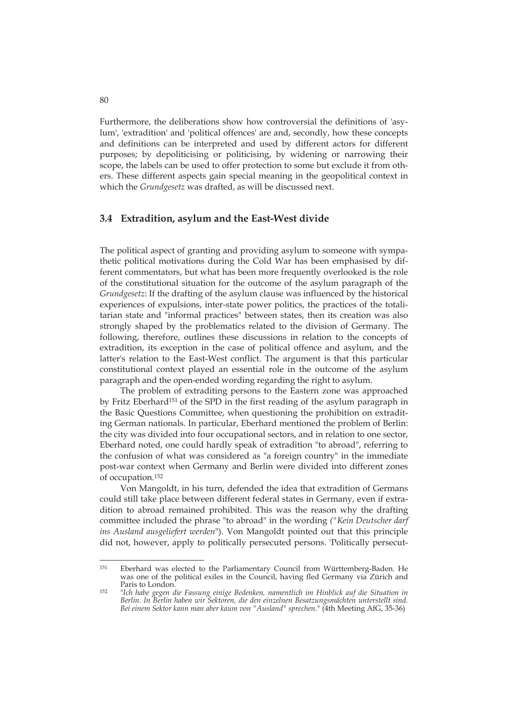Furthermore, the deliberations show how controversial the definitions of 'asylum', 'extradition' and 'political offences' are and, secondly, how these concepts and definitions can be interpreted and used by different actors for different purposes; by depoliticising or politicising, by widening or narrowing their scope, the labels can be used to offer protection to some but exclude it from others. These different aspects gain special meaning in the geopolitical context in which the *Grundgesetz* was drafted, as will be discussed next.

#### **3.4 Extradition, asylum and the East-West divide**

The political aspect of granting and providing asylum to someone with sympathetic political motivations during the Cold War has been emphasised by different commentators, but what has been more frequently overlooked is the role of the constitutional situation for the outcome of the asylum paragraph of the *Grundgesetz*: If the drafting of the asylum clause was influenced by the historical experiences of expulsions, inter-state power politics, the practices of the totalitarian state and "informal practices" between states, then its creation was also strongly shaped by the problematics related to the division of Germany. The following, therefore, outlines these discussions in relation to the concepts of extradition, its exception in the case of political offence and asylum, and the latter's relation to the East-West conflict. The argument is that this particular constitutional context played an essential role in the outcome of the asylum paragraph and the open-ended wording regarding the right to asylum.

The problem of extraditing persons to the Eastern zone was approached by Fritz Eberhard151 of the SPD in the first reading of the asylum paragraph in the Basic Questions Committee, when questioning the prohibition on extraditing German nationals. In particular, Eberhard mentioned the problem of Berlin: the city was divided into four occupational sectors, and in relation to one sector, Eberhard noted, one could hardly speak of extradition "to abroad", referring to the confusion of what was considered as "a foreign country" in the immediate post-war context when Germany and Berlin were divided into different zones of occupation.152

Von Mangoldt, in his turn, defended the idea that extradition of Germans could still take place between different federal states in Germany, even if extradition to abroad remained prohibited. This was the reason why the drafting committee included the phrase "to abroad" in the wording *("Kein Deutscher darf ins Ausland ausgeliefert werden*"). Von Mangoldt pointed out that this principle did not, however, apply to politically persecuted persons. 'Politically persecut-

<sup>151</sup> 151 Eberhard was elected to the Parliamentary Council from Württemberg-Baden. He was one of the political exiles in the Council, having fled Germany via Zürich and Paris to London. 152 "*Ich habe gegen die Fassung einige Bedenken, namentlich im Hinblick auf die Situation in* 

*Berlin. In Berlin haben wir Sektoren, die den einzelnen Besatzungsmächten unterstellt sind. Bei einem Sektor kann man aber kaum von "Ausland" sprechen*." (4th Meeting AfG, 35-36)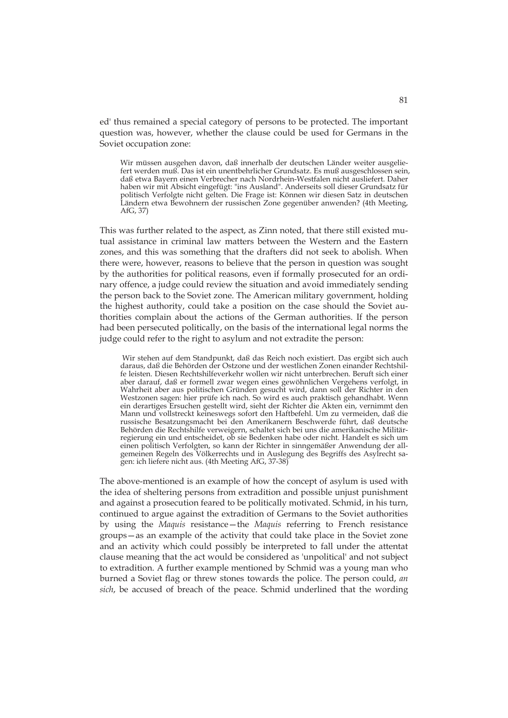ed' thus remained a special category of persons to be protected. The important question was, however, whether the clause could be used for Germans in the Soviet occupation zone:

Wir müssen ausgehen davon, daß innerhalb der deutschen Länder weiter ausgeliefert werden muß. Das ist ein unentbehrlicher Grundsatz. Es muß ausgeschlossen sein, daß etwa Bayern einen Verbrecher nach Nordrhein-Westfalen nicht ausliefert. Daher haben wir mit Absicht eingefügt: "ins Ausland". Anderseits soll dieser Grundsatz für politisch Verfolgte nicht gelten. Die Frage ist: Können wir diesen Satz in deutschen Ländern etwa Bewohnern der russischen Zone gegenüber anwenden? (4th Meeting, AfG, 37)

This was further related to the aspect, as Zinn noted, that there still existed mutual assistance in criminal law matters between the Western and the Eastern zones, and this was something that the drafters did not seek to abolish. When there were, however, reasons to believe that the person in question was sought by the authorities for political reasons, even if formally prosecuted for an ordinary offence, a judge could review the situation and avoid immediately sending the person back to the Soviet zone. The American military government, holding the highest authority, could take a position on the case should the Soviet authorities complain about the actions of the German authorities. If the person had been persecuted politically, on the basis of the international legal norms the judge could refer to the right to asylum and not extradite the person:

 Wir stehen auf dem Standpunkt, daß das Reich noch existiert. Das ergibt sich auch daraus, daß die Behörden der Ostzone und der westlichen Zonen einander Rechtshilfe leisten. Diesen Rechtshilfeverkehr wollen wir nicht unterbrechen. Beruft sich einer aber darauf, daß er formell zwar wegen eines gewöhnlichen Vergehens verfolgt, in Wahrheit aber aus politischen Gründen gesucht wird, dann soll der Richter in den Westzonen sagen: hier prüfe ich nach. So wird es auch praktisch gehandhabt. Wenn ein derartiges Ersuchen gestellt wird, sieht der Richter die Akten ein, vernimmt den Mann und vollstreckt keineswegs sofort den Haftbefehl. Um zu vermeiden, daß die russische Besatzungsmacht bei den Amerikanern Beschwerde führt, daß deutsche Behörden die Rechtshilfe verweigern, schaltet sich bei uns die amerikanische Militärregierung ein und entscheidet, ob sie Bedenken habe oder nicht. Handelt es sich um einen politisch Verfolgten, so kann der Richter in sinngemäßer Anwendung der allgemeinen Regeln des Völkerrechts und in Auslegung des Begriffs des Asylrecht sagen: ich liefere nicht aus. (4th Meeting AfG, 37-38)

The above-mentioned is an example of how the concept of asylum is used with the idea of sheltering persons from extradition and possible unjust punishment and against a prosecution feared to be politically motivated. Schmid, in his turn, continued to argue against the extradition of Germans to the Soviet authorities by using the *Maquis* resistance—the *Maquis* referring to French resistance groups—as an example of the activity that could take place in the Soviet zone and an activity which could possibly be interpreted to fall under the attentat clause meaning that the act would be considered as 'unpolitical' and not subject to extradition. A further example mentioned by Schmid was a young man who burned a Soviet flag or threw stones towards the police. The person could, *an sich*, be accused of breach of the peace. Schmid underlined that the wording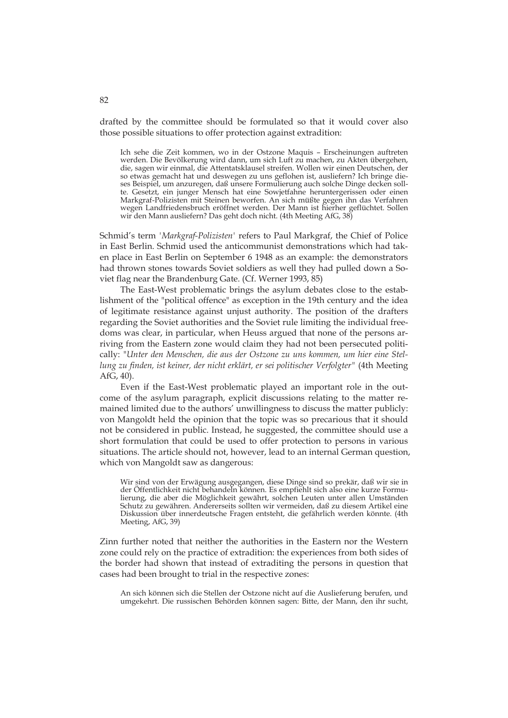drafted by the committee should be formulated so that it would cover also those possible situations to offer protection against extradition:

Ich sehe die Zeit kommen, wo in der Ostzone Maquis – Erscheinungen auftreten werden. Die Bevölkerung wird dann, um sich Luft zu machen, zu Akten übergehen, die, sagen wir einmal, die Attentatsklausel streifen. Wollen wir einen Deutschen, der so etwas gemacht hat und deswegen zu uns geflohen ist, ausliefern? Ich bringe dieses Beispiel, um anzuregen, daß unsere Formulierung auch solche Dinge decken sollte. Gesetzt, ein junger Mensch hat eine Sowjetfahne heruntergerissen oder einen Markgraf-Polizisten mit Steinen beworfen. An sich müßte gegen ihn das Verfahren wegen Landfriedensbruch eröffnet werden. Der Mann ist hierher geflüchtet. Sollen wir den Mann ausliefern? Das geht doch nicht. (4th Meeting AfG, 38)

Schmid's term *'Markgraf-Polizisten'* refers to Paul Markgraf, the Chief of Police in East Berlin. Schmid used the anticommunist demonstrations which had taken place in East Berlin on September 6 1948 as an example: the demonstrators had thrown stones towards Soviet soldiers as well they had pulled down a Soviet flag near the Brandenburg Gate. (Cf. Werner 1993, 85)

The East-West problematic brings the asylum debates close to the establishment of the "political offence" as exception in the 19th century and the idea of legitimate resistance against unjust authority. The position of the drafters regarding the Soviet authorities and the Soviet rule limiting the individual freedoms was clear, in particular, when Heuss argued that none of the persons arriving from the Eastern zone would claim they had not been persecuted politically: "*Unter den Menschen, die aus der Ostzone zu uns kommen, um hier eine Stellung zu finden, ist keiner, der nicht erklärt, er sei politischer Verfolgter"* (4th Meeting AfG, 40).

Even if the East-West problematic played an important role in the outcome of the asylum paragraph, explicit discussions relating to the matter remained limited due to the authors' unwillingness to discuss the matter publicly: von Mangoldt held the opinion that the topic was so precarious that it should not be considered in public. Instead, he suggested, the committee should use a short formulation that could be used to offer protection to persons in various situations. The article should not, however, lead to an internal German question, which von Mangoldt saw as dangerous:

Wir sind von der Erwägung ausgegangen, diese Dinge sind so prekär, daß wir sie in der Öffentlichkeit nicht behandeln können. Es empfiehlt sich also eine kurze Formulierung, die aber die Möglichkeit gewährt, solchen Leuten unter allen Umständen Schutz zu gewähren. Andererseits sollten wir vermeiden, daß zu diesem Artikel eine Diskussion über innerdeutsche Fragen entsteht, die gefährlich werden könnte. (4th Meeting, AfG, 39)

Zinn further noted that neither the authorities in the Eastern nor the Western zone could rely on the practice of extradition: the experiences from both sides of the border had shown that instead of extraditing the persons in question that cases had been brought to trial in the respective zones:

An sich können sich die Stellen der Ostzone nicht auf die Auslieferung berufen, und umgekehrt. Die russischen Behörden können sagen: Bitte, der Mann, den ihr sucht,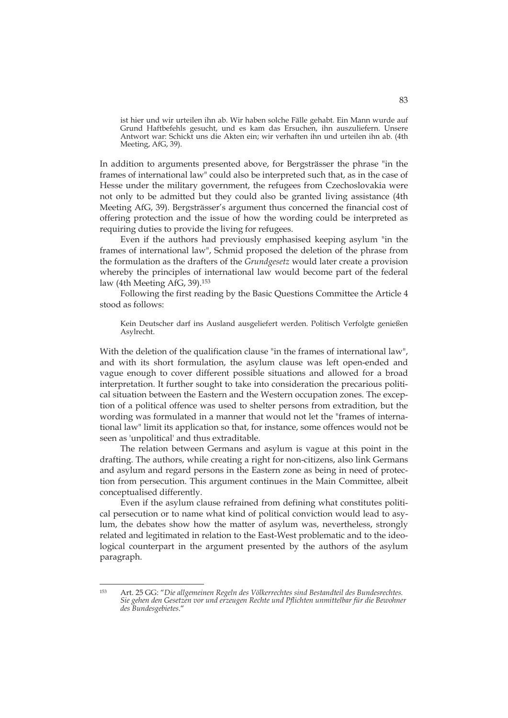ist hier und wir urteilen ihn ab. Wir haben solche Fälle gehabt. Ein Mann wurde auf Grund Haftbefehls gesucht, und es kam das Ersuchen, ihn auszuliefern. Unsere Antwort war: Schickt uns die Akten ein; wir verhaften ihn und urteilen ihn ab. (4th Meeting, AfG, 39).

In addition to arguments presented above, for Bergsträsser the phrase "in the frames of international law" could also be interpreted such that, as in the case of Hesse under the military government, the refugees from Czechoslovakia were not only to be admitted but they could also be granted living assistance (4th Meeting AfG, 39). Bergsträsser's argument thus concerned the financial cost of offering protection and the issue of how the wording could be interpreted as requiring duties to provide the living for refugees.

Even if the authors had previously emphasised keeping asylum "in the frames of international law", Schmid proposed the deletion of the phrase from the formulation as the drafters of the *Grundgesetz* would later create a provision whereby the principles of international law would become part of the federal law (4th Meeting AfG, 39).153

Following the first reading by the Basic Questions Committee the Article 4 stood as follows:

Kein Deutscher darf ins Ausland ausgeliefert werden. Politisch Verfolgte genießen Asylrecht.

With the deletion of the qualification clause "in the frames of international law", and with its short formulation, the asylum clause was left open-ended and vague enough to cover different possible situations and allowed for a broad interpretation. It further sought to take into consideration the precarious political situation between the Eastern and the Western occupation zones. The exception of a political offence was used to shelter persons from extradition, but the wording was formulated in a manner that would not let the "frames of international law" limit its application so that, for instance, some offences would not be seen as 'unpolitical' and thus extraditable.

The relation between Germans and asylum is vague at this point in the drafting. The authors, while creating a right for non-citizens, also link Germans and asylum and regard persons in the Eastern zone as being in need of protection from persecution. This argument continues in the Main Committee, albeit conceptualised differently.

Even if the asylum clause refrained from defining what constitutes political persecution or to name what kind of political conviction would lead to asylum, the debates show how the matter of asylum was, nevertheless, strongly related and legitimated in relation to the East-West problematic and to the ideological counterpart in the argument presented by the authors of the asylum paragraph.

<sup>153</sup> 153 Art. 25 GG: "*Die allgemeinen Regeln des Völkerrechtes sind Bestandteil des Bundesrechtes. Sie gehen den Gesetzen vor und erzeugen Rechte und Pflichten unmittelbar für die Bewohner des Bundesgebietes*."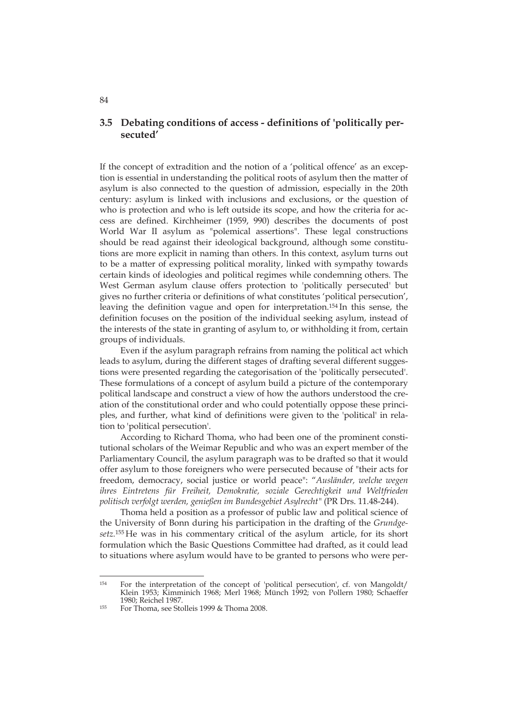# **3.5 Debating conditions of access - definitions of 'politically persecuted'**

If the concept of extradition and the notion of a 'political offence' as an exception is essential in understanding the political roots of asylum then the matter of asylum is also connected to the question of admission, especially in the 20th century: asylum is linked with inclusions and exclusions, or the question of who is protection and who is left outside its scope, and how the criteria for access are defined. Kirchheimer (1959, 990) describes the documents of post World War II asylum as "polemical assertions". These legal constructions should be read against their ideological background, although some constitutions are more explicit in naming than others. In this context, asylum turns out to be a matter of expressing political morality, linked with sympathy towards certain kinds of ideologies and political regimes while condemning others. The West German asylum clause offers protection to 'politically persecuted' but gives no further criteria or definitions of what constitutes 'political persecution', leaving the definition vague and open for interpretation.154 In this sense, the definition focuses on the position of the individual seeking asylum, instead of the interests of the state in granting of asylum to, or withholding it from, certain groups of individuals.

Even if the asylum paragraph refrains from naming the political act which leads to asylum, during the different stages of drafting several different suggestions were presented regarding the categorisation of the 'politically persecuted'. These formulations of a concept of asylum build a picture of the contemporary political landscape and construct a view of how the authors understood the creation of the constitutional order and who could potentially oppose these principles, and further, what kind of definitions were given to the 'political' in relation to 'political persecution'.

According to Richard Thoma, who had been one of the prominent constitutional scholars of the Weimar Republic and who was an expert member of the Parliamentary Council, the asylum paragraph was to be drafted so that it would offer asylum to those foreigners who were persecuted because of "their acts for freedom, democracy, social justice or world peace": "*Ausländer, welche wegen ihres Eintretens für Freiheit, Demokratie, soziale Gerechtigkeit und Weltfrieden politisch verfolgt werden, genießen im Bundesgebiet Asylrecht"* (PR Drs. 11.48-244).

Thoma held a position as a professor of public law and political science of the University of Bonn during his participation in the drafting of the *Grundgesetz.*155 He was in his commentary critical of the asylum article, for its short formulation which the Basic Questions Committee had drafted, as it could lead to situations where asylum would have to be granted to persons who were per-

<sup>154</sup> For the interpretation of the concept of 'political persecution', cf. von Mangoldt/ Klein 1953; Kimminich 1968; Merl 1968; Münch 1992; von Pollern 1980; Schaeffer<br>1980: Reichel 1987

<sup>&</sup>lt;sup>155</sup> For Thoma, see Stolleis 1999 & Thoma 2008.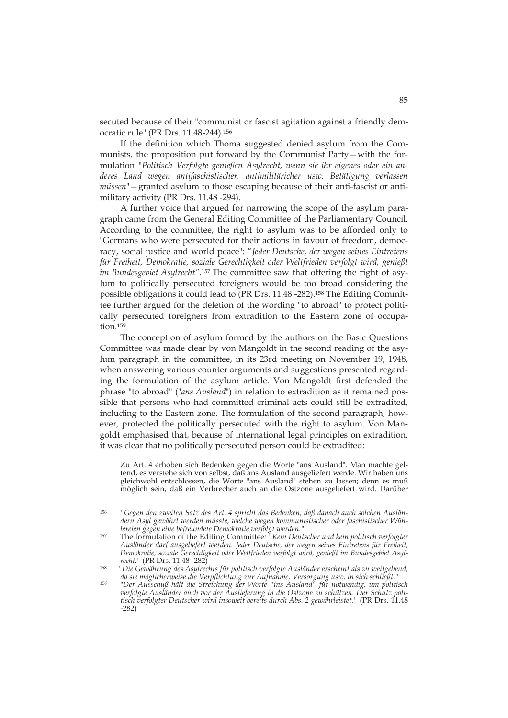secuted because of their "communist or fascist agitation against a friendly democratic rule" (PR Drs. 11.48-244).156

If the definition which Thoma suggested denied asylum from the Communists, the proposition put forward by the Communist Party—with the formulation "*Politisch Verfolgte genießen Asylrecht, wenn sie ihr eigenes oder ein anderes Land wegen antifaschistischer, antimilitäricher usw. Betätigung verlassen müssen*"—granted asylum to those escaping because of their anti-fascist or antimilitary activity (PR Drs. 11.48 -294).

A further voice that argued for narrowing the scope of the asylum paragraph came from the General Editing Committee of the Parliamentary Council. According to the committee, the right to asylum was to be afforded only to "Germans who were persecuted for their actions in favour of freedom, democracy, social justice and world peace": "*Jeder Deutsche, der wegen seines Eintretens für Freiheit, Demokratie, soziale Gerechtigkeit oder Weltfrieden verfolgt wird, genießt im Bundesgebiet Asylrecht"*.157 The committee saw that offering the right of asylum to politically persecuted foreigners would be too broad considering the possible obligations it could lead to (PR Drs. 11.48 -282).158 The Editing Committee further argued for the deletion of the wording "to abroad" to protect politically persecuted foreigners from extradition to the Eastern zone of occupation.159

The conception of asylum formed by the authors on the Basic Questions Committee was made clear by von Mangoldt in the second reading of the asylum paragraph in the committee, in its 23rd meeting on November 19, 1948, when answering various counter arguments and suggestions presented regarding the formulation of the asylum article. Von Mangoldt first defended the phrase "to abroad" ("*ans Ausland*") in relation to extradition as it remained possible that persons who had committed criminal acts could still be extradited, including to the Eastern zone. The formulation of the second paragraph, however, protected the politically persecuted with the right to asylum. Von Mangoldt emphasised that, because of international legal principles on extradition, it was clear that no politically persecuted person could be extradited:

Zu Art. 4 erhoben sich Bedenken gegen die Worte "ans Ausland". Man machte geltend, es verstehe sich von selbst, daß ans Ausland ausgeliefert werde. Wir haben uns gleichwohl entschlossen, die Worte "ans Ausland" stehen zu lassen; denn es muß möglich sein, daß ein Verbrecher auch an die Ostzone ausgeliefert wird. Darüber

<sup>156</sup> *"Gegen den zweiten Satz des Art. 4 spricht das Bedenken, daß danach auch solchen Ausländern Asyl gewährt werden müsste, welche wegen kommunistischer oder faschistischer Wühlereien gegen eine befreundete Demokratie verfolgt werden."* 157 The formulation of the Editing Committee*: "Kein Deutscher und kein politisch verfolgter* 

*Ausländer darf ausgeliefert werden. Jeder Deutsche, der wegen seines Eintretens für Freiheit, Demokratie, soziale Gerechtigkeit oder Weltfrieden verfolgt wird, genießt im Bundesgebiet Asyl-*

recht." (PR Drs. 11.48 -282)<br><sup>158</sup> "Die Gewährung des Asylrechts für politisch verfolgte Ausländer erscheint als zu weitgehend, *da sie möglicherweise die Verpflichtung zur Aufnahme, Versorgung usw. in sich schließt."*

<sup>159 &</sup>quot;*Der Ausschuß hält die Streichung der Worte "ins Ausland" für notwendig, um politisch verfolgte Ausländer auch vor der Auslieferung in die Ostzone zu schützen. Der Schutz politisch verfolgter Deutscher wird insoweit bereits durch Abs. 2 gewährleistet."* (PR Drs. 11.48 -282)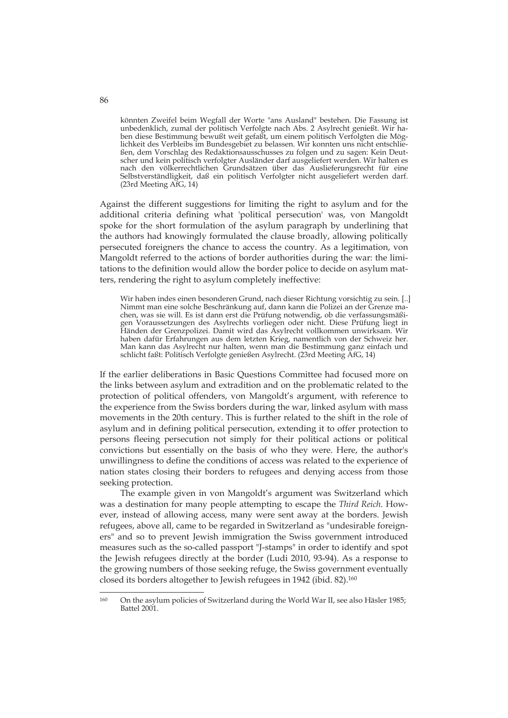könnten Zweifel beim Wegfall der Worte "ans Ausland" bestehen. Die Fassung ist unbedenklich, zumal der politisch Verfolgte nach Abs. 2 Asylrecht genießt. Wir haben diese Bestimmung bewußt weit gefaßt, um einem politisch Verfolgten die Möglichkeit des Verbleibs im Bundesgebiet zu belassen. Wir konnten uns nicht entschließen, dem Vorschlag des Redaktionsausschusses zu folgen und zu sagen: Kein Deutscher und kein politisch verfolgter Ausländer darf ausgeliefert werden. Wir halten es nach den völkerrechtlichen Grundsätzen über das Auslieferungsrecht für eine Selbstverständligkeit, daß ein politisch Verfolgter nicht ausgeliefert werden darf. (23rd Meeting AfG, 14)

Against the different suggestions for limiting the right to asylum and for the additional criteria defining what 'political persecution' was, von Mangoldt spoke for the short formulation of the asylum paragraph by underlining that the authors had knowingly formulated the clause broadly, allowing politically persecuted foreigners the chance to access the country. As a legitimation, von Mangoldt referred to the actions of border authorities during the war: the limitations to the definition would allow the border police to decide on asylum matters, rendering the right to asylum completely ineffective:

Wir haben indes einen besonderen Grund, nach dieser Richtung vorsichtig zu sein. [..] Nimmt man eine solche Beschränkung auf, dann kann die Polizei an der Grenze machen, was sie will. Es ist dann erst die Prüfung notwendig, ob die verfassungsmäßigen Voraussetzungen des Asylrechts vorliegen oder nicht. Diese Prüfung liegt in Händen der Grenzpolizei. Damit wird das Asylrecht vollkommen unwirksam. Wir haben dafür Erfahrungen aus dem letzten Krieg, namentlich von der Schweiz her. Man kann das Asylrecht nur halten, wenn man die Bestimmung ganz einfach und schlicht faßt: Politisch Verfolgte genießen Asylrecht. (23rd Meeting AfG, 14)

If the earlier deliberations in Basic Questions Committee had focused more on the links between asylum and extradition and on the problematic related to the protection of political offenders, von Mangoldt's argument, with reference to the experience from the Swiss borders during the war, linked asylum with mass movements in the 20th century. This is further related to the shift in the role of asylum and in defining political persecution, extending it to offer protection to persons fleeing persecution not simply for their political actions or political convictions but essentially on the basis of who they were. Here, the author's unwillingness to define the conditions of access was related to the experience of nation states closing their borders to refugees and denying access from those seeking protection.

The example given in von Mangoldt's argument was Switzerland which was a destination for many people attempting to escape the *Third Reich*. However, instead of allowing access, many were sent away at the borders. Jewish refugees, above all, came to be regarded in Switzerland as "undesirable foreigners" and so to prevent Jewish immigration the Swiss government introduced measures such as the so-called passport "J-stamps" in order to identify and spot the Jewish refugees directly at the border (Ludi 2010, 93-94). As a response to the growing numbers of those seeking refuge, the Swiss government eventually closed its borders altogether to Jewish refugees in 1942 (ibid. 82).160

86

<sup>160</sup> On the asylum policies of Switzerland during the World War II, see also Häsler 1985; Battel 2001.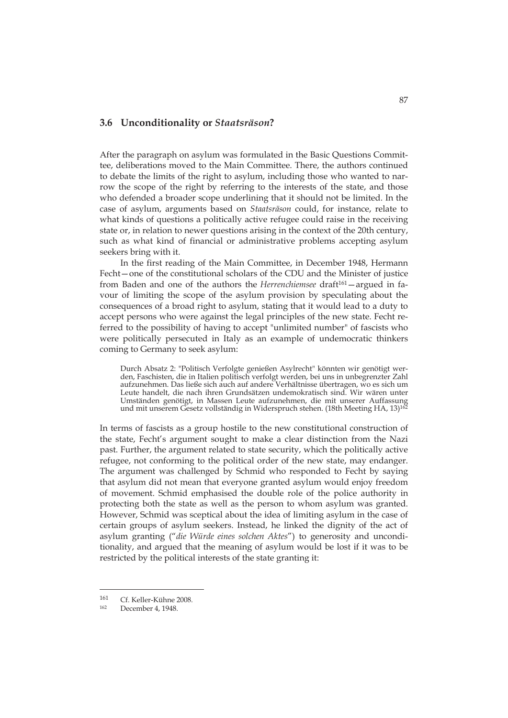#### **3.6 Unconditionality or** *Staatsräson***?**

After the paragraph on asylum was formulated in the Basic Questions Committee, deliberations moved to the Main Committee. There, the authors continued to debate the limits of the right to asylum, including those who wanted to narrow the scope of the right by referring to the interests of the state, and those who defended a broader scope underlining that it should not be limited. In the case of asylum, arguments based on *Staatsräson* could, for instance, relate to what kinds of questions a politically active refugee could raise in the receiving state or, in relation to newer questions arising in the context of the 20th century, such as what kind of financial or administrative problems accepting asylum seekers bring with it.

In the first reading of the Main Committee, in December 1948, Hermann Fecht—one of the constitutional scholars of the CDU and the Minister of justice from Baden and one of the authors the *Herrenchiemsee* draft<sup>161</sup> - argued in favour of limiting the scope of the asylum provision by speculating about the consequences of a broad right to asylum, stating that it would lead to a duty to accept persons who were against the legal principles of the new state. Fecht referred to the possibility of having to accept "unlimited number" of fascists who were politically persecuted in Italy as an example of undemocratic thinkers coming to Germany to seek asylum:

Durch Absatz 2: "Politisch Verfolgte genießen Asylrecht" könnten wir genötigt werden, Faschisten, die in Italien politisch verfolgt werden, bei uns in unbegrenzter Zahl aufzunehmen. Das ließe sich auch auf andere Verhältnisse übertragen, wo es sich um Leute handelt, die nach ihren Grundsätzen undemokratisch sind. Wir wären unter Umständen genötigt, in Massen Leute aufzunehmen, die mit unserer Auffassung und mit unserem Gesetz vollständig in Widerspruch stehen. (18th Meeting HA, 13)162

In terms of fascists as a group hostile to the new constitutional construction of the state, Fecht's argument sought to make a clear distinction from the Nazi past. Further, the argument related to state security, which the politically active refugee, not conforming to the political order of the new state, may endanger. The argument was challenged by Schmid who responded to Fecht by saying that asylum did not mean that everyone granted asylum would enjoy freedom of movement. Schmid emphasised the double role of the police authority in protecting both the state as well as the person to whom asylum was granted. However, Schmid was sceptical about the idea of limiting asylum in the case of certain groups of asylum seekers. Instead, he linked the dignity of the act of asylum granting ("*die Würde eines solchen Aktes*") to generosity and unconditionality, and argued that the meaning of asylum would be lost if it was to be restricted by the political interests of the state granting it:

<sup>161</sup> Cf. Keller-Kühne 2008.<br>
162 December 4, 1948.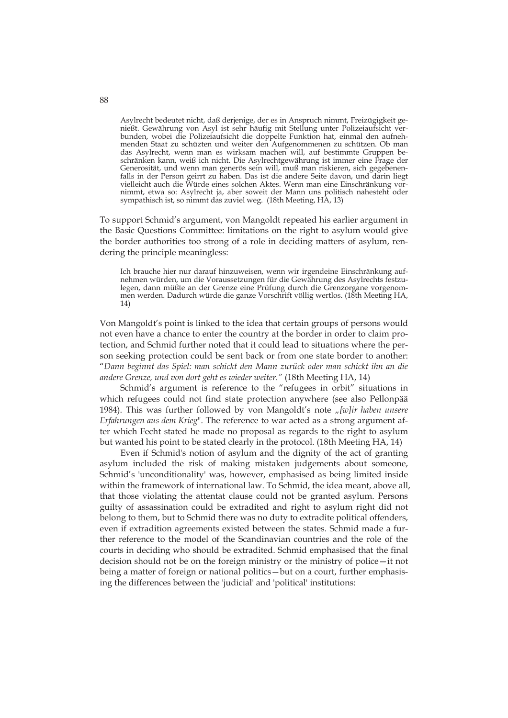Asylrecht bedeutet nicht, daß derjenige, der es in Anspruch nimmt, Freizügigkeit genießt. Gewährung von Asyl ist sehr häufig mit Stellung unter Polizeiaufsicht verbunden, wobei die Polizeiaufsicht die doppelte Funktion hat, einmal den aufnehmenden Staat zu schüzten und weiter den Aufgenommenen zu schützen. Ob man das Asylrecht, wenn man es wirksam machen will, auf bestimmte Gruppen beschränken kann, weiß ich nicht. Die Asylrechtgewährung ist immer eine Frage der Generosität, und wenn man generös sein will, muß man riskieren, sich gegebenenfalls in der Person geirrt zu haben. Das ist die andere Seite davon, und darin liegt vielleicht auch die Würde eines solchen Aktes. Wenn man eine Einschränkung vornimmt, etwa so: Asylrecht ja, aber soweit der Mann uns politisch nahesteht oder sympathisch ist, so nimmt das zuviel weg. (18th Meeting, HA, 13)

To support Schmid's argument, von Mangoldt repeated his earlier argument in the Basic Questions Committee: limitations on the right to asylum would give the border authorities too strong of a role in deciding matters of asylum, rendering the principle meaningless:

Ich brauche hier nur darauf hinzuweisen, wenn wir irgendeine Einschränkung aufnehmen würden, um die Voraussetzungen für die Gewährung des Asylrechts festzulegen, dann müßte an der Grenze eine Prüfung durch die Grenzorgane vorgenommen werden. Dadurch würde die ganze Vorschrift völlig wertlos. (18th Meeting HA, 14)

Von Mangoldt's point is linked to the idea that certain groups of persons would not even have a chance to enter the country at the border in order to claim protection, and Schmid further noted that it could lead to situations where the person seeking protection could be sent back or from one state border to another: "*Dann beginnt das Spiel: man schickt den Mann zurück oder man schickt ihn an die andere Grenze, und von dort geht es wieder weiter."* (18th Meeting HA, 14)

Schmid's argument is reference to the "refugees in orbit" situations in which refugees could not find state protection anywhere (see also Pellonpää 1984). This was further followed by von Mangoldt's note "[w]ir haben unsere *Erfahrungen aus dem Krieg*". The reference to war acted as a strong argument after which Fecht stated he made no proposal as regards to the right to asylum but wanted his point to be stated clearly in the protocol. (18th Meeting HA, 14)

Even if Schmid's notion of asylum and the dignity of the act of granting asylum included the risk of making mistaken judgements about someone, Schmid's 'unconditionality' was, however, emphasised as being limited inside within the framework of international law. To Schmid, the idea meant, above all, that those violating the attentat clause could not be granted asylum. Persons guilty of assassination could be extradited and right to asylum right did not belong to them, but to Schmid there was no duty to extradite political offenders, even if extradition agreements existed between the states. Schmid made a further reference to the model of the Scandinavian countries and the role of the courts in deciding who should be extradited. Schmid emphasised that the final decision should not be on the foreign ministry or the ministry of police—it not being a matter of foreign or national politics—but on a court, further emphasising the differences between the 'judicial' and 'political' institutions:

88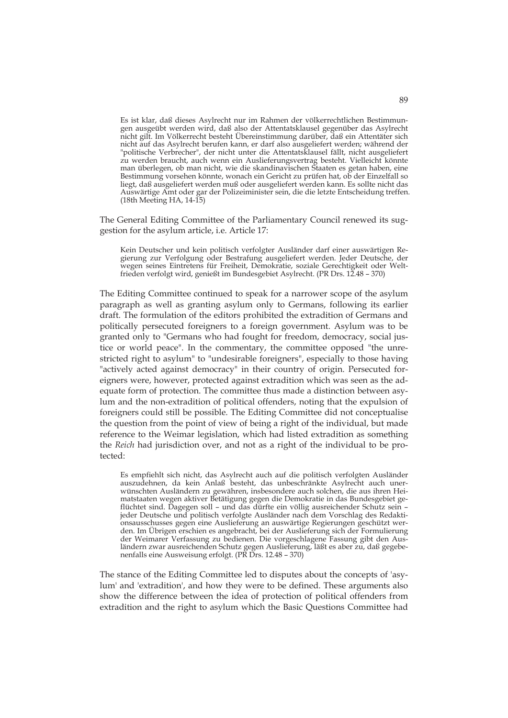Es ist klar, daß dieses Asylrecht nur im Rahmen der völkerrechtlichen Bestimmungen ausgeübt werden wird, daß also der Attentatsklausel gegenüber das Asylrecht nicht gilt. Im Völkerrecht besteht Übereinstimmung darüber, daß ein Attentäter sich nicht auf das Asylrecht berufen kann, er darf also ausgeliefert werden; während der "politische Verbrecher", der nicht unter die Attentatsklausel fällt, nicht ausgeliefert zu werden braucht, auch wenn ein Auslieferungsvertrag besteht. Vielleicht könnte man überlegen, ob man nicht, wie die skandinavischen Staaten es getan haben, eine Bestimmung vorsehen könnte, wonach ein Gericht zu prüfen hat, ob der Einzelfall so liegt, daß ausgeliefert werden muß oder ausgeliefert werden kann. Es sollte nicht das Auswärtige Amt oder gar der Polizeiminister sein, die die letzte Entscheidung treffen. (18th Meeting HA, 14-15)

The General Editing Committee of the Parliamentary Council renewed its suggestion for the asylum article, i.e. Article 17:

Kein Deutscher und kein politisch verfolgter Ausländer darf einer auswärtigen Regierung zur Verfolgung oder Bestrafung ausgeliefert werden. Jeder Deutsche, der wegen seines Eintretens für Freiheit, Demokratie, soziale Gerechtigkeit oder Weltfrieden verfolgt wird, genießt im Bundesgebiet Asylrecht. (PR Drs. 12.48 – 370)

The Editing Committee continued to speak for a narrower scope of the asylum paragraph as well as granting asylum only to Germans, following its earlier draft. The formulation of the editors prohibited the extradition of Germans and politically persecuted foreigners to a foreign government. Asylum was to be granted only to "Germans who had fought for freedom, democracy, social justice or world peace". In the commentary, the committee opposed "the unrestricted right to asylum" to "undesirable foreigners", especially to those having "actively acted against democracy" in their country of origin. Persecuted foreigners were, however, protected against extradition which was seen as the adequate form of protection. The committee thus made a distinction between asylum and the non-extradition of political offenders, noting that the expulsion of foreigners could still be possible. The Editing Committee did not conceptualise the question from the point of view of being a right of the individual, but made reference to the Weimar legislation, which had listed extradition as something the *Reich* had jurisdiction over, and not as a right of the individual to be protected:

Es empfiehlt sich nicht, das Asylrecht auch auf die politisch verfolgten Ausländer auszudehnen, da kein Anlaß besteht, das unbeschränkte Asylrecht auch unerwünschten Ausländern zu gewähren, insbesondere auch solchen, die aus ihren Heimatstaaten wegen aktiver Betätigung gegen die Demokratie in das Bundesgebiet geflüchtet sind. Dagegen soll – und das dürfte ein völlig ausreichender Schutz sein – jeder Deutsche und politisch verfolgte Ausländer nach dem Vorschlag des Redaktionsausschusses gegen eine Auslieferung an auswärtige Regierungen geschützt werden. Im Übrigen erschien es angebracht, bei der Auslieferung sich der Formulierung der Weimarer Verfassung zu bedienen. Die vorgeschlagene Fassung gibt den Ausländern zwar ausreichenden Schutz gegen Auslieferung, läßt es aber zu, daß gegebenenfalls eine Ausweisung erfolgt. (PR Drs. 12.48 – 370)

The stance of the Editing Committee led to disputes about the concepts of 'asylum' and 'extradition', and how they were to be defined. These arguments also show the difference between the idea of protection of political offenders from extradition and the right to asylum which the Basic Questions Committee had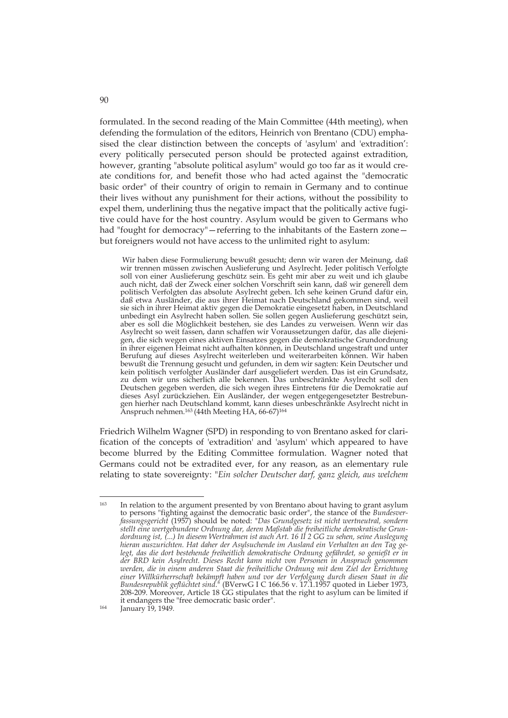formulated. In the second reading of the Main Committee (44th meeting), when defending the formulation of the editors, Heinrich von Brentano (CDU) emphasised the clear distinction between the concepts of 'asylum' and 'extradition': every politically persecuted person should be protected against extradition, however, granting "absolute political asylum" would go too far as it would create conditions for, and benefit those who had acted against the "democratic basic order" of their country of origin to remain in Germany and to continue their lives without any punishment for their actions, without the possibility to expel them, underlining thus the negative impact that the politically active fugitive could have for the host country. Asylum would be given to Germans who had "fought for democracy" - referring to the inhabitants of the Eastern zone but foreigners would not have access to the unlimited right to asylum:

 Wir haben diese Formulierung bewußt gesucht; denn wir waren der Meinung, daß wir trennen müssen zwischen Auslieferung und Asylrecht. Jeder politisch Verfolgte soll von einer Auslieferung geschütz sein. Es geht mir aber zu weit und ich glaube auch nicht, daß der Zweck einer solchen Vorschrift sein kann, daß wir generell dem politisch Verfolgten das absolute Asylrecht geben. Ich sehe keinen Grund dafür ein, daß etwa Ausländer, die aus ihrer Heimat nach Deutschland gekommen sind, weil sie sich in ihrer Heimat aktiv gegen die Demokratie eingesetzt haben, in Deutschland unbedingt ein Asylrecht haben sollen. Sie sollen gegen Auslieferung geschützt sein, aber es soll die Möglichkeit bestehen, sie des Landes zu verweisen. Wenn wir das Asylrecht so weit fassen, dann schaffen wir Voraussetzungen dafür, das alle diejenigen, die sich wegen eines aktiven Einsatzes gegen die demokratische Grundordnung in ihrer eigenen Heimat nicht aufhalten können, in Deutschland ungestraft und unter Berufung auf dieses Asylrecht weiterleben und weiterarbeiten können. Wir haben bewußt die Trennung gesucht und gefunden, in dem wir sagten: Kein Deutscher und kein politisch verfolgter Ausländer darf ausgeliefert werden. Das ist ein Grundsatz, zu dem wir uns sicherlich alle bekennen. Das unbeschränkte Asylrecht soll den Deutschen gegeben werden, die sich wegen ihres Eintretens für die Demokratie auf dieses Asyl zurückziehen. Ein Ausländer, der wegen entgegengesetzter Bestrebungen hierher nach Deutschland kommt, kann dieses unbeschränkte Asylrecht nicht in Anspruch nehmen.<sup>163</sup> (44th Meeting HA, 66-67)<sup>164</sup>

Friedrich Wilhelm Wagner (SPD) in responding to von Brentano asked for clarification of the concepts of 'extradition' and 'asylum' which appeared to have become blurred by the Editing Committee formulation. Wagner noted that Germans could not be extradited ever, for any reason, as an elementary rule relating to state sovereignty: "*Ein solcher Deutscher darf, ganz gleich, aus welchem* 

<sup>163</sup> In relation to the argument presented by von Brentano about having to grant asylum to persons "fighting against the democratic basic order", the stance of the *Bundesverfassungsgericht* (1957) should be noted: "*Das Grundgesetz ist nicht wertneutral, sondern stellt eine wertgebundene Ordnung dar, deren Maßstab die freiheitliche demokratische Grundordnung ist, (...) In diesem Wertrahmen ist auch Art. 16 II 2 GG zu sehen, seine Auslegung hieran auszurichten. Hat daher der Asylsuchende im Ausland ein Verhalten an den Tag gelegt, das die dort bestehende freiheitlich demokratische Ordnung gefährdet, so genießt er in der BRD kein Asylrecht. Dieses Recht kann nicht von Personen in Anspruch genommen werden, die in einem anderen Staat die freiheitliche Ordnung mit dem Ziel der Errichtung einer Willkürherrschaft bekämpft haben und vor der Verfolgung durch diesen Staat in die Bundesrepublik geflüchtet sind*." (BVerwG I C 166.56 v. 17.1.1957 quoted in Lieber 1973, 208-209. Moreover, Article 18 GG stipulates that the right to asylum can be limited if it endangers the "free democratic basic order". 164 January 19, 1949.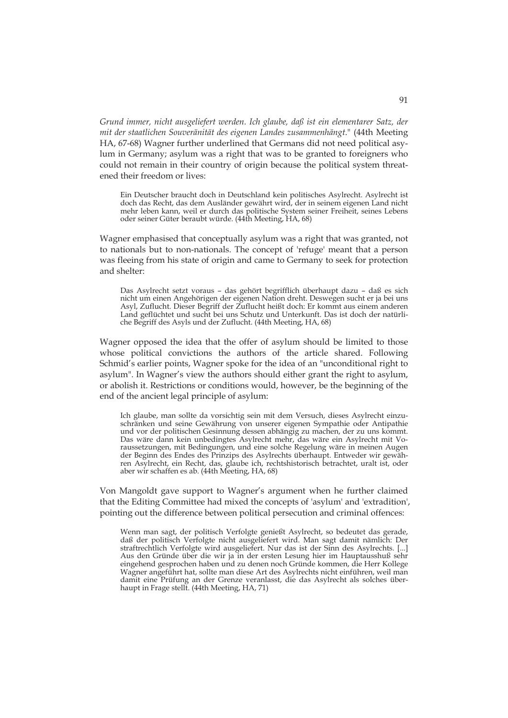*Grund immer, nicht ausgeliefert werden. Ich glaube, daß ist ein elementarer Satz, der mit der staatlichen Souveränität des eigenen Landes zusammenhängt*." (44th Meeting HA, 67-68) Wagner further underlined that Germans did not need political asylum in Germany; asylum was a right that was to be granted to foreigners who could not remain in their country of origin because the political system threatened their freedom or lives:

Ein Deutscher braucht doch in Deutschland kein politisches Asylrecht. Asylrecht ist doch das Recht, das dem Ausländer gewährt wird, der in seinem eigenen Land nicht mehr leben kann, weil er durch das politische System seiner Freiheit, seines Lebens oder seiner Güter beraubt würde. (44th Meeting, HA, 68)

Wagner emphasised that conceptually asylum was a right that was granted, not to nationals but to non-nationals. The concept of 'refuge' meant that a person was fleeing from his state of origin and came to Germany to seek for protection and shelter:

Das Asylrecht setzt voraus – das gehört begrifflich überhaupt dazu – daß es sich nicht um einen Angehörigen der eigenen Nation dreht. Deswegen sucht er ja bei uns Asyl, Zuflucht. Dieser Begriff der Zuflucht heißt doch: Er kommt aus einem anderen Land geflüchtet und sucht bei uns Schutz und Unterkunft. Das ist doch der natürliche Begriff des Asyls und der Zuflucht. (44th Meeting, HA, 68)

Wagner opposed the idea that the offer of asylum should be limited to those whose political convictions the authors of the article shared. Following Schmid's earlier points, Wagner spoke for the idea of an "unconditional right to asylum". In Wagner's view the authors should either grant the right to asylum, or abolish it. Restrictions or conditions would, however, be the beginning of the end of the ancient legal principle of asylum:

Ich glaube, man sollte da vorsichtig sein mit dem Versuch, dieses Asylrecht einzuschränken und seine Gewährung von unserer eigenen Sympathie oder Antipathie und vor der politischen Gesinnung dessen abhängig zu machen, der zu uns kommt. Das wäre dann kein unbedingtes Asylrecht mehr, das wäre ein Asylrecht mit Voraussetzungen, mit Bedingungen, und eine solche Regelung wäre in meinen Augen der Beginn des Endes des Prinzips des Asylrechts überhaupt. Entweder wir gewähren Asylrecht, ein Recht, das, glaube ich, rechtshistorisch betrachtet, uralt ist, oder aber wir schaffen es ab. (44th Meeting, HA, 68)

Von Mangoldt gave support to Wagner's argument when he further claimed that the Editing Committee had mixed the concepts of 'asylum' and 'extradition', pointing out the difference between political persecution and criminal offences:

Wenn man sagt, der politisch Verfolgte genießt Asylrecht, so bedeutet das gerade, daß der politisch Verfolgte nicht ausgeliefert wird. Man sagt damit nämlich: Der straftrechtlich Verfolgte wird ausgeliefert. Nur das ist der Sinn des Asylrechts. [...] Aus den Gründe über die wir ja in der ersten Lesung hier im Hauptausshuß sehr eingehend gesprochen haben und zu denen noch Gründe kommen, die Herr Kollege Wagner angeführt hat, sollte man diese Art des Asylrechts nicht einführen, weil man damit eine Prüfung an der Grenze veranlasst, die das Asylrecht als solches überhaupt in Frage stellt. (44th Meeting, HA, 71)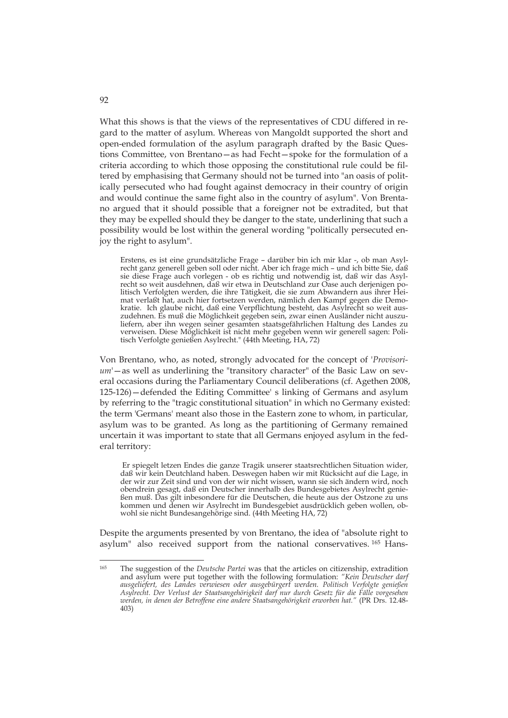What this shows is that the views of the representatives of CDU differed in regard to the matter of asylum. Whereas von Mangoldt supported the short and open-ended formulation of the asylum paragraph drafted by the Basic Questions Committee, von Brentano—as had Fecht—spoke for the formulation of a criteria according to which those opposing the constitutional rule could be filtered by emphasising that Germany should not be turned into "an oasis of politically persecuted who had fought against democracy in their country of origin and would continue the same fight also in the country of asylum". Von Brentano argued that it should possible that a foreigner not be extradited, but that they may be expelled should they be danger to the state, underlining that such a possibility would be lost within the general wording "politically persecuted enjoy the right to asylum".

Erstens, es ist eine grundsätzliche Frage – darüber bin ich mir klar -, ob man Asylrecht ganz generell geben soll oder nicht. Aber ich frage mich – und ich bitte Sie, daß sie diese Frage auch vorlegen - ob es richtig und notwendig ist, daß wir das Asylrecht so weit ausdehnen, daß wir etwa in Deutschland zur Oase auch derjenigen politisch Verfolgten werden, die ihre Tätigkeit, die sie zum Abwandern aus ihrer Heimat verlaßt hat, auch hier fortsetzen werden, nämlich den Kampf gegen die Demokratie. Ich glaube nicht, daß eine Verpflichtung besteht, das Asylrecht so weit auszudehnen. Es muß die Möglichkeit gegeben sein, zwar einen Ausländer nicht auszuliefern, aber ihn wegen seiner gesamten staatsgefährlichen Haltung des Landes zu verweisen. Diese Möglichkeit ist nicht mehr gegeben wenn wir generell sagen: Politisch Verfolgte genießen Asylrecht." (44th Meeting, HA, 72)

Von Brentano, who, as noted, strongly advocated for the concept of '*Provisorium*'—as well as underlining the "transitory character" of the Basic Law on several occasions during the Parliamentary Council deliberations (cf. Agethen 2008, 125-126)—defended the Editing Committee' s linking of Germans and asylum by referring to the "tragic constitutional situation" in which no Germany existed: the term 'Germans' meant also those in the Eastern zone to whom, in particular, asylum was to be granted. As long as the partitioning of Germany remained uncertain it was important to state that all Germans enjoyed asylum in the federal territory:

 Er spiegelt letzen Endes die ganze Tragik unserer staatsrechtlichen Situation wider, daß wir kein Deutchland haben. Deswegen haben wir mit Rücksicht auf die Lage, in der wir zur Zeit sind und von der wir nicht wissen, wann sie sich ändern wird, noch obendrein gesagt, daß ein Deutscher innerhalb des Bundesgebietes Asylrecht genießen muß. Das gilt inbesondere für die Deutschen, die heute aus der Ostzone zu uns kommen und denen wir Asylrecht im Bundesgebiet ausdrücklich geben wollen, obwohl sie nicht Bundesangehörige sind. (44th Meeting HA, 72)

Despite the arguments presented by von Brentano, the idea of "absolute right to asylum" also received support from the national conservatives. 165 Hans-

<sup>165</sup> 165 The suggestion of the *Deutsche Partei* was that the articles on citizenship, extradition and asylum were put together with the following formulation: *"Kein Deutscher darf ausgeliefert, des Landes verwiesen oder ausgebürgert werden. Politisch Verfolgte genießen Asylrecht. Der Verlust der Staatsangehörigkeit darf nur durch Gesetz für die Fälle vorgesehen werden, in denen der Betroffene eine andere Staatsangehörigkeit erworben hat."* (PR Drs. 12.48- 403)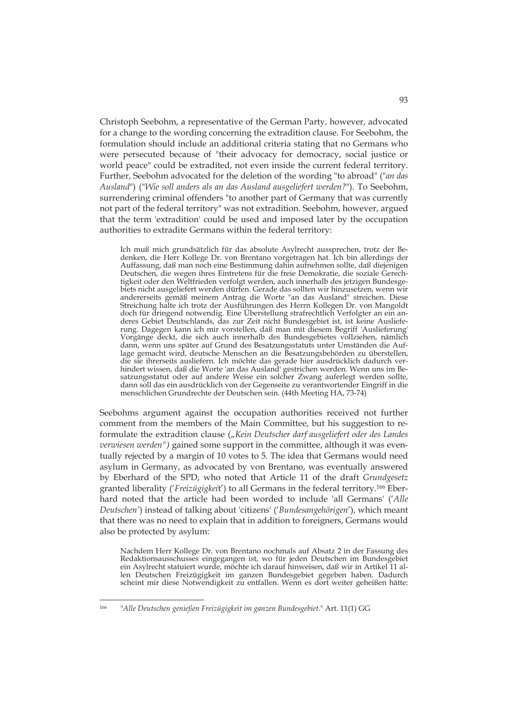Christoph Seebohm, a representative of the German Party, however, advocated for a change to the wording concerning the extradition clause. For Seebohm, the formulation should include an additional criteria stating that no Germans who were persecuted because of "their advocacy for democracy, social justice or world peace" could be extradited, not even inside the current federal territory. Further, Seebohm advocated for the deletion of the wording "to abroad" ("*an das Ausland*") ("*Wie soll anders als an das Ausland ausgeliefert werden?*"). To Seebohm, surrendering criminal offenders "to another part of Germany that was currently not part of the federal territory" was not extradition. Seebohm, however, argued that the term 'extradition' could be used and imposed later by the occupation authorities to extradite Germans within the federal territory:

Ich muß mich grundsätzlich für das absolute Asylrecht aussprechen, trotz der Bedenken, die Herr Kollege Dr. von Brentano vorgetragen hat. Ich bin allerdings der Auffassung, daß man noch eine Bestimmung dahin aufnehmen sollte, daß diejenigen Deutschen, die wegen ihres Eintretens für die freie Demokratie, die soziale Gerechtigkeit oder den Weltfrieden verfolgt werden, auch innerhalb des jetzigen Bundesgebiets nicht ausgeliefert werden dürfen. Gerade das sollten wir hinzusetzen, wenn wir andererseits gemäß meinem Antrag die Worte "an das Ausland" streichen. Diese Streichung halte ich trotz der Ausführungen des Herrn Kollegen Dr. von Mangoldt doch für dringend notwendig. Eine Überstellung strafrechtlich Verfolgter an ein anderes Gebiet Deutschlands, das zur Zeit nicht Bundesgebiet ist, ist keine Auslieferung. Dagegen kann ich mir vorstellen, daß man mit diesem Begriff 'Auslieferung' Vorgänge deckt, die sich auch innerhalb des Bundesgebietes vollziehen, nämlich dann, wenn uns später auf Grund des Besatzungsstatuts unter Umständen die Auflage gemacht wird, deutsche Menschen an die Besatzungsbehörden zu überstellen, die sie ihrerseits ausliefern. Ich möchte das gerade hier ausdrücklich dadurch verhindert wissen, daß die Worte 'an das Ausland' gestrichen werden. Wenn uns im Besatzungsstatut oder auf andere Weise ein solcher Zwang auferlegt werden sollte, dann soll das ein ausdrücklich von der Gegenseite zu verantwortender Eingriff in die menschlichen Grundrechte der Deutschen sein. (44th Meeting HA, 73-74)

Seebohms argument against the occupation authorities received not further comment from the members of the Main Committee, but his suggestion to reformulate the extradition clause ("Kein Deutscher darf ausgeliefert oder des Landes *verwiesen werden")* gained some support in the committee, although it was eventually rejected by a margin of 10 votes to 5. The idea that Germans would need asylum in Germany, as advocated by von Brentano, was eventually answered by Eberhard of the SPD, who noted that Article 11 of the draft *Grundgesetz* granted liberality ('*Freizügigkei*t') to all Germans in the federal territory.166 Eberhard noted that the article had been worded to include 'all Germans' ('*Alle Deutschen'*) instead of talking about 'citizens' ('*Bundesangehörigen*'), which meant that there was no need to explain that in addition to foreigners, Germans would also be protected by asylum:

Nachdem Herr Kollege Dr. von Brentano nochmals auf Absatz 2 in der Fassung des Redaktionsausschusses eingegangen ist, wo für jeden Deutschen im Bundesgebiet ein Asylrecht statuiert wurde, möchte ich darauf hinweisen, daß wir in Artikel 11 allen Deutschen Freizügigkeit im ganzen Bundesgebiet gegeben haben. Dadurch scheint mir diese Notwendigkeit zu entfallen. Wenn es dort weiter geheißen hätte:

<sup>166 &</sup>quot;*Alle Deutschen genießen Freizügigkeit im ganzen Bundesgebiet*." Art. 11(1) GG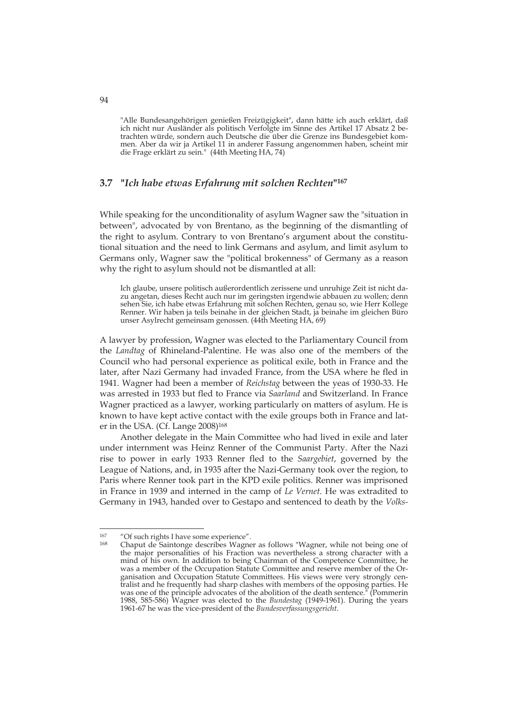"Alle Bundesangehörigen genießen Freizügigkeit", dann hätte ich auch erklärt, daß ich nicht nur Ausländer als politisch Verfolgte im Sinne des Artikel 17 Absatz 2 betrachten würde, sondern auch Deutsche die über die Grenze ins Bundesgebiet kommen. Aber da wir ja Artikel 11 in anderer Fassung angenommen haben, scheint mir die Frage erklärt zu sein." (44th Meeting HA, 74)

## **3.7 "***Ich habe etwas Erfahrung mit solchen Rechten***"167**

While speaking for the unconditionality of asylum Wagner saw the "situation in between", advocated by von Brentano, as the beginning of the dismantling of the right to asylum. Contrary to von Brentano's argument about the constitutional situation and the need to link Germans and asylum, and limit asylum to Germans only, Wagner saw the "political brokenness" of Germany as a reason why the right to asylum should not be dismantled at all:

Ich glaube, unsere politisch außerordentlich zerissene und unruhige Zeit ist nicht dazu angetan, dieses Recht auch nur im geringsten irgendwie abbauen zu wollen; denn sehen Sie, ich habe etwas Erfahrung mit solchen Rechten, genau so, wie Herr Kollege Renner. Wir haben ja teils beinahe in der gleichen Stadt, ja beinahe im gleichen Büro unser Asylrecht gemeinsam genossen. (44th Meeting HA, 69)

A lawyer by profession, Wagner was elected to the Parliamentary Council from the *Landtag* of Rhineland-Palentine. He was also one of the members of the Council who had personal experience as political exile, both in France and the later, after Nazi Germany had invaded France, from the USA where he fled in 1941. Wagner had been a member of *Reichstag* between the yeas of 1930-33. He was arrested in 1933 but fled to France via *Saarland* and Switzerland. In France Wagner practiced as a lawyer, working particularly on matters of asylum. He is known to have kept active contact with the exile groups both in France and later in the USA. (Cf. Lange 2008)168

Another delegate in the Main Committee who had lived in exile and later under internment was Heinz Renner of the Communist Party. After the Nazi rise to power in early 1933 Renner fled to the *Saargebiet*, governed by the League of Nations, and, in 1935 after the Nazi-Germany took over the region, to Paris where Renner took part in the KPD exile politics. Renner was imprisoned in France in 1939 and interned in the camp of *Le Vernet*. He was extradited to Germany in 1943, handed over to Gestapo and sentenced to death by the *Volks-*

<sup>&</sup>lt;sup>167</sup> "Of such rights I have some experience".<br><sup>168</sup> Chaput do Saintongo describes Wagner

Chaput de Saintonge describes Wagner as follows "Wagner, while not being one of the major personalities of his Fraction was nevertheless a strong character with a mind of his own. In addition to being Chairman of the Competence Committee, he was a member of the Occupation Statute Committee and reserve member of the Organisation and Occupation Statute Committees. His views were very strongly centralist and he frequently had sharp clashes with members of the opposing parties. He was one of the principle advocates of the abolition of the death sentence." (Pommerin 1988, 585-586) Wagner was elected to the *Bundestag* (1949-1961). During the years 1961-67 he was the vice-president of the *Bundesverfassungsgericht*.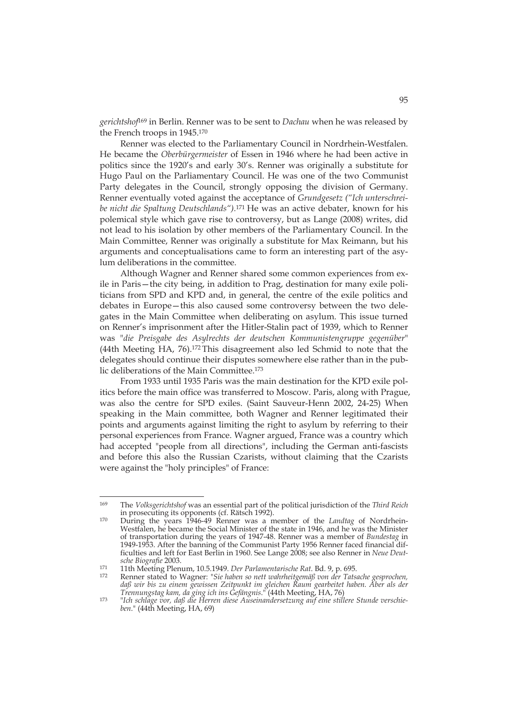*gerichtshof*169 in Berlin. Renner was to be sent to *Dachau* when he was released by the French troops in 1945.170

Renner was elected to the Parliamentary Council in Nordrhein-Westfalen. He became the *Oberbürgermeister* of Essen in 1946 where he had been active in politics since the 1920's and early 30's. Renner was originally a substitute for Hugo Paul on the Parliamentary Council. He was one of the two Communist Party delegates in the Council, strongly opposing the division of Germany. Renner eventually voted against the acceptance of *Grundgesetz ("Ich unterschreibe nicht die Spaltung Deutschlands").*171 He was an active debater, known for his polemical style which gave rise to controversy, but as Lange (2008) writes, did not lead to his isolation by other members of the Parliamentary Council. In the Main Committee, Renner was originally a substitute for Max Reimann, but his arguments and conceptualisations came to form an interesting part of the asylum deliberations in the committee.

Although Wagner and Renner shared some common experiences from exile in Paris—the city being, in addition to Prag, destination for many exile politicians from SPD and KPD and, in general, the centre of the exile politics and debates in Europe—this also caused some controversy between the two delegates in the Main Committee when deliberating on asylum. This issue turned on Renner's imprisonment after the Hitler-Stalin pact of 1939, which to Renner was "*die Preisgabe des Asylrechts der deutschen Kommunistengruppe gegenüber*" (44th Meeting HA, 76).172 This disagreement also led Schmid to note that the delegates should continue their disputes somewhere else rather than in the public deliberations of the Main Committee.173

From 1933 until 1935 Paris was the main destination for the KPD exile politics before the main office was transferred to Moscow. Paris, along with Prague, was also the centre for SPD exiles. (Saint Sauveur-Henn 2002, 24-25) When speaking in the Main committee, both Wagner and Renner legitimated their points and arguments against limiting the right to asylum by referring to their personal experiences from France. Wagner argued, France was a country which had accepted "people from all directions", including the German anti-fascists and before this also the Russian Czarists, without claiming that the Czarists were against the "holy principles" of France:

<sup>169</sup> The *Volksgerichtshof* was an essential part of the political jurisdiction of the *Third Reich* in prosecuting its opponents (cf. Rätsch 1992). 170 During the years 1946-49 Renner was a member of the *Landtag* of Nordrhein-

Westfalen, he became the Social Minister of the state in 1946, and he was the Minister of transportation during the years of 1947-48. Renner was a member of *Bundestag* in 1949-1953. After the banning of the Communist Party 1956 Renner faced financial difficulties and left for East Berlin in 1960. See Lange 2008; see also Renner in *Neue Deut-*

*sche Biografie* 2003. 171 11th Meeting Plenum, 10.5.1949. *Der Parlamentarische Rat*. Bd. 9, p. 695. 172 Renner stated to Wagner: "*Sie haben so nett wahrheitgemäß von der Tatsache gesprochen, daß wir bis zu einem gewissen Zeitpunkt im gleichen Raum gearbeitet haben. Aber als der* 

*Trennungstag kam, da ging ich ins Gefängnis*." (44th Meeting, HA, 76) 173 "*Ich schlage vor, daß die Herren diese Auseinandersetzung auf eine stillere Stunde verschieben*." (44th Meeting, HA, 69)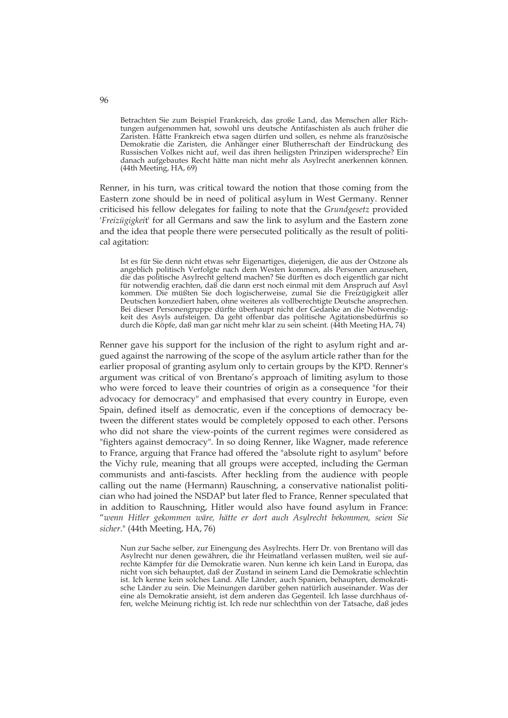Betrachten Sie zum Beispiel Frankreich, das große Land, das Menschen aller Richtungen aufgenommen hat, sowohl uns deutsche Antifaschisten als auch früher die Zaristen. Hätte Frankreich etwa sagen dürfen und sollen, es nehme als französische Demokratie die Zaristen, die Anhänger einer Blutherrschaft der Eindrückung des Russischen Volkes nicht auf, weil das ihren heiligsten Prinzipen widerspreche? Ein danach aufgebautes Recht hätte man nicht mehr als Asylrecht anerkennen können. (44th Meeting, HA, 69)

Renner, in his turn, was critical toward the notion that those coming from the Eastern zone should be in need of political asylum in West Germany. Renner criticised his fellow delegates for failing to note that the *Grundgesetz* provided '*Freizügigkei*t' for all Germans and saw the link to asylum and the Eastern zone and the idea that people there were persecuted politically as the result of political agitation:

Ist es für Sie denn nicht etwas sehr Eigenartiges, diejenigen, die aus der Ostzone als angeblich politisch Verfolgte nach dem Westen kommen, als Personen anzusehen, die das politische Asylrecht geltend machen? Sie dürften es doch eigentlich gar nicht für notwendig erachten, daß die dann erst noch einmal mit dem Anspruch auf Asyl kommen. Die müßten Sie doch logischerweise, zumal Sie die Freizügigkeit aller Deutschen konzediert haben, ohne weiteres als vollberechtigte Deutsche ansprechen. Bei dieser Personengruppe dürfte überhaupt nicht der Gedanke an die Notwendigkeit des Asyls aufsteigen. Da geht offenbar das politische Agitationsbedürfnis so durch die Köpfe, daß man gar nicht mehr klar zu sein scheint. (44th Meeting HA, 74)

Renner gave his support for the inclusion of the right to asylum right and argued against the narrowing of the scope of the asylum article rather than for the earlier proposal of granting asylum only to certain groups by the KPD. Renner's argument was critical of von Brentano's approach of limiting asylum to those who were forced to leave their countries of origin as a consequence "for their advocacy for democracy" and emphasised that every country in Europe, even Spain, defined itself as democratic, even if the conceptions of democracy between the different states would be completely opposed to each other. Persons who did not share the view-points of the current regimes were considered as "fighters against democracy". In so doing Renner, like Wagner, made reference to France, arguing that France had offered the "absolute right to asylum" before the Vichy rule, meaning that all groups were accepted, including the German communists and anti-fascists. After heckling from the audience with people calling out the name (Hermann) Rauschning, a conservative nationalist politician who had joined the NSDAP but later fled to France, Renner speculated that in addition to Rauschning, Hitler would also have found asylum in France: "*wenn Hitler gekommen wäre, hätte er dort auch Asylrecht bekommen, seien Sie sicher*." (44th Meeting, HA, 76)

96

Nun zur Sache selber, zur Einengung des Asylrechts. Herr Dr. von Brentano will das Asylrecht nur denen gewähren, die ihr Heimatland verlassen mußten, weil sie aufrechte Kämpfer für die Demokratie waren. Nun kenne ich kein Land in Europa, das nicht von sich behauptet, daß der Zustand in seinem Land die Demokratie schlechtin ist. Ich kenne kein solches Land. Alle Länder, auch Spanien, behaupten, demokratische Länder zu sein. Die Meinungen darüber gehen natürlich auseinander. Was der eine als Demokratie ansieht, ist dem anderen das Gegenteil. Ich lasse durchhaus offen, welche Meinung richtig ist. Ich rede nur schlechthin von der Tatsache, daß jedes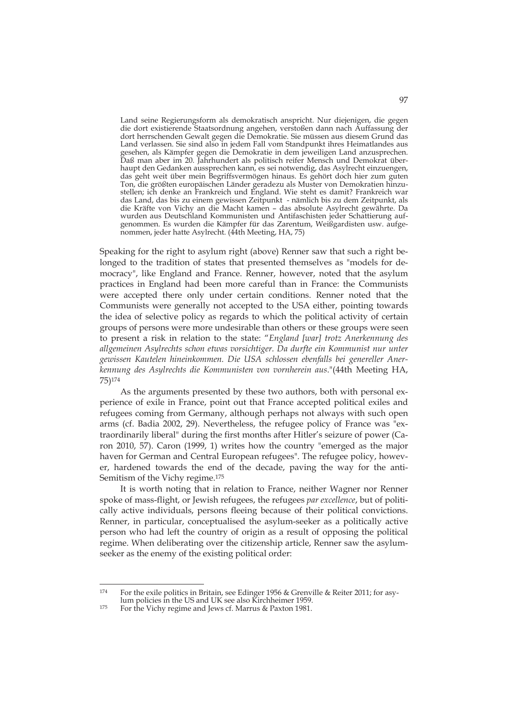Land seine Regierungsform als demokratisch anspricht. Nur diejenigen, die gegen die dort existierende Staatsordnung angehen, verstoßen dann nach Auffassung der dort herrschenden Gewalt gegen die Demokratie. Sie müssen aus diesem Grund das Land verlassen. Sie sind also in jedem Fall vom Standpunkt ihres Heimatlandes aus gesehen, als Kämpfer gegen die Demokratie in dem jeweiligen Land anzusprechen. Daß man aber im 20. Jahrhundert als politisch reifer Mensch und Demokrat überhaupt den Gedanken aussprechen kann, es sei notwendig, das Asylrecht einzuengen, das geht weit über mein Begriffsvermögen hinaus. Es gehört doch hier zum guten Ton, die größten europäischen Länder geradezu als Muster von Demokratien hinzustellen; ich denke an Frankreich und England. Wie steht es damit? Frankreich war das Land, das bis zu einem gewissen Zeitpunkt - nämlich bis zu dem Zeitpunkt, als die Kräfte von Vichy an die Macht kamen – das absolute Asylrecht gewährte. Da wurden aus Deutschland Kommunisten und Antifaschisten jeder Schattierung aufgenommen. Es wurden die Kämpfer für das Zarentum, Weißgardisten usw. aufgenommen, jeder hatte Asylrecht. (44th Meeting, HA, 75)

Speaking for the right to asylum right (above) Renner saw that such a right belonged to the tradition of states that presented themselves as "models for democracy", like England and France. Renner, however, noted that the asylum practices in England had been more careful than in France: the Communists were accepted there only under certain conditions. Renner noted that the Communists were generally not accepted to the USA either, pointing towards the idea of selective policy as regards to which the political activity of certain groups of persons were more undesirable than others or these groups were seen to present a risk in relation to the state: "*England [war] trotz Anerkennung des allgemeinen Asylrechts schon etwas vorsichtiger. Da durfte ein Kommunist nur unter gewissen Kautelen hineinkommen. Die USA schlossen ebenfalls bei genereller Anerkennung des Asylrechts die Kommunisten von vornherein aus*."(44th Meeting HA, 75)174

As the arguments presented by these two authors, both with personal experience of exile in France, point out that France accepted political exiles and refugees coming from Germany, although perhaps not always with such open arms (cf. Badia 2002, 29). Nevertheless, the refugee policy of France was "extraordinarily liberal" during the first months after Hitler's seizure of power (Caron 2010, 57). Caron (1999, 1) writes how the country "emerged as the major haven for German and Central European refugees". The refugee policy, however, hardened towards the end of the decade, paving the way for the anti-Semitism of the Vichy regime.175

It is worth noting that in relation to France, neither Wagner nor Renner spoke of mass-flight, or Jewish refugees, the refugees *par excellence*, but of politically active individuals, persons fleeing because of their political convictions. Renner, in particular, conceptualised the asylum-seeker as a politically active person who had left the country of origin as a result of opposing the political regime. When deliberating over the citizenship article, Renner saw the asylumseeker as the enemy of the existing political order:

<sup>174</sup> For the exile politics in Britain, see Edinger 1956 & Grenville & Reiter 2011; for asy-<br>lum policies in the US and UK see also Kirchheimer 1959.

<sup>&</sup>lt;sup>175</sup> For the Vichy regime and Jews cf. Marrus & Paxton 1981.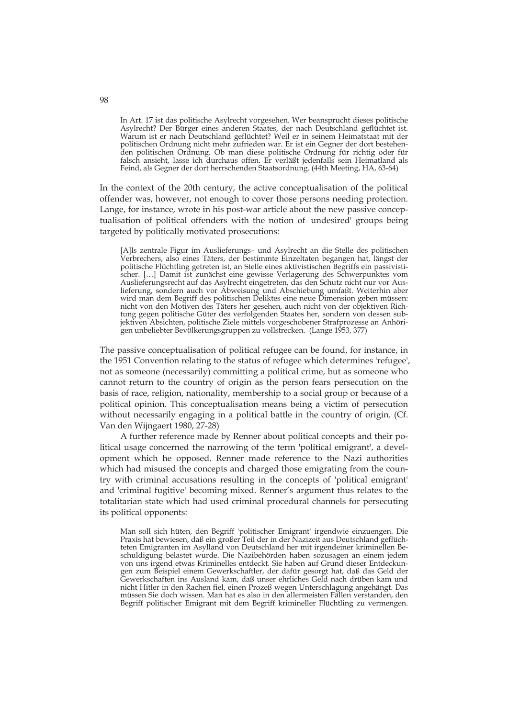In Art. 17 ist das politische Asylrecht vorgesehen. Wer beansprucht dieses politische Asylrecht? Der Bürger eines anderen Staates, der nach Deutschland geflüchtet ist. Warum ist er nach Deutschland geflüchtet? Weil er in seinem Heimatstaat mit der politischen Ordnung nicht mehr zufrieden war. Er ist ein Gegner der dort bestehenden politischen Ordnung. Ob man diese politische Ordnung für richtig oder für falsch ansieht, lasse ich durchaus offen. Er verläßt jedenfalls sein Heimatland als Feind, als Gegner der dort herrschenden Staatsordnung. (44th Meeting, HA, 63-64)

In the context of the 20th century, the active conceptualisation of the political offender was, however, not enough to cover those persons needing protection. Lange, for instance, wrote in his post-war article about the new passive conceptualisation of political offenders with the notion of 'undesired' groups being targeted by politically motivated prosecutions:

[A]ls zentrale Figur im Auslieferungs– und Asylrecht an die Stelle des politischen Verbrechers, also eines Täters, der bestimmte Einzeltaten begangen hat, längst der politische Flüchtling getreten ist, an Stelle eines aktivistischen Begriffs ein passivistischer. […] Damit ist zunächst eine gewisse Verlagerung des Schwerpunktes vom Auslieferungsrecht auf das Asylrecht eingetreten, das den Schutz nicht nur vor Auslieferung, sondern auch vor Abweisung und Abschiebung umfaßt. Weiterhin aber wird man dem Begriff des politischen Deliktes eine neue Dimension geben müssen: nicht von den Motiven des Täters her gesehen, auch nicht von der objektiven Richtung gegen politische Güter des verfolgenden Staates her, sondern von dessen subjektiven Absichten, politische Ziele mittels vorgeschobener Strafprozesse an Anhörigen unbeliebter Bevölkerungsgruppen zu vollstrecken. (Lange 1953, 377)

The passive conceptualisation of political refugee can be found, for instance, in the 1951 Convention relating to the status of refugee which determines 'refugee', not as someone (necessarily) committing a political crime, but as someone who cannot return to the country of origin as the person fears persecution on the basis of race, religion, nationality, membership to a social group or because of a political opinion. This conceptualisation means being a victim of persecution without necessarily engaging in a political battle in the country of origin. (Cf. Van den Wijngaert 1980, 27-28)

A further reference made by Renner about political concepts and their political usage concerned the narrowing of the term 'political emigrant', a development which he opposed. Renner made reference to the Nazi authorities which had misused the concepts and charged those emigrating from the country with criminal accusations resulting in the concepts of 'political emigrant' and 'criminal fugitive' becoming mixed. Renner's argument thus relates to the totalitarian state which had used criminal procedural channels for persecuting its political opponents:

Man soll sich hüten, den Begriff 'politischer Emigrant' irgendwie einzuengen. Die Praxis hat bewiesen, daß ein großer Teil der in der Nazizeit aus Deutschland geflüchteten Emigranten im Asylland von Deutschland her mit irgendeiner kriminellen Beschuldigung belastet wurde. Die Nazibehörden haben sozusagen an einem jedem von uns irgend etwas Kriminelles entdeckt. Sie haben auf Grund dieser Entdeckungen zum Beispiel einem Gewerkschaftler, der dafür gesorgt hat, daß das Geld der Gewerkschaften ins Ausland kam, daß unser ehrliches Geld nach drüben kam und nicht Hitler in den Rachen fiel, einen Prozeß wegen Unterschlagung angehängt. Das müssen Sie doch wissen. Man hat es also in den allermeisten Fällen verstanden, den Begriff politischer Emigrant mit dem Begriff krimineller Flüchtling zu vermengen.

98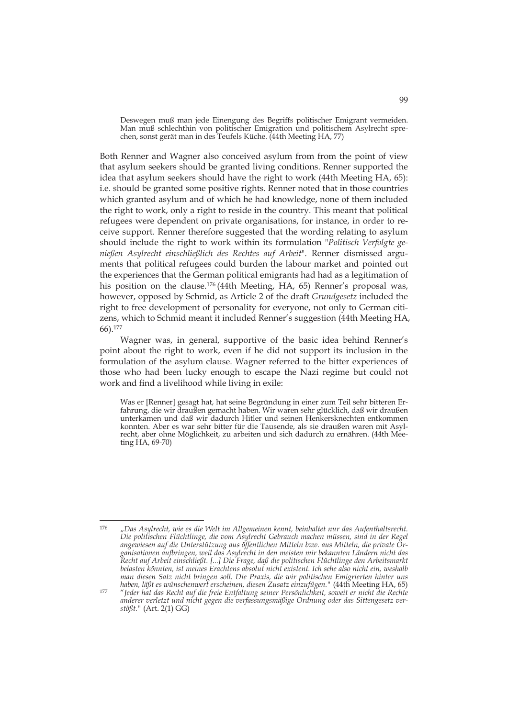Deswegen muß man jede Einengung des Begriffs politischer Emigrant vermeiden. Man muß schlechthin von politischer Emigration und politischem Asylrecht sprechen, sonst gerät man in des Teufels Küche. (44th Meeting HA, 77)

Both Renner and Wagner also conceived asylum from from the point of view that asylum seekers should be granted living conditions. Renner supported the idea that asylum seekers should have the right to work (44th Meeting HA, 65): i.e. should be granted some positive rights. Renner noted that in those countries which granted asylum and of which he had knowledge, none of them included the right to work, only a right to reside in the country. This meant that political refugees were dependent on private organisations, for instance, in order to receive support. Renner therefore suggested that the wording relating to asylum should include the right to work within its formulation "*Politisch Verfolgte genießen Asylrecht einschließlich des Rechtes auf Arbeit*". Renner dismissed arguments that political refugees could burden the labour market and pointed out the experiences that the German political emigrants had had as a legitimation of his position on the clause.<sup>176</sup> (44th Meeting, HA, 65) Renner's proposal was, however, opposed by Schmid, as Article 2 of the draft *Grundgesetz* included the right to free development of personality for everyone, not only to German citizens, which to Schmid meant it included Renner's suggestion (44th Meeting HA, 66).177

Wagner was, in general, supportive of the basic idea behind Renner's point about the right to work, even if he did not support its inclusion in the formulation of the asylum clause. Wagner referred to the bitter experiences of those who had been lucky enough to escape the Nazi regime but could not work and find a livelihood while living in exile:

Was er [Renner] gesagt hat, hat seine Begründung in einer zum Teil sehr bitteren Erfahrung, die wir draußen gemacht haben. Wir waren sehr glücklich, daß wir draußen unterkamen und daß wir dadurch Hitler und seinen Henkersknechten entkommen konnten. Aber es war sehr bitter für die Tausende, als sie draußen waren mit Asylrecht, aber ohne Möglichkeit, zu arbeiten und sich dadurch zu ernähren. (44th Meeting HA, 69-70)

<sup>176</sup> 176 "*Das Asylrecht, wie es die Welt im Allgemeinen kennt, beinhaltet nur das Aufenthaltsrecht. Die politischen Flüchtlinge, die vom Asylrecht Gebrauch machen müssen, sind in der Regel angewiesen auf die Unterstützung aus öffentlichen Mitteln bzw. aus Mitteln, die private Organisationen aufbringen, weil das Asylrecht in den meisten mir bekannten Ländern nicht das Recht auf Arbeit einschließt. [...] Die Frage, daß die politischen Flüchtlinge den Arbeitsmarkt belasten könnten, ist meines Erachtens absolut nicht existent. Ich sehe also nicht ein, weshalb man diesen Satz nicht bringen soll. Die Praxis, die wir politischen Emigrierten hinter uns* 

*haben, läßt es wünschenwert erscheinen, diesen Zusatz einzufügen."* (44th Meeting HA, 65) 177 "*Jeder hat das Recht auf die freie Entfaltung seiner Persönlichkeit, soweit er nicht die Rechte anderer verletzt und nicht gegen die verfassungsmäßige Ordnung oder das Sittengesetz verstößt."* (Art. 2(1) GG)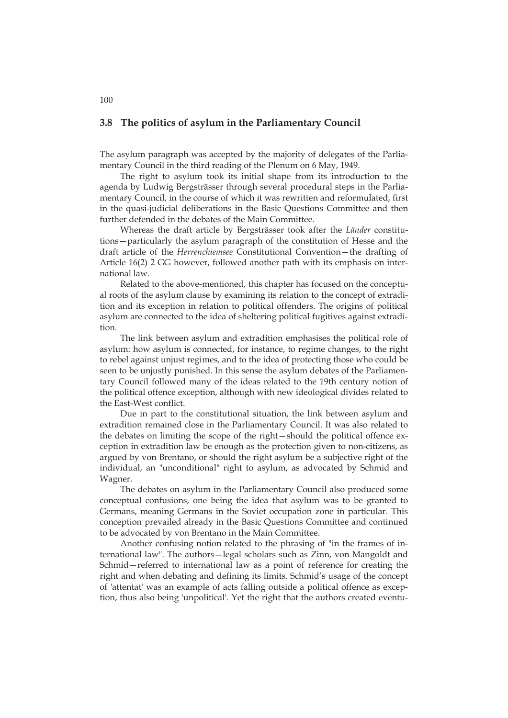#### **3.8 The politics of asylum in the Parliamentary Council**

The asylum paragraph was accepted by the majority of delegates of the Parliamentary Council in the third reading of the Plenum on 6 May, 1949.

The right to asylum took its initial shape from its introduction to the agenda by Ludwig Bergsträsser through several procedural steps in the Parliamentary Council, in the course of which it was rewritten and reformulated, first in the quasi-judicial deliberations in the Basic Questions Committee and then further defended in the debates of the Main Committee.

Whereas the draft article by Bergsträsser took after the *Länder* constitutions—particularly the asylum paragraph of the constitution of Hesse and the draft article of the *Herrenchiemsee* Constitutional Convention—the drafting of Article 16(2) 2 GG however, followed another path with its emphasis on international law.

Related to the above-mentioned, this chapter has focused on the conceptual roots of the asylum clause by examining its relation to the concept of extradition and its exception in relation to political offenders. The origins of political asylum are connected to the idea of sheltering political fugitives against extradition.

The link between asylum and extradition emphasises the political role of asylum: how asylum is connected, for instance, to regime changes, to the right to rebel against unjust regimes, and to the idea of protecting those who could be seen to be unjustly punished. In this sense the asylum debates of the Parliamentary Council followed many of the ideas related to the 19th century notion of the political offence exception, although with new ideological divides related to the East-West conflict.

Due in part to the constitutional situation, the link between asylum and extradition remained close in the Parliamentary Council. It was also related to the debates on limiting the scope of the right—should the political offence exception in extradition law be enough as the protection given to non-citizens, as argued by von Brentano, or should the right asylum be a subjective right of the individual, an "unconditional" right to asylum, as advocated by Schmid and Wagner.

The debates on asylum in the Parliamentary Council also produced some conceptual confusions, one being the idea that asylum was to be granted to Germans, meaning Germans in the Soviet occupation zone in particular. This conception prevailed already in the Basic Questions Committee and continued to be advocated by von Brentano in the Main Committee.

Another confusing notion related to the phrasing of "in the frames of international law". The authors—legal scholars such as Zinn, von Mangoldt and Schmid—referred to international law as a point of reference for creating the right and when debating and defining its limits. Schmid's usage of the concept of 'attentat' was an example of acts falling outside a political offence as exception, thus also being 'unpolitical'. Yet the right that the authors created eventu-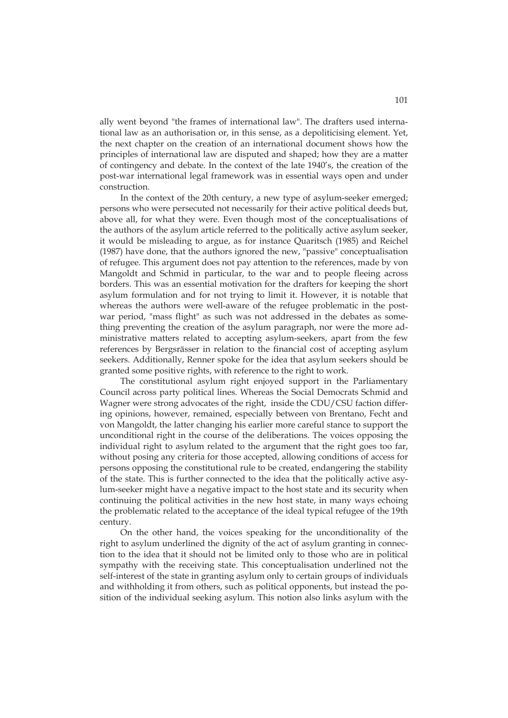ally went beyond "the frames of international law". The drafters used international law as an authorisation or, in this sense, as a depoliticising element. Yet, the next chapter on the creation of an international document shows how the principles of international law are disputed and shaped; how they are a matter of contingency and debate. In the context of the late 1940's, the creation of the post-war international legal framework was in essential ways open and under construction.

In the context of the 20th century, a new type of asylum-seeker emerged; persons who were persecuted not necessarily for their active political deeds but, above all, for what they were. Even though most of the conceptualisations of the authors of the asylum article referred to the politically active asylum seeker, it would be misleading to argue, as for instance Quaritsch (1985) and Reichel (1987) have done, that the authors ignored the new, "passive" conceptualisation of refugee. This argument does not pay attention to the references, made by von Mangoldt and Schmid in particular, to the war and to people fleeing across borders. This was an essential motivation for the drafters for keeping the short asylum formulation and for not trying to limit it. However, it is notable that whereas the authors were well-aware of the refugee problematic in the postwar period, "mass flight" as such was not addressed in the debates as something preventing the creation of the asylum paragraph, nor were the more administrative matters related to accepting asylum-seekers, apart from the few references by Bergsrässer in relation to the financial cost of accepting asylum seekers. Additionally, Renner spoke for the idea that asylum seekers should be granted some positive rights, with reference to the right to work.

The constitutional asylum right enjoyed support in the Parliamentary Council across party political lines. Whereas the Social Democrats Schmid and Wagner were strong advocates of the right, inside the CDU/CSU faction differing opinions, however, remained, especially between von Brentano, Fecht and von Mangoldt, the latter changing his earlier more careful stance to support the unconditional right in the course of the deliberations. The voices opposing the individual right to asylum related to the argument that the right goes too far, without posing any criteria for those accepted, allowing conditions of access for persons opposing the constitutional rule to be created, endangering the stability of the state. This is further connected to the idea that the politically active asylum-seeker might have a negative impact to the host state and its security when continuing the political activities in the new host state, in many ways echoing the problematic related to the acceptance of the ideal typical refugee of the 19th century.

On the other hand, the voices speaking for the unconditionality of the right to asylum underlined the dignity of the act of asylum granting in connection to the idea that it should not be limited only to those who are in political sympathy with the receiving state. This conceptualisation underlined not the self-interest of the state in granting asylum only to certain groups of individuals and withholding it from others, such as political opponents, but instead the position of the individual seeking asylum. This notion also links asylum with the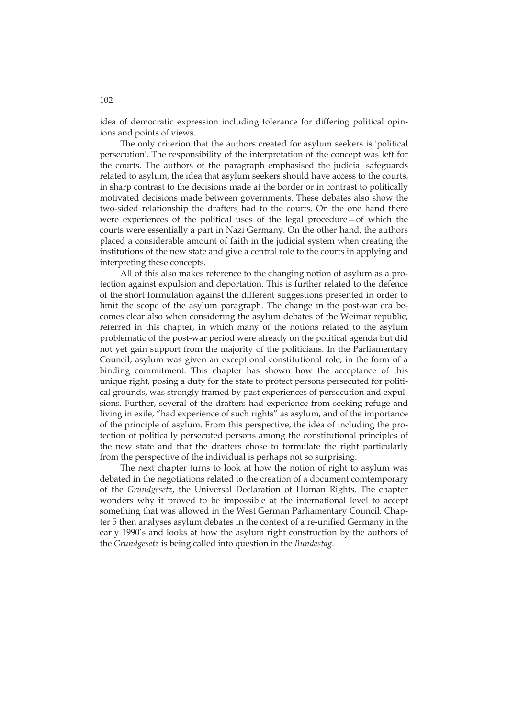idea of democratic expression including tolerance for differing political opinions and points of views.

The only criterion that the authors created for asylum seekers is 'political persecution'. The responsibility of the interpretation of the concept was left for the courts. The authors of the paragraph emphasised the judicial safeguards related to asylum, the idea that asylum seekers should have access to the courts, in sharp contrast to the decisions made at the border or in contrast to politically motivated decisions made between governments. These debates also show the two-sided relationship the drafters had to the courts. On the one hand there were experiences of the political uses of the legal procedure—of which the courts were essentially a part in Nazi Germany. On the other hand, the authors placed a considerable amount of faith in the judicial system when creating the institutions of the new state and give a central role to the courts in applying and interpreting these concepts.

All of this also makes reference to the changing notion of asylum as a protection against expulsion and deportation. This is further related to the defence of the short formulation against the different suggestions presented in order to limit the scope of the asylum paragraph. The change in the post-war era becomes clear also when considering the asylum debates of the Weimar republic, referred in this chapter, in which many of the notions related to the asylum problematic of the post-war period were already on the political agenda but did not yet gain support from the majority of the politicians. In the Parliamentary Council, asylum was given an exceptional constitutional role, in the form of a binding commitment. This chapter has shown how the acceptance of this unique right, posing a duty for the state to protect persons persecuted for political grounds, was strongly framed by past experiences of persecution and expulsions. Further, several of the drafters had experience from seeking refuge and living in exile, "had experience of such rights" as asylum, and of the importance of the principle of asylum. From this perspective, the idea of including the protection of politically persecuted persons among the constitutional principles of the new state and that the drafters chose to formulate the right particularly from the perspective of the individual is perhaps not so surprising.

The next chapter turns to look at how the notion of right to asylum was debated in the negotiations related to the creation of a document comtemporary of the *Grundgesetz*, the Universal Declaration of Human Rights. The chapter wonders why it proved to be impossible at the international level to accept something that was allowed in the West German Parliamentary Council. Chapter 5 then analyses asylum debates in the context of a re-unified Germany in the early 1990's and looks at how the asylum right construction by the authors of the *Grundgesetz* is being called into question in the *Bundestag*.

102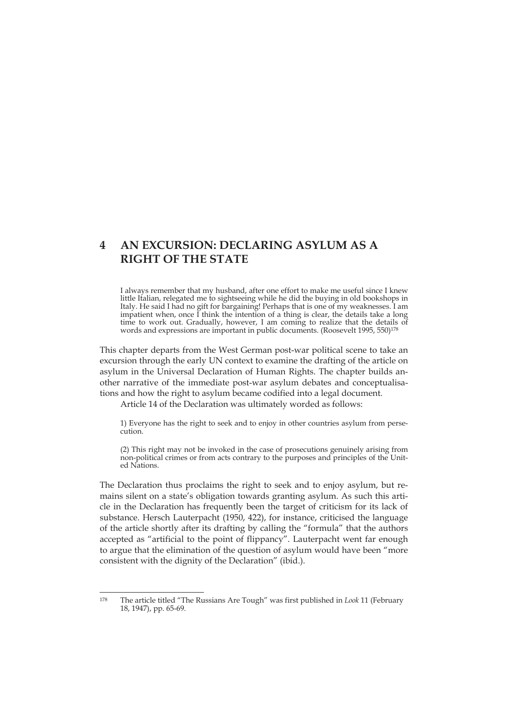# **4 AN EXCURSION: DECLARING ASYLUM AS A RIGHT OF THE STATE**

I always remember that my husband, after one effort to make me useful since I knew little Italian, relegated me to sightseeing while he did the buying in old bookshops in Italy. He said I had no gift for bargaining! Perhaps that is one of my weaknesses. I am impatient when, once I think the intention of a thing is clear, the details take a long time to work out. Gradually, however, I am coming to realize that the details of words and expressions are important in public documents. (Roosevelt 1995, 550)<sup>178</sup>

This chapter departs from the West German post-war political scene to take an excursion through the early UN context to examine the drafting of the article on asylum in the Universal Declaration of Human Rights. The chapter builds another narrative of the immediate post-war asylum debates and conceptualisations and how the right to asylum became codified into a legal document.

Article 14 of the Declaration was ultimately worded as follows:

1) Everyone has the right to seek and to enjoy in other countries asylum from persecution.

(2) This right may not be invoked in the case of prosecutions genuinely arising from non-political crimes or from acts contrary to the purposes and principles of the United Nations.

The Declaration thus proclaims the right to seek and to enjoy asylum, but remains silent on a state's obligation towards granting asylum. As such this article in the Declaration has frequently been the target of criticism for its lack of substance. Hersch Lauterpacht (1950, 422), for instance, criticised the language of the article shortly after its drafting by calling the "formula" that the authors accepted as "artificial to the point of flippancy". Lauterpacht went far enough to argue that the elimination of the question of asylum would have been "more consistent with the dignity of the Declaration" (ibid.).

 $178$ 178 The article titled "The Russians Are Tough" was first published in *Look* 11 (February 18, 1947), pp. 65-69.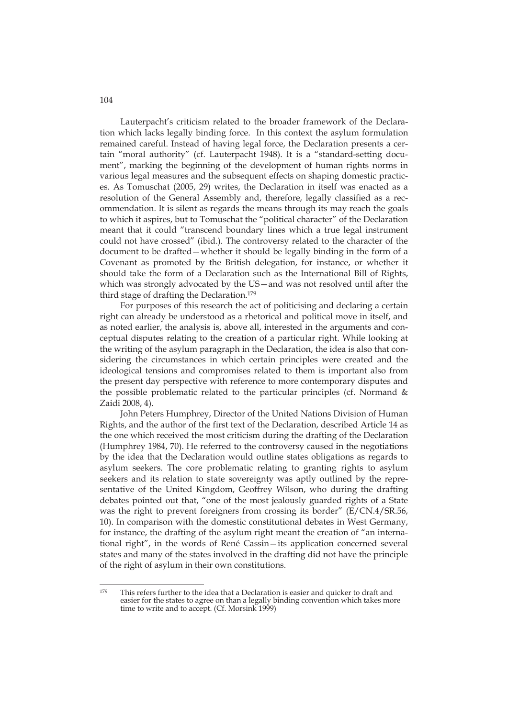Lauterpacht's criticism related to the broader framework of the Declaration which lacks legally binding force. In this context the asylum formulation remained careful. Instead of having legal force, the Declaration presents a certain "moral authority" (cf. Lauterpacht 1948). It is a "standard-setting document", marking the beginning of the development of human rights norms in various legal measures and the subsequent effects on shaping domestic practices. As Tomuschat (2005, 29) writes, the Declaration in itself was enacted as a resolution of the General Assembly and, therefore, legally classified as a recommendation. It is silent as regards the means through its may reach the goals to which it aspires, but to Tomuschat the "political character" of the Declaration meant that it could "transcend boundary lines which a true legal instrument could not have crossed" (ibid.). The controversy related to the character of the document to be drafted—whether it should be legally binding in the form of a Covenant as promoted by the British delegation, for instance, or whether it should take the form of a Declaration such as the International Bill of Rights, which was strongly advocated by the US—and was not resolved until after the third stage of drafting the Declaration.179

For purposes of this research the act of politicising and declaring a certain right can already be understood as a rhetorical and political move in itself, and as noted earlier, the analysis is, above all, interested in the arguments and conceptual disputes relating to the creation of a particular right. While looking at the writing of the asylum paragraph in the Declaration, the idea is also that considering the circumstances in which certain principles were created and the ideological tensions and compromises related to them is important also from the present day perspective with reference to more contemporary disputes and the possible problematic related to the particular principles (cf. Normand & Zaidi 2008, 4).

John Peters Humphrey, Director of the United Nations Division of Human Rights, and the author of the first text of the Declaration, described Article 14 as the one which received the most criticism during the drafting of the Declaration (Humphrey 1984, 70). He referred to the controversy caused in the negotiations by the idea that the Declaration would outline states obligations as regards to asylum seekers. The core problematic relating to granting rights to asylum seekers and its relation to state sovereignty was aptly outlined by the representative of the United Kingdom, Geoffrey Wilson, who during the drafting debates pointed out that, "one of the most jealously guarded rights of a State was the right to prevent foreigners from crossing its border" (E/CN.4/SR.56, 10). In comparison with the domestic constitutional debates in West Germany, for instance, the drafting of the asylum right meant the creation of "an international right", in the words of René Cassin—its application concerned several states and many of the states involved in the drafting did not have the principle of the right of asylum in their own constitutions.

104

<sup>179</sup> This refers further to the idea that a Declaration is easier and quicker to draft and easier for the states to agree on than a legally binding convention which takes more time to write and to accept. (Cf. Morsink 1999)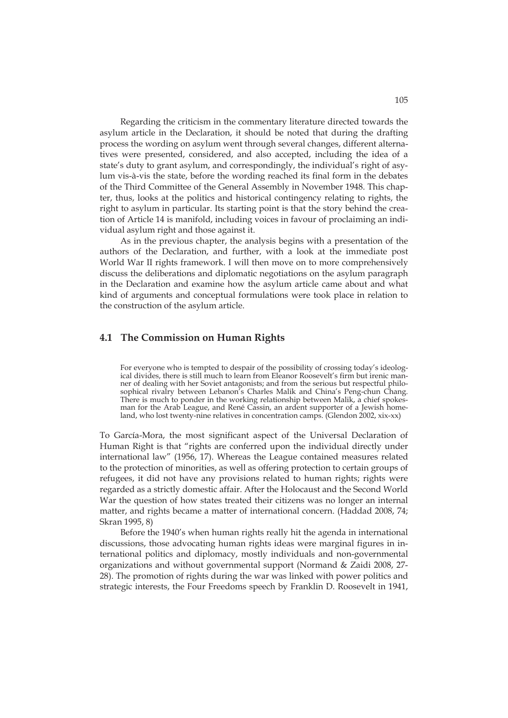Regarding the criticism in the commentary literature directed towards the asylum article in the Declaration, it should be noted that during the drafting process the wording on asylum went through several changes, different alternatives were presented, considered, and also accepted, including the idea of a state's duty to grant asylum, and correspondingly, the individual's right of asylum vis-à-vis the state, before the wording reached its final form in the debates of the Third Committee of the General Assembly in November 1948. This chapter, thus, looks at the politics and historical contingency relating to rights, the right to asylum in particular. Its starting point is that the story behind the creation of Article 14 is manifold, including voices in favour of proclaiming an individual asylum right and those against it.

As in the previous chapter, the analysis begins with a presentation of the authors of the Declaration, and further, with a look at the immediate post World War II rights framework. I will then move on to more comprehensively discuss the deliberations and diplomatic negotiations on the asylum paragraph in the Declaration and examine how the asylum article came about and what kind of arguments and conceptual formulations were took place in relation to the construction of the asylum article.

#### **4.1 The Commission on Human Rights**

For everyone who is tempted to despair of the possibility of crossing today's ideological divides, there is still much to learn from Eleanor Roosevelt's firm but irenic manner of dealing with her Soviet antagonists; and from the serious but respectful philosophical rivalry between Lebanon's Charles Malik and China's Peng-chun Chang. There is much to ponder in the working relationship between Malik, a chief spokesman for the Arab League, and René Cassin, an ardent supporter of a Jewish homeland, who lost twenty-nine relatives in concentration camps. (Glendon 2002, xix-xx)

To García-Mora, the most significant aspect of the Universal Declaration of Human Right is that "rights are conferred upon the individual directly under international law" (1956, 17). Whereas the League contained measures related to the protection of minorities, as well as offering protection to certain groups of refugees, it did not have any provisions related to human rights; rights were regarded as a strictly domestic affair. After the Holocaust and the Second World War the question of how states treated their citizens was no longer an internal matter, and rights became a matter of international concern. (Haddad 2008, 74; Skran 1995, 8)

Before the 1940's when human rights really hit the agenda in international discussions, those advocating human rights ideas were marginal figures in international politics and diplomacy, mostly individuals and non-governmental organizations and without governmental support (Normand & Zaidi 2008, 27- 28). The promotion of rights during the war was linked with power politics and strategic interests, the Four Freedoms speech by Franklin D. Roosevelt in 1941,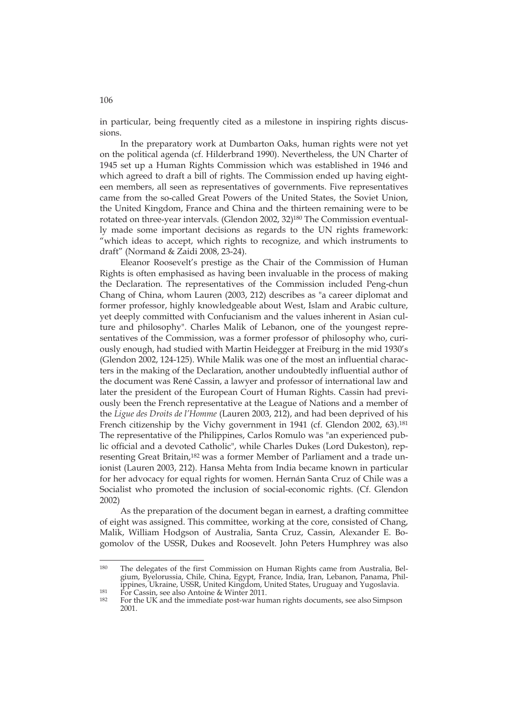in particular, being frequently cited as a milestone in inspiring rights discussions.

In the preparatory work at Dumbarton Oaks, human rights were not yet on the political agenda (cf. Hilderbrand 1990). Nevertheless, the UN Charter of 1945 set up a Human Rights Commission which was established in 1946 and which agreed to draft a bill of rights. The Commission ended up having eighteen members, all seen as representatives of governments. Five representatives came from the so-called Great Powers of the United States, the Soviet Union, the United Kingdom, France and China and the thirteen remaining were to be rotated on three-year intervals. (Glendon 2002, 32)180 The Commission eventually made some important decisions as regards to the UN rights framework: "which ideas to accept, which rights to recognize, and which instruments to draft" (Normand & Zaidi 2008, 23-24).

Eleanor Roosevelt's prestige as the Chair of the Commission of Human Rights is often emphasised as having been invaluable in the process of making the Declaration. The representatives of the Commission included Peng-chun Chang of China, whom Lauren (2003, 212) describes as "a career diplomat and former professor, highly knowledgeable about West, Islam and Arabic culture, yet deeply committed with Confucianism and the values inherent in Asian culture and philosophy". Charles Malik of Lebanon, one of the youngest representatives of the Commission, was a former professor of philosophy who, curiously enough, had studied with Martin Heidegger at Freiburg in the mid 1930's (Glendon 2002, 124-125). While Malik was one of the most an influential characters in the making of the Declaration, another undoubtedly influential author of the document was René Cassin, a lawyer and professor of international law and later the president of the European Court of Human Rights. Cassin had previously been the French representative at the League of Nations and a member of the *Ligue des Droits de l'Homme* (Lauren 2003, 212), and had been deprived of his French citizenship by the Vichy government in 1941 (cf. Glendon 2002, 63).<sup>181</sup> The representative of the Philippines, Carlos Romulo was "an experienced public official and a devoted Catholic", while Charles Dukes (Lord Dukeston), representing Great Britain,<sup>182</sup> was a former Member of Parliament and a trade unionist (Lauren 2003, 212). Hansa Mehta from India became known in particular for her advocacy for equal rights for women. Hernán Santa Cruz of Chile was a Socialist who promoted the inclusion of social-economic rights. (Cf. Glendon 2002)

As the preparation of the document began in earnest, a drafting committee of eight was assigned. This committee, working at the core, consisted of Chang, Malik, William Hodgson of Australia, Santa Cruz, Cassin, Alexander E. Bogomolov of the USSR, Dukes and Roosevelt. John Peters Humphrey was also

-

106

<sup>180</sup> The delegates of the first Commission on Human Rights came from Australia, Belgium, Byelorussia, Chile, China, Egypt, France, India, Iran, Lebanon, Panama, Philippines, Ukraine, USSR, United Kingdom, United States, Uruguay and Yugoslavia.<br>
181 For Cassin, see also Antoine & Winter 2011.<br>
182 For the UK and the immediate post-war human rights documents, see also Simpson

<sup>2001.</sup>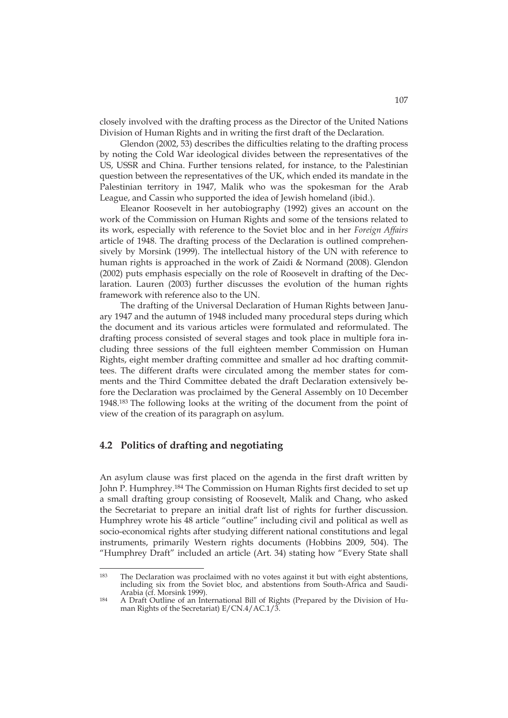closely involved with the drafting process as the Director of the United Nations Division of Human Rights and in writing the first draft of the Declaration.

Glendon (2002, 53) describes the difficulties relating to the drafting process by noting the Cold War ideological divides between the representatives of the US, USSR and China. Further tensions related, for instance, to the Palestinian question between the representatives of the UK, which ended its mandate in the Palestinian territory in 1947, Malik who was the spokesman for the Arab League, and Cassin who supported the idea of Jewish homeland (ibid.).

Eleanor Roosevelt in her autobiography (1992) gives an account on the work of the Commission on Human Rights and some of the tensions related to its work, especially with reference to the Soviet bloc and in her *Foreign Affairs* article of 1948. The drafting process of the Declaration is outlined comprehensively by Morsink (1999). The intellectual history of the UN with reference to human rights is approached in the work of Zaidi & Normand (2008). Glendon (2002) puts emphasis especially on the role of Roosevelt in drafting of the Declaration. Lauren (2003) further discusses the evolution of the human rights framework with reference also to the UN.

The drafting of the Universal Declaration of Human Rights between January 1947 and the autumn of 1948 included many procedural steps during which the document and its various articles were formulated and reformulated. The drafting process consisted of several stages and took place in multiple fora including three sessions of the full eighteen member Commission on Human Rights, eight member drafting committee and smaller ad hoc drafting committees. The different drafts were circulated among the member states for comments and the Third Committee debated the draft Declaration extensively before the Declaration was proclaimed by the General Assembly on 10 December 1948.183 The following looks at the writing of the document from the point of view of the creation of its paragraph on asylum.

### **4.2 Politics of drafting and negotiating**

-

An asylum clause was first placed on the agenda in the first draft written by John P. Humphrey.184 The Commission on Human Rights first decided to set up a small drafting group consisting of Roosevelt, Malik and Chang, who asked the Secretariat to prepare an initial draft list of rights for further discussion. Humphrey wrote his 48 article "outline" including civil and political as well as socio-economical rights after studying different national constitutions and legal instruments, primarily Western rights documents (Hobbins 2009, 504). The "Humphrey Draft" included an article (Art. 34) stating how "Every State shall

<sup>183</sup> The Declaration was proclaimed with no votes against it but with eight abstentions, including six from the Soviet bloc, and abstentions from South-Africa and Saudi-

 $184$  A Draft Outline of an International Bill of Rights (Prepared by the Division of Human Rights of the Secretariat) E/CN.4/AC.1/3.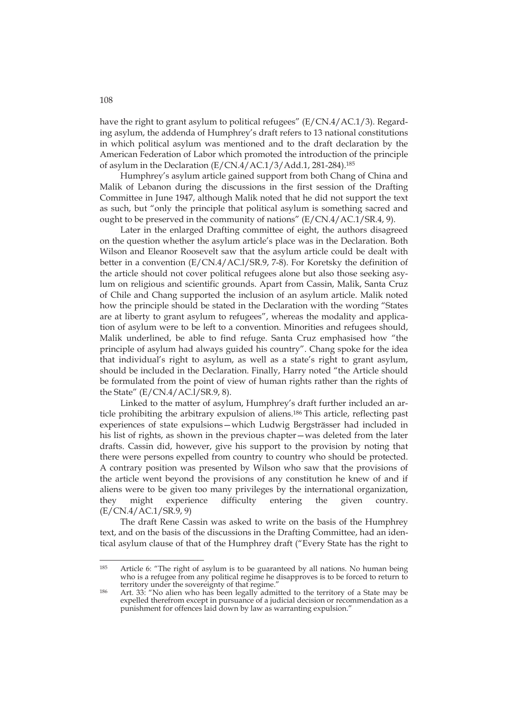have the right to grant asylum to political refugees" (E/CN.4/AC.1/3). Regarding asylum, the addenda of Humphrey's draft refers to 13 national constitutions in which political asylum was mentioned and to the draft declaration by the American Federation of Labor which promoted the introduction of the principle of asylum in the Declaration (E/CN.4/AC.1/3/Add.1, 281-284).185

Humphrey's asylum article gained support from both Chang of China and Malik of Lebanon during the discussions in the first session of the Drafting Committee in June 1947, although Malik noted that he did not support the text as such, but "only the principle that political asylum is something sacred and ought to be preserved in the community of nations" (E/CN.4/AC.1/SR.4, 9).

Later in the enlarged Drafting committee of eight, the authors disagreed on the question whether the asylum article's place was in the Declaration. Both Wilson and Eleanor Roosevelt saw that the asylum article could be dealt with better in a convention (E/CN.4/AC.l/SR.9, 7-8). For Koretsky the definition of the article should not cover political refugees alone but also those seeking asylum on religious and scientific grounds. Apart from Cassin, Malik, Santa Cruz of Chile and Chang supported the inclusion of an asylum article. Malik noted how the principle should be stated in the Declaration with the wording "States are at liberty to grant asylum to refugees", whereas the modality and application of asylum were to be left to a convention. Minorities and refugees should, Malik underlined, be able to find refuge. Santa Cruz emphasised how "the principle of asylum had always guided his country". Chang spoke for the idea that individual's right to asylum, as well as a state's right to grant asylum, should be included in the Declaration. Finally, Harry noted "the Article should be formulated from the point of view of human rights rather than the rights of the State" (E/CN.4/AC.l/SR.9, 8).

Linked to the matter of asylum, Humphrey's draft further included an article prohibiting the arbitrary expulsion of aliens.186 This article, reflecting past experiences of state expulsions—which Ludwig Bergsträsser had included in his list of rights, as shown in the previous chapter—was deleted from the later drafts. Cassin did, however, give his support to the provision by noting that there were persons expelled from country to country who should be protected. A contrary position was presented by Wilson who saw that the provisions of the article went beyond the provisions of any constitution he knew of and if aliens were to be given too many privileges by the international organization, they might experience difficulty entering the given country. (E/CN.4/AC.1/SR.9, 9)

The draft Rene Cassin was asked to write on the basis of the Humphrey text, and on the basis of the discussions in the Drafting Committee, had an identical asylum clause of that of the Humphrey draft ("Every State has the right to

<sup>185</sup> Article 6: "The right of asylum is to be guaranteed by all nations. No human being who is a refugee from any political regime he disapproves is to be forced to return to territory under the sovereignty of that regime."

<sup>186</sup> Art. 33: "No alien who has been legally admitted to the territory of a State may be expelled therefrom except in pursuance of a judicial decision or recommendation as a punishment for offences laid down by law as warranting expulsion."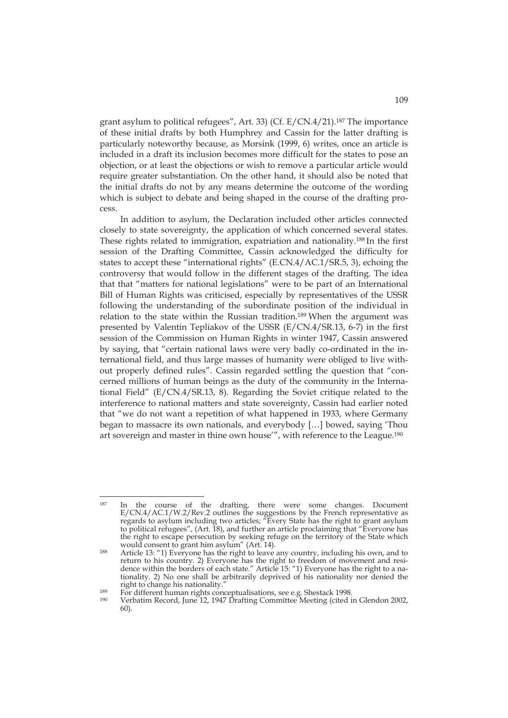grant asylum to political refugees", Art. 33) (Cf. E/CN.4/21).187 The importance of these initial drafts by both Humphrey and Cassin for the latter drafting is particularly noteworthy because, as Morsink (1999, 6) writes, once an article is included in a draft its inclusion becomes more difficult for the states to pose an objection, or at least the objections or wish to remove a particular article would require greater substantiation. On the other hand, it should also be noted that the initial drafts do not by any means determine the outcome of the wording which is subject to debate and being shaped in the course of the drafting process.

In addition to asylum, the Declaration included other articles connected closely to state sovereignty, the application of which concerned several states. These rights related to immigration, expatriation and nationality.188 In the first session of the Drafting Committee, Cassin acknowledged the difficulty for states to accept these "international rights" (E.CN.4/AC.1/SR.5, 3), echoing the controversy that would follow in the different stages of the drafting. The idea that that "matters for national legislations" were to be part of an International Bill of Human Rights was criticised, especially by representatives of the USSR following the understanding of the subordinate position of the individual in relation to the state within the Russian tradition.<sup>189</sup> When the argument was presented by Valentin Tepliakov of the USSR (E/CN.4/SR.13, 6-7) in the first session of the Commission on Human Rights in winter 1947, Cassin answered by saying, that "certain national laws were very badly co-ordinated in the international field, and thus large masses of humanity were obliged to live without properly defined rules". Cassin regarded settling the question that "concerned millions of human beings as the duty of the community in the International Field" (E/CN.4/SR.13, 8). Regarding the Soviet critique related to the interference to national matters and state sovereignty, Cassin had earlier noted that "we do not want a repetition of what happened in 1933, where Germany began to massacre its own nationals, and everybody […] bowed, saying 'Thou art sovereign and master in thine own house'", with reference to the League.190

<sup>&</sup>lt;sup>187</sup> In the course of the drafting, there were some changes. Document E/CN.4/AC.1/W.2/Rev.2 outlines the suggestions by the French representative as regards to asylum including two articles; "Every State has the right to grant asylum to political refugees", (Art. 18), and further an article proclaiming that "Everyone has the right to escape persecution by seeking refuge on the territory of the State which would consent to grant him asylum" (Art. 14).

<sup>188</sup> Article 13: "1) Everyone has the right to leave any country, including his own, and to return to his country. 2) Everyone has the right to freedom of movement and residence within the borders of each state." Article 15: "1) Everyone has the right to a nationality. 2) No one shall be arbitrarily deprived of his nationality nor denied the right to change his nationality."<br>
<sup>189</sup> For different human rights conceptualisations, see e.g. Shestack 1998.<br>
<sup>190</sup> Verbatim Record, June 12, 1947 Drafting Committee Meeting (cited in Glendon 2002,

<sup>60).</sup>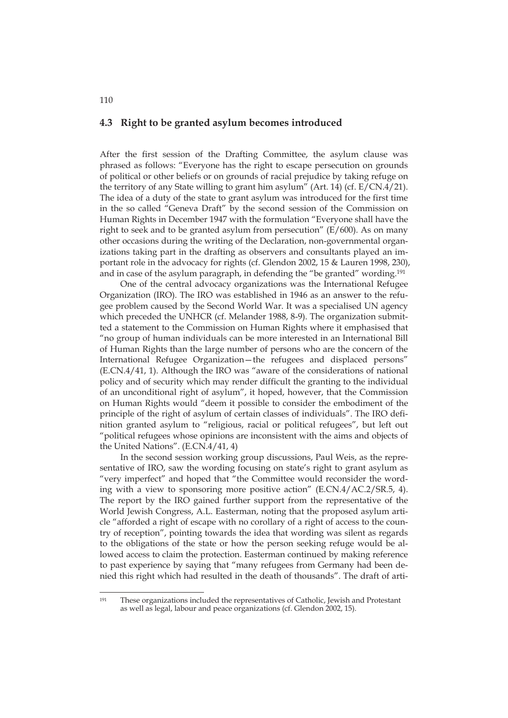### **4.3 Right to be granted asylum becomes introduced**

After the first session of the Drafting Committee, the asylum clause was phrased as follows: "Everyone has the right to escape persecution on grounds of political or other beliefs or on grounds of racial prejudice by taking refuge on the territory of any State willing to grant him asylum" (Art. 14) (cf. E/CN.4/21). The idea of a duty of the state to grant asylum was introduced for the first time in the so called "Geneva Draft" by the second session of the Commission on Human Rights in December 1947 with the formulation "Everyone shall have the right to seek and to be granted asylum from persecution" (E/600). As on many other occasions during the writing of the Declaration, non-governmental organizations taking part in the drafting as observers and consultants played an important role in the advocacy for rights (cf. Glendon 2002, 15 & Lauren 1998, 230), and in case of the asylum paragraph, in defending the "be granted" wording.191

One of the central advocacy organizations was the International Refugee Organization (IRO). The IRO was established in 1946 as an answer to the refugee problem caused by the Second World War. It was a specialised UN agency which preceded the UNHCR (cf. Melander 1988, 8-9). The organization submitted a statement to the Commission on Human Rights where it emphasised that "no group of human individuals can be more interested in an International Bill of Human Rights than the large number of persons who are the concern of the International Refugee Organization—the refugees and displaced persons" (E.CN.4/41, 1). Although the IRO was "aware of the considerations of national policy and of security which may render difficult the granting to the individual of an unconditional right of asylum", it hoped, however, that the Commission on Human Rights would "deem it possible to consider the embodiment of the principle of the right of asylum of certain classes of individuals". The IRO definition granted asylum to "religious, racial or political refugees", but left out "political refugees whose opinions are inconsistent with the aims and objects of the United Nations". (E.CN.4/41, 4)

In the second session working group discussions, Paul Weis, as the representative of IRO, saw the wording focusing on state's right to grant asylum as "very imperfect" and hoped that "the Committee would reconsider the wording with a view to sponsoring more positive action" (E.CN.4/AC.2/SR.5, 4). The report by the IRO gained further support from the representative of the World Jewish Congress, A.L. Easterman, noting that the proposed asylum article "afforded a right of escape with no corollary of a right of access to the country of reception", pointing towards the idea that wording was silent as regards to the obligations of the state or how the person seeking refuge would be allowed access to claim the protection. Easterman continued by making reference to past experience by saying that "many refugees from Germany had been denied this right which had resulted in the death of thousands". The draft of arti-

<sup>191</sup> These organizations included the representatives of Catholic, Jewish and Protestant as well as legal, labour and peace organizations (cf. Glendon 2002, 15).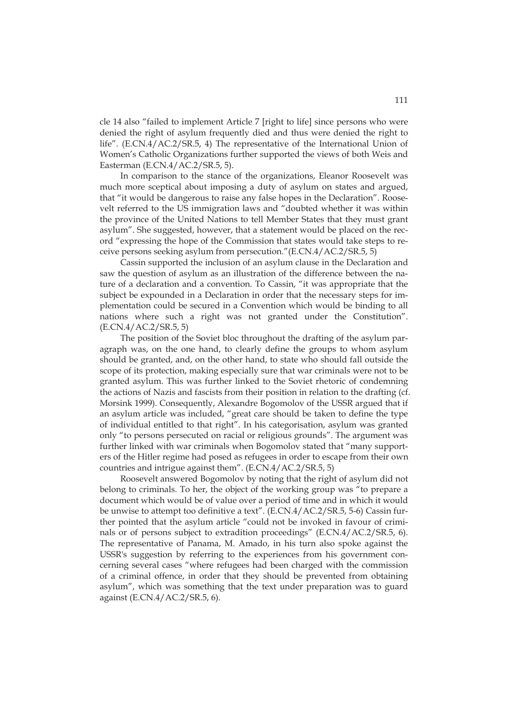cle 14 also "failed to implement Article 7 [right to life] since persons who were denied the right of asylum frequently died and thus were denied the right to life". (E.CN.4/AC.2/SR.5, 4) The representative of the International Union of Women's Catholic Organizations further supported the views of both Weis and Easterman (E.CN.4/AC.2/SR.5, 5).

In comparison to the stance of the organizations, Eleanor Roosevelt was much more sceptical about imposing a duty of asylum on states and argued, that "it would be dangerous to raise any false hopes in the Declaration". Roosevelt referred to the US immigration laws and "doubted whether it was within the province of the United Nations to tell Member States that they must grant asylum". She suggested, however, that a statement would be placed on the record "expressing the hope of the Commission that states would take steps to receive persons seeking asylum from persecution."(E.CN.4/AC.2/SR.5, 5)

Cassin supported the inclusion of an asylum clause in the Declaration and saw the question of asylum as an illustration of the difference between the nature of a declaration and a convention. To Cassin, "it was appropriate that the subject be expounded in a Declaration in order that the necessary steps for implementation could be secured in a Convention which would be binding to all nations where such a right was not granted under the Constitution". (E.CN.4/AC.2/SR.5, 5)

The position of the Soviet bloc throughout the drafting of the asylum paragraph was, on the one hand, to clearly define the groups to whom asylum should be granted, and, on the other hand, to state who should fall outside the scope of its protection, making especially sure that war criminals were not to be granted asylum. This was further linked to the Soviet rhetoric of condemning the actions of Nazis and fascists from their position in relation to the drafting (cf. Morsink 1999). Consequently, Alexandre Bogomolov of the USSR argued that if an asylum article was included, "great care should be taken to define the type of individual entitled to that right". In his categorisation, asylum was granted only "to persons persecuted on racial or religious grounds". The argument was further linked with war criminals when Bogomolov stated that "many supporters of the Hitler regime had posed as refugees in order to escape from their own countries and intrigue against them". (E.CN.4/AC.2/SR.5, 5)

Roosevelt answered Bogomolov by noting that the right of asylum did not belong to criminals. To her, the object of the working group was "to prepare a document which would be of value over a period of time and in which it would be unwise to attempt too definitive a text". (E.CN.4/AC.2/SR.5, 5-6) Cassin further pointed that the asylum article "could not be invoked in favour of criminals or of persons subject to extradition proceedings" (E.CN.4/AC.2/SR.5, 6). The representative of Panama, M. Amado, in his turn also spoke against the USSR's suggestion by referring to the experiences from his government concerning several cases "where refugees had been charged with the commission of a criminal offence, in order that they should be prevented from obtaining asylum", which was something that the text under preparation was to guard against (E.CN.4/AC.2/SR.5, 6).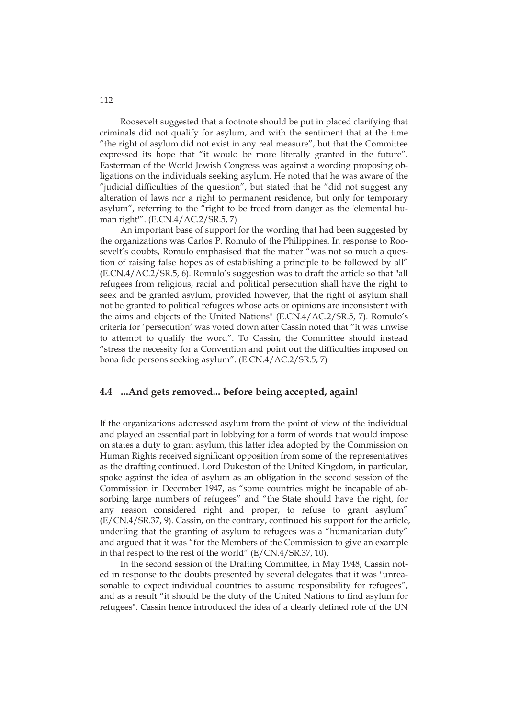Roosevelt suggested that a footnote should be put in placed clarifying that criminals did not qualify for asylum, and with the sentiment that at the time "the right of asylum did not exist in any real measure", but that the Committee expressed its hope that "it would be more literally granted in the future". Easterman of the World Jewish Congress was against a wording proposing obligations on the individuals seeking asylum. He noted that he was aware of the "judicial difficulties of the question", but stated that he "did not suggest any alteration of laws nor a right to permanent residence, but only for temporary asylum", referring to the "right to be freed from danger as the 'elemental human right'". (E.CN.4/AC.2/SR.5, 7)

An important base of support for the wording that had been suggested by the organizations was Carlos P. Romulo of the Philippines. In response to Roosevelt's doubts, Romulo emphasised that the matter "was not so much a question of raising false hopes as of establishing a principle to be followed by all" (E.CN.4/AC.2/SR.5, 6). Romulo's suggestion was to draft the article so that "all refugees from religious, racial and political persecution shall have the right to seek and be granted asylum, provided however, that the right of asylum shall not be granted to political refugees whose acts or opinions are inconsistent with the aims and objects of the United Nations" (E.CN.4/AC.2/SR.5, 7). Romulo's criteria for 'persecution' was voted down after Cassin noted that "it was unwise to attempt to qualify the word". To Cassin, the Committee should instead "stress the necessity for a Convention and point out the difficulties imposed on bona fide persons seeking asylum". (E.CN.4/AC.2/SR.5, 7)

### **4.4 ...And gets removed... before being accepted, again!**

If the organizations addressed asylum from the point of view of the individual and played an essential part in lobbying for a form of words that would impose on states a duty to grant asylum, this latter idea adopted by the Commission on Human Rights received significant opposition from some of the representatives as the drafting continued. Lord Dukeston of the United Kingdom, in particular, spoke against the idea of asylum as an obligation in the second session of the Commission in December 1947, as "some countries might be incapable of absorbing large numbers of refugees" and "the State should have the right, for any reason considered right and proper, to refuse to grant asylum" (E/CN.4/SR.37, 9). Cassin, on the contrary, continued his support for the article, underling that the granting of asylum to refugees was a "humanitarian duty" and argued that it was "for the Members of the Commission to give an example in that respect to the rest of the world" (E/CN.4/SR.37, 10).

In the second session of the Drafting Committee, in May 1948, Cassin noted in response to the doubts presented by several delegates that it was "unreasonable to expect individual countries to assume responsibility for refugees", and as a result "it should be the duty of the United Nations to find asylum for refugees". Cassin hence introduced the idea of a clearly defined role of the UN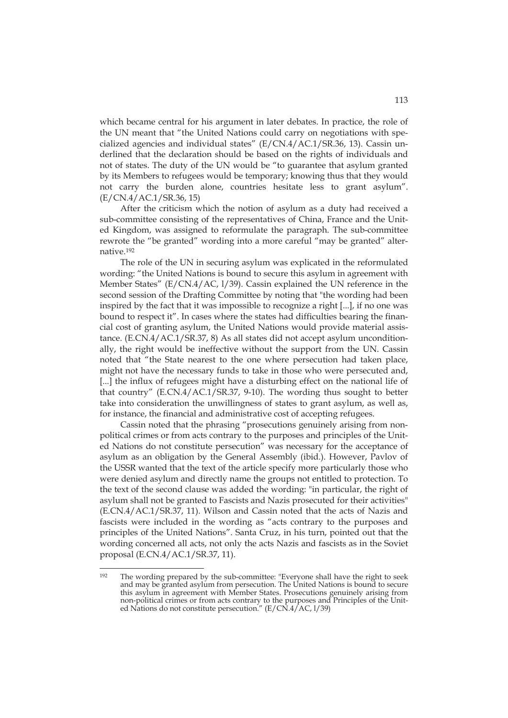which became central for his argument in later debates. In practice, the role of the UN meant that "the United Nations could carry on negotiations with specialized agencies and individual states" (E/CN.4/AC.1/SR.36, 13). Cassin underlined that the declaration should be based on the rights of individuals and not of states. The duty of the UN would be "to guarantee that asylum granted by its Members to refugees would be temporary; knowing thus that they would not carry the burden alone, countries hesitate less to grant asylum". (E/CN.4/AC.1/SR.36, 15)

After the criticism which the notion of asylum as a duty had received a sub-committee consisting of the representatives of China, France and the United Kingdom, was assigned to reformulate the paragraph. The sub-committee rewrote the "be granted" wording into a more careful "may be granted" alternative.192

The role of the UN in securing asylum was explicated in the reformulated wording: "the United Nations is bound to secure this asylum in agreement with Member States" (E/CN.4/AC, l/39). Cassin explained the UN reference in the second session of the Drafting Committee by noting that "the wording had been inspired by the fact that it was impossible to recognize a right [...], if no one was bound to respect it". In cases where the states had difficulties bearing the financial cost of granting asylum, the United Nations would provide material assistance. (E.CN.4/AC.1/SR.37, 8) As all states did not accept asylum unconditionally, the right would be ineffective without the support from the UN. Cassin noted that "the State nearest to the one where persecution had taken place, might not have the necessary funds to take in those who were persecuted and, [...] the influx of refugees might have a disturbing effect on the national life of that country" (E.CN.4/AC.1/SR.37, 9-10). The wording thus sought to better take into consideration the unwillingness of states to grant asylum, as well as, for instance, the financial and administrative cost of accepting refugees.

Cassin noted that the phrasing "prosecutions genuinely arising from nonpolitical crimes or from acts contrary to the purposes and principles of the United Nations do not constitute persecution" was necessary for the acceptance of asylum as an obligation by the General Assembly (ibid.). However, Pavlov of the USSR wanted that the text of the article specify more particularly those who were denied asylum and directly name the groups not entitled to protection. To the text of the second clause was added the wording: "in particular, the right of asylum shall not be granted to Fascists and Nazis prosecuted for their activities" (E.CN.4/AC.1/SR.37, 11). Wilson and Cassin noted that the acts of Nazis and fascists were included in the wording as "acts contrary to the purposes and principles of the United Nations". Santa Cruz, in his turn, pointed out that the wording concerned all acts, not only the acts Nazis and fascists as in the Soviet proposal (E.CN.4/AC.1/SR.37, 11).

<sup>192</sup> The wording prepared by the sub-committee: "Everyone shall have the right to seek and may be granted asylum from persecution. The United Nations is bound to secure this asylum in agreement with Member States. Prosecutions genuinely arising from non-political crimes or from acts contrary to the purposes and Principles of the United Nations do not constitute persecution."  $(E/C\hat{N}.4/AC, 1/39)$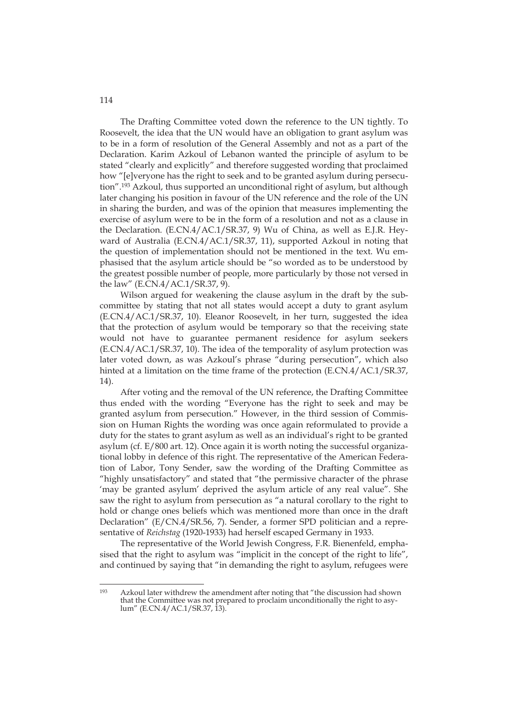The Drafting Committee voted down the reference to the UN tightly. To Roosevelt, the idea that the UN would have an obligation to grant asylum was to be in a form of resolution of the General Assembly and not as a part of the Declaration. Karim Azkoul of Lebanon wanted the principle of asylum to be stated "clearly and explicitly" and therefore suggested wording that proclaimed how "[e]veryone has the right to seek and to be granted asylum during persecution".193 Azkoul, thus supported an unconditional right of asylum, but although later changing his position in favour of the UN reference and the role of the UN in sharing the burden, and was of the opinion that measures implementing the exercise of asylum were to be in the form of a resolution and not as a clause in the Declaration. (E.CN.4/AC.1/SR.37, 9) Wu of China, as well as E.J.R. Heyward of Australia (E.CN.4/AC.1/SR.37, 11), supported Azkoul in noting that the question of implementation should not be mentioned in the text. Wu emphasised that the asylum article should be "so worded as to be understood by the greatest possible number of people, more particularly by those not versed in the law" (E.CN.4/AC.1/SR.37, 9).

Wilson argued for weakening the clause asylum in the draft by the subcommittee by stating that not all states would accept a duty to grant asylum (E.CN.4/AC.1/SR.37, 10). Eleanor Roosevelt, in her turn, suggested the idea that the protection of asylum would be temporary so that the receiving state would not have to guarantee permanent residence for asylum seekers (E.CN.4/AC.1/SR.37, 10). The idea of the temporality of asylum protection was later voted down, as was Azkoul's phrase "during persecution", which also hinted at a limitation on the time frame of the protection (E.CN.4/AC.1/SR.37, 14).

After voting and the removal of the UN reference, the Drafting Committee thus ended with the wording "Everyone has the right to seek and may be granted asylum from persecution." However, in the third session of Commission on Human Rights the wording was once again reformulated to provide a duty for the states to grant asylum as well as an individual's right to be granted asylum (cf. E/800 art. 12). Once again it is worth noting the successful organizational lobby in defence of this right. The representative of the American Federation of Labor, Tony Sender, saw the wording of the Drafting Committee as "highly unsatisfactory" and stated that "the permissive character of the phrase 'may be granted asylum' deprived the asylum article of any real value". She saw the right to asylum from persecution as "a natural corollary to the right to hold or change ones beliefs which was mentioned more than once in the draft Declaration" (E/CN.4/SR.56, 7). Sender, a former SPD politician and a representative of *Reichstag* (1920-1933) had herself escaped Germany in 1933.

The representative of the World Jewish Congress, F.R. Bienenfeld, emphasised that the right to asylum was "implicit in the concept of the right to life", and continued by saying that "in demanding the right to asylum, refugees were

<sup>193</sup> Azkoul later withdrew the amendment after noting that "the discussion had shown that the Committee was not prepared to proclaim unconditionally the right to asylum" (E.CN.4/AC.1/SR.37, 13).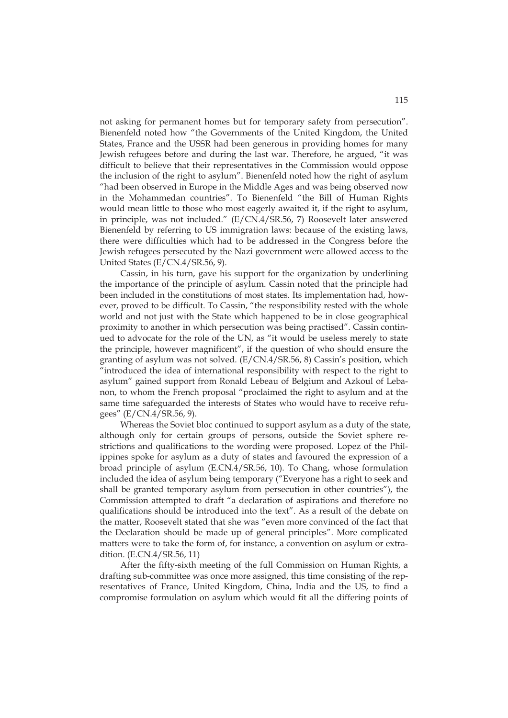not asking for permanent homes but for temporary safety from persecution". Bienenfeld noted how "the Governments of the United Kingdom, the United States, France and the USSR had been generous in providing homes for many Jewish refugees before and during the last war. Therefore, he argued, "it was difficult to believe that their representatives in the Commission would oppose the inclusion of the right to asylum". Bienenfeld noted how the right of asylum "had been observed in Europe in the Middle Ages and was being observed now in the Mohammedan countries". To Bienenfeld "the Bill of Human Rights would mean little to those who most eagerly awaited it, if the right to asylum, in principle, was not included." (E/CN.4/SR.56, 7) Roosevelt later answered Bienenfeld by referring to US immigration laws: because of the existing laws, there were difficulties which had to be addressed in the Congress before the Jewish refugees persecuted by the Nazi government were allowed access to the United States (E/CN.4/SR.56, 9).

Cassin, in his turn, gave his support for the organization by underlining the importance of the principle of asylum. Cassin noted that the principle had been included in the constitutions of most states. Its implementation had, however, proved to be difficult. To Cassin, "the responsibility rested with the whole world and not just with the State which happened to be in close geographical proximity to another in which persecution was being practised". Cassin continued to advocate for the role of the UN, as "it would be useless merely to state the principle, however magnificent", if the question of who should ensure the granting of asylum was not solved. (E/CN.4/SR.56, 8) Cassin's position, which "introduced the idea of international responsibility with respect to the right to asylum" gained support from Ronald Lebeau of Belgium and Azkoul of Lebanon, to whom the French proposal "proclaimed the right to asylum and at the same time safeguarded the interests of States who would have to receive refugees" (E/CN.4/SR.56, 9).

Whereas the Soviet bloc continued to support asylum as a duty of the state, although only for certain groups of persons, outside the Soviet sphere restrictions and qualifications to the wording were proposed. Lopez of the Philippines spoke for asylum as a duty of states and favoured the expression of a broad principle of asylum (E.CN.4/SR.56, 10). To Chang, whose formulation included the idea of asylum being temporary ("Everyone has a right to seek and shall be granted temporary asylum from persecution in other countries"), the Commission attempted to draft "a declaration of aspirations and therefore no qualifications should be introduced into the text". As a result of the debate on the matter, Roosevelt stated that she was "even more convinced of the fact that the Declaration should be made up of general principles". More complicated matters were to take the form of, for instance, a convention on asylum or extradition. (E.CN.4/SR.56, 11)

After the fifty-sixth meeting of the full Commission on Human Rights, a drafting sub-committee was once more assigned, this time consisting of the representatives of France, United Kingdom, China, India and the US, to find a compromise formulation on asylum which would fit all the differing points of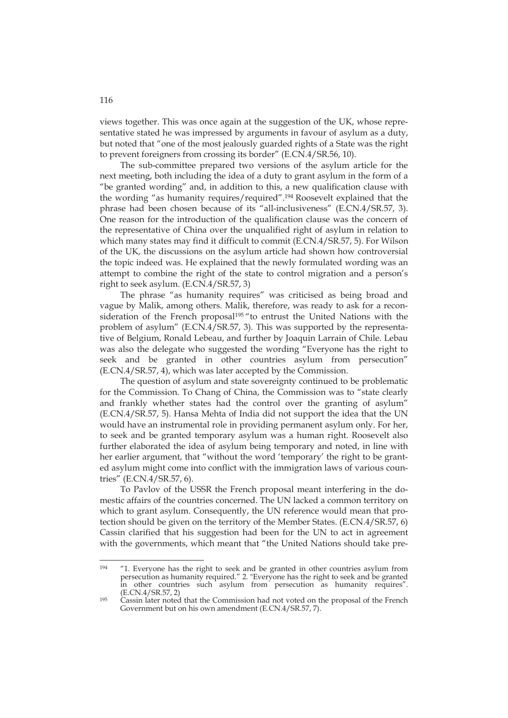views together. This was once again at the suggestion of the UK, whose representative stated he was impressed by arguments in favour of asylum as a duty, but noted that "one of the most jealously guarded rights of a State was the right to prevent foreigners from crossing its border" (E.CN.4/SR.56, 10).

The sub-committee prepared two versions of the asylum article for the next meeting, both including the idea of a duty to grant asylum in the form of a "be granted wording" and, in addition to this, a new qualification clause with the wording "as humanity requires/required".194 Roosevelt explained that the phrase had been chosen because of its "all-inclusiveness" (E.CN.4/SR.57, 3). One reason for the introduction of the qualification clause was the concern of the representative of China over the unqualified right of asylum in relation to which many states may find it difficult to commit (E.CN.4/SR.57, 5). For Wilson of the UK, the discussions on the asylum article had shown how controversial the topic indeed was. He explained that the newly formulated wording was an attempt to combine the right of the state to control migration and a person's right to seek asylum. (E.CN.4/SR.57, 3)

The phrase "as humanity requires" was criticised as being broad and vague by Malik, among others. Malik, therefore, was ready to ask for a reconsideration of the French proposal<sup>195</sup> "to entrust the United Nations with the problem of asylum" (E.CN.4/SR.57, 3). This was supported by the representative of Belgium, Ronald Lebeau, and further by Joaquin Larrain of Chile. Lebau was also the delegate who suggested the wording "Everyone has the right to seek and be granted in other countries asylum from persecution" (E.CN.4/SR.57, 4), which was later accepted by the Commission.

The question of asylum and state sovereignty continued to be problematic for the Commission. To Chang of China, the Commission was to "state clearly and frankly whether states had the control over the granting of asylum" (E.CN.4/SR.57, 5). Hansa Mehta of India did not support the idea that the UN would have an instrumental role in providing permanent asylum only. For her, to seek and be granted temporary asylum was a human right. Roosevelt also further elaborated the idea of asylum being temporary and noted, in line with her earlier argument, that "without the word 'temporary' the right to be granted asylum might come into conflict with the immigration laws of various countries" (E.CN.4/SR.57, 6).

To Pavlov of the USSR the French proposal meant interfering in the domestic affairs of the countries concerned. The UN lacked a common territory on which to grant asylum. Consequently, the UN reference would mean that protection should be given on the territory of the Member States. (E.CN.4/SR.57, 6) Cassin clarified that his suggestion had been for the UN to act in agreement with the governments, which meant that "the United Nations should take pre-

<sup>194</sup> "1. Everyone has the right to seek and be granted in other countries asylum from persecution as humanity required." 2. "Everyone has the right to seek and be granted in other countries such asylum from persecution as humanity requires".<br>(E.CN.4/SR.57, 2)

 $^{195}$  Cassin later noted that the Commission had not voted on the proposal of the French Government but on his own amendment (E.CN.4/SR.57, 7).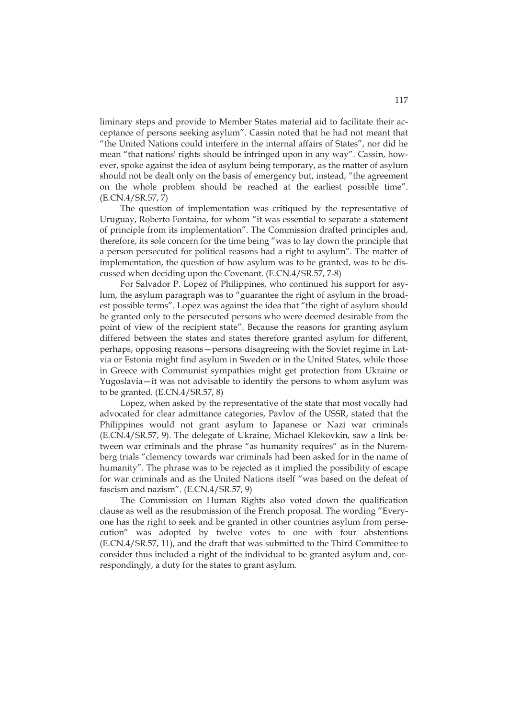liminary steps and provide to Member States material aid to facilitate their acceptance of persons seeking asylum". Cassin noted that he had not meant that "the United Nations could interfere in the internal affairs of States", nor did he mean "that nations' rights should be infringed upon in any way". Cassin, however, spoke against the idea of asylum being temporary, as the matter of asylum should not be dealt only on the basis of emergency but, instead, "the agreement on the whole problem should be reached at the earliest possible time". (E.CN.4/SR.57, 7)

The question of implementation was critiqued by the representative of Uruguay, Roberto Fontaina, for whom "it was essential to separate a statement of principle from its implementation". The Commission drafted principles and, therefore, its sole concern for the time being "was to lay down the principle that a person persecuted for political reasons had a right to asylum". The matter of implementation, the question of how asylum was to be granted, was to be discussed when deciding upon the Covenant. (E.CN.4/SR.57, 7-8)

For Salvador P. Lopez of Philippines, who continued his support for asylum, the asylum paragraph was to "guarantee the right of asylum in the broadest possible terms". Lopez was against the idea that "the right of asylum should be granted only to the persecuted persons who were deemed desirable from the point of view of the recipient state". Because the reasons for granting asylum differed between the states and states therefore granted asylum for different, perhaps, opposing reasons—persons disagreeing with the Soviet regime in Latvia or Estonia might find asylum in Sweden or in the United States, while those in Greece with Communist sympathies might get protection from Ukraine or Yugoslavia—it was not advisable to identify the persons to whom asylum was to be granted. (E.CN.4/SR.57, 8)

Lopez, when asked by the representative of the state that most vocally had advocated for clear admittance categories, Pavlov of the USSR, stated that the Philippines would not grant asylum to Japanese or Nazi war criminals (E.CN.4/SR.57, 9). The delegate of Ukraine, Michael Klekovkin, saw a link between war criminals and the phrase "as humanity requires" as in the Nuremberg trials "clemency towards war criminals had been asked for in the name of humanity". The phrase was to be rejected as it implied the possibility of escape for war criminals and as the United Nations itself "was based on the defeat of fascism and nazism". (E.CN.4/SR.57, 9)

The Commission on Human Rights also voted down the qualification clause as well as the resubmission of the French proposal. The wording "Everyone has the right to seek and be granted in other countries asylum from persecution" was adopted by twelve votes to one with four abstentions (E.CN.4/SR.57, 11), and the draft that was submitted to the Third Committee to consider thus included a right of the individual to be granted asylum and, correspondingly, a duty for the states to grant asylum.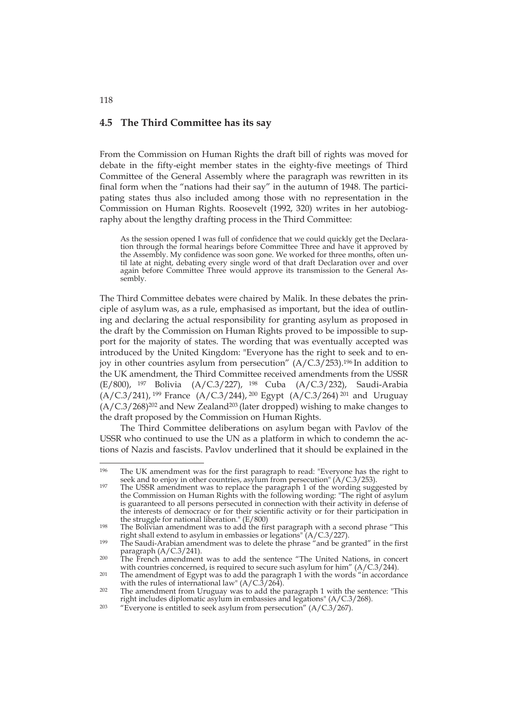## **4.5 The Third Committee has its say**

From the Commission on Human Rights the draft bill of rights was moved for debate in the fifty-eight member states in the eighty-five meetings of Third Committee of the General Assembly where the paragraph was rewritten in its final form when the "nations had their say" in the autumn of 1948. The participating states thus also included among those with no representation in the Commission on Human Rights. Roosevelt (1992, 320) writes in her autobiography about the lengthy drafting process in the Third Committee:

As the session opened I was full of confidence that we could quickly get the Declaration through the formal hearings before Committee Three and have it approved by the Assembly. My confidence was soon gone. We worked for three months, often until late at night, debating every single word of that draft Declaration over and over again before Committee Three would approve its transmission to the General Assembly.

The Third Committee debates were chaired by Malik. In these debates the principle of asylum was, as a rule, emphasised as important, but the idea of outlining and declaring the actual responsibility for granting asylum as proposed in the draft by the Commission on Human Rights proved to be impossible to support for the majority of states. The wording that was eventually accepted was introduced by the United Kingdom: "Everyone has the right to seek and to enjoy in other countries asylum from persecution" (A/C.3/253).<sup>196</sup> In addition to the UK amendment, the Third Committee received amendments from the USSR (E/800), 197 Bolivia (A/C.3/227), 198 Cuba (A/C.3/232), Saudi-Arabia  $(A/C.3/241)$ , <sup>199</sup> France  $(A/C.3/244)$ , <sup>200</sup> Egypt  $(A/C.3/264)$  <sup>201</sup> and Uruguay (A/C.3/268)202 and New Zealand203 (later dropped) wishing to make changes to the draft proposed by the Commission on Human Rights.

The Third Committee deliberations on asylum began with Pavlov of the USSR who continued to use the UN as a platform in which to condemn the actions of Nazis and fascists. Pavlov underlined that it should be explained in the

118

<sup>&</sup>lt;sup>196</sup> The UK amendment was for the first paragraph to read: "Everyone has the right to seek and to enjoy in other countries, asylum from persecution"  $(A/C.3/253)$ .

 $197$  The USSR amendment was to replace the paragraph 1 of the wording suggested by the Commission on Human Rights with the following wording: "The right of asylum is guaranteed to all persons persecuted in connection with their activity in defense of the interests of democracy or for their scientific activity or for their participation in the struggle for national liberation."  $(E/800)$ 

<sup>&</sup>lt;sup>198</sup> The Bolivian amendment was to add the first paragraph with a second phrase "This right shall extend to asylum in embassies or legations" ( $A/C.3/227$ ).

<sup>&</sup>lt;sup>199</sup> The Saudi-Arabian amendment was to delete the phrase "and be granted" in the first

paragraph ( $A/C.3/241$ ).<br><sup>200</sup> The French amendment was to add the sentence "The United Nations, in concert<br>with countries concerned, is required to secure such asylum for him" ( $A/C.3/244$ ).

<sup>&</sup>lt;sup>201</sup> The amendment of Egypt was to add the paragraph 1 with the words "in accordance with the rules of international law" (A/C.3/264).

<sup>&</sup>lt;sup>202</sup> The amendment from Uruguay was to add the paragraph 1 with the sentence: "This right includes diplomatic asylum in embassies and legations" (A/C.3/268).<br><sup>203</sup> "Everyone is entitled to seek asylum from persecution" (A/C.3/267).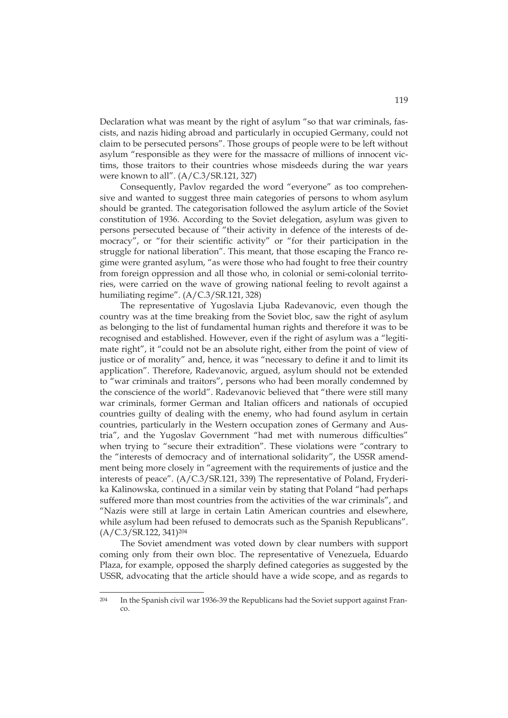Declaration what was meant by the right of asylum "so that war criminals, fascists, and nazis hiding abroad and particularly in occupied Germany, could not claim to be persecuted persons". Those groups of people were to be left without asylum "responsible as they were for the massacre of millions of innocent victims, those traitors to their countries whose misdeeds during the war years were known to all". (A/C.3/SR.121, 327)

Consequently, Pavlov regarded the word "everyone" as too comprehensive and wanted to suggest three main categories of persons to whom asylum should be granted. The categorisation followed the asylum article of the Soviet constitution of 1936. According to the Soviet delegation, asylum was given to persons persecuted because of "their activity in defence of the interests of democracy", or "for their scientific activity" or "for their participation in the struggle for national liberation". This meant, that those escaping the Franco regime were granted asylum, "as were those who had fought to free their country from foreign oppression and all those who, in colonial or semi-colonial territories, were carried on the wave of growing national feeling to revolt against a humiliating regime". (A/C.3/SR.121, 328)

The representative of Yugoslavia Ljuba Radevanovic, even though the country was at the time breaking from the Soviet bloc, saw the right of asylum as belonging to the list of fundamental human rights and therefore it was to be recognised and established. However, even if the right of asylum was a "legitimate right", it "could not be an absolute right, either from the point of view of justice or of morality" and, hence, it was "necessary to define it and to limit its application". Therefore, Radevanovic, argued, asylum should not be extended to "war criminals and traitors", persons who had been morally condemned by the conscience of the world". Radevanovic believed that "there were still many war criminals, former German and Italian officers and nationals of occupied countries guilty of dealing with the enemy, who had found asylum in certain countries, particularly in the Western occupation zones of Germany and Austria", and the Yugoslav Government "had met with numerous difficulties" when trying to "secure their extradition". These violations were "contrary to the "interests of democracy and of international solidarity", the USSR amendment being more closely in "agreement with the requirements of justice and the interests of peace". (A/C.3/SR.121, 339) The representative of Poland, Fryderika Kalinowska, continued in a similar vein by stating that Poland "had perhaps suffered more than most countries from the activities of the war criminals", and "Nazis were still at large in certain Latin American countries and elsewhere, while asylum had been refused to democrats such as the Spanish Republicans". (A/C.3/SR.122, 341)204

The Soviet amendment was voted down by clear numbers with support coming only from their own bloc. The representative of Venezuela, Eduardo Plaza, for example, opposed the sharply defined categories as suggested by the USSR, advocating that the article should have a wide scope, and as regards to

<sup>204</sup> In the Spanish civil war 1936-39 the Republicans had the Soviet support against Franco.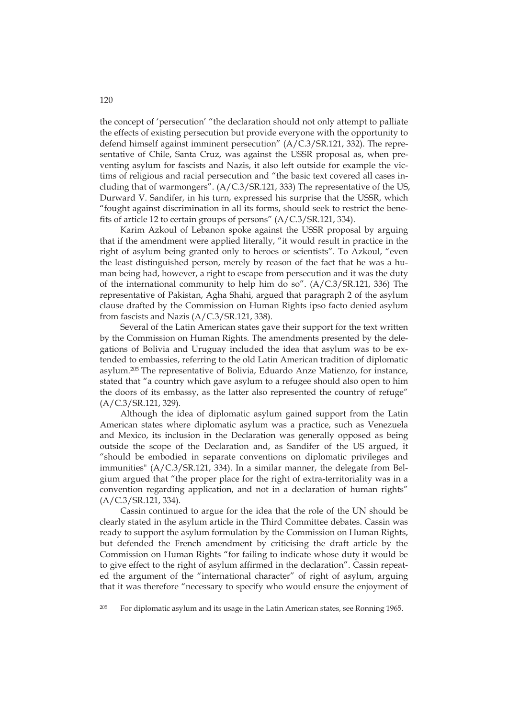the concept of 'persecution' "the declaration should not only attempt to palliate the effects of existing persecution but provide everyone with the opportunity to defend himself against imminent persecution" (A/C.3/SR.121, 332). The representative of Chile, Santa Cruz, was against the USSR proposal as, when preventing asylum for fascists and Nazis, it also left outside for example the victims of religious and racial persecution and "the basic text covered all cases including that of warmongers". (A/C.3/SR.121, 333) The representative of the US, Durward V. Sandifer, in his turn, expressed his surprise that the USSR, which "fought against discrimination in all its forms, should seek to restrict the benefits of article 12 to certain groups of persons" (A/C.3/SR.121, 334).

Karim Azkoul of Lebanon spoke against the USSR proposal by arguing that if the amendment were applied literally, "it would result in practice in the right of asylum being granted only to heroes or scientists". To Azkoul, "even the least distinguished person, merely by reason of the fact that he was a human being had, however, a right to escape from persecution and it was the duty of the international community to help him do so". (A/C.3/SR.121, 336) The representative of Pakistan, Agha Shahi, argued that paragraph 2 of the asylum clause drafted by the Commission on Human Rights ipso facto denied asylum from fascists and Nazis (A/C.3/SR.121, 338).

Several of the Latin American states gave their support for the text written by the Commission on Human Rights. The amendments presented by the delegations of Bolivia and Uruguay included the idea that asylum was to be extended to embassies, referring to the old Latin American tradition of diplomatic asylum.205 The representative of Bolivia, Eduardo Anze Matienzo, for instance, stated that "a country which gave asylum to a refugee should also open to him the doors of its embassy, as the latter also represented the country of refuge" (A/C.3/SR.121, 329).

Although the idea of diplomatic asylum gained support from the Latin American states where diplomatic asylum was a practice, such as Venezuela and Mexico, its inclusion in the Declaration was generally opposed as being outside the scope of the Declaration and, as Sandifer of the US argued, it "should be embodied in separate conventions on diplomatic privileges and immunities" (A/C.3/SR.121, 334). In a similar manner, the delegate from Belgium argued that "the proper place for the right of extra-territoriality was in a convention regarding application, and not in a declaration of human rights" (A/C.3/SR.121, 334).

Cassin continued to argue for the idea that the role of the UN should be clearly stated in the asylum article in the Third Committee debates. Cassin was ready to support the asylum formulation by the Commission on Human Rights, but defended the French amendment by criticising the draft article by the Commission on Human Rights "for failing to indicate whose duty it would be to give effect to the right of asylum affirmed in the declaration". Cassin repeated the argument of the "international character" of right of asylum, arguing that it was therefore "necessary to specify who would ensure the enjoyment of

<sup>&</sup>lt;sup>205</sup> For diplomatic asylum and its usage in the Latin American states, see Ronning 1965.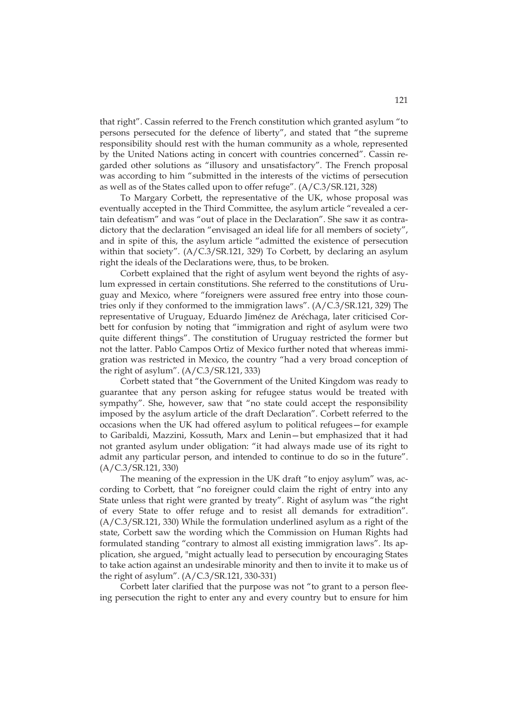that right". Cassin referred to the French constitution which granted asylum "to persons persecuted for the defence of liberty", and stated that "the supreme responsibility should rest with the human community as a whole, represented by the United Nations acting in concert with countries concerned". Cassin regarded other solutions as "illusory and unsatisfactory". The French proposal was according to him "submitted in the interests of the victims of persecution as well as of the States called upon to offer refuge". (A/C.3/SR.121, 328)

To Margary Corbett, the representative of the UK, whose proposal was eventually accepted in the Third Committee, the asylum article "revealed a certain defeatism" and was "out of place in the Declaration". She saw it as contradictory that the declaration "envisaged an ideal life for all members of society", and in spite of this, the asylum article "admitted the existence of persecution within that society". (A/C.3/SR.121, 329) To Corbett, by declaring an asylum right the ideals of the Declarations were, thus, to be broken.

Corbett explained that the right of asylum went beyond the rights of asylum expressed in certain constitutions. She referred to the constitutions of Uruguay and Mexico, where "foreigners were assured free entry into those countries only if they conformed to the immigration laws". (A/C.3/SR.121, 329) The representative of Uruguay, Eduardo Jiménez de Aréchaga, later criticised Corbett for confusion by noting that "immigration and right of asylum were two quite different things". The constitution of Uruguay restricted the former but not the latter. Pablo Campos Ortiz of Mexico further noted that whereas immigration was restricted in Mexico, the country "had a very broad conception of the right of asylum". (A/C.3/SR.121, 333)

Corbett stated that "the Government of the United Kingdom was ready to guarantee that any person asking for refugee status would be treated with sympathy". She, however, saw that "no state could accept the responsibility imposed by the asylum article of the draft Declaration". Corbett referred to the occasions when the UK had offered asylum to political refugees—for example to Garibaldi, Mazzini, Kossuth, Marx and Lenin—but emphasized that it had not granted asylum under obligation: "it had always made use of its right to admit any particular person, and intended to continue to do so in the future". (A/C.3/SR.121, 330)

The meaning of the expression in the UK draft "to enjoy asylum" was, according to Corbett, that "no foreigner could claim the right of entry into any State unless that right were granted by treaty". Right of asylum was "the right of every State to offer refuge and to resist all demands for extradition". (A/C.3/SR.121, 330) While the formulation underlined asylum as a right of the state, Corbett saw the wording which the Commission on Human Rights had formulated standing "contrary to almost all existing immigration laws". Its application, she argued, "might actually lead to persecution by encouraging States to take action against an undesirable minority and then to invite it to make us of the right of asylum". (A/C.3/SR.121, 330-331)

Corbett later clarified that the purpose was not "to grant to a person fleeing persecution the right to enter any and every country but to ensure for him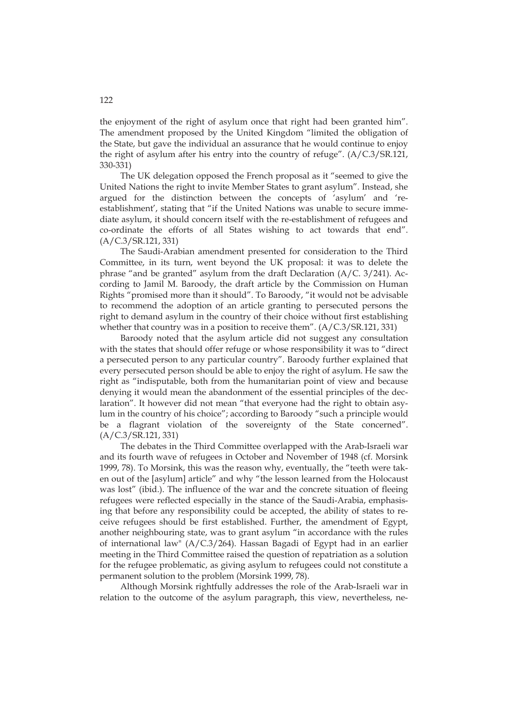the enjoyment of the right of asylum once that right had been granted him". The amendment proposed by the United Kingdom "limited the obligation of the State, but gave the individual an assurance that he would continue to enjoy the right of asylum after his entry into the country of refuge". (A/C.3/SR.121, 330-331)

The UK delegation opposed the French proposal as it "seemed to give the United Nations the right to invite Member States to grant asylum". Instead, she argued for the distinction between the concepts of 'asylum' and 'reestablishment', stating that "if the United Nations was unable to secure immediate asylum, it should concern itself with the re-establishment of refugees and co-ordinate the efforts of all States wishing to act towards that end". (A/C.3/SR.121, 331)

The Saudi-Arabian amendment presented for consideration to the Third Committee, in its turn, went beyond the UK proposal: it was to delete the phrase "and be granted" asylum from the draft Declaration (A/C. 3/241). According to Jamil M. Baroody, the draft article by the Commission on Human Rights "promised more than it should". To Baroody, "it would not be advisable to recommend the adoption of an article granting to persecuted persons the right to demand asylum in the country of their choice without first establishing whether that country was in a position to receive them".  $(A/C.3/SR.121, 331)$ 

Baroody noted that the asylum article did not suggest any consultation with the states that should offer refuge or whose responsibility it was to "direct a persecuted person to any particular country". Baroody further explained that every persecuted person should be able to enjoy the right of asylum. He saw the right as "indisputable, both from the humanitarian point of view and because denying it would mean the abandonment of the essential principles of the declaration". It however did not mean "that everyone had the right to obtain asylum in the country of his choice"; according to Baroody "such a principle would be a flagrant violation of the sovereignty of the State concerned". (A/C.3/SR.121, 331)

The debates in the Third Committee overlapped with the Arab-Israeli war and its fourth wave of refugees in October and November of 1948 (cf. Morsink 1999, 78). To Morsink, this was the reason why, eventually, the "teeth were taken out of the [asylum] article" and why "the lesson learned from the Holocaust was lost" (ibid.). The influence of the war and the concrete situation of fleeing refugees were reflected especially in the stance of the Saudi-Arabia, emphasising that before any responsibility could be accepted, the ability of states to receive refugees should be first established. Further, the amendment of Egypt, another neighbouring state, was to grant asylum "in accordance with the rules of international law" (A/C.3/264). Hassan Bagadi of Egypt had in an earlier meeting in the Third Committee raised the question of repatriation as a solution for the refugee problematic, as giving asylum to refugees could not constitute a permanent solution to the problem (Morsink 1999, 78).

Although Morsink rightfully addresses the role of the Arab-Israeli war in relation to the outcome of the asylum paragraph, this view, nevertheless, ne-

### 122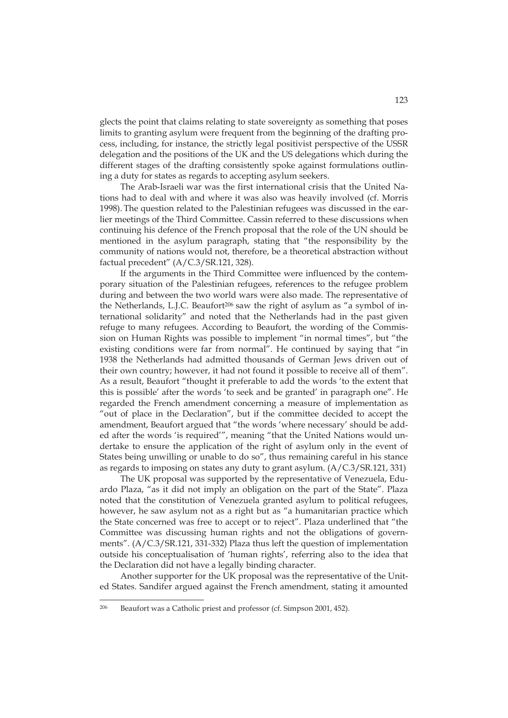glects the point that claims relating to state sovereignty as something that poses limits to granting asylum were frequent from the beginning of the drafting process, including, for instance, the strictly legal positivist perspective of the USSR delegation and the positions of the UK and the US delegations which during the different stages of the drafting consistently spoke against formulations outlining a duty for states as regards to accepting asylum seekers.

The Arab-Israeli war was the first international crisis that the United Nations had to deal with and where it was also was heavily involved (cf. Morris 1998). The question related to the Palestinian refugees was discussed in the earlier meetings of the Third Committee. Cassin referred to these discussions when continuing his defence of the French proposal that the role of the UN should be mentioned in the asylum paragraph, stating that "the responsibility by the community of nations would not, therefore, be a theoretical abstraction without factual precedent" (A/C.3/SR.121, 328).

If the arguments in the Third Committee were influenced by the contemporary situation of the Palestinian refugees, references to the refugee problem during and between the two world wars were also made. The representative of the Netherlands, L.J.C. Beaufort<sup>206</sup> saw the right of asylum as "a symbol of international solidarity" and noted that the Netherlands had in the past given refuge to many refugees. According to Beaufort, the wording of the Commission on Human Rights was possible to implement "in normal times", but "the existing conditions were far from normal". He continued by saying that "in 1938 the Netherlands had admitted thousands of German Jews driven out of their own country; however, it had not found it possible to receive all of them". As a result, Beaufort "thought it preferable to add the words 'to the extent that this is possible' after the words 'to seek and be granted' in paragraph one". He regarded the French amendment concerning a measure of implementation as "out of place in the Declaration", but if the committee decided to accept the amendment, Beaufort argued that "the words 'where necessary' should be added after the words 'is required'", meaning "that the United Nations would undertake to ensure the application of the right of asylum only in the event of States being unwilling or unable to do so", thus remaining careful in his stance as regards to imposing on states any duty to grant asylum. (A/C.3/SR.121, 331)

The UK proposal was supported by the representative of Venezuela, Eduardo Plaza, "as it did not imply an obligation on the part of the State". Plaza noted that the constitution of Venezuela granted asylum to political refugees, however, he saw asylum not as a right but as "a humanitarian practice which the State concerned was free to accept or to reject". Plaza underlined that "the Committee was discussing human rights and not the obligations of governments". (A/C.3/SR.121, 331-332) Plaza thus left the question of implementation outside his conceptualisation of 'human rights', referring also to the idea that the Declaration did not have a legally binding character.

Another supporter for the UK proposal was the representative of the United States. Sandifer argued against the French amendment, stating it amounted

<sup>206</sup> Beaufort was a Catholic priest and professor (cf. Simpson 2001, 452).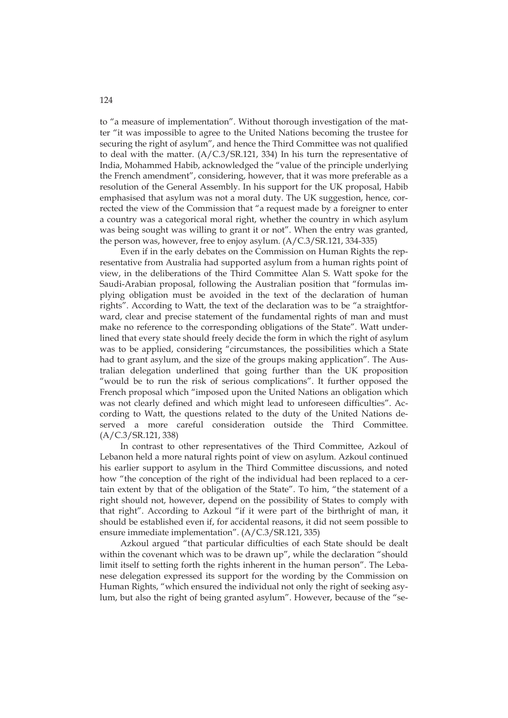to "a measure of implementation". Without thorough investigation of the matter "it was impossible to agree to the United Nations becoming the trustee for securing the right of asylum", and hence the Third Committee was not qualified to deal with the matter. (A/C.3/SR.121, 334) In his turn the representative of India, Mohammed Habib, acknowledged the "value of the principle underlying the French amendment", considering, however, that it was more preferable as a resolution of the General Assembly. In his support for the UK proposal, Habib emphasised that asylum was not a moral duty. The UK suggestion, hence, corrected the view of the Commission that "a request made by a foreigner to enter a country was a categorical moral right, whether the country in which asylum was being sought was willing to grant it or not". When the entry was granted, the person was, however, free to enjoy asylum. (A/C.3/SR.121, 334-335)

Even if in the early debates on the Commission on Human Rights the representative from Australia had supported asylum from a human rights point of view, in the deliberations of the Third Committee Alan S. Watt spoke for the Saudi-Arabian proposal, following the Australian position that "formulas implying obligation must be avoided in the text of the declaration of human rights". According to Watt, the text of the declaration was to be "a straightforward, clear and precise statement of the fundamental rights of man and must make no reference to the corresponding obligations of the State". Watt underlined that every state should freely decide the form in which the right of asylum was to be applied, considering "circumstances, the possibilities which a State had to grant asylum, and the size of the groups making application". The Australian delegation underlined that going further than the UK proposition "would be to run the risk of serious complications". It further opposed the French proposal which "imposed upon the United Nations an obligation which was not clearly defined and which might lead to unforeseen difficulties". According to Watt, the questions related to the duty of the United Nations deserved a more careful consideration outside the Third Committee. (A/C.3/SR.121, 338)

In contrast to other representatives of the Third Committee, Azkoul of Lebanon held a more natural rights point of view on asylum. Azkoul continued his earlier support to asylum in the Third Committee discussions, and noted how "the conception of the right of the individual had been replaced to a certain extent by that of the obligation of the State". To him, "the statement of a right should not, however, depend on the possibility of States to comply with that right". According to Azkoul "if it were part of the birthright of man, it should be established even if, for accidental reasons, it did not seem possible to ensure immediate implementation". (A/C.3/SR.121, 335)

Azkoul argued "that particular difficulties of each State should be dealt within the covenant which was to be drawn up", while the declaration "should limit itself to setting forth the rights inherent in the human person". The Lebanese delegation expressed its support for the wording by the Commission on Human Rights, "which ensured the individual not only the right of seeking asylum, but also the right of being granted asylum". However, because of the "se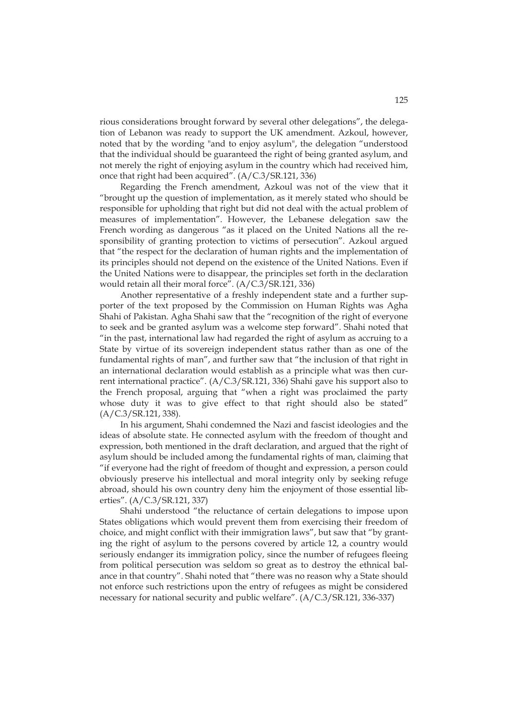rious considerations brought forward by several other delegations", the delegation of Lebanon was ready to support the UK amendment. Azkoul, however, noted that by the wording "and to enjoy asylum", the delegation "understood that the individual should be guaranteed the right of being granted asylum, and not merely the right of enjoying asylum in the country which had received him, once that right had been acquired". (A/C.3/SR.121, 336)

Regarding the French amendment, Azkoul was not of the view that it "brought up the question of implementation, as it merely stated who should be responsible for upholding that right but did not deal with the actual problem of measures of implementation". However, the Lebanese delegation saw the French wording as dangerous "as it placed on the United Nations all the responsibility of granting protection to victims of persecution". Azkoul argued that "the respect for the declaration of human rights and the implementation of its principles should not depend on the existence of the United Nations. Even if the United Nations were to disappear, the principles set forth in the declaration would retain all their moral force". (A/C.3/SR.121, 336)

Another representative of a freshly independent state and a further supporter of the text proposed by the Commission on Human Rights was Agha Shahi of Pakistan. Agha Shahi saw that the "recognition of the right of everyone to seek and be granted asylum was a welcome step forward". Shahi noted that "in the past, international law had regarded the right of asylum as accruing to a State by virtue of its sovereign independent status rather than as one of the fundamental rights of man", and further saw that "the inclusion of that right in an international declaration would establish as a principle what was then current international practice". (A/C.3/SR.121, 336) Shahi gave his support also to the French proposal, arguing that "when a right was proclaimed the party whose duty it was to give effect to that right should also be stated" (A/C.3/SR.121, 338).

In his argument, Shahi condemned the Nazi and fascist ideologies and the ideas of absolute state. He connected asylum with the freedom of thought and expression, both mentioned in the draft declaration, and argued that the right of asylum should be included among the fundamental rights of man, claiming that "if everyone had the right of freedom of thought and expression, a person could obviously preserve his intellectual and moral integrity only by seeking refuge abroad, should his own country deny him the enjoyment of those essential liberties". (A/C.3/SR.121, 337)

Shahi understood "the reluctance of certain delegations to impose upon States obligations which would prevent them from exercising their freedom of choice, and might conflict with their immigration laws", but saw that "by granting the right of asylum to the persons covered by article 12, a country would seriously endanger its immigration policy, since the number of refugees fleeing from political persecution was seldom so great as to destroy the ethnical balance in that country". Shahi noted that "there was no reason why a State should not enforce such restrictions upon the entry of refugees as might be considered necessary for national security and public welfare". (A/C.3/SR.121, 336-337)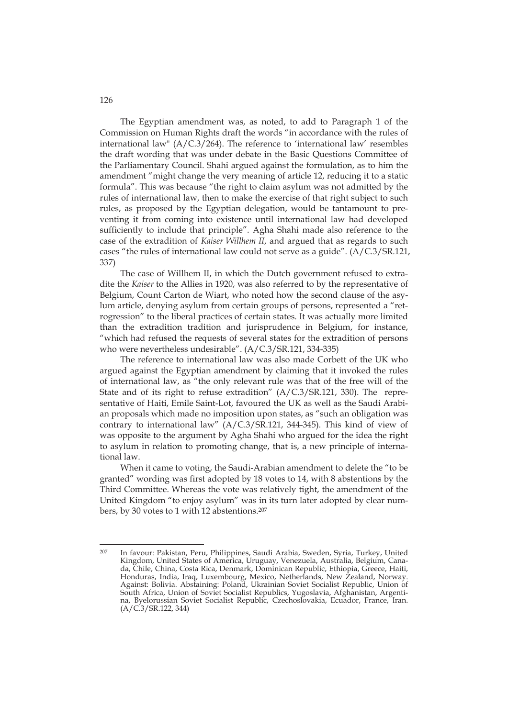The Egyptian amendment was, as noted, to add to Paragraph 1 of the Commission on Human Rights draft the words "in accordance with the rules of international law" (A/C.3/264). The reference to 'international law' resembles the draft wording that was under debate in the Basic Questions Committee of the Parliamentary Council. Shahi argued against the formulation, as to him the amendment "might change the very meaning of article 12, reducing it to a static formula". This was because "the right to claim asylum was not admitted by the rules of international law, then to make the exercise of that right subject to such rules, as proposed by the Egyptian delegation, would be tantamount to preventing it from coming into existence until international law had developed sufficiently to include that principle". Agha Shahi made also reference to the case of the extradition of *Kaiser Willhem II*, and argued that as regards to such cases "the rules of international law could not serve as a guide". (A/C.3/SR.121, 337)

The case of Willhem II, in which the Dutch government refused to extradite the *Kaiser* to the Allies in 1920, was also referred to by the representative of Belgium, Count Carton de Wiart, who noted how the second clause of the asylum article, denying asylum from certain groups of persons, represented a "retrogression" to the liberal practices of certain states. It was actually more limited than the extradition tradition and jurisprudence in Belgium, for instance, "which had refused the requests of several states for the extradition of persons who were nevertheless undesirable". (A/C.3/SR.121, 334-335)

The reference to international law was also made Corbett of the UK who argued against the Egyptian amendment by claiming that it invoked the rules of international law, as "the only relevant rule was that of the free will of the State and of its right to refuse extradition" (A/C.3/SR.121, 330). The representative of Haiti, Emile Saint-Lot, favoured the UK as well as the Saudi Arabian proposals which made no imposition upon states, as "such an obligation was contrary to international law" (A/C.3/SR.121, 344-345). This kind of view of was opposite to the argument by Agha Shahi who argued for the idea the right to asylum in relation to promoting change, that is, a new principle of international law.

When it came to voting, the Saudi-Arabian amendment to delete the "to be granted" wording was first adopted by 18 votes to 14, with 8 abstentions by the Third Committee. Whereas the vote was relatively tight, the amendment of the United Kingdom "to enjoy asylum" was in its turn later adopted by clear numbers, by 30 votes to 1 with 12 abstentions.207

126

<sup>-</sup>207 In favour: Pakistan, Peru, Philippines, Saudi Arabia, Sweden, Syria, Turkey, United Kingdom, United States of America, Uruguay, Venezuela, Australia, Belgium, Canada, Chile, China, Costa Rica, Denmark, Dominican Republic, Ethiopia, Greece, Haiti, Honduras, India, Iraq, Luxembourg, Mexico, Netherlands, New Zealand, Norway. Against: Bolivia. Abstaining: Poland, Ukrainian Soviet Socialist Republic, Union of South Africa, Union of Soviet Socialist Republics, Yugoslavia, Afghanistan, Argentina, Byelorussian Soviet Socialist Republic, Czechoslovakia, Ecuador, France, Iran. (A/C.3/SR.122, 344)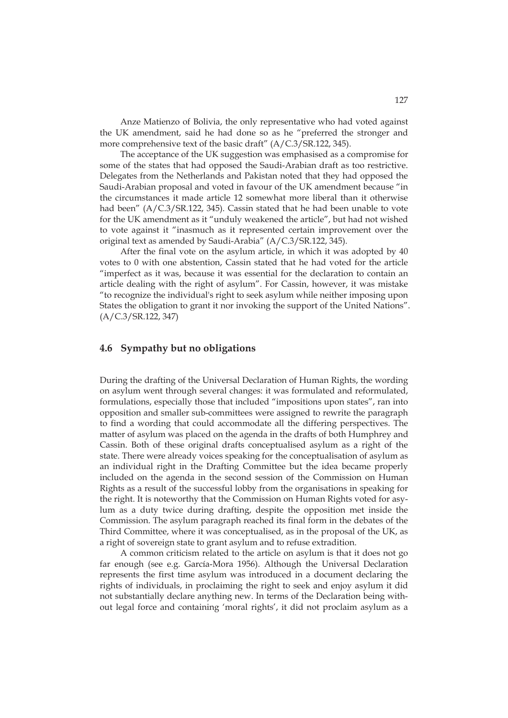Anze Matienzo of Bolivia, the only representative who had voted against the UK amendment, said he had done so as he "preferred the stronger and more comprehensive text of the basic draft" (A/C.3/SR.122, 345).

The acceptance of the UK suggestion was emphasised as a compromise for some of the states that had opposed the Saudi-Arabian draft as too restrictive. Delegates from the Netherlands and Pakistan noted that they had opposed the Saudi-Arabian proposal and voted in favour of the UK amendment because "in the circumstances it made article 12 somewhat more liberal than it otherwise had been" (A/C.3/SR.122, 345). Cassin stated that he had been unable to vote for the UK amendment as it "unduly weakened the article", but had not wished to vote against it "inasmuch as it represented certain improvement over the original text as amended by Saudi-Arabia" (A/C.3/SR.122, 345).

After the final vote on the asylum article, in which it was adopted by 40 votes to 0 with one abstention, Cassin stated that he had voted for the article "imperfect as it was, because it was essential for the declaration to contain an article dealing with the right of asylum". For Cassin, however, it was mistake "to recognize the individual's right to seek asylum while neither imposing upon States the obligation to grant it nor invoking the support of the United Nations". (A/C.3/SR.122, 347)

### **4.6 Sympathy but no obligations**

During the drafting of the Universal Declaration of Human Rights, the wording on asylum went through several changes: it was formulated and reformulated, formulations, especially those that included "impositions upon states", ran into opposition and smaller sub-committees were assigned to rewrite the paragraph to find a wording that could accommodate all the differing perspectives. The matter of asylum was placed on the agenda in the drafts of both Humphrey and Cassin. Both of these original drafts conceptualised asylum as a right of the state. There were already voices speaking for the conceptualisation of asylum as an individual right in the Drafting Committee but the idea became properly included on the agenda in the second session of the Commission on Human Rights as a result of the successful lobby from the organisations in speaking for the right. It is noteworthy that the Commission on Human Rights voted for asylum as a duty twice during drafting, despite the opposition met inside the Commission. The asylum paragraph reached its final form in the debates of the Third Committee, where it was conceptualised, as in the proposal of the UK, as a right of sovereign state to grant asylum and to refuse extradition.

A common criticism related to the article on asylum is that it does not go far enough (see e.g. García-Mora 1956). Although the Universal Declaration represents the first time asylum was introduced in a document declaring the rights of individuals, in proclaiming the right to seek and enjoy asylum it did not substantially declare anything new. In terms of the Declaration being without legal force and containing 'moral rights', it did not proclaim asylum as a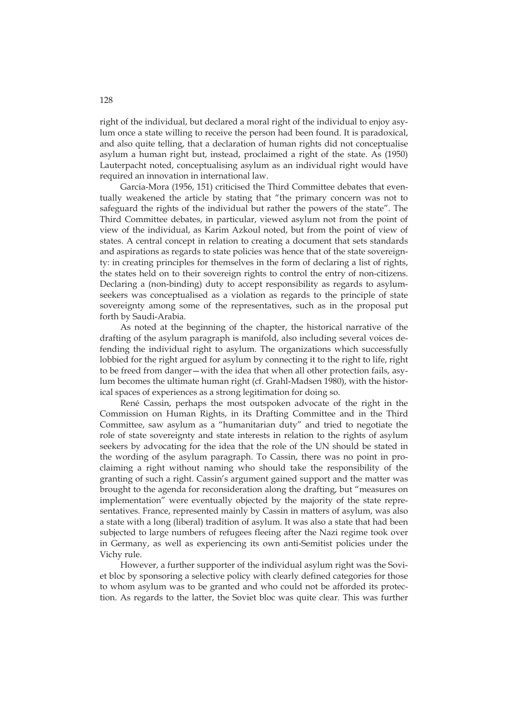right of the individual, but declared a moral right of the individual to enjoy asylum once a state willing to receive the person had been found. It is paradoxical, and also quite telling, that a declaration of human rights did not conceptualise asylum a human right but, instead, proclaimed a right of the state. As (1950) Lauterpacht noted, conceptualising asylum as an individual right would have required an innovation in international law.

Garcia-Mora (1956, 151) criticised the Third Committee debates that eventually weakened the article by stating that "the primary concern was not to safeguard the rights of the individual but rather the powers of the state". The Third Committee debates, in particular, viewed asylum not from the point of view of the individual, as Karim Azkoul noted, but from the point of view of states. A central concept in relation to creating a document that sets standards and aspirations as regards to state policies was hence that of the state sovereignty: in creating principles for themselves in the form of declaring a list of rights, the states held on to their sovereign rights to control the entry of non-citizens. Declaring a (non-binding) duty to accept responsibility as regards to asylumseekers was conceptualised as a violation as regards to the principle of state sovereignty among some of the representatives, such as in the proposal put forth by Saudi-Arabia.

As noted at the beginning of the chapter, the historical narrative of the drafting of the asylum paragraph is manifold, also including several voices defending the individual right to asylum. The organizations which successfully lobbied for the right argued for asylum by connecting it to the right to life, right to be freed from danger—with the idea that when all other protection fails, asylum becomes the ultimate human right (cf. Grahl-Madsen 1980), with the historical spaces of experiences as a strong legitimation for doing so.

René Cassin, perhaps the most outspoken advocate of the right in the Commission on Human Rights, in its Drafting Committee and in the Third Committee, saw asylum as a "humanitarian duty" and tried to negotiate the role of state sovereignty and state interests in relation to the rights of asylum seekers by advocating for the idea that the role of the UN should be stated in the wording of the asylum paragraph. To Cassin, there was no point in proclaiming a right without naming who should take the responsibility of the granting of such a right. Cassin's argument gained support and the matter was brought to the agenda for reconsideration along the drafting, but "measures on implementation" were eventually objected by the majority of the state representatives. France, represented mainly by Cassin in matters of asylum, was also a state with a long (liberal) tradition of asylum. It was also a state that had been subjected to large numbers of refugees fleeing after the Nazi regime took over in Germany, as well as experiencing its own anti-Semitist policies under the Vichy rule.

However, a further supporter of the individual asylum right was the Soviet bloc by sponsoring a selective policy with clearly defined categories for those to whom asylum was to be granted and who could not be afforded its protection. As regards to the latter, the Soviet bloc was quite clear. This was further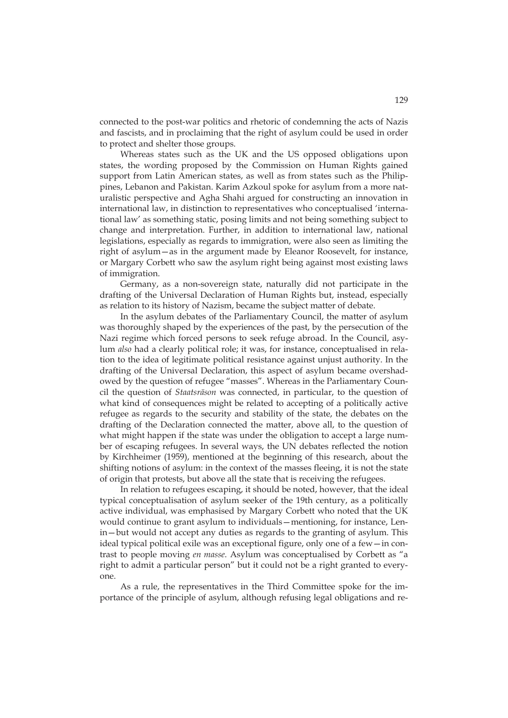connected to the post-war politics and rhetoric of condemning the acts of Nazis and fascists, and in proclaiming that the right of asylum could be used in order to protect and shelter those groups.

Whereas states such as the UK and the US opposed obligations upon states, the wording proposed by the Commission on Human Rights gained support from Latin American states, as well as from states such as the Philippines, Lebanon and Pakistan. Karim Azkoul spoke for asylum from a more naturalistic perspective and Agha Shahi argued for constructing an innovation in international law, in distinction to representatives who conceptualised 'international law' as something static, posing limits and not being something subject to change and interpretation. Further, in addition to international law, national legislations, especially as regards to immigration, were also seen as limiting the right of asylum—as in the argument made by Eleanor Roosevelt, for instance, or Margary Corbett who saw the asylum right being against most existing laws of immigration.

Germany, as a non-sovereign state, naturally did not participate in the drafting of the Universal Declaration of Human Rights but, instead, especially as relation to its history of Nazism, became the subject matter of debate.

In the asylum debates of the Parliamentary Council, the matter of asylum was thoroughly shaped by the experiences of the past, by the persecution of the Nazi regime which forced persons to seek refuge abroad. In the Council, asylum *also* had a clearly political role; it was, for instance, conceptualised in relation to the idea of legitimate political resistance against unjust authority. In the drafting of the Universal Declaration, this aspect of asylum became overshadowed by the question of refugee "masses". Whereas in the Parliamentary Council the question of *Staatsräson* was connected, in particular, to the question of what kind of consequences might be related to accepting of a politically active refugee as regards to the security and stability of the state, the debates on the drafting of the Declaration connected the matter, above all, to the question of what might happen if the state was under the obligation to accept a large number of escaping refugees. In several ways, the UN debates reflected the notion by Kirchheimer (1959), mentioned at the beginning of this research, about the shifting notions of asylum: in the context of the masses fleeing, it is not the state of origin that protests, but above all the state that is receiving the refugees.

In relation to refugees escaping, it should be noted, however, that the ideal typical conceptualisation of asylum seeker of the 19th century, as a politically active individual, was emphasised by Margary Corbett who noted that the UK would continue to grant asylum to individuals—mentioning, for instance, Lenin—but would not accept any duties as regards to the granting of asylum. This ideal typical political exile was an exceptional figure, only one of a few—in contrast to people moving *en masse*. Asylum was conceptualised by Corbett as "a right to admit a particular person" but it could not be a right granted to everyone.

As a rule, the representatives in the Third Committee spoke for the importance of the principle of asylum, although refusing legal obligations and re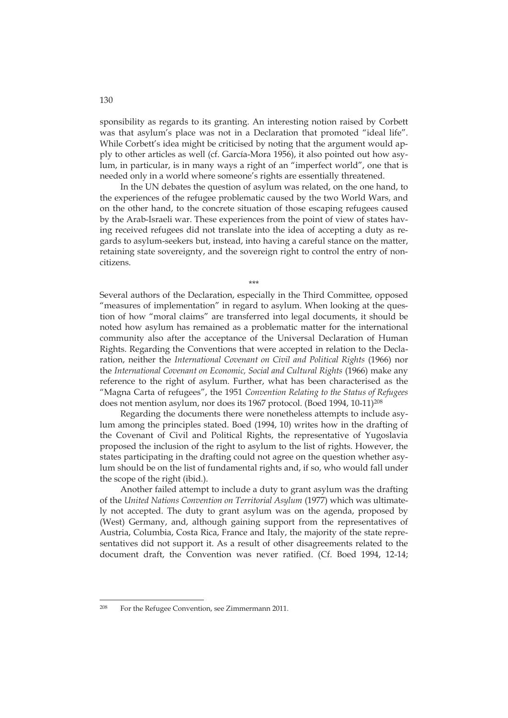sponsibility as regards to its granting. An interesting notion raised by Corbett was that asylum's place was not in a Declaration that promoted "ideal life". While Corbett's idea might be criticised by noting that the argument would apply to other articles as well (cf. García-Mora 1956), it also pointed out how asylum, in particular, is in many ways a right of an "imperfect world", one that is needed only in a world where someone's rights are essentially threatened.

In the UN debates the question of asylum was related, on the one hand, to the experiences of the refugee problematic caused by the two World Wars, and on the other hand, to the concrete situation of those escaping refugees caused by the Arab-Israeli war. These experiences from the point of view of states having received refugees did not translate into the idea of accepting a duty as regards to asylum-seekers but, instead, into having a careful stance on the matter, retaining state sovereignty, and the sovereign right to control the entry of noncitizens.

\*\*\*

Several authors of the Declaration, especially in the Third Committee, opposed "measures of implementation" in regard to asylum. When looking at the question of how "moral claims" are transferred into legal documents, it should be noted how asylum has remained as a problematic matter for the international community also after the acceptance of the Universal Declaration of Human Rights. Regarding the Conventions that were accepted in relation to the Declaration, neither the *International Covenant on Civil and Political Rights* (1966) nor the *International Covenant on Economic, Social and Cultural Rights* (1966) make any reference to the right of asylum. Further, what has been characterised as the "Magna Carta of refugees", the 1951 *Convention Relating to the Status of Refugees* does not mention asylum, nor does its 1967 protocol. (Boed 1994, 10-11)<sup>208</sup>

Regarding the documents there were nonetheless attempts to include asylum among the principles stated. Boed (1994, 10) writes how in the drafting of the Covenant of Civil and Political Rights, the representative of Yugoslavia proposed the inclusion of the right to asylum to the list of rights. However, the states participating in the drafting could not agree on the question whether asylum should be on the list of fundamental rights and, if so, who would fall under the scope of the right (ibid.).

Another failed attempt to include a duty to grant asylum was the drafting of the *United Nations Convention on Territorial Asylum* (1977) which was ultimately not accepted. The duty to grant asylum was on the agenda, proposed by (West) Germany, and, although gaining support from the representatives of Austria, Columbia, Costa Rica, France and Italy, the majority of the state representatives did not support it. As a result of other disagreements related to the document draft, the Convention was never ratified. (Cf. Boed 1994, 12-14;

-

130

<sup>208</sup> For the Refugee Convention, see Zimmermann 2011.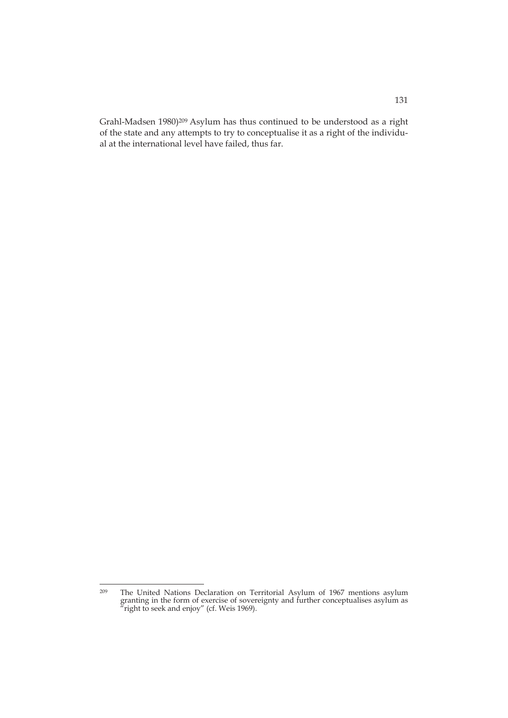Grahl-Madsen 1980)<sup>209</sup> Asylum has thus continued to be understood as a right of the state and any attempts to try to conceptualise it as a right of the individual at the international level have failed, thus far.

<sup>209</sup> <sup>209</sup> The United Nations Declaration on Territorial Asylum of 1967 mentions asylum granting in the form of exercise of sovereignty and further conceptualises asylum as  $\pi$  right to seek and enjoy" (cf. Weis 1969).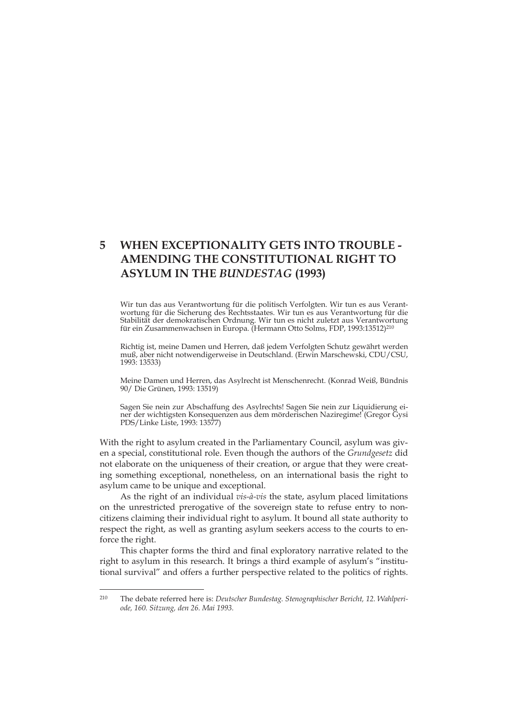# **5 WHEN EXCEPTIONALITY GETS INTO TROUBLE - AMENDING THE CONSTITUTIONAL RIGHT TO ASYLUM IN THE** *BUNDESTAG* **(1993)**

Wir tun das aus Verantwortung für die politisch Verfolgten. Wir tun es aus Verantwortung für die Sicherung des Rechtsstaates. Wir tun es aus Verantwortung für die Stabilität der demokratischen Ordnung. Wir tun es nicht zuletzt aus Verantwortung für ein Zusammenwachsen in Europa. (Hermann Otto Solms, FDP, 1993:13512)210

Richtig ist, meine Damen und Herren, daß jedem Verfolgten Schutz gewährt werden muß, aber nicht notwendigerweise in Deutschland. (Erwin Marschewski, CDU/CSU, 1993: 13533)

Meine Damen und Herren, das Asylrecht ist Menschenrecht. (Konrad Weiß, Bündnis 90/ Die Grünen, 1993: 13519)

Sagen Sie nein zur Abschaffung des Asylrechts! Sagen Sie nein zur Liquidierung einer der wichtigsten Konsequenzen aus dem mörderischen Naziregime! (Gregor Gysi PDS/Linke Liste, 1993: 13577)

With the right to asylum created in the Parliamentary Council, asylum was given a special, constitutional role. Even though the authors of the *Grundgesetz* did not elaborate on the uniqueness of their creation, or argue that they were creating something exceptional, nonetheless, on an international basis the right to asylum came to be unique and exceptional.

As the right of an individual *vis-à-vis* the state, asylum placed limitations on the unrestricted prerogative of the sovereign state to refuse entry to noncitizens claiming their individual right to asylum. It bound all state authority to respect the right, as well as granting asylum seekers access to the courts to enforce the right.

This chapter forms the third and final exploratory narrative related to the right to asylum in this research. It brings a third example of asylum's "institutional survival" and offers a further perspective related to the politics of rights.

<sup>210</sup> The debate referred here is: *Deutscher Bundestag. Stenographischer Bericht, 12. Wahlperiode, 160. Sitzung, den 26. Mai 1993.*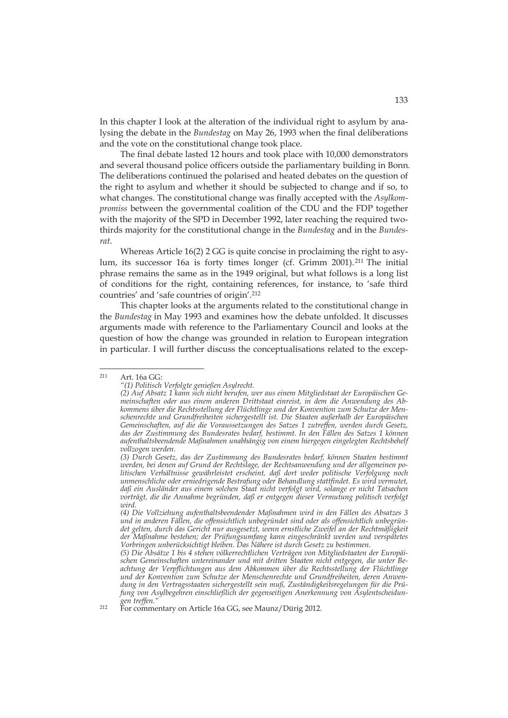In this chapter I look at the alteration of the individual right to asylum by analysing the debate in the *Bundestag* on May 26, 1993 when the final deliberations and the vote on the constitutional change took place.

The final debate lasted 12 hours and took place with 10,000 demonstrators and several thousand police officers outside the parliamentary building in Bonn. The deliberations continued the polarised and heated debates on the question of the right to asylum and whether it should be subjected to change and if so, to what changes. The constitutional change was finally accepted with the *Asylkompromiss* between the governmental coalition of the CDU and the FDP together with the majority of the SPD in December 1992, later reaching the required twothirds majority for the constitutional change in the *Bundestag* and in the *Bundesrat*.

Whereas Article 16(2) 2 GG is quite concise in proclaiming the right to asylum, its successor 16a is forty times longer (cf. Grimm 2001).211 The initial phrase remains the same as in the 1949 original, but what follows is a long list of conditions for the right, containing references, for instance, to 'safe third countries' and 'safe countries of origin'.212

This chapter looks at the arguments related to the constitutional change in the *Bundestag* in May 1993 and examines how the debate unfolded. It discusses arguments made with reference to the Parliamentary Council and looks at the question of how the change was grounded in relation to European integration in particular. I will further discuss the conceptualisations related to the excep-

 $211$ Art. 16a GG:

*<sup>&</sup>quot;(1) Politisch Verfolgte genießen Asylrecht.* 

*<sup>(2)</sup> Auf Absatz 1 kann sich nicht berufen, wer aus einem Mitgliedstaat der Europäischen Gemeinschaften oder aus einem anderen Drittstaat einreist, in dem die Anwendung des Abkommens über die Rechtsstellung der Flüchtlinge und der Konvention zum Schutze der Menschenrechte und Grundfreiheiten sichergestellt ist. Die Staaten außerhalb der Europäischen Gemeinschaften, auf die die Voraussetzungen des Satzes 1 zutreffen, werden durch Gesetz, das der Zustimmung des Bundesrates bedarf, bestimmt. In den Fällen des Satzes 1 können aufenthaltsbeendende Maßnahmen unabhängig von einem hiergegen eingelegten Rechtsbehelf vollzogen werden.* 

*<sup>(3)</sup> Durch Gesetz, das der Zustimmung des Bundesrates bedarf, können Staaten bestimmt werden, bei denen auf Grund der Rechtslage, der Rechtsanwendung und der allgemeinen politischen Verhältnisse gewährleistet erscheint, daß dort weder politische Verfolgung noch unmenschliche oder erniedrigende Bestrafung oder Behandlung stattfindet. Es wird vermutet, daß ein Ausländer aus einem solchen Staat nicht verfolgt wird, solange er nicht Tatsachen vorträgt, die die Annahme begründen, daß er entgegen dieser Vermutung politisch verfolgt wird.* 

*<sup>(4)</sup> Die Vollziehung aufenthaltsbeendender Maßnahmen wird in den Fällen des Absatzes 3 und in anderen Fällen, die offensichtlich unbegründet sind oder als offensichtlich unbegründet gelten, durch das Gericht nur ausgesetzt, wenn ernstliche Zweifel an der Rechtmäßigkeit der Maßnahme bestehen; der Prüfungsumfang kann eingeschränkt werden und verspätetes Vorbringen unberücksichtigt bleiben. Das Nähere ist durch Gesetz zu bestimmen.* 

*<sup>(5)</sup> Die Absätze 1 bis 4 stehen völkerrechtlichen Verträgen von Mitgliedstaaten der Europäischen Gemeinschaften untereinander und mit dritten Staaten nicht entgegen, die unter Beachtung der Verpflichtungen aus dem Abkommen über die Rechtsstellung der Flüchtlinge und der Konvention zum Schutze der Menschenrechte und Grundfreiheiten, deren Anwendung in den Vertragsstaaten sichergestellt sein muß, Zuständigkeitsregelungen für die Prüfung von Asylbegehren einschließlich der gegenseitigen Anerkennung von Asylentscheidungen treffen."* 

<sup>212</sup> For commentary on Article 16a GG, see Maunz/Dürig 2012.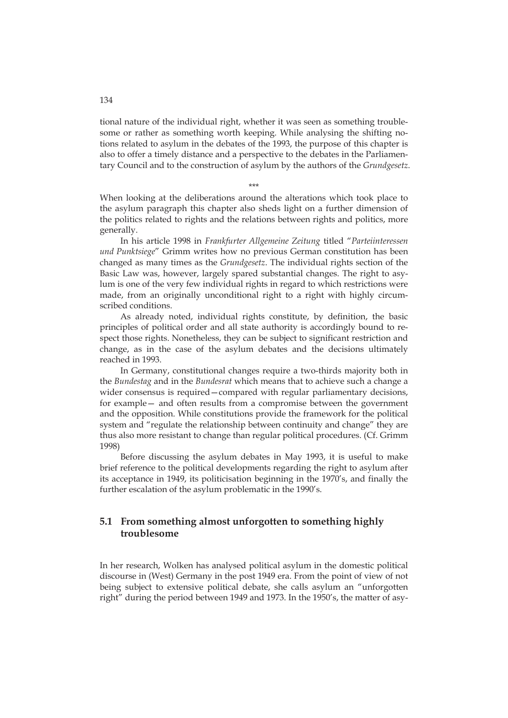tional nature of the individual right, whether it was seen as something troublesome or rather as something worth keeping. While analysing the shifting notions related to asylum in the debates of the 1993, the purpose of this chapter is also to offer a timely distance and a perspective to the debates in the Parliamentary Council and to the construction of asylum by the authors of the *Grundgesetz*.

\*\*\*

When looking at the deliberations around the alterations which took place to the asylum paragraph this chapter also sheds light on a further dimension of the politics related to rights and the relations between rights and politics, more generally.

In his article 1998 in *Frankfurter Allgemeine Zeitung* titled "*Parteiinteressen und Punktsiege*" Grimm writes how no previous German constitution has been changed as many times as the *Grundgesetz*. The individual rights section of the Basic Law was, however, largely spared substantial changes. The right to asylum is one of the very few individual rights in regard to which restrictions were made, from an originally unconditional right to a right with highly circumscribed conditions.

As already noted, individual rights constitute, by definition, the basic principles of political order and all state authority is accordingly bound to respect those rights. Nonetheless, they can be subject to significant restriction and change, as in the case of the asylum debates and the decisions ultimately reached in 1993.

In Germany, constitutional changes require a two-thirds majority both in the *Bundestag* and in the *Bundesrat* which means that to achieve such a change a wider consensus is required—compared with regular parliamentary decisions, for example— and often results from a compromise between the government and the opposition. While constitutions provide the framework for the political system and "regulate the relationship between continuity and change" they are thus also more resistant to change than regular political procedures. (Cf. Grimm 1998)

Before discussing the asylum debates in May 1993, it is useful to make brief reference to the political developments regarding the right to asylum after its acceptance in 1949, its politicisation beginning in the 1970's, and finally the further escalation of the asylum problematic in the 1990's.

# **5.1 From something almost unforgotten to something highly troublesome**

In her research, Wolken has analysed political asylum in the domestic political discourse in (West) Germany in the post 1949 era. From the point of view of not being subject to extensive political debate, she calls asylum an "unforgotten right" during the period between 1949 and 1973. In the 1950's, the matter of asy-

134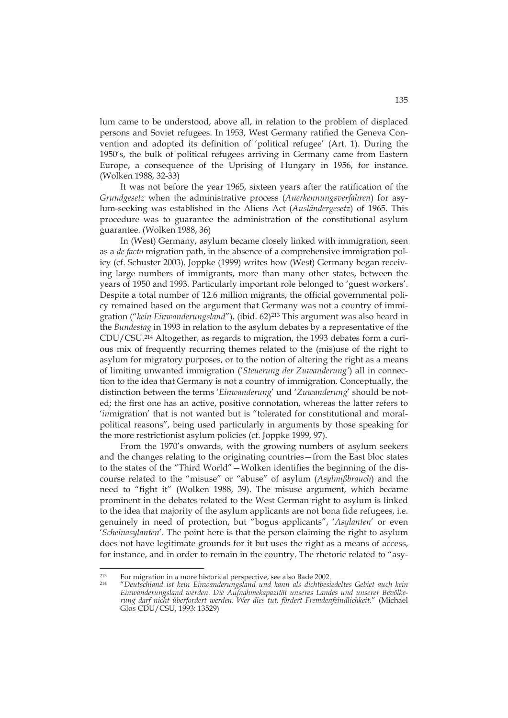lum came to be understood, above all, in relation to the problem of displaced persons and Soviet refugees. In 1953, West Germany ratified the Geneva Convention and adopted its definition of 'political refugee' (Art. 1). During the 1950's, the bulk of political refugees arriving in Germany came from Eastern Europe, a consequence of the Uprising of Hungary in 1956, for instance. (Wolken 1988, 32-33)

It was not before the year 1965, sixteen years after the ratification of the *Grundgesetz* when the administrative process (*Anerkennungsverfahren*) for asylum-seeking was established in the Aliens Act (*Ausländergesetz*) of 1965. This procedure was to guarantee the administration of the constitutional asylum guarantee. (Wolken 1988, 36)

In (West) Germany, asylum became closely linked with immigration, seen as a *de facto* migration path, in the absence of a comprehensive immigration policy (cf. Schuster 2003). Joppke (1999) writes how (West) Germany began receiving large numbers of immigrants, more than many other states, between the years of 1950 and 1993. Particularly important role belonged to 'guest workers'. Despite a total number of 12.6 million migrants, the official governmental policy remained based on the argument that Germany was not a country of immigration ("*kein Einwanderungsland*"). (ibid. 62)213 This argument was also heard in the *Bundestag* in 1993 in relation to the asylum debates by a representative of the CDU/CSU.214 Altogether, as regards to migration, the 1993 debates form a curious mix of frequently recurring themes related to the (mis)use of the right to asylum for migratory purposes, or to the notion of altering the right as a means of limiting unwanted immigration ('*Steuerung der Zuwanderung'*) all in connection to the idea that Germany is not a country of immigration. Conceptually, the distinction between the terms '*Einwanderung*' und '*Zuwanderung*' should be noted; the first one has an active, positive connotation, whereas the latter refers to '*in*migration' that is not wanted but is "tolerated for constitutional and moralpolitical reasons", being used particularly in arguments by those speaking for the more restrictionist asylum policies (cf. Joppke 1999, 97).

From the 1970's onwards, with the growing numbers of asylum seekers and the changes relating to the originating countries—from the East bloc states to the states of the "Third World"—Wolken identifies the beginning of the discourse related to the "misuse" or "abuse" of asylum (*Asylmißbrauch*) and the need to "fight it" (Wolken 1988, 39). The misuse argument, which became prominent in the debates related to the West German right to asylum is linked to the idea that majority of the asylum applicants are not bona fide refugees, i.e. genuinely in need of protection, but "bogus applicants", '*Asylanten*' or even '*Scheinasylanten*'. The point here is that the person claiming the right to asylum does not have legitimate grounds for it but uses the right as a means of access, for instance, and in order to remain in the country. The rhetoric related to "asy-

<sup>213</sup> For migration in a more historical perspective, see also Bade 2002. 214 "*Deutschland ist kein Einwanderungsland und kann als dichtbesiedeltes Gebiet auch kein Einwanderungsland werden. Die Aufnahmekapazität unseres Landes und unserer Bevölkerung darf nicht überfordert werden. Wer dies tut, fördert Fremdenfeindlichkeit*." (Michael Glos CDU/CSU, 1993: 13529)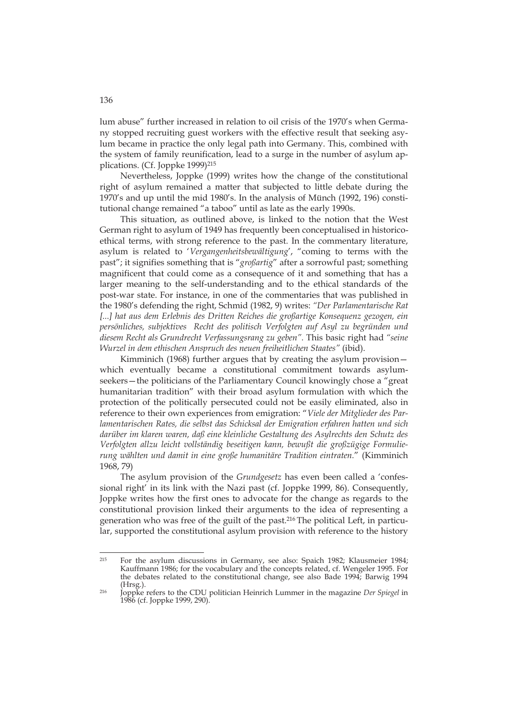lum abuse" further increased in relation to oil crisis of the 1970's when Germany stopped recruiting guest workers with the effective result that seeking asylum became in practice the only legal path into Germany. This, combined with the system of family reunification, lead to a surge in the number of asylum applications. (Cf. Joppke 1999)<sup>215</sup>

Nevertheless, Joppke (1999) writes how the change of the constitutional right of asylum remained a matter that subjected to little debate during the 1970's and up until the mid 1980's. In the analysis of Münch (1992, 196) constitutional change remained "a taboo" until as late as the early 1990s.

This situation, as outlined above, is linked to the notion that the West German right to asylum of 1949 has frequently been conceptualised in historicoethical terms, with strong reference to the past. In the commentary literature, asylum is related to '*Vergangenheitsbewältigung*', "coming to terms with the past"; it signifies something that is "*großartig*" after a sorrowful past; something magnificent that could come as a consequence of it and something that has a larger meaning to the self-understanding and to the ethical standards of the post-war state. For instance, in one of the commentaries that was published in the 1980's defending the right, Schmid (1982, 9) writes: *"Der Parlamentarische Rat*  [...] hat aus dem Erlebnis des Dritten Reiches die großartige Konsequenz gezogen, ein *persönliches, subjektives Recht des politisch Verfolgten auf Asyl zu begründen und diesem Recht als Grundrecht Verfassungsrang zu geben".* This basic right had *"seine Wurzel in dem ethischen Anspruch des neuen freiheitlichen Staates"* (ibid).

Kimminich (1968) further argues that by creating the asylum provision which eventually became a constitutional commitment towards asylumseekers—the politicians of the Parliamentary Council knowingly chose a "great humanitarian tradition" with their broad asylum formulation with which the protection of the politically persecuted could not be easily eliminated, also in reference to their own experiences from emigration: "*Viele der Mitglieder des Parlamentarischen Rates, die selbst das Schicksal der Emigration erfahren hatten und sich darüber im klaren waren, daß eine kleinliche Gestaltung des Asylrechts den Schutz des Verfolgten allzu leicht vollständig beseitigen kann, bewußt die großzügige Formulierung wählten und damit in eine große humanitäre Tradition eintraten.*" (Kimminich 1968, 79)

The asylum provision of the *Grundgesetz* has even been called a 'confessional right' in its link with the Nazi past (cf. Joppke 1999, 86). Consequently, Joppke writes how the first ones to advocate for the change as regards to the constitutional provision linked their arguments to the idea of representing a generation who was free of the guilt of the past.216 The political Left, in particular, supported the constitutional asylum provision with reference to the history

136

<sup>-</sup>215 For the asylum discussions in Germany, see also: Spaich 1982; Klausmeier 1984; Kauffmann 1986; for the vocabulary and the concepts related, cf. Wengeler 1995. For the debates related to the constitutional change, see also Bade 1994; Barwig 1994 (Hrsg.). 216 Joppke refers to the CDU politician Heinrich Lummer in the magazine *Der Spiegel* in

<sup>1986 (</sup>cf. Joppke 1999, 290).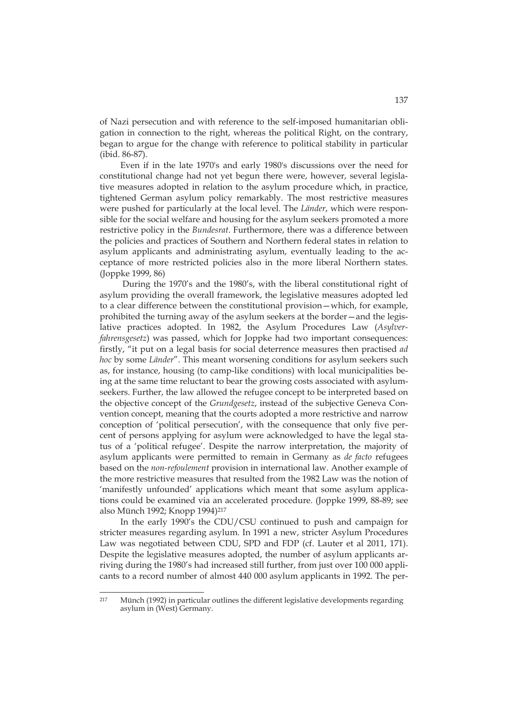of Nazi persecution and with reference to the self-imposed humanitarian obligation in connection to the right, whereas the political Right, on the contrary, began to argue for the change with reference to political stability in particular (ibid. 86-87).

Even if in the late 1970's and early 1980's discussions over the need for constitutional change had not yet begun there were, however, several legislative measures adopted in relation to the asylum procedure which, in practice, tightened German asylum policy remarkably. The most restrictive measures were pushed for particularly at the local level. The *Länder*, which were responsible for the social welfare and housing for the asylum seekers promoted a more restrictive policy in the *Bundesrat*. Furthermore, there was a difference between the policies and practices of Southern and Northern federal states in relation to asylum applicants and administrating asylum, eventually leading to the acceptance of more restricted policies also in the more liberal Northern states. (Joppke 1999, 86)

 During the 1970's and the 1980's, with the liberal constitutional right of asylum providing the overall framework, the legislative measures adopted led to a clear difference between the constitutional provision—which, for example, prohibited the turning away of the asylum seekers at the border—and the legislative practices adopted. In 1982, the Asylum Procedures Law (*Asylverfahrensgesetz*) was passed, which for Joppke had two important consequences: firstly, "it put on a legal basis for social deterrence measures then practised *ad hoc* by some *Länder*". This meant worsening conditions for asylum seekers such as, for instance, housing (to camp-like conditions) with local municipalities being at the same time reluctant to bear the growing costs associated with asylumseekers. Further, the law allowed the refugee concept to be interpreted based on the objective concept of the *Grundgesetz*, instead of the subjective Geneva Convention concept, meaning that the courts adopted a more restrictive and narrow conception of 'political persecution', with the consequence that only five percent of persons applying for asylum were acknowledged to have the legal status of a 'political refugee'. Despite the narrow interpretation, the majority of asylum applicants were permitted to remain in Germany as *de facto* refugees based on the *non-refoulement* provision in international law. Another example of the more restrictive measures that resulted from the 1982 Law was the notion of 'manifestly unfounded' applications which meant that some asylum applications could be examined via an accelerated procedure. (Joppke 1999, 88-89; see also Münch 1992; Knopp 1994)217

In the earIy 1990's the CDU/CSU continued to push and campaign for stricter measures regarding asylum. In 1991 a new, stricter Asylum Procedures Law was negotiated between CDU, SPD and FDP (cf. Lauter et al 2011, 171). Despite the legislative measures adopted, the number of asylum applicants arriving during the 1980's had increased still further, from just over 100 000 applicants to a record number of almost 440 000 asylum applicants in 1992. The per-

<sup>217</sup> 217 Münch (1992) in particular outlines the different legislative developments regarding asylum in (West) Germany.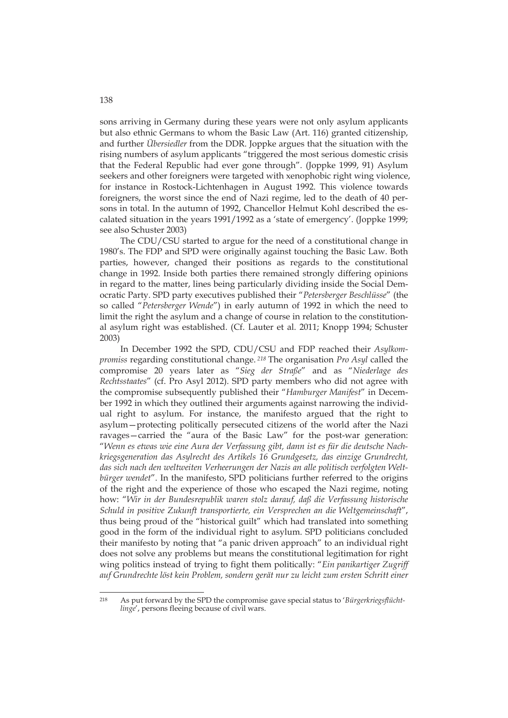sons arriving in Germany during these years were not only asylum applicants but also ethnic Germans to whom the Basic Law (Art. 116) granted citizenship, and further *Übersiedler* from the DDR. Joppke argues that the situation with the rising numbers of asylum applicants "triggered the most serious domestic crisis that the Federal Republic had ever gone through". (Joppke 1999, 91) Asylum seekers and other foreigners were targeted with xenophobic right wing violence, for instance in Rostock-Lichtenhagen in August 1992. This violence towards foreigners, the worst since the end of Nazi regime, led to the death of 40 persons in total. In the autumn of 1992, Chancellor Helmut Kohl described the escalated situation in the years 1991/1992 as a 'state of emergency'. (Joppke 1999; see also Schuster 2003)

The CDU/CSU started to argue for the need of a constitutional change in 1980's. The FDP and SPD were originally against touching the Basic Law. Both parties, however, changed their positions as regards to the constitutional change in 1992. Inside both parties there remained strongly differing opinions in regard to the matter, lines being particularly dividing inside the Social Democratic Party. SPD party executives published their "*Petersberger Beschlüsse*" (the so called "*Petersberger Wende*") in early autumn of 1992 in which the need to limit the right the asylum and a change of course in relation to the constitutional asylum right was established. (Cf. Lauter et al. 2011; Knopp 1994; Schuster 2003)

In December 1992 the SPD, CDU/CSU and FDP reached their *Asylkompromiss* regarding constitutional change. *218* The organisation *Pro Asyl* called the compromise 20 years later as "*Sieg der Straße*" and as "*Niederlage des Rechtsstaates*" (cf. Pro Asyl 2012). SPD party members who did not agree with the compromise subsequently published their "*Hamburger Manifest*" in December 1992 in which they outlined their arguments against narrowing the individual right to asylum. For instance, the manifesto argued that the right to asylum—protecting politically persecuted citizens of the world after the Nazi ravages—carried the "aura of the Basic Law" for the post-war generation: "*Wenn es etwas wie eine Aura der Verfassung gibt, dann ist es für die deutsche Nachkriegsgeneration das Asylrecht des Artikels 16 Grundgesetz, das einzige Grundrecht, das sich nach den weltweiten Verheerungen der Nazis an alle politisch verfolgten Weltbürger wendet*". In the manifesto, SPD politicians further referred to the origins of the right and the experience of those who escaped the Nazi regime, noting how: "*Wir in der Bundesrepublik waren stolz darauf, daß die Verfassung historische Schuld in positive Zukunft transportierte, ein Versprechen an die Weltgemeinschaft*", thus being proud of the "historical guilt" which had translated into something good in the form of the individual right to asylum. SPD politicians concluded their manifesto by noting that "a panic driven approach" to an individual right does not solve any problems but means the constitutional legitimation for right wing politics instead of trying to fight them politically: "*Ein panikartiger Zugriff auf Grundrechte löst kein Problem, sondern gerät nur zu leicht zum ersten Schritt einer* 

<sup>218</sup> 218 As put forward by the SPD the compromise gave special status to '*Bürgerkriegsflüchtlinge*', persons fleeing because of civil wars.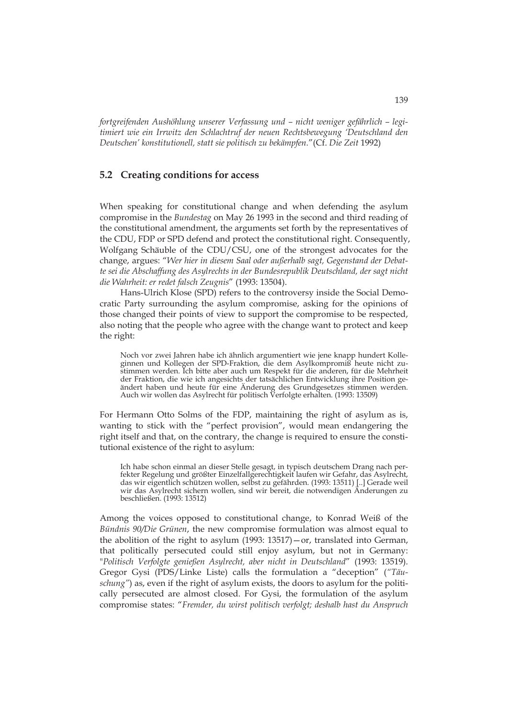*fortgreifenden Aushöhlung unserer Verfassung und – nicht weniger gefährlich – legitimiert wie ein Irrwitz den Schlachtruf der neuen Rechtsbewegung 'Deutschland den Deutschen' konstitutionell, statt sie politisch zu bekämpfen.*"(Cf. *Die Zeit* 1992)

### **5.2 Creating conditions for access**

When speaking for constitutional change and when defending the asylum compromise in the *Bundestag* on May 26 1993 in the second and third reading of the constitutional amendment, the arguments set forth by the representatives of the CDU, FDP or SPD defend and protect the constitutional right. Consequently, Wolfgang Schäuble of the CDU/CSU, one of the strongest advocates for the change, argues: "*Wer hier in diesem Saal oder außerhalb sagt, Gegenstand der Debatte sei die Abschaffung des Asylrechts in der Bundesrepublik Deutschland, der sagt nicht die Wahrheit: er redet falsch Zeugnis*" (1993: 13504).

Hans-Ulrich Klose (SPD) refers to the controversy inside the Social Democratic Party surrounding the asylum compromise, asking for the opinions of those changed their points of view to support the compromise to be respected, also noting that the people who agree with the change want to protect and keep the right:

Noch vor zwei Jahren habe ich ähnlich argumentiert wie jene knapp hundert Kolleginnen und Kollegen der SPD-Fraktion, die dem Asylkompromiß heute nicht zustimmen werden. Ich bitte aber auch um Respekt für die anderen, für die Mehrheit der Fraktion, die wie ich angesichts der tatsächlichen Entwicklung ihre Position geändert haben und heute für eine Änderung des Grundgesetzes stimmen werden. Auch wir wollen das Asylrecht für politisch Verfolgte erhalten. (1993: 13509)

For Hermann Otto Solms of the FDP, maintaining the right of asylum as is, wanting to stick with the "perfect provision", would mean endangering the right itself and that, on the contrary, the change is required to ensure the constitutional existence of the right to asylum:

Ich habe schon einmal an dieser Stelle gesagt, in typisch deutschem Drang nach perfekter Regelung und größter Einzelfallgerechtigkeit laufen wir Gefahr, das Asylrecht, das wir eigentlich schützen wollen, selbst zu gefährden. (1993: 13511) [..] Gerade weil wir das Asylrecht sichern wollen, sind wir bereit, die notwendigen Änderungen zu beschließen. (1993: 13512)

Among the voices opposed to constitutional change, to Konrad Weiß of the *Bündnis 90/Die Grünen*, the new compromise formulation was almost equal to the abolition of the right to asylum (1993: 13517)—or, translated into German, that politically persecuted could still enjoy asylum, but not in Germany: "*Politisch Verfolgte genießen Asylrecht, aber nicht in Deutschland*" (1993: 13519). Gregor Gysi (PDS/Linke Liste) calls the formulation a "deception" (*"Täuschung"*) as, even if the right of asylum exists, the doors to asylum for the politically persecuted are almost closed. For Gysi, the formulation of the asylum compromise states: "*Fremder, du wirst politisch verfolgt; deshalb hast du Anspruch*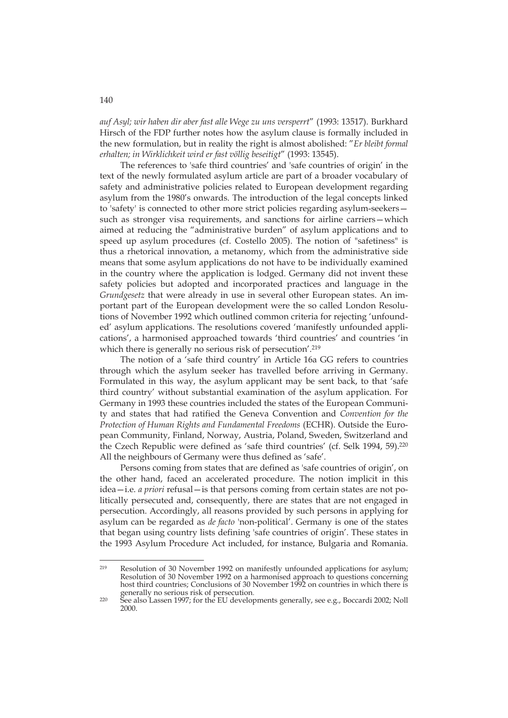*auf Asyl; wir haben dir aber fast alle Wege zu uns versperrt*" (1993: 13517). Burkhard Hirsch of the FDP further notes how the asylum clause is formally included in the new formulation, but in reality the right is almost abolished: "*Er bleibt formal erhalten; in Wirklichkeit wird er fast völlig beseitigt*" (1993: 13545).

The references to 'safe third countries' and 'safe countries of origin' in the text of the newly formulated asylum article are part of a broader vocabulary of safety and administrative policies related to European development regarding asylum from the 1980's onwards. The introduction of the legal concepts linked to 'safety' is connected to other more strict policies regarding asylum-seekers such as stronger visa requirements, and sanctions for airline carriers—which aimed at reducing the "administrative burden" of asylum applications and to speed up asylum procedures (cf. Costello 2005). The notion of "safetiness" is thus a rhetorical innovation, a metanomy, which from the administrative side means that some asylum applications do not have to be individually examined in the country where the application is lodged. Germany did not invent these safety policies but adopted and incorporated practices and language in the *Grundgesetz* that were already in use in several other European states. An important part of the European development were the so called London Resolutions of November 1992 which outlined common criteria for rejecting 'unfounded' asylum applications. The resolutions covered 'manifestly unfounded applications', a harmonised approached towards 'third countries' and countries 'in which there is generally no serious risk of persecution'.<sup>219</sup>

The notion of a 'safe third country' in Article 16a GG refers to countries through which the asylum seeker has travelled before arriving in Germany. Formulated in this way, the asylum applicant may be sent back, to that 'safe third country' without substantial examination of the asylum application. For Germany in 1993 these countries included the states of the European Community and states that had ratified the Geneva Convention and *Convention for the Protection of Human Rights and Fundamental Freedoms* (ECHR). Outside the European Community, Finland, Norway, Austria, Poland, Sweden, Switzerland and the Czech Republic were defined as 'safe third countries' (cf. Selk 1994, 59).220 All the neighbours of Germany were thus defined as 'safe'.

Persons coming from states that are defined as 'safe countries of origin', on the other hand, faced an accelerated procedure. The notion implicit in this idea—i.e. *a priori* refusal—is that persons coming from certain states are not politically persecuted and, consequently, there are states that are not engaged in persecution. Accordingly, all reasons provided by such persons in applying for asylum can be regarded as *de facto* 'non-political'. Germany is one of the states that began using country lists defining 'safe countries of origin'. These states in the 1993 Asylum Procedure Act included, for instance, Bulgaria and Romania.

<sup>219</sup> Resolution of 30 November 1992 on manifestly unfounded applications for asylum; Resolution of 30 November 1992 on a harmonised approach to questions concerning host third countries; Conclusions of 30 November 1992 on countries in which there is generally no serious risk of persecution.

<sup>220</sup> See also Lassen 1997; for the EU developments generally, see e.g., Boccardi 2002; Noll 2000.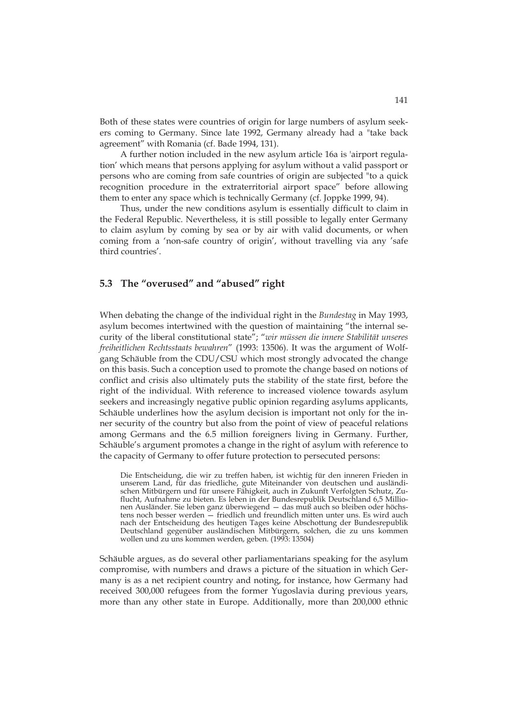Both of these states were countries of origin for large numbers of asylum seekers coming to Germany. Since late 1992, Germany already had a "take back agreement" with Romania (cf. Bade 1994, 131).

A further notion included in the new asylum article 16a is 'airport regulation' which means that persons applying for asylum without a valid passport or persons who are coming from safe countries of origin are subjected "to a quick recognition procedure in the extraterritorial airport space" before allowing them to enter any space which is technically Germany (cf. Joppke 1999, 94).

Thus, under the new conditions asylum is essentially difficult to claim in the Federal Republic. Nevertheless, it is still possible to legally enter Germany to claim asylum by coming by sea or by air with valid documents, or when coming from a 'non-safe country of origin', without travelling via any 'safe third countries'.

### **5.3 The "overused" and "abused" right**

When debating the change of the individual right in the *Bundestag* in May 1993, asylum becomes intertwined with the question of maintaining "the internal security of the liberal constitutional state"; "*wir müssen die innere Stabilität unseres freiheitlichen Rechtsstaats bewahren*" (1993: 13506). It was the argument of Wolfgang Schäuble from the CDU/CSU which most strongly advocated the change on this basis. Such a conception used to promote the change based on notions of conflict and crisis also ultimately puts the stability of the state first, before the right of the individual. With reference to increased violence towards asylum seekers and increasingly negative public opinion regarding asylums applicants, Schäuble underlines how the asylum decision is important not only for the inner security of the country but also from the point of view of peaceful relations among Germans and the 6.5 million foreigners living in Germany. Further, Schäuble's argument promotes a change in the right of asylum with reference to the capacity of Germany to offer future protection to persecuted persons:

Die Entscheidung, die wir zu treffen haben, ist wichtig für den inneren Frieden in unserem Land, für das friedliche, gute Miteinander von deutschen und ausländischen Mitbürgern und für unsere Fähigkeit, auch in Zukunft Verfolgten Schutz, Zuflucht, Aufnahme zu bieten. Es leben in der Bundesrepublik Deutschland 6,5 Millionen Ausländer. Sie leben ganz überwiegend — das muß auch so bleiben oder höchstens noch besser werden — friedlich und freundlich mitten unter uns. Es wird auch nach der Entscheidung des heutigen Tages keine Abschottung der Bundesrepublik Deutschland gegenüber ausländischen Mitbürgern, solchen, die zu uns kommen wollen und zu uns kommen werden, geben. (1993: 13504)

Schäuble argues, as do several other parliamentarians speaking for the asylum compromise, with numbers and draws a picture of the situation in which Germany is as a net recipient country and noting, for instance, how Germany had received 300,000 refugees from the former Yugoslavia during previous years, more than any other state in Europe. Additionally, more than 200,000 ethnic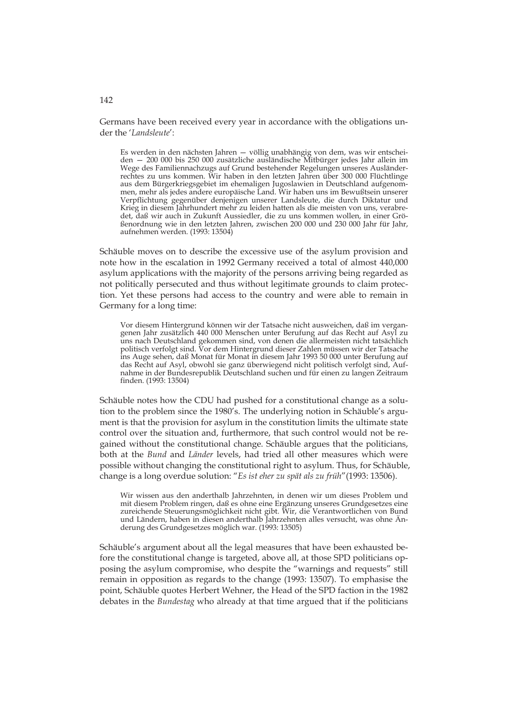Germans have been received every year in accordance with the obligations under the '*Landsleute*':

Es werden in den nächsten Jahren — völlig unabhängig von dem, was wir entscheiden — 200 000 bis 250 000 zusätzliche ausländische Mitbürger jedes Jahr allein im Wege des Familiennachzugs auf Grund bestehender Regelungen unseres Ausländerrechtes zu uns kommen. Wir haben in den letzten Jahren über 300 000 Flüchtlinge aus dem Bürgerkriegsgebiet im ehemaligen Jugoslawien in Deutschland aufgenommen, mehr als jedes andere europäische Land. Wir haben uns im Bewußtsein unserer Verpflichtung gegenüber denjenigen unserer Landsleute, die durch Diktatur und Krieg in diesem Jahrhundert mehr zu leiden hatten als die meisten von uns, verabredet, daß wir auch in Zukunft Aussiedler, die zu uns kommen wollen, in einer Größenordnung wie in den letzten Jahren, zwischen 200 000 und 230 000 Jahr für Jahr, aufnehmen werden. (1993: 13504)

Schäuble moves on to describe the excessive use of the asylum provision and note how in the escalation in 1992 Germany received a total of almost 440,000 asylum applications with the majority of the persons arriving being regarded as not politically persecuted and thus without legitimate grounds to claim protection. Yet these persons had access to the country and were able to remain in Germany for a long time:

Vor diesem Hintergrund können wir der Tatsache nicht ausweichen, daß im vergangenen Jahr zusätzlich 440 000 Menschen unter Berufung auf das Recht auf Asyl zu uns nach Deutschland gekommen sind, von denen die allermeisten nicht tatsächlich politisch verfolgt sind. Vor dem Hintergrund dieser Zahlen müssen wir der Tatsache ins Auge sehen, daß Monat für Monat in diesem Jahr 1993 50 000 unter Berufung auf das Recht auf Asyl, obwohl sie ganz überwiegend nicht politisch verfolgt sind, Aufnahme in der Bundesrepublik Deutschland suchen und für einen zu langen Zeitraum finden. (1993: 13504)

Schäuble notes how the CDU had pushed for a constitutional change as a solution to the problem since the 1980's. The underlying notion in Schäuble's argument is that the provision for asylum in the constitution limits the ultimate state control over the situation and, furthermore, that such control would not be regained without the constitutional change. Schäuble argues that the politicians, both at the *Bund* and *Länder* levels, had tried all other measures which were possible without changing the constitutional right to asylum. Thus, for Schäuble, change is a long overdue solution: "*Es ist eher zu spät als zu früh*"(1993: 13506).

Wir wissen aus den anderthalb Jahrzehnten, in denen wir um dieses Problem und mit diesem Problem ringen, daß es ohne eine Ergänzung unseres Grundgesetzes eine zureichende Steuerungsmöglichkeit nicht gibt. Wir, die Verantwortlichen von Bund und Ländern, haben in diesen anderthalb Jahrzehnten alles versucht, was ohne Änderung des Grundgesetzes möglich war. (1993: 13505)

Schäuble's argument about all the legal measures that have been exhausted before the constitutional change is targeted, above all, at those SPD politicians opposing the asylum compromise, who despite the "warnings and requests" still remain in opposition as regards to the change (1993: 13507). To emphasise the point, Schäuble quotes Herbert Wehner, the Head of the SPD faction in the 1982 debates in the *Bundestag* who already at that time argued that if the politicians

### 142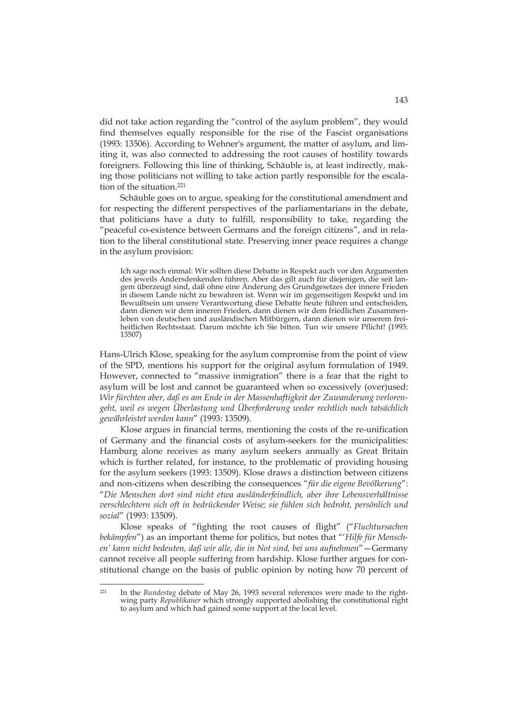did not take action regarding the "control of the asylum problem", they would find themselves equally responsible for the rise of the Fascist organisations (1993: 13506). According to Wehner's argument, the matter of asylum, and limiting it, was also connected to addressing the root causes of hostility towards foreigners. Following this line of thinking, Schäuble is, at least indirectly, making those politicians not willing to take action partly responsible for the escalation of the situation.221

Schäuble goes on to argue, speaking for the constitutional amendment and for respecting the different perspectives of the parliamentarians in the debate, that politicians have a duty to fulfill, responsibility to take, regarding the "peaceful co-existence between Germans and the foreign citizens", and in relation to the liberal constitutional state. Preserving inner peace requires a change in the asylum provision:

Ich sage noch einmal: Wir sollten diese Debatte in Respekt auch vor den Argumenten des jeweils Andersdenkenden führen. Aber das gilt auch für diejenigen, die seit langem überzeugt sind, daß ohne eine Änderung des Grundgesetzes der innere Frieden in diesem Lande nicht zu bewahren ist. Wenn wir im gegenseitigen Respekt und im Bewußtsein um unsere Verantwortung diese Debatte heute führen und entscheiden, dann dienen wir dem inneren Frieden, dann dienen wir dem friedlichen Zusammenleben von deutschen und ausländischen Mitbürgern, dann dienen wir unserem freiheitlichen Rechtsstaat. Darum möchte ich Sie bitten. Tun wir unsere Pflicht! (1993: 13507)

Hans-Ulrich Klose, speaking for the asylum compromise from the point of view of the SPD, mentions his support for the original asylum formulation of 1949. However, connected to "massive inmigration" there is a fear that the right to asylum will be lost and cannot be guaranteed when so excessively (over)used: *Wir fürchten aber, daß es am Ende in der Massenhaftigkeit der Zuwanderung verlorengeht, weil es wegen Überlastung und Überforderung weder rechtlich noch tatsächlich gewährleistet werden kann*" (1993: 13509).

Klose argues in financial terms, mentioning the costs of the re-unification of Germany and the financial costs of asylum-seekers for the municipalities: Hamburg alone receives as many asylum seekers annually as Great Britain which is further related, for instance, to the problematic of providing housing for the asylum seekers (1993: 13509). Klose draws a distinction between citizens and non-citizens when describing the consequences "*für die eigene Bevölkerung*": "*Die Menschen dort sind nicht etwa ausländerfeindlich, aber ihre Lebensverhältnisse verschlechtern sich oft in bedrückender Weise; sie fühlen sich bedroht, persönlich und sozial*" (1993: 13509).

Klose speaks of "fighting the root causes of flight" ("*Fluchtursachen bekämpfen*") as an important theme for politics, but notes that "'*Hilfe für Menschen' kann nicht bedeuten, daß wir alle, die in Not sind, bei uns aufnehmen*"—Germany cannot receive all people suffering from hardship. Klose further argues for constitutional change on the basis of public opinion by noting how 70 percent of

 $221$ In the *Bundestag* debate of May 26, 1993 several references were made to the rightwing party *Republikaner* which strongly supported abolishing the constitutional right to asylum and which had gained some support at the local level.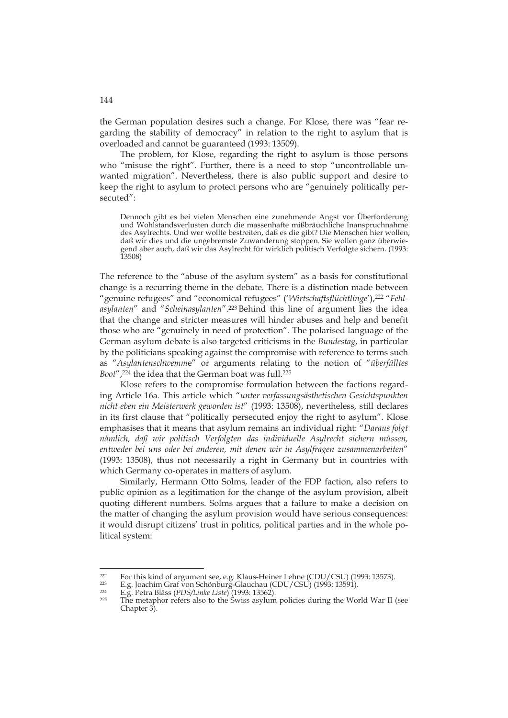the German population desires such a change. For Klose, there was "fear regarding the stability of democracy" in relation to the right to asylum that is overloaded and cannot be guaranteed (1993: 13509).

The problem, for Klose, regarding the right to asylum is those persons who "misuse the right". Further, there is a need to stop "uncontrollable unwanted migration". Nevertheless, there is also public support and desire to keep the right to asylum to protect persons who are "genuinely politically persecuted":

Dennoch gibt es bei vielen Menschen eine zunehmende Angst vor Überforderung und Wohlstandsverlusten durch die massenhafte mißbräuchliche Inanspruchnahme des Asylrechts. Und wer wollte bestreiten, daß es die gibt? Die Menschen hier wollen, daß wir dies und die ungebremste Zuwanderung stoppen. Sie wollen ganz überwiegend aber auch, daß wir das Asylrecht für wirklich politisch Verfolgte sichern. (1993: 13508)

The reference to the "abuse of the asylum system" as a basis for constitutional change is a recurring theme in the debate. There is a distinction made between "genuine refugees" and "economical refugees" ('Wirtschaftsflüchtlinge'),<sup>222</sup> "Fehl*asylanten*" and "*Scheinasylanten*".223 Behind this line of argument lies the idea that the change and stricter measures will hinder abuses and help and benefit those who are "genuinely in need of protection". The polarised language of the German asylum debate is also targeted criticisms in the *Bundestag*, in particular by the politicians speaking against the compromise with reference to terms such as "*Asylantenschwemm*e" or arguments relating to the notion of "*überfülltes Boot*",224 the idea that the German boat was full.225

Klose refers to the compromise formulation between the factions regarding Article 16a. This article which "*unter verfassungsästhetischen Gesichtspunkten nicht eben ein Meisterwerk geworden ist*" (1993: 13508), nevertheless, still declares in its first clause that "politically persecuted enjoy the right to asylum". Klose emphasises that it means that asylum remains an individual right: "*Daraus folgt nämlich, daß wir politisch Verfolgten das individuelle Asylrecht sichern müssen, entweder bei uns oder bei anderen, mit denen wir in Asylfragen zusammenarbeiten*" (1993: 13508), thus not necessarily a right in Germany but in countries with which Germany co-operates in matters of asylum.

Similarly, Hermann Otto Solms, leader of the FDP faction, also refers to public opinion as a legitimation for the change of the asylum provision, albeit quoting different numbers. Solms argues that a failure to make a decision on the matter of changing the asylum provision would have serious consequences: it would disrupt citizens' trust in politics, political parties and in the whole political system:

-

For this kind of argument see, e.g. Klaus-Heiner Lehne (CDU/CSU) (1993: 13573).<br>
E.g. Joachim Graf von Schönburg-Glauchau (CDU/CSU) (1993: 13591).<br>
E.g. Petra Bläss (*PDS/Linke Liste*) (1993: 13562).<br>
The metaphor refers

Chapter 3).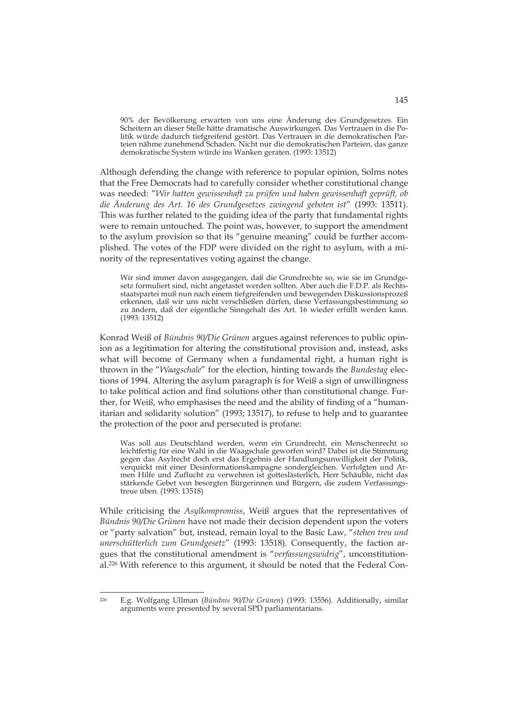90% der Bevölkerung erwarten von uns eine Änderung des Grundgesetzes. Ein Scheitern an dieser Stelle hätte dramatische Auswirkungen. Das Vertrauen in die Politik würde dadurch tiefgreifend gestört. Das Vertrauen in die demokratischen Parteien nähme zunehmend Schaden. Nicht nur die demokratischen Parteien, das ganze demokratische System würde ins Wanken geraten. (1993: 13512)

Although defending the change with reference to popular opinion, Solms notes that the Free Democrats had to carefully consider whether constitutional change was needed: "*Wir hatten gewissenhaft zu prüfen und haben gewissenhaft geprüft, ob die Änderung des Art. 16 des Grundgesetzes zwingend geboten ist*" (1993: 13511). This was further related to the guiding idea of the party that fundamental rights were to remain untouched. The point was, however, to support the amendment to the asylum provision so that its "genuine meaning" could be further accomplished. The votes of the FDP were divided on the right to asylum, with a minority of the representatives voting against the change.

Wir sind immer davon ausgegangen, daß die Grundrechte so, wie sie im Grundgesetz formuliert sind, nicht angetastet werden sollten. Aber auch die F.D.P. als Rechtsstaatspartei muß nun nach einem tiefgreifenden und bewegenden Diskussionsprozeß erkennen, daß wir uns nicht verschließen dürfen, diese Verfassungsbestimmung so zu ändern, daß der eigentliche Sinngehalt des Art. 16 wieder erfüllt werden kann. (1993: 13512)

Konrad Weiß of *Bündnis 90/Die Grünen* argues against references to public opinion as a legitimation for altering the constitutional provision and, instead, asks what will become of Germany when a fundamental right, a human right is thrown in the "*Waagschale*" for the election, hinting towards the *Bundestag* elections of 1994. Altering the asylum paragraph is for Weiß a sign of unwillingness to take political action and find solutions other than constitutional change. Further, for Weiß, who emphasises the need and the ability of finding of a "humanitarian and solidarity solution" (1993; 13517), to refuse to help and to guarantee the protection of the poor and persecuted is profane:

Was soll aus Deutschland werden, wenn ein Grundrecht, ein Menschenrecht so leichtfertig für eine Wahl in die Waagschale geworfen wird? Dabei ist die Stimmung gegen das Asylrecht doch erst das Ergebnis der Handlungsunwilligkeit der Politik, verquickt mit einer Desinformationskampagne sondergleichen. Verfolgten und Armen Hilfe und Zuflucht zu verwehren ist gotteslästerlich, Herr Schäuble, nicht das stärkende Gebet von besorgten Bürgerinnen und Bürgern, die zudem Verfassungstreue üben. (1993: 13518)

While criticising the *Asylkompromiss*, Weiß argues that the representatives of *Bündnis 90/Die Grünen* have not made their decision dependent upon the voters or "party salvation" but, instead, remain loyal to the Basic Law, "*stehen treu und unerschütterlich zum Grundgesetz*" (1993: 13518). Consequently, the faction argues that the constitutional amendment is "*verfassungswidrig*", unconstitutional.226 With reference to this argument, it should be noted that the Federal Con-

-

<sup>226</sup> E.g. Wolfgang Ullman (*Bündnis 90/Die Grünen*) (1993: 13556). Additionally, similar arguments were presented by several SPD parliamentarians.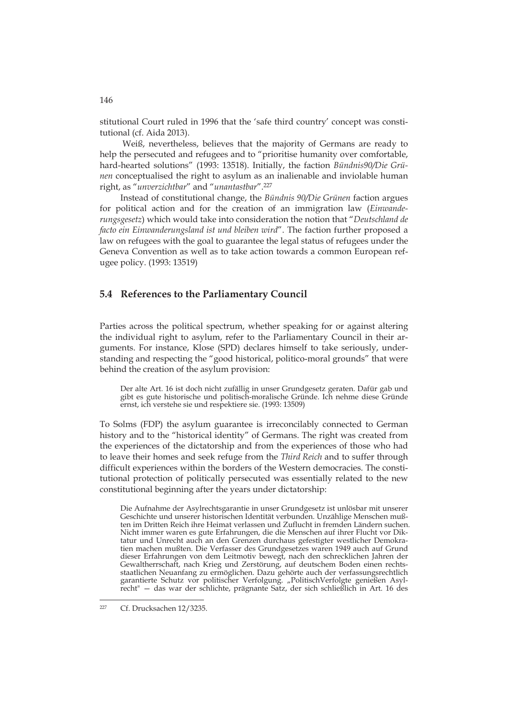stitutional Court ruled in 1996 that the 'safe third country' concept was constitutional (cf. Aida 2013).

 Weiß, nevertheless, believes that the majority of Germans are ready to help the persecuted and refugees and to "prioritise humanity over comfortable, hard-hearted solutions" (1993: 13518). Initially, the faction *Bündnis90/Die Grünen* conceptualised the right to asylum as an inalienable and inviolable human right, as "*unverzichtbar*" and "*unantastbar*".227

Instead of constitutional change, the *Bündnis 90/Die Grünen* faction argues for political action and for the creation of an immigration law (*Einwanderungsgesetz*) which would take into consideration the notion that "*Deutschland de facto ein Einwanderungsland ist und bleiben wird*". The faction further proposed a law on refugees with the goal to guarantee the legal status of refugees under the Geneva Convention as well as to take action towards a common European refugee policy. (1993: 13519)

# **5.4 References to the Parliamentary Council**

Parties across the political spectrum, whether speaking for or against altering the individual right to asylum, refer to the Parliamentary Council in their arguments. For instance, Klose (SPD) declares himself to take seriously, understanding and respecting the "good historical, politico-moral grounds" that were behind the creation of the asylum provision:

Der alte Art. 16 ist doch nicht zufällig in unser Grundgesetz geraten. Dafür gab und gibt es gute historische und politisch-moralische Gründe. Ich nehme diese Gründe ernst, ich verstehe sie und respektiere sie. (1993: 13509)

To Solms (FDP) the asylum guarantee is irreconcilably connected to German history and to the "historical identity" of Germans. The right was created from the experiences of the dictatorship and from the experiences of those who had to leave their homes and seek refuge from the *Third Reich* and to suffer through difficult experiences within the borders of the Western democracies. The constitutional protection of politically persecuted was essentially related to the new constitutional beginning after the years under dictatorship:

Die Aufnahme der Asylrechtsgarantie in unser Grundgesetz ist unlösbar mit unserer Geschichte und unserer historischen Identität verbunden. Unzählige Menschen mußten im Dritten Reich ihre Heimat verlassen und Zuflucht in fremden Ländern suchen. Nicht immer waren es gute Erfahrungen, die die Menschen auf ihrer Flucht vor Diktatur und Unrecht auch an den Grenzen durchaus gefestigter westlicher Demokratien machen mußten. Die Verfasser des Grundgesetzes waren 1949 auch auf Grund dieser Erfahrungen von dem Leitmotiv bewegt, nach den schrecklichen Jahren der Gewaltherrschaft, nach Krieg und Zerstörung, auf deutschem Boden einen rechtsstaatlichen Neuanfang zu ermöglichen. Dazu gehörte auch der verfassungsrechtlich garantierte Schutz vor politischer Verfolgung. "PolitischVerfolgte genießen Asylrecht" — das war der schlichte, prägnante Satz, der sich schließlich in Art. 16 des

-

<sup>227</sup> Cf. Drucksachen 12/3235.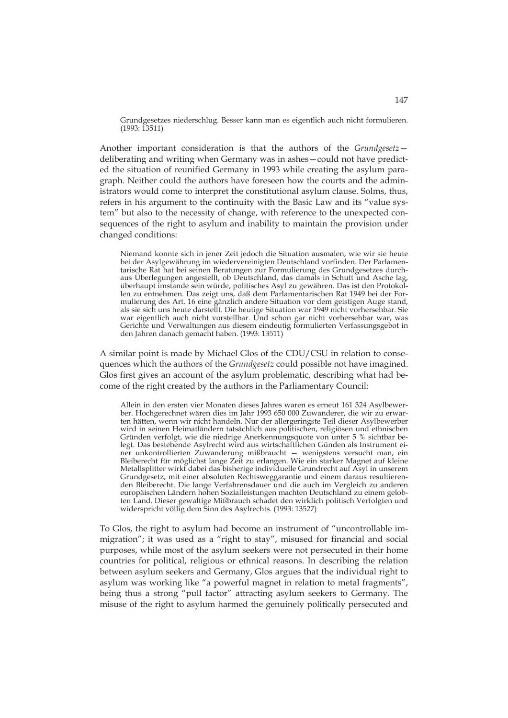Grundgesetzes niederschlug. Besser kann man es eigentlich auch nicht formulieren. (1993: 13511)

Another important consideration is that the authors of the *Grundgesetz* deliberating and writing when Germany was in ashes—could not have predicted the situation of reunified Germany in 1993 while creating the asylum paragraph. Neither could the authors have foreseen how the courts and the administrators would come to interpret the constitutional asylum clause. Solms, thus, refers in his argument to the continuity with the Basic Law and its "value system" but also to the necessity of change, with reference to the unexpected consequences of the right to asylum and inability to maintain the provision under changed conditions:

Niemand konnte sich in jener Zeit jedoch die Situation ausmalen, wie wir sie heute bei der Asylgewährung im wiedervereinigten Deutschland vorfinden. Der Parlamentarische Rat hat bei seinen Beratungen zur Formulierung des Grundgesetzes durchaus Überlegungen angestellt, ob Deutschland, das damals in Schutt und Asche lag, überhaupt imstande sein würde, politisches Asyl zu gewähren. Das ist den Protokollen zu entnehmen. Das zeigt uns, daß dem Parlamentarischen Rat 1949 bei der Formulierung des Art. 16 eine gänzlich andere Situation vor dem geistigen Auge stand, als sie sich uns heute darstellt. Die heutige Situation war 1949 nicht vorhersehbar. Sie war eigentlich auch nicht vorstellbar. Und schon gar nicht vorhersehbar war, was Gerichte und Verwaltungen aus diesem eindeutig formulierten Verfassungsgebot in den Jahren danach gemacht haben. (1993: 13511)

A similar point is made by Michael Glos of the CDU/CSU in relation to consequences which the authors of the *Grundgesetz* could possible not have imagined. Glos first gives an account of the asylum problematic, describing what had become of the right created by the authors in the Parliamentary Council:

Allein in den ersten vier Monaten dieses Jahres waren es erneut 161 324 Asylbewerber. Hochgerechnet wären dies im Jahr 1993 650 000 Zuwanderer, die wir zu erwarten hätten, wenn wir nicht handeln. Nur der allergeringste Teil dieser Asylbewerber wird in seinen Heimatländern tatsächlich aus politischen, religiösen und ethnischen Gründen verfolgt, wie die niedrige Anerkennungsquote von unter 5 % sichtbar belegt. Das bestehende Asylrecht wird aus wirtschaftlichen Günden als Instrument einer unkontrollierten Zuwanderung mißbraucht — wenigstens versucht man, ein Bleiberecht für möglichst lange Zeit zu erlangen. Wie ein starker Magnet auf kleine Metallsplitter wirkt dabei das bisherige individuelle Grundrecht auf Asyl in unserem Grundgesetz, mit einer absoluten Rechtsweggarantie und einem daraus resultierenden Bleiberecht. Die lange Verfahrensdauer und die auch im Vergleich zu anderen europäischen Ländern hohen Sozialleistungen machten Deutschland zu einem gelobten Land. Dieser gewaltige Mißbrauch schadet den wirklich politisch Verfolgten und widerspricht völlig dem Sinn des Asylrechts. (1993: 13527)

To Glos, the right to asylum had become an instrument of "uncontrollable immigration"; it was used as a "right to stay", misused for financial and social purposes, while most of the asylum seekers were not persecuted in their home countries for political, religious or ethnical reasons. In describing the relation between asylum seekers and Germany, Glos argues that the individual right to asylum was working like "a powerful magnet in relation to metal fragments", being thus a strong "pull factor" attracting asylum seekers to Germany. The misuse of the right to asylum harmed the genuinely politically persecuted and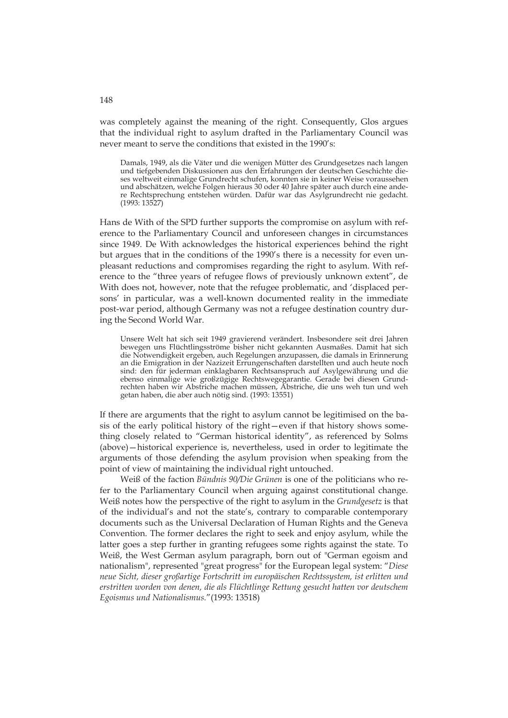was completely against the meaning of the right. Consequently, Glos argues that the individual right to asylum drafted in the Parliamentary Council was never meant to serve the conditions that existed in the 1990's:

Damals, 1949, als die Väter und die wenigen Mütter des Grundgesetzes nach langen und tiefgebenden Diskussionen aus den Erfahrungen der deutschen Geschichte dieses weltweit einmalige Grundrecht schufen, konnten sie in keiner Weise voraussehen und abschätzen, welche Folgen hieraus 30 oder 40 Jahre später auch durch eine andere Rechtsprechung entstehen würden. Dafür war das Asylgrundrecht nie gedacht. (1993: 13527)

Hans de With of the SPD further supports the compromise on asylum with reference to the Parliamentary Council and unforeseen changes in circumstances since 1949. De With acknowledges the historical experiences behind the right but argues that in the conditions of the 1990's there is a necessity for even unpleasant reductions and compromises regarding the right to asylum. With reference to the "three years of refugee flows of previously unknown extent", de With does not, however, note that the refugee problematic, and 'displaced persons' in particular, was a well-known documented reality in the immediate post-war period, although Germany was not a refugee destination country during the Second World War.

Unsere Welt hat sich seit 1949 gravierend verändert. Insbesondere seit drei Jahren bewegen uns Flüchtlingsströme bisher nicht gekannten Ausmaßes. Damit hat sich die Notwendigkeit ergeben, auch Regelungen anzupassen, die damals in Erinnerung an die Emigration in der Nazizeit Errungenschaften darstellten und auch heute noch sind: den für jederman einklagbaren Rechtsanspruch auf Asylgewährung und die ebenso einmalige wie großzügige Rechtswegegarantie. Gerade bei diesen Grundrechten haben wir Abstriche machen müssen, Abstriche, die uns weh tun und weh getan haben, die aber auch nötig sind. (1993: 13551)

If there are arguments that the right to asylum cannot be legitimised on the basis of the early political history of the right—even if that history shows something closely related to "German historical identity", as referenced by Solms (above)—historical experience is, nevertheless, used in order to legitimate the arguments of those defending the asylum provision when speaking from the point of view of maintaining the individual right untouched.

Weiß of the faction *Bündnis 90/Die Grünen* is one of the politicians who refer to the Parliamentary Council when arguing against constitutional change. Weiß notes how the perspective of the right to asylum in the *Grundgesetz* is that of the individual's and not the state's, contrary to comparable contemporary documents such as the Universal Declaration of Human Rights and the Geneva Convention. The former declares the right to seek and enjoy asylum, while the latter goes a step further in granting refugees some rights against the state. To Weiß, the West German asylum paragraph, born out of "German egoism and nationalism", represented "great progress" for the European legal system: "*Diese neue Sicht, dieser großartige Fortschritt im europäischen Rechtssystem, ist erlitten und erstritten worden von denen, die als Flüchtlinge Rettung gesucht hatten vor deutschem Egoismus und Nationalismus.*"(1993: 13518)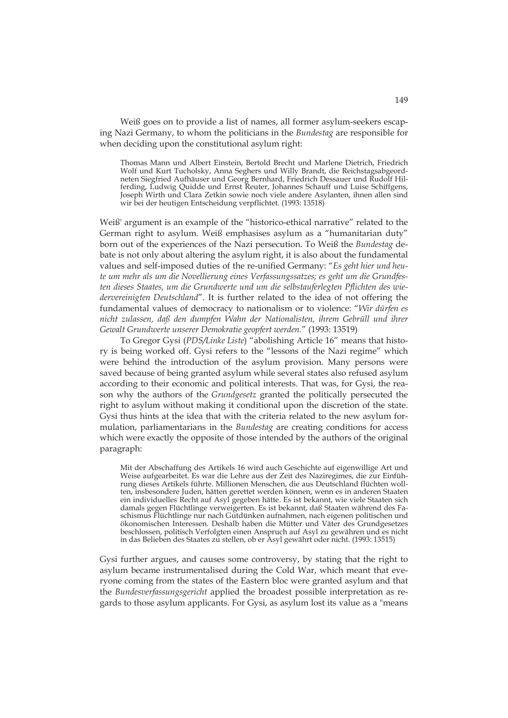Weiß goes on to provide a list of names, all former asylum-seekers escaping Nazi Germany, to whom the politicians in the *Bundestag* are responsible for when deciding upon the constitutional asylum right:

Thomas Mann und Albert Einstein, Bertold Brecht und Marlene Dietrich, Friedrich Wolf und Kurt Tucholsky, Anna Seghers und Willy Brandt, die Reichstagsabgeordneten Siegfried Aufhäuser und Georg Bernhard, Friedrich Dessauer und Rudolf Hilferding, Ludwig Quidde und Ernst Reuter, Johannes Schauff und Luise Schiffgens, Joseph Wirth und Clara Zetkin sowie noch viele andere Asylanten, ihnen allen sind wir bei der heutigen Entscheidung verpflichtet. (1993: 13518)

Weiß' argument is an example of the "historico-ethical narrative" related to the German right to asylum. Weiß emphasises asylum as a "humanitarian duty" born out of the experiences of the Nazi persecution. To Weiß the *Bundestag* debate is not only about altering the asylum right, it is also about the fundamental values and self-imposed duties of the re-unified Germany: "*Es geht hier und heute um mehr als um die Novellierung eines Verfassungssatzes; es geht um die Grundfesten dieses Staates, um die Grundwerte und um die selbstauferlegten Pflichten des wiedervereinigten Deutschland*". It is further related to the idea of not offering the fundamental values of democracy to nationalism or to violence: "*Wir dürfen es nicht zulassen, daß den dumpfen Wahn der Nationalisten, ihrem Gebrüll und ihrer Gewalt Grundwerte unserer Demokratie geopfert werden.*" (1993: 13519)

To Gregor Gysi (*PDS/Linke Liste*) "abolishing Article 16" means that history is being worked off. Gysi refers to the "lessons of the Nazi regime" which were behind the introduction of the asylum provision. Many persons were saved because of being granted asylum while several states also refused asylum according to their economic and political interests. That was, for Gysi, the reason why the authors of the *Grundgesetz* granted the politically persecuted the right to asylum without making it conditional upon the discretion of the state. Gysi thus hints at the idea that with the criteria related to the new asylum formulation, parliamentarians in the *Bundestag* are creating conditions for access which were exactly the opposite of those intended by the authors of the original paragraph:

Mit der Abschaffung des Artikels 16 wird auch Geschichte auf eigenwillige Art und Weise aufgearbeitet. Es war die Lehre aus der Zeit des Naziregimes, die zur Einführung dieses Artikels führte. Millionen Menschen, die aus Deutschland flüchten wollten, insbesondere Juden, hätten gerettet werden können, wenn es in anderen Staaten ein individuelles Recht auf Asyl gegeben hätte. Es ist bekannt, wie viele Staaten sich damals gegen Flüchtlinge verweigerten. Es ist bekannt, daß Staaten während des Faschismus Flüchtlinge nur nach Gutdünken aufnahmen, nach eigenen politischen und ökonomischen Interessen. Deshalb haben die Mütter und Väter des Grundgesetzes beschlossen, politisch Verfolgten einen Anspruch auf Asyl zu gewähren und es nicht in das Belieben des Staates zu stellen, ob er Asyl gewährt oder nicht. (1993: 13515)

Gysi further argues, and causes some controversy, by stating that the right to asylum became instrumentalised during the Cold War, which meant that everyone coming from the states of the Eastern bloc were granted asylum and that the *Bundesverfassungsgericht* applied the broadest possible interpretation as regards to those asylum applicants. For Gysi, as asylum lost its value as a "means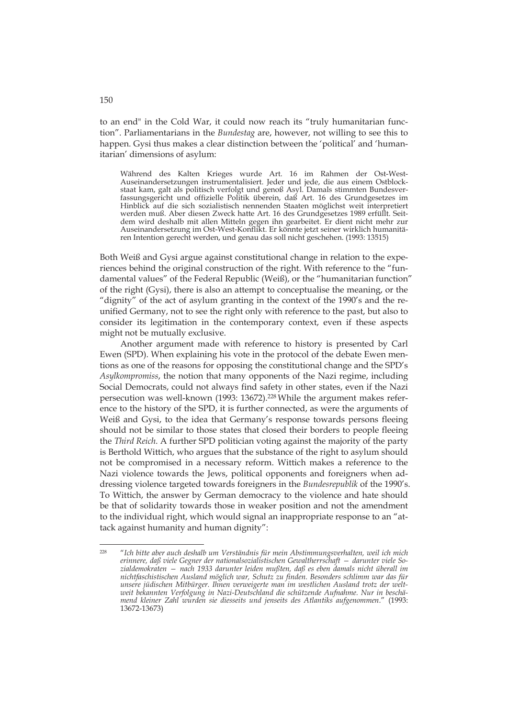to an end" in the Cold War, it could now reach its "truly humanitarian function". Parliamentarians in the *Bundestag* are, however, not willing to see this to happen. Gysi thus makes a clear distinction between the 'political' and 'humanitarian' dimensions of asylum:

Während des Kalten Krieges wurde Art. 16 im Rahmen der Ost-West-Auseinandersetzungen instrumentalisiert. Jeder und jede, die aus einem Ostblockstaat kam, galt als politisch verfolgt und genoß Asyl. Damals stimmten Bundesverfassungsgericht und offizielle Politik überein, daß Art. 16 des Grundgesetzes im Hinblick auf die sich sozialistisch nennenden Staaten möglichst weit interpretiert werden muß. Aber diesen Zweck hatte Art. 16 des Grundgesetzes 1989 erfüllt. Seitdem wird deshalb mit allen Mitteln gegen ihn gearbeitet. Er dient nicht mehr zur Auseinandersetzung im Ost-West-Konflikt. Er könnte jetzt seiner wirklich humanitären Intention gerecht werden, und genau das soll nicht geschehen. (1993: 13515)

Both Weiß and Gysi argue against constitutional change in relation to the experiences behind the original construction of the right. With reference to the "fundamental values" of the Federal Republic (Weiß), or the "humanitarian function" of the right (Gysi), there is also an attempt to conceptualise the meaning, or the "dignity" of the act of asylum granting in the context of the 1990's and the reunified Germany, not to see the right only with reference to the past, but also to consider its legitimation in the contemporary context, even if these aspects might not be mutually exclusive.

Another argument made with reference to history is presented by Carl Ewen (SPD). When explaining his vote in the protocol of the debate Ewen mentions as one of the reasons for opposing the constitutional change and the SPD's *Asylkompromiss*, the notion that many opponents of the Nazi regime, including Social Democrats, could not always find safety in other states, even if the Nazi persecution was well-known (1993: 13672).<sup>228</sup> While the argument makes reference to the history of the SPD, it is further connected, as were the arguments of Weiß and Gysi, to the idea that Germany's response towards persons fleeing should not be similar to those states that closed their borders to people fleeing the *Third Reich*. A further SPD politician voting against the majority of the party is Berthold Wittich, who argues that the substance of the right to asylum should not be compromised in a necessary reform. Wittich makes a reference to the Nazi violence towards the Jews, political opponents and foreigners when addressing violence targeted towards foreigners in the *Bundesrepublik* of the 1990's. To Wittich, the answer by German democracy to the violence and hate should be that of solidarity towards those in weaker position and not the amendment to the individual right, which would signal an inappropriate response to an "attack against humanity and human dignity":

-

<sup>228 &</sup>quot;*Ich bitte aber auch deshalb um Verständnis für mein Abstimmungsverhalten, weil ich mich erinnere, daß viele Gegner der nationalsozialistischen Gewaltherrschaft — darunter viele Sozialdemokraten — nach 1933 darunter leiden mußten, daß es eben damals nicht überall im nichtfaschistischen Ausland möglich war, Schutz zu finden. Besonders schlimm war das für unsere jüdischen Mitbürger. Ihnen verweigerte man im westlichen Ausland trotz der weltweit bekannten Verfolgung in Nazi-Deutschland die schützende Aufnahme. Nur in beschämend kleiner Zahl wurden sie diesseits und jenseits des Atlantiks aufgenommen*." (1993: 13672-13673)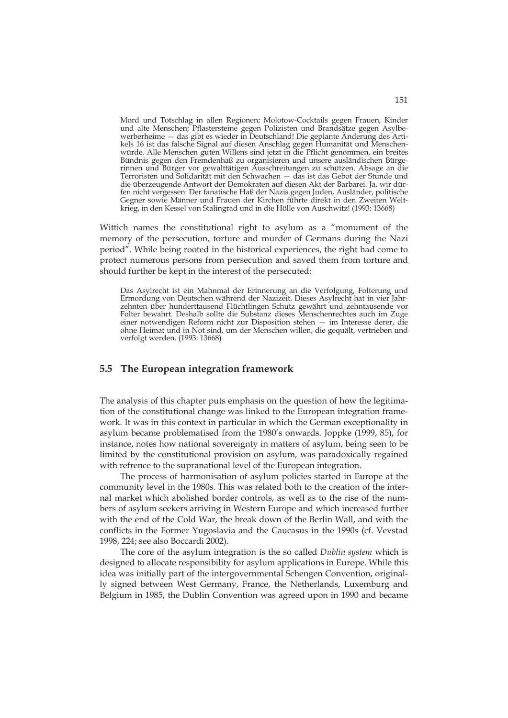Mord und Totschlag in allen Regionen; Molotow-Cocktails gegen Frauen, Kinder und alte Menschen; Pflastersteine gegen Polizisten und Brandsätze gegen Asylbewerberheime — das gibt es wieder in Deutschland! Die geplante Änderung des Artikels 16 ist das falsche Signal auf diesen Anschlag gegen Humanität und Menschenwürde. Alle Menschen guten Willens sind jetzt in die Pflicht genommen, ein breites Bündnis gegen den Fremdenhaß zu organisieren und unsere ausländischen Bürgerinnen und Bürger vor gewalttätigen Ausschreitungen zu schützen. Absage an die Terroristen und Solidarität mit den Schwachen — das ist das Gebot der Stunde und die überzeugende Antwort der Demokraten auf diesen Akt der Barbarei. Ja, wir dürfen nicht vergessen: Der fanatische Haß der Nazis gegen Juden, Ausländer, politische Gegner sowie Männer und Frauen der Kirchen führte direkt in den Zweiten Weltkrieg, in den Kessel von Stalingrad und in die Hölle von Auschwitz! (1993: 13668)

Wittich names the constitutional right to asylum as a "monument of the memory of the persecution, torture and murder of Germans during the Nazi period". While being rooted in the historical experiences, the right had come to protect numerous persons from persecution and saved them from torture and should further be kept in the interest of the persecuted:

Das Asylrecht ist ein Mahnmal der Erinnerung an die Verfolgung, Folterung und Ermordung von Deutschen während der Nazizeit. Dieses Asylrecht hat in vier Jahrzehnten über hunderttausend Flüchtlingen Schutz gewährt und zehntausende vor Folter bewahrt. Deshalb sollte die Substanz dieses Menschenrechtes auch im Zuge einer notwendigen Reform nicht zur Disposition stehen — im Interesse derer, die ohne Heimat und in Not sind, um der Menschen willen, die gequält, vertrieben und verfolgt werden. (1993: 13668)

## **5.5 The European integration framework**

The analysis of this chapter puts emphasis on the question of how the legitimation of the constitutional change was linked to the European integration framework. It was in this context in particular in which the German exceptionality in asylum became problematised from the 1980's onwards. Joppke (1999, 85), for instance, notes how national sovereignty in matters of asylum, being seen to be limited by the constitutional provision on asylum, was paradoxically regained with refrence to the supranational level of the European integration.

The process of harmonisation of asylum policies started in Europe at the community level in the 1980s. This was related both to the creation of the internal market which abolished border controls, as well as to the rise of the numbers of asylum seekers arriving in Western Europe and which increased further with the end of the Cold War, the break down of the Berlin Wall, and with the conflicts in the Former Yugoslavia and the Caucasus in the 1990s (cf. Vevstad 1998, 224; see also Boccardi 2002).

The core of the asylum integration is the so called *Dublin system* which is designed to allocate responsibility for asylum applications in Europe. While this idea was initially part of the intergovernmental Schengen Convention, originally signed between West Germany, France, the Netherlands, Luxemburg and Belgium in 1985, the Dublin Convention was agreed upon in 1990 and became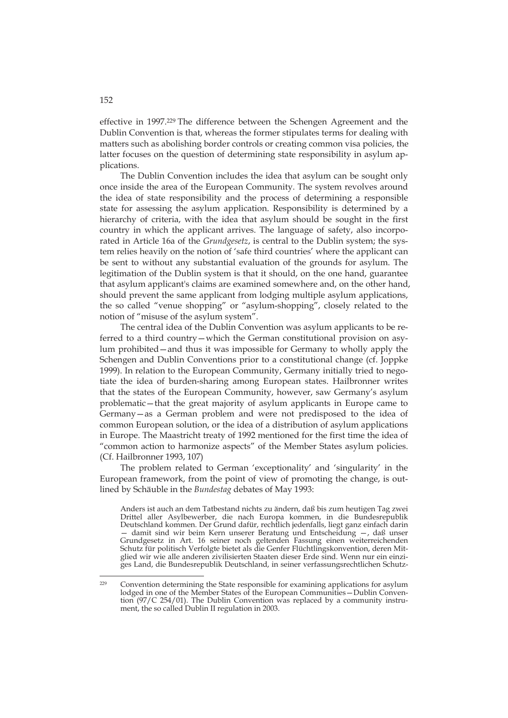effective in 1997.229 The difference between the Schengen Agreement and the Dublin Convention is that, whereas the former stipulates terms for dealing with matters such as abolishing border controls or creating common visa policies, the latter focuses on the question of determining state responsibility in asylum applications.

The Dublin Convention includes the idea that asylum can be sought only once inside the area of the European Community. The system revolves around the idea of state responsibility and the process of determining a responsible state for assessing the asylum application. Responsibility is determined by a hierarchy of criteria, with the idea that asylum should be sought in the first country in which the applicant arrives. The language of safety, also incorporated in Article 16a of the *Grundgesetz*, is central to the Dublin system; the system relies heavily on the notion of 'safe third countries' where the applicant can be sent to without any substantial evaluation of the grounds for asylum. The legitimation of the Dublin system is that it should, on the one hand, guarantee that asylum applicant's claims are examined somewhere and, on the other hand, should prevent the same applicant from lodging multiple asylum applications, the so called "venue shopping" or "asylum-shopping", closely related to the notion of "misuse of the asylum system".

The central idea of the Dublin Convention was asylum applicants to be referred to a third country—which the German constitutional provision on asylum prohibited—and thus it was impossible for Germany to wholly apply the Schengen and Dublin Conventions prior to a constitutional change (cf. Joppke 1999). In relation to the European Community, Germany initially tried to negotiate the idea of burden-sharing among European states. Hailbronner writes that the states of the European Community, however, saw Germany's asylum problematic—that the great majority of asylum applicants in Europe came to Germany—as a German problem and were not predisposed to the idea of common European solution, or the idea of a distribution of asylum applications in Europe. The Maastricht treaty of 1992 mentioned for the first time the idea of "common action to harmonize aspects" of the Member States asylum policies. (Cf. Hailbronner 1993, 107)

The problem related to German 'exceptionality' and 'singularity' in the European framework, from the point of view of promoting the change, is outlined by Schäuble in the *Bundestag* debates of May 1993:

Anders ist auch an dem Tatbestand nichts zu ändern, daß bis zum heutigen Tag zwei Drittel aller Asylbewerber, die nach Europa kommen, in die Bundesrepublik Deutschland kommen. Der Grund dafür, rechtlich jedenfalls, liegt ganz einfach darin — damit sind wir beim Kern unserer Beratung und Entscheidung —, daß unser Grundgesetz in Art. 16 seiner noch geltenden Fassung einen weiterreichenden Schutz für politisch Verfolgte bietet als die Genfer Flüchtlingskonvention, deren Mitglied wir wie alle anderen zivilisierten Staaten dieser Erde sind. Wenn nur ein einziges Land, die Bundesrepublik Deutschland, in seiner verfassungsrechtlichen Schutz-

#### 152

-

<sup>229</sup> Convention determining the State responsible for examining applications for asylum lodged in one of the Member States of the European Communities - Dublin Convention (97/C 254/01). The Dublin Convention was replaced by a community instrument, the so called Dublin II regulation in 2003.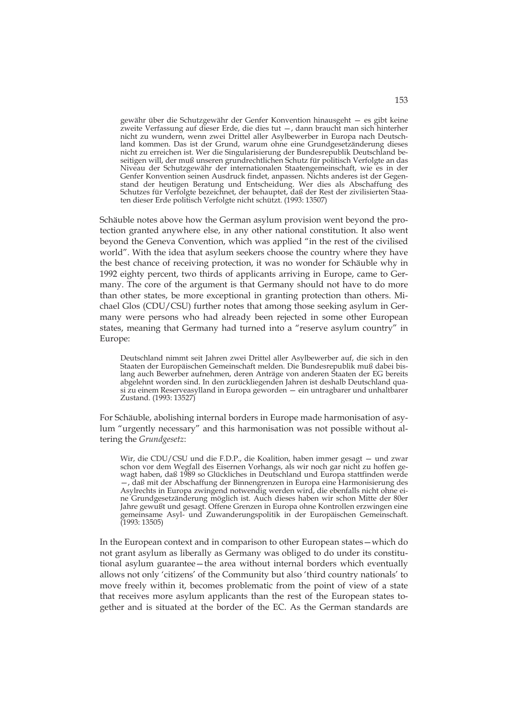gewähr über die Schutzgewähr der Genfer Konvention hinausgeht — es gibt keine zweite Verfassung auf dieser Erde, die dies tut —, dann braucht man sich hinterher nicht zu wundern, wenn zwei Drittel aller Asylbewerber in Europa nach Deutschland kommen. Das ist der Grund, warum ohne eine Grundgesetzänderung dieses nicht zu erreichen ist. Wer die Singularisierung der Bundesrepublik Deutschland beseitigen will, der muß unseren grundrechtlichen Schutz für politisch Verfolgte an das Niveau der Schutzgewähr der internationalen Staatengemeinschaft, wie es in der Genfer Konvention seinen Ausdruck findet, anpassen. Nichts anderes ist der Gegenstand der heutigen Beratung und Entscheidung. Wer dies als Abschaffung des Schutzes für Verfolgte bezeichnet, der behauptet, daß der Rest der zivilisierten Staaten dieser Erde politisch Verfolgte nicht schützt. (1993: 13507)

Schäuble notes above how the German asylum provision went beyond the protection granted anywhere else, in any other national constitution. It also went beyond the Geneva Convention, which was applied "in the rest of the civilised world". With the idea that asylum seekers choose the country where they have the best chance of receiving protection, it was no wonder for Schäuble why in 1992 eighty percent, two thirds of applicants arriving in Europe, came to Germany. The core of the argument is that Germany should not have to do more than other states, be more exceptional in granting protection than others. Michael Glos (CDU/CSU) further notes that among those seeking asylum in Germany were persons who had already been rejected in some other European states, meaning that Germany had turned into a "reserve asylum country" in Europe:

Deutschland nimmt seit Jahren zwei Drittel aller Asylbewerber auf, die sich in den Staaten der Europäischen Gemeinschaft melden. Die Bundesrepublik muß dabei bislang auch Bewerber aufnehmen, deren Anträge von anderen Staaten der EG bereits abgelehnt worden sind. In den zurückliegenden Jahren ist deshalb Deutschland quasi zu einem Reserveasylland in Europa geworden — ein untragbarer und unhaltbarer Zustand. (1993: 13527)

For Schäuble, abolishing internal borders in Europe made harmonisation of asylum "urgently necessary" and this harmonisation was not possible without altering the *Grundgesetz*:

Wir, die CDU/CSU und die F.D.P., die Koalition, haben immer gesagt — und zwar schon vor dem Wegfall des Eisernen Vorhangs, als wir noch gar nicht zu hoffen gewagt haben, daß 1989 so Glückliches in Deutschland und Europa stattfinden werde —, daß mit der Abschaffung der Binnengrenzen in Europa eine Harmonisierung des Asylrechts in Europa zwingend notwendig werden wird, die ebenfalls nicht ohne eine Grundgesetzänderung möglich ist. Auch dieses haben wir schon Mitte der 80er Jahre gewußt und gesagt. Offene Grenzen in Europa ohne Kontrollen erzwingen eine gemeinsame Asyl- und Zuwanderungspolitik in der Europäischen Gemeinschaft. (1993: 13505)

In the European context and in comparison to other European states—which do not grant asylum as liberally as Germany was obliged to do under its constitutional asylum guarantee—the area without internal borders which eventually allows not only 'citizens' of the Community but also 'third country nationals' to move freely within it, becomes problematic from the point of view of a state that receives more asylum applicants than the rest of the European states together and is situated at the border of the EC. As the German standards are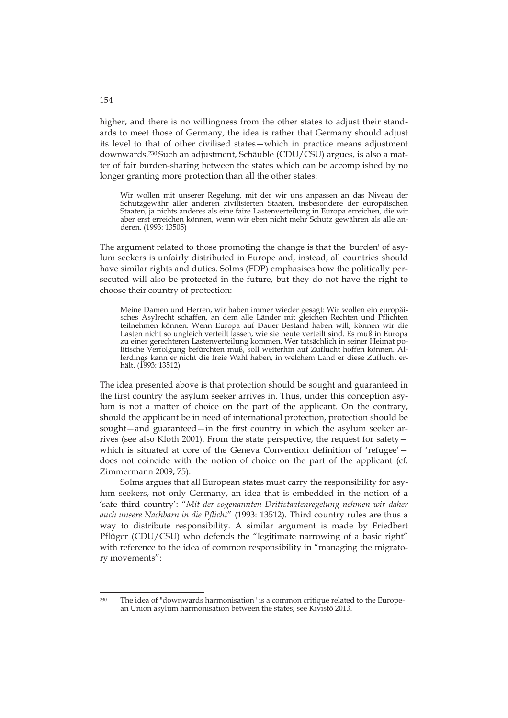higher, and there is no willingness from the other states to adjust their standards to meet those of Germany, the idea is rather that Germany should adjust its level to that of other civilised states—which in practice means adjustment downwards.230 Such an adjustment, Schäuble (CDU/CSU) argues, is also a matter of fair burden-sharing between the states which can be accomplished by no longer granting more protection than all the other states:

Wir wollen mit unserer Regelung, mit der wir uns anpassen an das Niveau der Schutzgewähr aller anderen zivilisierten Staaten, insbesondere der europäischen Staaten, ja nichts anderes als eine faire Lastenverteilung in Europa erreichen, die wir aber erst erreichen können, wenn wir eben nicht mehr Schutz gewähren als alle anderen. (1993: 13505)

The argument related to those promoting the change is that the 'burden' of asylum seekers is unfairly distributed in Europe and, instead, all countries should have similar rights and duties. Solms (FDP) emphasises how the politically persecuted will also be protected in the future, but they do not have the right to choose their country of protection:

Meine Damen und Herren, wir haben immer wieder gesagt: Wir wollen ein europäisches Asylrecht schaffen, an dem alle Länder mit gleichen Rechten und Pflichten teilnehmen können. Wenn Europa auf Dauer Bestand haben will, können wir die Lasten nicht so ungleich verteilt lassen, wie sie heute verteilt sind. Es muß in Europa zu einer gerechteren Lastenverteilung kommen. Wer tatsächlich in seiner Heimat politische Verfolgung befürchten muß, soll weiterhin auf Zuflucht hoffen können. Allerdings kann er nicht die freie Wahl haben, in welchem Land er diese Zuflucht erhält. (1993: 13512)

The idea presented above is that protection should be sought and guaranteed in the first country the asylum seeker arrives in. Thus, under this conception asylum is not a matter of choice on the part of the applicant. On the contrary, should the applicant be in need of international protection, protection should be sought—and guaranteed—in the first country in which the asylum seeker arrives (see also Kloth 2001). From the state perspective, the request for safety which is situated at core of the Geneva Convention definition of 'refugee' – does not coincide with the notion of choice on the part of the applicant (cf. Zimmermann 2009, 75).

Solms argues that all European states must carry the responsibility for asylum seekers, not only Germany, an idea that is embedded in the notion of a 'safe third country': "*Mit der sogenannten Drittstaatenregelung nehmen wir daher auch unsere Nachbarn in die Pflicht*" (1993: 13512). Third country rules are thus a way to distribute responsibility. A similar argument is made by Friedbert Pflüger (CDU/CSU) who defends the "legitimate narrowing of a basic right" with reference to the idea of common responsibility in "managing the migratory movements":

154

-

<sup>230</sup> The idea of "downwards harmonisation" is a common critique related to the European Union asylum harmonisation between the states; see Kivistö 2013.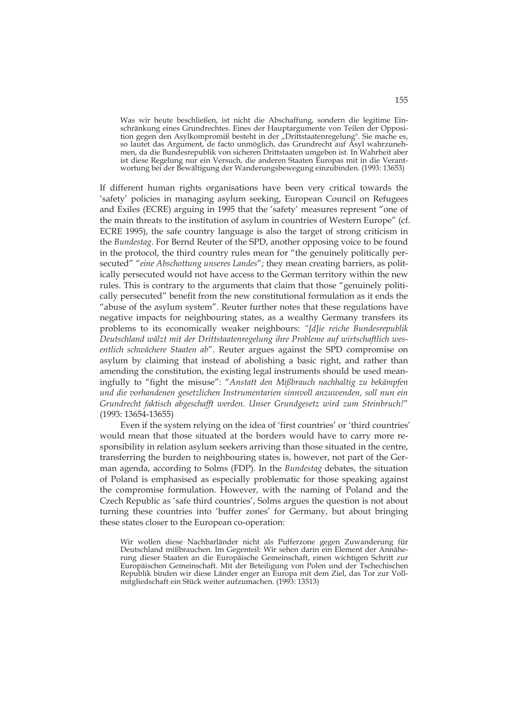Was wir heute beschließen, ist nicht die Abschaffung, sondern die legitime Einschränkung eines Grundrechtes. Eines der Hauptargumente von Teilen der Opposition gegen den Asylkompromiß besteht in der "Drittstaatenregelung". Sie mache es, so lautet das Argument, de facto unmöglich, das Grundrecht auf Asyl wahrzunehmen, da die Bundesrepublik von sicheren Drittstaaten umgeben ist. In Wahrheit aber ist diese Regelung nur ein Versuch, die anderen Staaten Europas mit in die Verantwortung bei der Bewältigung der Wanderungsbewegung einzubinden. (1993: 13653)

If different human rights organisations have been very critical towards the 'safety' policies in managing asylum seeking, European Council on Refugees and Exiles (ECRE) arguing in 1995 that the 'safety' measures represent "one of the main threats to the institution of asylum in countries of Western Europe" (cf. ECRE 1995), the safe country language is also the target of strong criticism in the *Bundestag*. For Bernd Reuter of the SPD, another opposing voice to be found in the protocol, the third country rules mean for "the genuinely politically persecuted" "*eine Abschottung unseres Landes*"; they mean creating barriers, as politically persecuted would not have access to the German territory within the new rules. This is contrary to the arguments that claim that those "genuinely politically persecuted" benefit from the new constitutional formulation as it ends the "abuse of the asylum system". Reuter further notes that these regulations have negative impacts for neighbouring states, as a wealthy Germany transfers its problems to its economically weaker neighbours: *"[d]ie reiche Bundesrepublik Deutschland wälzt mit der Drittstaatenregelung ihre Probleme auf wirtschaftlich wesentlich schwächere Staaten ab*". Reuter argues against the SPD compromise on asylum by claiming that instead of abolishing a basic right, and rather than amending the constitution, the existing legal instruments should be used meaningfully to "fight the misuse": "*Anstatt den Mißbrauch nachhaltig zu bekämpfen und die vorhandenen gesetzlichen Instrumentarien sinnvoll anzuwenden, soll nun ein Grundrecht faktisch abgeschafft werden. Unser Grundgesetz wird zum Steinbruch!*" (1993: 13654-13655)

Even if the system relying on the idea of 'first countries' or 'third countries' would mean that those situated at the borders would have to carry more responsibility in relation asylum seekers arriving than those situated in the centre, transferring the burden to neighbouring states is, however, not part of the German agenda, according to Solms (FDP). In the *Bundestag* debates, the situation of Poland is emphasised as especially problematic for those speaking against the compromise formulation. However, with the naming of Poland and the Czech Republic as 'safe third countries', Solms argues the question is not about turning these countries into 'buffer zones' for Germany, but about bringing these states closer to the European co-operation:

Wir wollen diese Nachbarländer nicht als Pufferzone gegen Zuwanderung für Deutschland mißbrauchen. Im Gegenteil: Wir sehen darin ein Element der Annäherung dieser Staaten an die Europäische Gemeinschaft, einen wichtigen Schritt zur Europäischen Gemeinschaft. Mit der Beteiligung von Polen und der Tschechischen Republik binden wir diese Länder enger an Europa mit dem Ziel, das Tor zur Vollmitgliedschaft ein Stück weiter aufzumachen. (1993: 13513)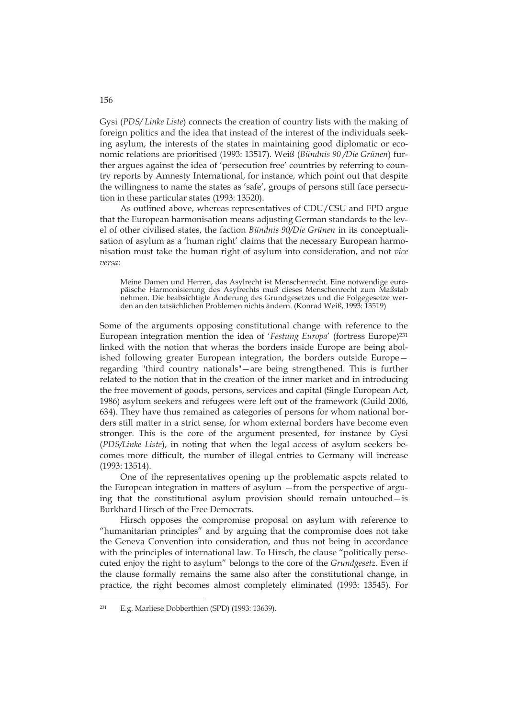Gysi (*PDS/ Linke Liste*) connects the creation of country lists with the making of foreign politics and the idea that instead of the interest of the individuals seeking asylum, the interests of the states in maintaining good diplomatic or economic relations are prioritised (1993: 13517). Weiß (*Bündnis 90 /Die Grünen*) further argues against the idea of 'persecution free' countries by referring to country reports by Amnesty International, for instance, which point out that despite the willingness to name the states as 'safe', groups of persons still face persecution in these particular states (1993: 13520).

As outlined above, whereas representatives of CDU/CSU and FPD argue that the European harmonisation means adjusting German standards to the level of other civilised states, the faction *Bündnis 90/Die Grünen* in its conceptualisation of asylum as a 'human right' claims that the necessary European harmonisation must take the human right of asylum into consideration, and not *vice versa*:

Meine Damen und Herren, das Asylrecht ist Menschenrecht. Eine notwendige europäische Harmonisierung des Asylrechts muß dieses Menschenrecht zum Maßstab nehmen. Die beabsichtigte Änderung des Grundgesetzes und die Folgegesetze werden an den tatsächlichen Problemen nichts ändern. (Konrad Weiß, 1993: 13519)

Some of the arguments opposing constitutional change with reference to the European integration mention the idea of '*Festung Europa*' (fortress Europe)231 linked with the notion that wheras the borders inside Europe are being abolished following greater European integration, the borders outside Europe regarding "third country nationals"—are being strengthened. This is further related to the notion that in the creation of the inner market and in introducing the free movement of goods, persons, services and capital (Single European Act, 1986) asylum seekers and refugees were left out of the framework (Guild 2006, 634). They have thus remained as categories of persons for whom national borders still matter in a strict sense, for whom external borders have become even stronger. This is the core of the argument presented, for instance by Gysi (*PDS/Linke Liste*), in noting that when the legal access of asylum seekers becomes more difficult, the number of illegal entries to Germany will increase (1993: 13514).

One of the representatives opening up the problematic aspcts related to the European integration in matters of asylum —from the perspective of arguing that the constitutional asylum provision should remain untouched—is Burkhard Hirsch of the Free Democrats.

Hirsch opposes the compromise proposal on asylum with reference to "humanitarian principles" and by arguing that the compromise does not take the Geneva Convention into consideration, and thus not being in accordance with the principles of international law. To Hirsch, the clause "politically persecuted enjoy the right to asylum" belongs to the core of the *Grundgesetz*. Even if the clause formally remains the same also after the constitutional change, in practice, the right becomes almost completely eliminated (1993: 13545). For

-

<sup>231</sup> E.g. Marliese Dobberthien (SPD) (1993: 13639).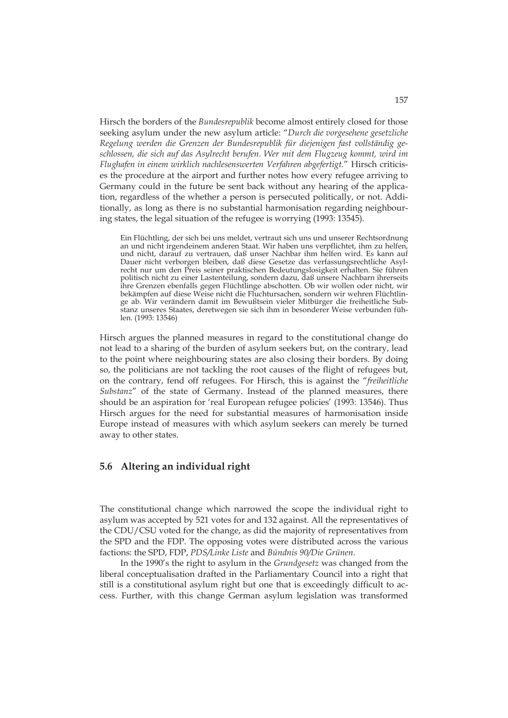Hirsch the borders of the *Bundesrepublik* become almost entirely closed for those seeking asylum under the new asylum article: "*Durch die vorgesehene gesetzliche Regelung werden die Grenzen der Bundesrepublik für diejenigen fast vollständig geschlossen, die sich auf das Asylrecht berufen. Wer mit dem Flugzeug kommt, wird im Flughafen in einem wirklich nachlesenswerten Verfahren abgefertigt*." Hirsch criticises the procedure at the airport and further notes how every refugee arriving to Germany could in the future be sent back without any hearing of the application, regardless of the whether a person is persecuted politically, or not. Additionally, as long as there is no substantial harmonisation regarding neighbouring states, the legal situation of the refugee is worrying (1993: 13545).

Ein Flüchtling, der sich bei uns meldet, vertraut sich uns und unserer Rechtsordnung an und nicht irgendeinem anderen Staat. Wir haben uns verpflichtet, ihm zu helfen, und nicht, darauf zu vertrauen, daß unser Nachbar ihm helfen wird. Es kann auf Dauer nicht verborgen bleiben, daß diese Gesetze das verfassungsrechtliche Asylrecht nur um den Preis seiner praktischen Bedeutungslosigkeit erhalten. Sie führen politisch nicht zu einer Lastenteilung, sondern dazu, daß unsere Nachbarn ihrerseits ihre Grenzen ebenfalls gegen Flüchtlinge abschotten. Ob wir wollen oder nicht, wir bekämpfen auf diese Weise nicht die Fluchtursachen, sondern wir wehren Flüchtlinge ab. Wir verändern damit im Bewußtsein vieler Mitbürger die freiheitliche Substanz unseres Staates, deretwegen sie sich ihm in besonderer Weise verbunden fühlen. (1993: 13546)

Hirsch argues the planned measures in regard to the constitutional change do not lead to a sharing of the burden of asylum seekers but, on the contrary, lead to the point where neighbouring states are also closing their borders. By doing so, the politicians are not tackling the root causes of the flight of refugees but, on the contrary, fend off refugees. For Hirsch, this is against the "*freiheitliche Substanz*" of the state of Germany. Instead of the planned measures, there should be an aspiration for 'real European refugee policies' (1993: 13546). Thus Hirsch argues for the need for substantial measures of harmonisation inside Europe instead of measures with which asylum seekers can merely be turned away to other states.

## **5.6 Altering an individual right**

The constitutional change which narrowed the scope the individual right to asylum was accepted by 521 votes for and 132 against. All the representatives of the CDU/CSU voted for the change, as did the majority of representatives from the SPD and the FDP. The opposing votes were distributed across the various factions: the SPD, FDP, *PDS/Linke Liste* and *Bündnis 90/Die Grünen*.

In the 1990's the right to asylum in the *Grundgesetz* was changed from the liberal conceptualisation drafted in the Parliamentary Council into a right that still is a constitutional asylum right but one that is exceedingly difficult to access. Further, with this change German asylum legislation was transformed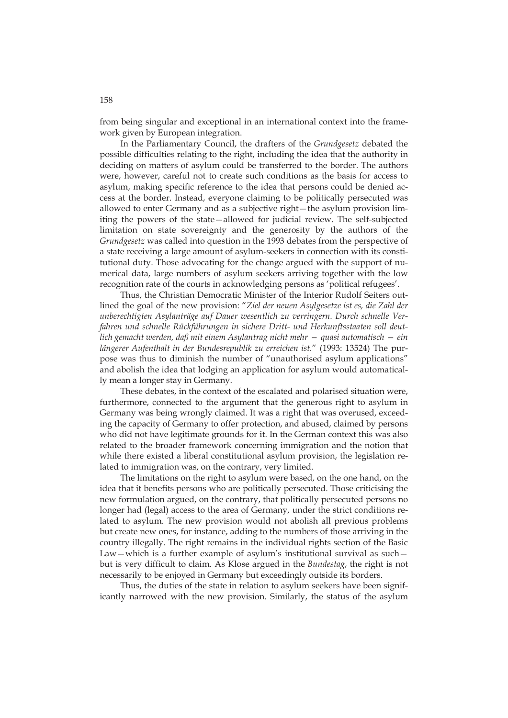from being singular and exceptional in an international context into the framework given by European integration.

In the Parliamentary Council, the drafters of the *Grundgesetz* debated the possible difficulties relating to the right, including the idea that the authority in deciding on matters of asylum could be transferred to the border. The authors were, however, careful not to create such conditions as the basis for access to asylum, making specific reference to the idea that persons could be denied access at the border. Instead, everyone claiming to be politically persecuted was allowed to enter Germany and as a subjective right—the asylum provision limiting the powers of the state—allowed for judicial review. The self-subjected limitation on state sovereignty and the generosity by the authors of the *Grundgesetz* was called into question in the 1993 debates from the perspective of a state receiving a large amount of asylum-seekers in connection with its constitutional duty. Those advocating for the change argued with the support of numerical data, large numbers of asylum seekers arriving together with the low recognition rate of the courts in acknowledging persons as 'political refugees'.

Thus, the Christian Democratic Minister of the Interior Rudolf Seiters outlined the goal of the new provision: "*Ziel der neuen Asylgesetze ist es, die Zahl der unberechtigten Asylanträge auf Dauer wesentlich zu verringern. Durch schnelle Verfahren und schnelle Rückführungen in sichere Dritt- und Herkunftsstaaten soll deutlich gemacht werden, daß mit einem Asylantrag nicht mehr — quasi automatisch — ein längerer Aufenthalt in der Bundesrepublik zu erreichen ist.*" (1993: 13524) The purpose was thus to diminish the number of "unauthorised asylum applications" and abolish the idea that lodging an application for asylum would automatically mean a longer stay in Germany.

These debates, in the context of the escalated and polarised situation were, furthermore, connected to the argument that the generous right to asylum in Germany was being wrongly claimed. It was a right that was overused, exceeding the capacity of Germany to offer protection, and abused, claimed by persons who did not have legitimate grounds for it. In the German context this was also related to the broader framework concerning immigration and the notion that while there existed a liberal constitutional asylum provision, the legislation related to immigration was, on the contrary, very limited.

The limitations on the right to asylum were based, on the one hand, on the idea that it benefits persons who are politically persecuted. Those criticising the new formulation argued, on the contrary, that politically persecuted persons no longer had (legal) access to the area of Germany, under the strict conditions related to asylum. The new provision would not abolish all previous problems but create new ones, for instance, adding to the numbers of those arriving in the country illegally. The right remains in the individual rights section of the Basic Law—which is a further example of asylum's institutional survival as such but is very difficult to claim. As Klose argued in the *Bundestag*, the right is not necessarily to be enjoyed in Germany but exceedingly outside its borders.

Thus, the duties of the state in relation to asylum seekers have been significantly narrowed with the new provision. Similarly, the status of the asylum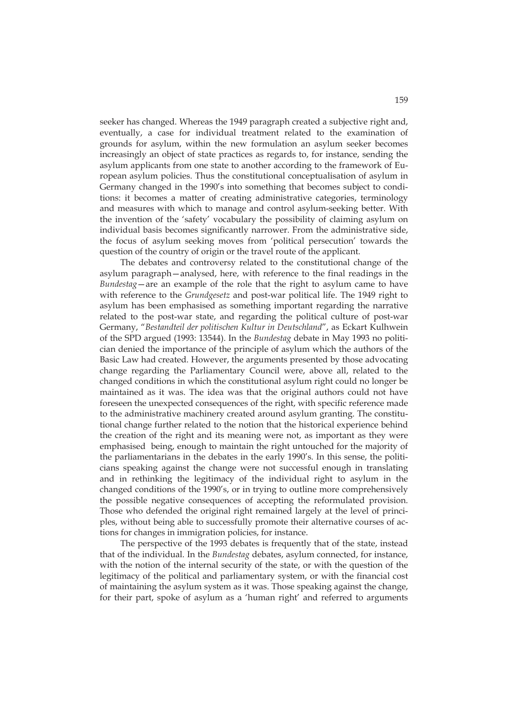seeker has changed. Whereas the 1949 paragraph created a subjective right and, eventually, a case for individual treatment related to the examination of grounds for asylum, within the new formulation an asylum seeker becomes increasingly an object of state practices as regards to, for instance, sending the asylum applicants from one state to another according to the framework of European asylum policies. Thus the constitutional conceptualisation of asylum in Germany changed in the 1990's into something that becomes subject to conditions: it becomes a matter of creating administrative categories, terminology and measures with which to manage and control asylum-seeking better. With the invention of the 'safety' vocabulary the possibility of claiming asylum on individual basis becomes significantly narrower. From the administrative side, the focus of asylum seeking moves from 'political persecution' towards the question of the country of origin or the travel route of the applicant.

The debates and controversy related to the constitutional change of the asylum paragraph—analysed, here, with reference to the final readings in the *Bundestag*—are an example of the role that the right to asylum came to have with reference to the *Grundgesetz* and post-war political life. The 1949 right to asylum has been emphasised as something important regarding the narrative related to the post-war state, and regarding the political culture of post-war Germany, "*Bestandteil der politischen Kultur in Deutschland*", as Eckart Kulhwein of the SPD argued (1993: 13544). In the *Bundestag* debate in May 1993 no politician denied the importance of the principle of asylum which the authors of the Basic Law had created. However, the arguments presented by those advocating change regarding the Parliamentary Council were, above all, related to the changed conditions in which the constitutional asylum right could no longer be maintained as it was. The idea was that the original authors could not have foreseen the unexpected consequences of the right, with specific reference made to the administrative machinery created around asylum granting. The constitutional change further related to the notion that the historical experience behind the creation of the right and its meaning were not, as important as they were emphasised being, enough to maintain the right untouched for the majority of the parliamentarians in the debates in the early 1990's. In this sense, the politicians speaking against the change were not successful enough in translating and in rethinking the legitimacy of the individual right to asylum in the changed conditions of the 1990's, or in trying to outline more comprehensively the possible negative consequences of accepting the reformulated provision. Those who defended the original right remained largely at the level of principles, without being able to successfully promote their alternative courses of actions for changes in immigration policies, for instance.

The perspective of the 1993 debates is frequently that of the state, instead that of the individual. In the *Bundestag* debates, asylum connected, for instance, with the notion of the internal security of the state, or with the question of the legitimacy of the political and parliamentary system, or with the financial cost of maintaining the asylum system as it was. Those speaking against the change, for their part, spoke of asylum as a 'human right' and referred to arguments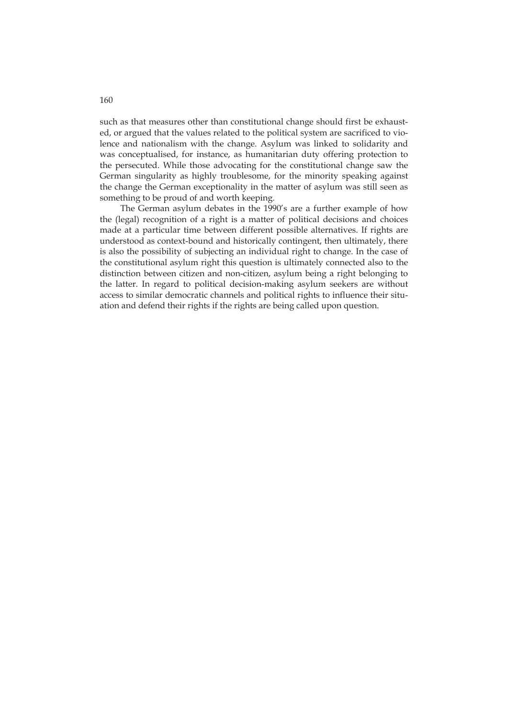such as that measures other than constitutional change should first be exhausted, or argued that the values related to the political system are sacrificed to violence and nationalism with the change. Asylum was linked to solidarity and was conceptualised, for instance, as humanitarian duty offering protection to the persecuted. While those advocating for the constitutional change saw the German singularity as highly troublesome, for the minority speaking against the change the German exceptionality in the matter of asylum was still seen as something to be proud of and worth keeping.

The German asylum debates in the 1990's are a further example of how the (legal) recognition of a right is a matter of political decisions and choices made at a particular time between different possible alternatives. If rights are understood as context-bound and historically contingent, then ultimately, there is also the possibility of subjecting an individual right to change. In the case of the constitutional asylum right this question is ultimately connected also to the distinction between citizen and non-citizen, asylum being a right belonging to the latter. In regard to political decision-making asylum seekers are without access to similar democratic channels and political rights to influence their situation and defend their rights if the rights are being called upon question.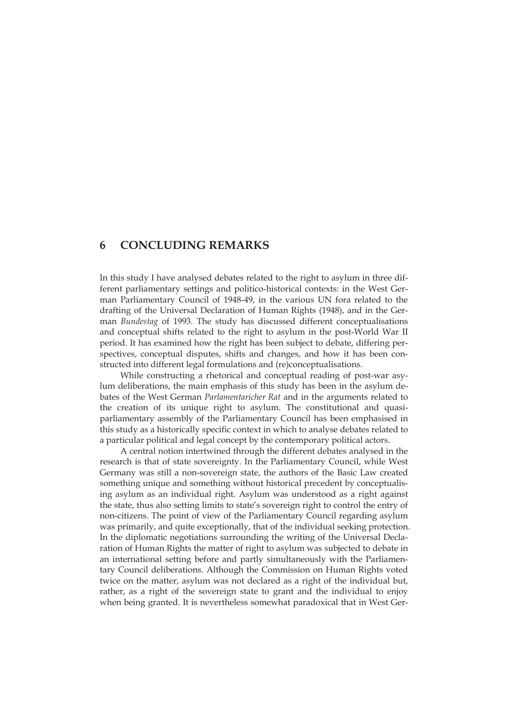# **6 CONCLUDING REMARKS**

In this study I have analysed debates related to the right to asylum in three different parliamentary settings and politico-historical contexts: in the West German Parliamentary Council of 1948-49, in the various UN fora related to the drafting of the Universal Declaration of Human Rights (1948), and in the German *Bundestag* of 1993. The study has discussed different conceptualisations and conceptual shifts related to the right to asylum in the post-World War II period. It has examined how the right has been subject to debate, differing perspectives, conceptual disputes, shifts and changes, and how it has been constructed into different legal formulations and (re)conceptualisations.

While constructing a rhetorical and conceptual reading of post-war asylum deliberations, the main emphasis of this study has been in the asylum debates of the West German *Parlamentaricher Rat* and in the arguments related to the creation of its unique right to asylum. The constitutional and quasiparliamentary assembly of the Parliamentary Council has been emphasised in this study as a historically specific context in which to analyse debates related to a particular political and legal concept by the contemporary political actors.

A central notion intertwined through the different debates analysed in the research is that of state sovereignty. In the Parliamentary Council, while West Germany was still a non-sovereign state, the authors of the Basic Law created something unique and something without historical precedent by conceptualising asylum as an individual right. Asylum was understood as a right against the state, thus also setting limits to state's sovereign right to control the entry of non-citizens. The point of view of the Parliamentary Council regarding asylum was primarily, and quite exceptionally, that of the individual seeking protection. In the diplomatic negotiations surrounding the writing of the Universal Declaration of Human Rights the matter of right to asylum was subjected to debate in an international setting before and partly simultaneously with the Parliamentary Council deliberations. Although the Commission on Human Rights voted twice on the matter, asylum was not declared as a right of the individual but, rather, as a right of the sovereign state to grant and the individual to enjoy when being granted. It is nevertheless somewhat paradoxical that in West Ger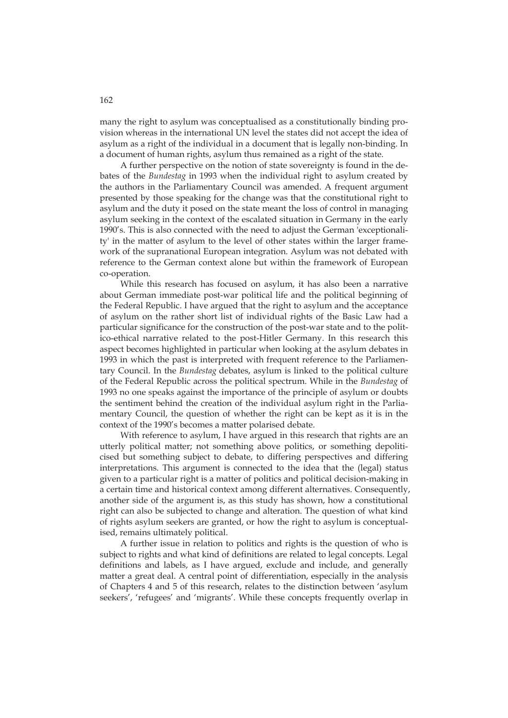many the right to asylum was conceptualised as a constitutionally binding provision whereas in the international UN level the states did not accept the idea of asylum as a right of the individual in a document that is legally non-binding. In a document of human rights, asylum thus remained as a right of the state.

A further perspective on the notion of state sovereignty is found in the debates of the *Bundestag* in 1993 when the individual right to asylum created by the authors in the Parliamentary Council was amended. A frequent argument presented by those speaking for the change was that the constitutional right to asylum and the duty it posed on the state meant the loss of control in managing asylum seeking in the context of the escalated situation in Germany in the early 1990's. This is also connected with the need to adjust the German 'exceptionality' in the matter of asylum to the level of other states within the larger framework of the supranational European integration. Asylum was not debated with reference to the German context alone but within the framework of European co-operation.

While this research has focused on asylum, it has also been a narrative about German immediate post-war political life and the political beginning of the Federal Republic. I have argued that the right to asylum and the acceptance of asylum on the rather short list of individual rights of the Basic Law had a particular significance for the construction of the post-war state and to the politico-ethical narrative related to the post-Hitler Germany. In this research this aspect becomes highlighted in particular when looking at the asylum debates in 1993 in which the past is interpreted with frequent reference to the Parliamentary Council. In the *Bundestag* debates, asylum is linked to the political culture of the Federal Republic across the political spectrum. While in the *Bundestag* of 1993 no one speaks against the importance of the principle of asylum or doubts the sentiment behind the creation of the individual asylum right in the Parliamentary Council, the question of whether the right can be kept as it is in the context of the 1990's becomes a matter polarised debate.

With reference to asylum, I have argued in this research that rights are an utterly political matter; not something above politics, or something depoliticised but something subject to debate, to differing perspectives and differing interpretations. This argument is connected to the idea that the (legal) status given to a particular right is a matter of politics and political decision-making in a certain time and historical context among different alternatives. Consequently, another side of the argument is, as this study has shown, how a constitutional right can also be subjected to change and alteration. The question of what kind of rights asylum seekers are granted, or how the right to asylum is conceptualised, remains ultimately political.

A further issue in relation to politics and rights is the question of who is subject to rights and what kind of definitions are related to legal concepts. Legal definitions and labels, as I have argued, exclude and include, and generally matter a great deal. A central point of differentiation, especially in the analysis of Chapters 4 and 5 of this research, relates to the distinction between 'asylum seekers', 'refugees' and 'migrants'. While these concepts frequently overlap in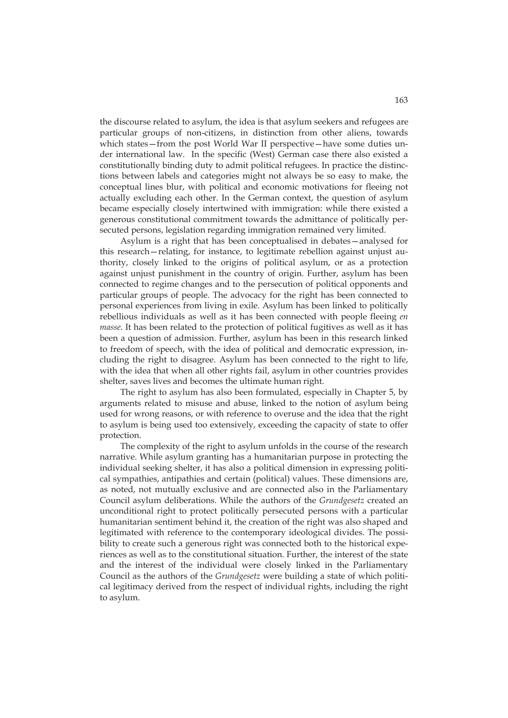the discourse related to asylum, the idea is that asylum seekers and refugees are particular groups of non-citizens, in distinction from other aliens, towards which states—from the post World War II perspective—have some duties under international law. In the specific (West) German case there also existed a constitutionally binding duty to admit political refugees. In practice the distinctions between labels and categories might not always be so easy to make, the conceptual lines blur, with political and economic motivations for fleeing not actually excluding each other. In the German context, the question of asylum became especially closely intertwined with immigration: while there existed a generous constitutional commitment towards the admittance of politically persecuted persons, legislation regarding immigration remained very limited.

Asylum is a right that has been conceptualised in debates—analysed for this research—relating, for instance, to legitimate rebellion against unjust authority, closely linked to the origins of political asylum, or as a protection against unjust punishment in the country of origin. Further, asylum has been connected to regime changes and to the persecution of political opponents and particular groups of people. The advocacy for the right has been connected to personal experiences from living in exile. Asylum has been linked to politically rebellious individuals as well as it has been connected with people fleeing *en masse*. It has been related to the protection of political fugitives as well as it has been a question of admission. Further, asylum has been in this research linked to freedom of speech, with the idea of political and democratic expression, including the right to disagree. Asylum has been connected to the right to life, with the idea that when all other rights fail, asylum in other countries provides shelter, saves lives and becomes the ultimate human right.

The right to asylum has also been formulated, especially in Chapter 5, by arguments related to misuse and abuse, linked to the notion of asylum being used for wrong reasons, or with reference to overuse and the idea that the right to asylum is being used too extensively, exceeding the capacity of state to offer protection.

The complexity of the right to asylum unfolds in the course of the research narrative. While asylum granting has a humanitarian purpose in protecting the individual seeking shelter, it has also a political dimension in expressing political sympathies, antipathies and certain (political) values. These dimensions are, as noted, not mutually exclusive and are connected also in the Parliamentary Council asylum deliberations. While the authors of the *Grundgesetz* created an unconditional right to protect politically persecuted persons with a particular humanitarian sentiment behind it, the creation of the right was also shaped and legitimated with reference to the contemporary ideological divides. The possibility to create such a generous right was connected both to the historical experiences as well as to the constitutional situation. Further, the interest of the state and the interest of the individual were closely linked in the Parliamentary Council as the authors of the *Grundgesetz* were building a state of which political legitimacy derived from the respect of individual rights, including the right to asylum.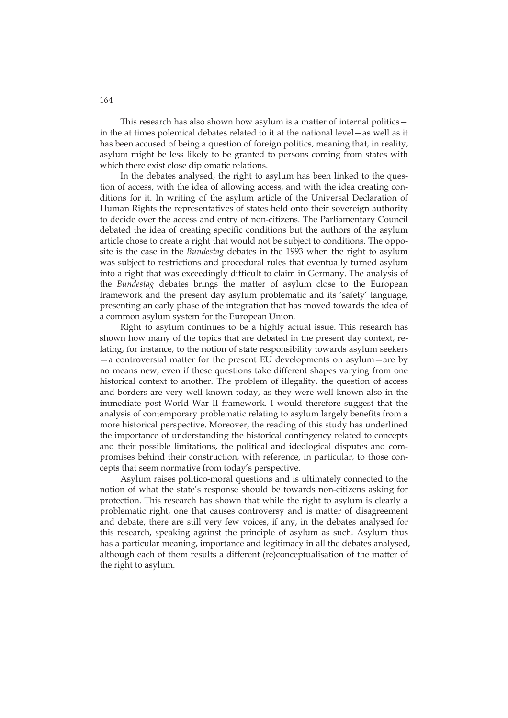This research has also shown how asylum is a matter of internal politics in the at times polemical debates related to it at the national level—as well as it has been accused of being a question of foreign politics, meaning that, in reality, asylum might be less likely to be granted to persons coming from states with which there exist close diplomatic relations.

In the debates analysed, the right to asylum has been linked to the question of access, with the idea of allowing access, and with the idea creating conditions for it. In writing of the asylum article of the Universal Declaration of Human Rights the representatives of states held onto their sovereign authority to decide over the access and entry of non-citizens. The Parliamentary Council debated the idea of creating specific conditions but the authors of the asylum article chose to create a right that would not be subject to conditions. The opposite is the case in the *Bundestag* debates in the 1993 when the right to asylum was subject to restrictions and procedural rules that eventually turned asylum into a right that was exceedingly difficult to claim in Germany. The analysis of the *Bundestag* debates brings the matter of asylum close to the European framework and the present day asylum problematic and its 'safety' language, presenting an early phase of the integration that has moved towards the idea of a common asylum system for the European Union.

Right to asylum continues to be a highly actual issue. This research has shown how many of the topics that are debated in the present day context, relating, for instance, to the notion of state responsibility towards asylum seekers —a controversial matter for the present EU developments on asylum—are by no means new, even if these questions take different shapes varying from one historical context to another. The problem of illegality, the question of access and borders are very well known today, as they were well known also in the immediate post-World War II framework. I would therefore suggest that the analysis of contemporary problematic relating to asylum largely benefits from a more historical perspective. Moreover, the reading of this study has underlined the importance of understanding the historical contingency related to concepts and their possible limitations, the political and ideological disputes and compromises behind their construction, with reference, in particular, to those concepts that seem normative from today's perspective.

Asylum raises politico-moral questions and is ultimately connected to the notion of what the state's response should be towards non-citizens asking for protection. This research has shown that while the right to asylum is clearly a problematic right, one that causes controversy and is matter of disagreement and debate, there are still very few voices, if any, in the debates analysed for this research, speaking against the principle of asylum as such. Asylum thus has a particular meaning, importance and legitimacy in all the debates analysed, although each of them results a different (re)conceptualisation of the matter of the right to asylum.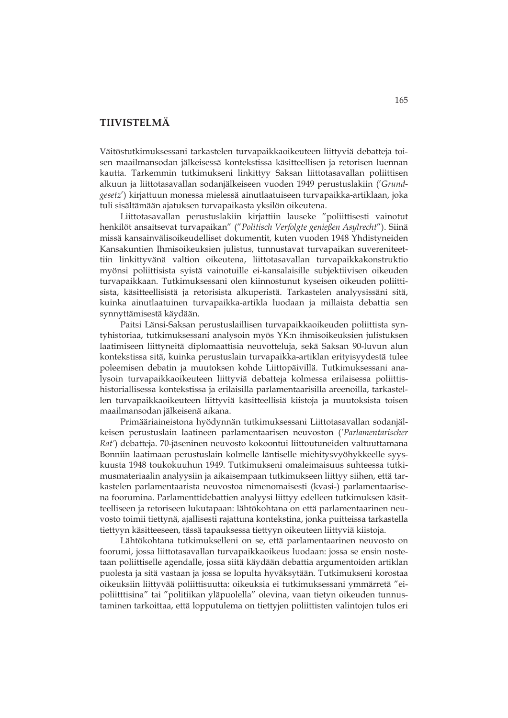# **TIIVISTELMÄ**

Väitöstutkimuksessani tarkastelen turvapaikkaoikeuteen liittyviä debatteja toisen maailmansodan jälkeisessä kontekstissa käsitteellisen ja retorisen luennan kautta. Tarkemmin tutkimukseni linkittyy Saksan liittotasavallan poliittisen alkuun ja liittotasavallan sodanjälkeiseen vuoden 1949 perustuslakiin ('*Grundgesetz*') kirjattuun monessa mielessä ainutlaatuiseen turvapaikka-artiklaan, joka tuli sisältämään ajatuksen turvapaikasta yksilön oikeutena.

Liittotasavallan perustuslakiin kirjattiin lauseke "poliittisesti vainotut henkilöt ansaitsevat turvapaikan" ("*Politisch Verfolgte genießen Asylrecht*"). Siinä missä kansainvälisoikeudelliset dokumentit, kuten vuoden 1948 Yhdistyneiden Kansakuntien Ihmisoikeuksien julistus, tunnustavat turvapaikan suvereniteettiin linkittyvänä valtion oikeutena, liittotasavallan turvapaikkakonstruktio myönsi poliittisista syistä vainotuille ei-kansalaisille subjektiivisen oikeuden turvapaikkaan. Tutkimuksessani olen kiinnostunut kyseisen oikeuden poliittisista, käsitteellisistä ja retorisista alkuperistä. Tarkastelen analyysissäni sitä, kuinka ainutlaatuinen turvapaikka-artikla luodaan ja millaista debattia sen synnyttämisestä käydään.

Paitsi Länsi-Saksan perustuslaillisen turvapaikkaoikeuden poliittista syntyhistoriaa, tutkimuksessani analysoin myös YK:n ihmisoikeuksien julistuksen laatimiseen liittyneitä diplomaattisia neuvotteluja, sekä Saksan 90-luvun alun kontekstissa sitä, kuinka perustuslain turvapaikka-artiklan erityisyydestä tulee poleemisen debatin ja muutoksen kohde Liittopäivillä. Tutkimuksessani analysoin turvapaikkaoikeuteen liittyviä debatteja kolmessa erilaisessa poliittishistoriallisessa kontekstissa ja erilaisilla parlamentaarisilla areenoilla, tarkastellen turvapaikkaoikeuteen liittyviä käsitteellisiä kiistoja ja muutoksista toisen maailmansodan jälkeisenä aikana.

Primääriaineistona hyödynnän tutkimuksessani Liittotasavallan sodanjälkeisen perustuslain laatineen parlamentaarisen neuvoston (*'Parlamentarischer Rat'*) debatteja. 70-jäseninen neuvosto kokoontui liittoutuneiden valtuuttamana Bonniin laatimaan perustuslain kolmelle läntiselle miehitysvyöhykkeelle syyskuusta 1948 toukokuuhun 1949. Tutkimukseni omaleimaisuus suhteessa tutkimusmateriaalin analyysiin ja aikaisempaan tutkimukseen liittyy siihen, että tarkastelen parlamentaarista neuvostoa nimenomaisesti (kvasi-) parlamentaarisena foorumina. Parlamenttidebattien analyysi liittyy edelleen tutkimuksen käsitteelliseen ja retoriseen lukutapaan: lähtökohtana on että parlamentaarinen neuvosto toimii tiettynä, ajallisesti rajattuna kontekstina, jonka puitteissa tarkastella tiettyyn käsitteeseen, tässä tapauksessa tiettyyn oikeuteen liittyviä kiistoja.

Lähtökohtana tutkimukselleni on se, että parlamentaarinen neuvosto on foorumi, jossa liittotasavallan turvapaikkaoikeus luodaan: jossa se ensin nostetaan poliittiselle agendalle, jossa siitä käydään debattia argumentoiden artiklan puolesta ja sitä vastaan ja jossa se lopulta hyväksytään. Tutkimukseni korostaa oikeuksiin liittyvää poliittisuutta: oikeuksia ei tutkimuksessani ymmärretä "eipoliitttisina" tai "politiikan yläpuolella" olevina, vaan tietyn oikeuden tunnustaminen tarkoittaa, että lopputulema on tiettyjen poliittisten valintojen tulos eri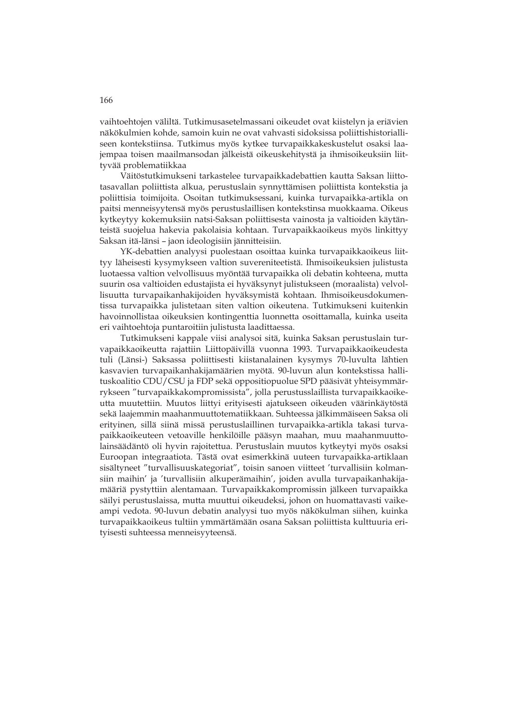vaihtoehtojen väliltä. Tutkimusasetelmassani oikeudet ovat kiistelyn ja eriävien näkökulmien kohde, samoin kuin ne ovat vahvasti sidoksissa poliittishistorialliseen kontekstiinsa. Tutkimus myös kytkee turvapaikkakeskustelut osaksi laajempaa toisen maailmansodan jälkeistä oikeuskehitystä ja ihmisoikeuksiin liittyvää problematiikkaa

Väitöstutkimukseni tarkastelee turvapaikkadebattien kautta Saksan liittotasavallan poliittista alkua, perustuslain synnyttämisen poliittista kontekstia ja poliittisia toimijoita. Osoitan tutkimuksessani, kuinka turvapaikka-artikla on paitsi menneisyytensä myös perustuslaillisen kontekstinsa muokkaama. Oikeus kytkeytyy kokemuksiin natsi-Saksan poliittisesta vainosta ja valtioiden käytänteistä suojelua hakevia pakolaisia kohtaan. Turvapaikkaoikeus myös linkittyy Saksan itä-länsi – jaon ideologisiin jännitteisiin.

YK-debattien analyysi puolestaan osoittaa kuinka turvapaikkaoikeus liittyy läheisesti kysymykseen valtion suvereniteetistä. Ihmisoikeuksien julistusta luotaessa valtion velvollisuus myöntää turvapaikka oli debatin kohteena, mutta suurin osa valtioiden edustajista ei hyväksynyt julistukseen (moraalista) velvollisuutta turvapaikanhakijoiden hyväksymistä kohtaan. Ihmisoikeusdokumentissa turvapaikka julistetaan siten valtion oikeutena. Tutkimukseni kuitenkin havoinnollistaa oikeuksien kontingenttia luonnetta osoittamalla, kuinka useita eri vaihtoehtoja puntaroitiin julistusta laadittaessa.

Tutkimukseni kappale viisi analysoi sitä, kuinka Saksan perustuslain turvapaikkaoikeutta rajattiin Liittopäivillä vuonna 1993. Turvapaikkaoikeudesta tuli (Länsi-) Saksassa poliittisesti kiistanalainen kysymys 70-luvulta lähtien kasvavien turvapaikanhakijamäärien myötä. 90-luvun alun kontekstissa hallituskoalitio CDU/CSU ja FDP sekä oppositiopuolue SPD pääsivät yhteisymmärrykseen "turvapaikkakompromissista", jolla perustusslaillista turvapaikkaoikeutta muutettiin. Muutos liittyi erityisesti ajatukseen oikeuden väärinkäytöstä sekä laajemmin maahanmuuttotematiikkaan. Suhteessa jälkimmäiseen Saksa oli erityinen, sillä siinä missä perustuslaillinen turvapaikka-artikla takasi turvapaikkaoikeuteen vetoaville henkilöille pääsyn maahan, muu maahanmuuttolainsäädäntö oli hyvin rajoitettua. Perustuslain muutos kytkeytyi myös osaksi Euroopan integraatiota. Tästä ovat esimerkkinä uuteen turvapaikka-artiklaan sisältyneet "turvallisuuskategoriat", toisin sanoen viitteet 'turvallisiin kolmansiin maihin' ja 'turvallisiin alkuperämaihin', joiden avulla turvapaikanhakijamääriä pystyttiin alentamaan. Turvapaikkakompromissin jälkeen turvapaikka säilyi perustuslaissa, mutta muuttui oikeudeksi, johon on huomattavasti vaikeampi vedota. 90-luvun debatin analyysi tuo myös näkökulman siihen, kuinka turvapaikkaoikeus tultiin ymmärtämään osana Saksan poliittista kulttuuria erityisesti suhteessa menneisyyteensä.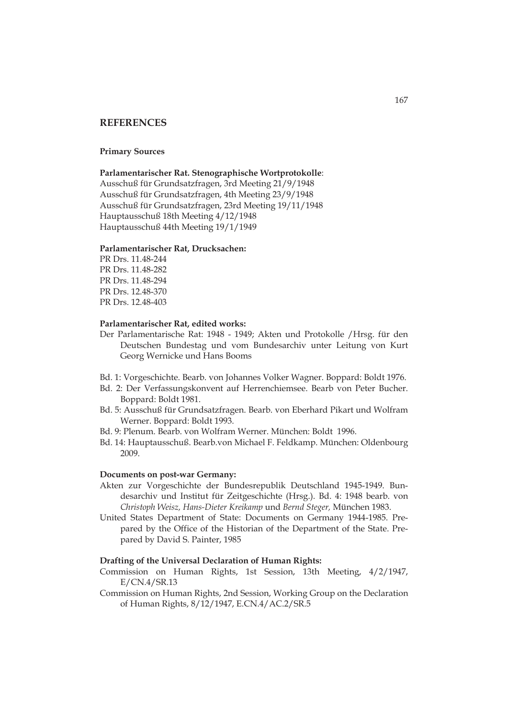# **REFERENCES**

### **Primary Sources**

**Parlamentarischer Rat. Stenographische Wortprotokolle**:

Ausschuß für Grundsatzfragen, 3rd Meeting 21/9/1948 Ausschuß für Grundsatzfragen, 4th Meeting 23/9/1948 Ausschuß für Grundsatzfragen, 23rd Meeting 19/11/1948 Hauptausschuß 18th Meeting 4/12/1948 Hauptausschuß 44th Meeting 19/1/1949

#### **Parlamentarischer Rat, Drucksachen:**

PR Drs. 11.48-244 PR Drs. 11.48-282 PR Drs. 11.48-294 PR Drs. 12.48-370 PR Drs. 12.48-403

### **Parlamentarischer Rat, edited works:**

- Der Parlamentarische Rat: 1948 1949; Akten und Protokolle /Hrsg. für den Deutschen Bundestag und vom Bundesarchiv unter Leitung von Kurt Georg Wernicke und Hans Booms
- Bd. 1: Vorgeschichte. Bearb. von Johannes Volker Wagner. Boppard: Boldt 1976.
- Bd. 2: Der Verfassungskonvent auf Herrenchiemsee. Bearb von Peter Bucher. Boppard: Boldt 1981.
- Bd. 5: Ausschuß für Grundsatzfragen. Bearb. von Eberhard Pikart und Wolfram Werner. Boppard: Boldt 1993.
- Bd. 9: Plenum. Bearb. von Wolfram Werner. München: Boldt 1996.
- Bd. 14: Hauptausschuß. Bearb.von Michael F. Feldkamp. München: Oldenbourg 2009.

### **Documents on post-war Germany:**

- Akten zur Vorgeschichte der Bundesrepublik Deutschland 1945-1949. Bundesarchiv und Institut für Zeitgeschichte (Hrsg.). Bd. 4: 1948 bearb. von *Christoph Weisz, Hans-Dieter Kreikamp* und *Bernd Steger,* München 1983.
- United States Department of State: Documents on Germany 1944-1985. Prepared by the Office of the Historian of the Department of the State. Prepared by David S. Painter, 1985

## **Drafting of the Universal Declaration of Human Rights:**

- Commission on Human Rights, 1st Session, 13th Meeting, 4/2/1947, E/CN.4/SR.13
- Commission on Human Rights, 2nd Session, Working Group on the Declaration of Human Rights, 8/12/1947, E.CN.4/AC.2/SR.5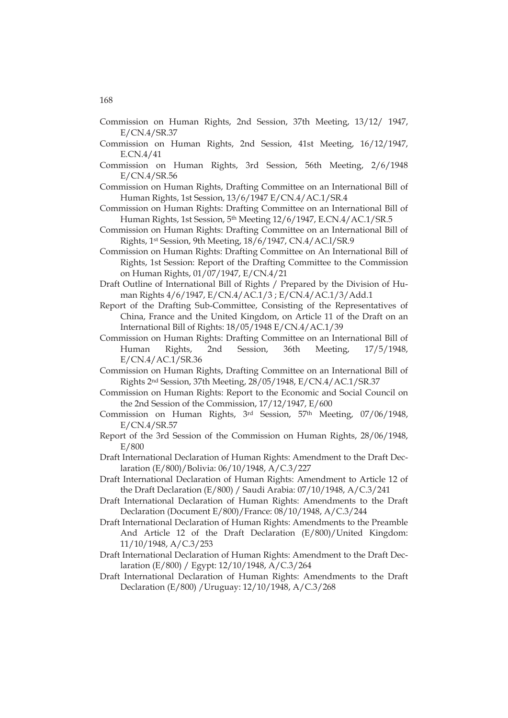- Commission on Human Rights, 2nd Session, 37th Meeting, 13/12/ 1947, E/CN.4/SR.37
- Commission on Human Rights, 2nd Session, 41st Meeting, 16/12/1947, E.CN.4/41
- Commission on Human Rights, 3rd Session, 56th Meeting, 2/6/1948 E/CN.4/SR.56
- Commission on Human Rights, Drafting Committee on an International Bill of Human Rights, 1st Session, 13/6/1947 E/CN.4/AC.1/SR.4
- Commission on Human Rights: Drafting Committee on an International Bill of Human Rights, 1st Session, 5th Meeting 12/6/1947, E.CN.4/AC.1/SR.5
- Commission on Human Rights: Drafting Committee on an International Bill of Rights, 1st Session, 9th Meeting, 18/6/1947, CN.4/AC.l/SR.9
- Commission on Human Rights: Drafting Committee on An International Bill of Rights, 1st Session: Report of the Drafting Committee to the Commission on Human Rights, 01/07/1947, E/CN.4/21
- Draft Outline of International Bill of Rights / Prepared by the Division of Human Rights 4/6/1947, E/CN.4/AC.1/3 ; E/CN.4/AC.1/3/Add.1
- Report of the Drafting Sub-Committee, Consisting of the Representatives of China, France and the United Kingdom, on Article 11 of the Draft on an International Bill of Rights: 18/05/1948 E/CN.4/AC.1/39
- Commission on Human Rights: Drafting Committee on an International Bill of Human Rights, 2nd Session, 36th Meeting, 17/5/1948, E/CN.4/AC.1/SR.36
- Commission on Human Rights, Drafting Committee on an International Bill of Rights 2nd Session, 37th Meeting, 28/05/1948, E/CN.4/AC.1/SR.37
- Commission on Human Rights: Report to the Economic and Social Council on the 2nd Session of the Commission, 17/12/1947, E/600
- Commission on Human Rights, 3rd Session, 57th Meeting, 07/06/1948, E/CN.4/SR.57
- Report of the 3rd Session of the Commission on Human Rights, 28/06/1948, E/800
- Draft International Declaration of Human Rights: Amendment to the Draft Declaration (E/800)/Bolivia: 06/10/1948, A/C.3/227
- Draft International Declaration of Human Rights: Amendment to Article 12 of the Draft Declaration (E/800) / Saudi Arabia: 07/10/1948, A/C.3/241
- Draft International Declaration of Human Rights: Amendments to the Draft Declaration (Document E/800)/France: 08/10/1948, A/C.3/244
- Draft International Declaration of Human Rights: Amendments to the Preamble And Article 12 of the Draft Declaration (E/800)/United Kingdom: 11/10/1948, A/C.3/253
- Draft International Declaration of Human Rights: Amendment to the Draft Declaration (E/800) / Egypt: 12/10/1948, A/C.3/264
- Draft International Declaration of Human Rights: Amendments to the Draft Declaration (E/800) /Uruguay: 12/10/1948, A/C.3/268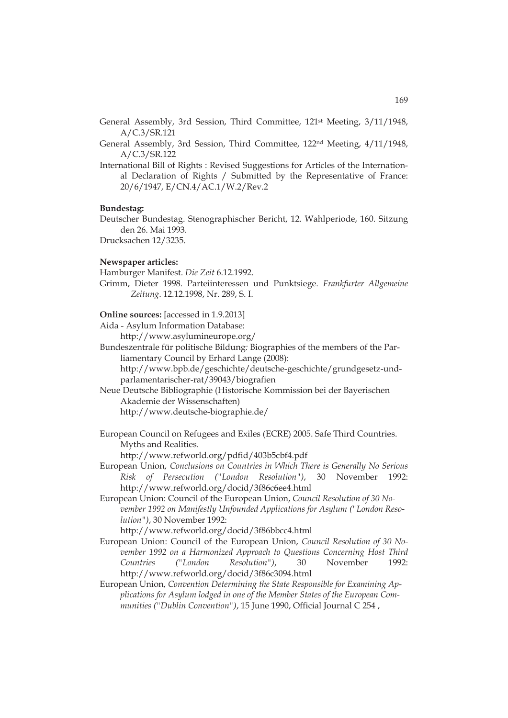General Assembly, 3rd Session, Third Committee, 121st Meeting, 3/11/1948, A/C.3/SR.121

General Assembly, 3rd Session, Third Committee, 122nd Meeting, 4/11/1948, A/C.3/SR.122

International Bill of Rights : Revised Suggestions for Articles of the International Declaration of Rights / Submitted by the Representative of France: 20/6/1947, E/CN.4/AC.1/W.2/Rev.2

#### **Bundestag:**

Deutscher Bundestag. Stenographischer Bericht, 12. Wahlperiode, 160. Sitzung den 26. Mai 1993.

Drucksachen 12/3235.

#### **Newspaper articles:**

Hamburger Manifest. *Die Zeit* 6.12.1992.

Grimm, Dieter 1998. Parteiinteressen und Punktsiege. *Frankfurter Allgemeine Zeitung*. 12.12.1998, Nr. 289, S. I.

### **Online sources:** [accessed in 1.9.2013]

Aida - Asylum Information Database:

http://www.asylumineurope.org/

Bundeszentrale für politische Bildung*:* Biographies of the members of the Parliamentary Council by Erhard Lange (2008):

http://www.bpb.de/geschichte/deutsche-geschichte/grundgesetz-undparlamentarischer-rat/39043/biografien

Neue Deutsche Bibliographie (Historische Kommission bei der Bayerischen Akademie der Wissenschaften)

http://www.deutsche-biographie.de/

European Council on Refugees and Exiles (ECRE) 2005. Safe Third Countries. Myths and Realities.

http://www.refworld.org/pdfid/403b5cbf4.pdf

- European Union, *Conclusions on Countries in Which There is Generally No Serious Risk of Persecution ("London Resolution")*, 30 November 1992: http://www.refworld.org/docid/3f86c6ee4.html
- European Union: Council of the European Union, *Council Resolution of 30 November 1992 on Manifestly Unfounded Applications for Asylum ("London Resolution")*, 30 November 1992:

http://www.refworld.org/docid/3f86bbcc4.html

- European Union: Council of the European Union, *Council Resolution of 30 November 1992 on a Harmonized Approach to Questions Concerning Host Third Countries ("London Resolution")*, 30 November 1992: http://www.refworld.org/docid/3f86c3094.html
- European Union, *Convention Determining the State Responsible for Examining Applications for Asylum lodged in one of the Member States of the European Communities ("Dublin Convention")*, 15 June 1990, Official Journal C 254 ,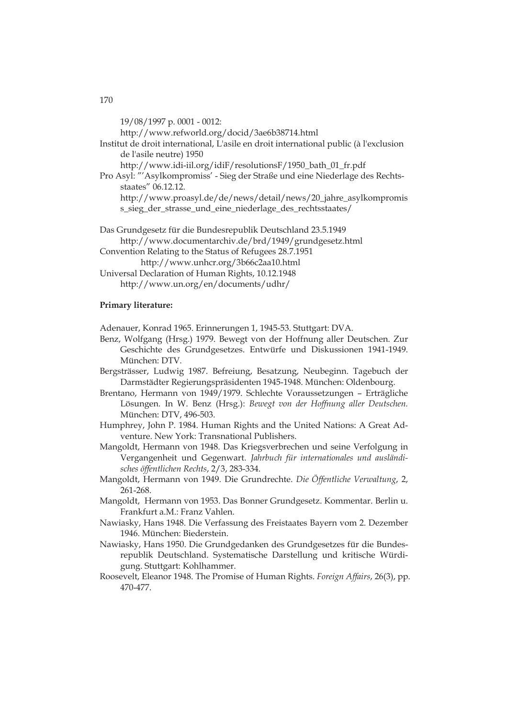19/08/1997 p. 0001 - 0012: http://www.refworld.org/docid/3ae6b38714.html Institut de droit international, L'asile en droit international public (à l'exclusion de l'asile neutre) 1950 http://www.idi-iil.org/idiF/resolutionsF/1950\_bath\_01\_fr.pdf Pro Asyl: "'Asylkompromiss' - Sieg der Straße und eine Niederlage des Rechtsstaates" 06.12.12. http://www.proasyl.de/de/news/detail/news/20\_jahre\_asylkompromis s\_sieg\_der\_strasse\_und\_eine\_niederlage\_des\_rechtsstaates/ Das Grundgesetz für die Bundesrepublik Deutschland 23.5.1949 http://www.documentarchiv.de/brd/1949/grundgesetz.html Convention Relating to the Status of Refugees 28.7.1951 http://www.unhcr.org/3b66c2aa10.html

Universal Declaration of Human Rights, 10.12.1948 http://www.un.org/en/documents/udhr/

## **Primary literature:**

Adenauer, Konrad 1965. Erinnerungen 1, 1945-53. Stuttgart: DVA.

- Benz, Wolfgang (Hrsg.) 1979. Bewegt von der Hoffnung aller Deutschen. Zur Geschichte des Grundgesetzes. Entwürfe und Diskussionen 1941-1949. München: DTV.
- Bergsträsser, Ludwig 1987. Befreiung, Besatzung, Neubeginn. Tagebuch der Darmstädter Regierungspräsidenten 1945-1948. München: Oldenbourg.
- Brentano, Hermann von 1949/1979. Schlechte Voraussetzungen Erträgliche Lösungen. In W. Benz (Hrsg.): *Bewegt von der Hoffnung aller Deutschen.*  München: DTV, 496-503.
- Humphrey, John P. 1984. Human Rights and the United Nations: A Great Adventure. New York: Transnational Publishers.
- Mangoldt, Hermann von 1948. Das Kriegsverbrechen und seine Verfolgung in Vergangenheit und Gegenwart. *Jahrbuch für internationales und ausländisches öffentlichen Rechts*, 2/3, 283-334.
- Mangoldt, Hermann von 1949. Die Grundrechte. *Die Öffentliche Verwaltung*, 2, 261-268.
- Mangoldt, Hermann von 1953. Das Bonner Grundgesetz. Kommentar. Berlin u. Frankfurt a.M.: Franz Vahlen.
- Nawiasky, Hans 1948. Die Verfassung des Freistaates Bayern vom 2. Dezember 1946. München: Biederstein.
- Nawiasky, Hans 1950. Die Grundgedanken des Grundgesetzes für die Bundesrepublik Deutschland. Systematische Darstellung und kritische Würdigung. Stuttgart: Kohlhammer.
- Roosevelt, Eleanor 1948. The Promise of Human Rights. *Foreign Affairs*, 26(3), pp. 470-477.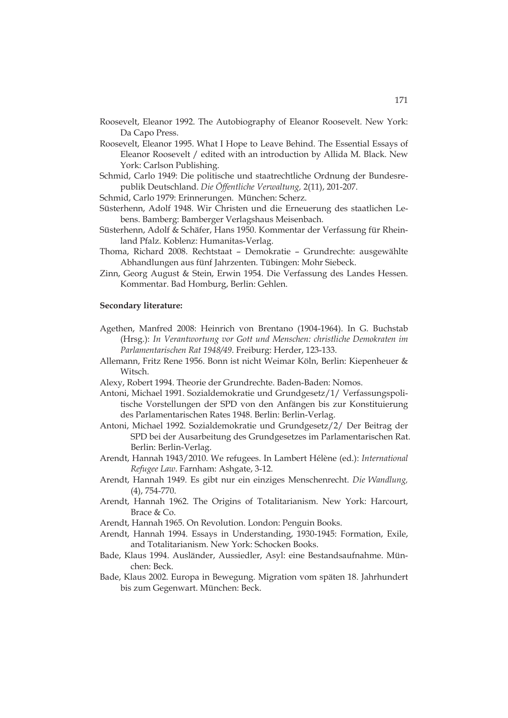- Roosevelt, Eleanor 1992. The Autobiography of Eleanor Roosevelt. New York: Da Capo Press.
- Roosevelt, Eleanor 1995. What I Hope to Leave Behind. The Essential Essays of Eleanor Roosevelt / edited with an introduction by Allida M. Black. New York: Carlson Publishing.
- Schmid, Carlo 1949: Die politische und staatrechtliche Ordnung der Bundesrepublik Deutschland. *Die Öffentliche Verwaltung,* 2(11), 201-207.

Schmid, Carlo 1979: Erinnerungen. München: Scherz.

- Süsterhenn, Adolf 1948. Wir Christen und die Erneuerung des staatlichen Lebens. Bamberg: Bamberger Verlagshaus Meisenbach.
- Süsterhenn, Adolf & Schäfer, Hans 1950. Kommentar der Verfassung für Rheinland Pfalz. Koblenz: Humanitas-Verlag.
- Thoma, Richard 2008. Rechtstaat Demokratie Grundrechte: ausgewählte Abhandlungen aus fünf Jahrzenten. Tübingen: Mohr Siebeck.
- Zinn, Georg August & Stein, Erwin 1954. Die Verfassung des Landes Hessen. Kommentar. Bad Homburg, Berlin: Gehlen.

#### **Secondary literature:**

- Agethen, Manfred 2008: Heinrich von Brentano (1904-1964). In G. Buchstab (Hrsg.): *In Verantwortung vor Gott und Menschen: christliche Demokraten im Parlamentarischen Rat 1948/49*. Freiburg: Herder, 123-133.
- Allemann, Fritz Rene 1956. Bonn ist nicht Weimar Köln, Berlin: Kiepenheuer & Witsch.
- Alexy, Robert 1994. Theorie der Grundrechte. Baden-Baden: Nomos.
- Antoni, Michael 1991. Sozialdemokratie und Grundgesetz/1/ Verfassungspolitische Vorstellungen der SPD von den Anfängen bis zur Konstituierung des Parlamentarischen Rates 1948. Berlin: Berlin-Verlag.
- Antoni, Michael 1992. Sozialdemokratie und Grundgesetz/2/ Der Beitrag der SPD bei der Ausarbeitung des Grundgesetzes im Parlamentarischen Rat. Berlin: Berlin-Verlag.
- Arendt, Hannah 1943/2010. We refugees. In Lambert Hélène (ed.): *International Refugee Law*. Farnham: Ashgate, 3-12.
- Arendt, Hannah 1949. Es gibt nur ein einziges Menschenrecht. *Die Wandlung,* (4), 754-770.
- Arendt, Hannah 1962. The Origins of Totalitarianism. New York: Harcourt, Brace & Co.
- Arendt, Hannah 1965. On Revolution. London: Penguin Books.
- Arendt, Hannah 1994. Essays in Understanding, 1930-1945: Formation, Exile, and Totalitarianism. New York: Schocken Books.
- Bade, Klaus 1994. Ausländer, Aussiedler, Asyl: eine Bestandsaufnahme. München: Beck.
- Bade, Klaus 2002. Europa in Bewegung. Migration vom späten 18. Jahrhundert bis zum Gegenwart. München: Beck.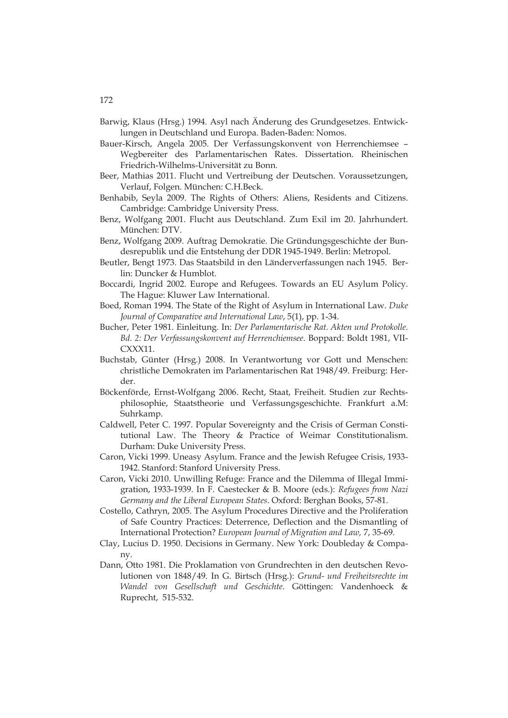- Barwig, Klaus (Hrsg.) 1994. Asyl nach Änderung des Grundgesetzes. Entwicklungen in Deutschland und Europa. Baden-Baden: Nomos.
- Bauer-Kirsch, Angela 2005. Der Verfassungskonvent von Herrenchiemsee Wegbereiter des Parlamentarischen Rates. Dissertation. Rheinischen Friedrich-Wilhelms-Universität zu Bonn.
- Beer, Mathias 2011. Flucht und Vertreibung der Deutschen. Voraussetzungen, Verlauf, Folgen. München: C.H.Beck.
- Benhabib, Seyla 2009. The Rights of Others: Aliens, Residents and Citizens. Cambridge: Cambridge University Press.
- Benz, Wolfgang 2001. Flucht aus Deutschland. Zum Exil im 20. Jahrhundert. München: DTV.
- Benz, Wolfgang 2009. Auftrag Demokratie. Die Gründungsgeschichte der Bundesrepublik und die Entstehung der DDR 1945-1949. Berlin: Metropol.
- Beutler, Bengt 1973. Das Staatsbild in den Länderverfassungen nach 1945. Berlin: Duncker & Humblot.
- Boccardi, Ingrid 2002. Europe and Refugees. Towards an EU Asylum Policy. The Hague: Kluwer Law International.
- Boed, Roman 1994. The State of the Right of Asylum in International Law. *Duke Journal of Comparative and International Law*, 5(1), pp. 1-34.
- Bucher, Peter 1981. Einleitung. In: *Der Parlamentarische Rat. Akten und Protokolle. Bd. 2: Der Verfassungskonvent auf Herrenchiemsee*. Boppard: Boldt 1981, VII-CXXX11.
- Buchstab, Günter (Hrsg.) 2008. In Verantwortung vor Gott und Menschen: christliche Demokraten im Parlamentarischen Rat 1948/49. Freiburg: Herder.
- Böckenförde, Ernst-Wolfgang 2006. Recht, Staat, Freiheit. Studien zur Rechtsphilosophie, Staatstheorie und Verfassungsgeschichte. Frankfurt a.M: Suhrkamp.
- Caldwell, Peter C. 1997. Popular Sovereignty and the Crisis of German Constitutional Law. The Theory & Practice of Weimar Constitutionalism. Durham: Duke University Press.
- Caron, Vicki 1999. Uneasy Asylum. France and the Jewish Refugee Crisis, 1933- 1942. Stanford: Stanford University Press.
- Caron, Vicki 2010. Unwilling Refuge: France and the Dilemma of Illegal Immigration, 1933-1939. In F. Caestecker & B. Moore (eds.): *Refugees from Nazi Germany and the Liberal European States*. Oxford: Berghan Books, 57-81.
- Costello, Cathryn, 2005. The Asylum Procedures Directive and the Proliferation of Safe Country Practices: Deterrence, Deflection and the Dismantling of International Protection? *European Journal of Migration and Law,* 7, 35-69.
- Clay, Lucius D. 1950. Decisions in Germany. New York: Doubleday & Company.
- Dann, Otto 1981. Die Proklamation von Grundrechten in den deutschen Revolutionen von 1848/49. In G. Birtsch (Hrsg.): *Grund- und Freiheitsrechte im Wandel von Gesellschaft und Geschichte*. Göttingen: Vandenhoeck & Ruprecht, 515-532.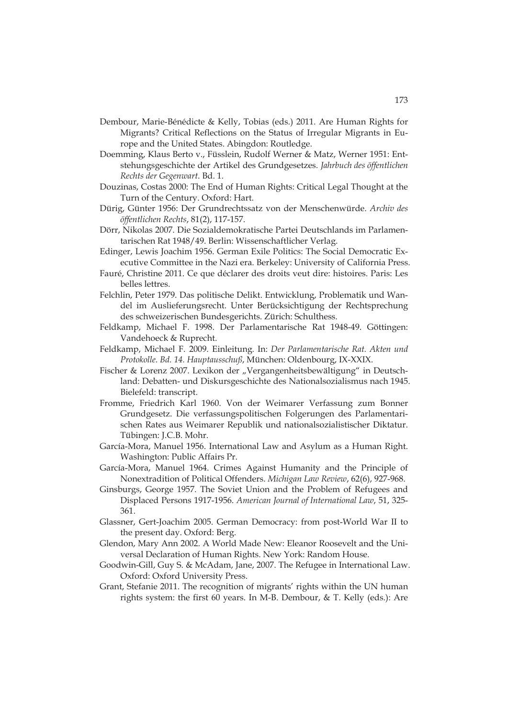- Dembour, Marie-Bénédicte & Kelly, Tobias (eds.) 2011. Are Human Rights for Migrants? Critical Reflections on the Status of Irregular Migrants in Europe and the United States. Abingdon: Routledge.
- Doemming, Klaus Berto v., Füsslein, Rudolf Werner & Matz, Werner 1951: Entstehungsgeschichte der Artikel des Grundgesetzes. *Jahrbuch des öffentlichen Rechts der Gegenwart*. Bd. 1.
- Douzinas, Costas 2000: The End of Human Rights: Critical Legal Thought at the Turn of the Century. Oxford: Hart.
- Dürig, Günter 1956: Der Grundrechtssatz von der Menschenwürde. *Archiv des öffentlichen Rechts*, 81(2), 117-157.
- Dörr, Nikolas 2007. Die Sozialdemokratische Partei Deutschlands im Parlamentarischen Rat 1948/49. Berlin: Wissenschaftlicher Verlag.
- Edinger, Lewis Joachim 1956. German Exile Politics: The Social Democratic Executive Committee in the Nazi era. Berkeley: University of California Press.
- Fauré, Christine 2011. Ce que déclarer des droits veut dire: histoires. Paris: Les belles lettres.
- Felchlin, Peter 1979. Das politische Delikt. Entwicklung, Problematik und Wandel im Auslieferungsrecht. Unter Berücksichtigung der Rechtsprechung des schweizerischen Bundesgerichts. Zürich: Schulthess.
- Feldkamp, Michael F. 1998. Der Parlamentarische Rat 1948-49. Göttingen: Vandehoeck & Ruprecht.
- Feldkamp, Michael F. 2009. Einleitung*.* In: *Der Parlamentarische Rat. Akten und Protokolle. Bd. 14. Hauptausschuß*, München: Oldenbourg, IX-XXIX.
- Fischer & Lorenz 2007. Lexikon der "Vergangenheitsbewältigung" in Deutschland: Debatten- und Diskursgeschichte des Nationalsozialismus nach 1945. Bielefeld: transcript.
- Fromme, Friedrich Karl 1960. Von der Weimarer Verfassung zum Bonner Grundgesetz. Die verfassungspolitischen Folgerungen des Parlamentarischen Rates aus Weimarer Republik und nationalsozialistischer Diktatur. Tübingen: J.C.B. Mohr.
- García-Mora, Manuel 1956. International Law and Asylum as a Human Right. Washington: Public Affairs Pr.
- García-Mora, Manuel 1964. Crimes Against Humanity and the Principle of Nonextradition of Political Offenders. *Michigan Law Review*, 62(6), 927-968.
- Ginsburgs, George 1957. The Soviet Union and the Problem of Refugees and Displaced Persons 1917-1956. *American Journal of International Law*, 51, 325- 361.
- Glassner, Gert-Joachim 2005. German Democracy: from post-World War II to the present day. Oxford: Berg.
- Glendon, Mary Ann 2002. A World Made New: Eleanor Roosevelt and the Universal Declaration of Human Rights. New York: Random House.
- Goodwin-Gill, Guy S. & McAdam, Jane, 2007. The Refugee in International Law. Oxford: Oxford University Press.
- Grant, Stefanie 2011. The recognition of migrants' rights within the UN human rights system: the first 60 years. In M-B. Dembour, & T. Kelly (eds.): Are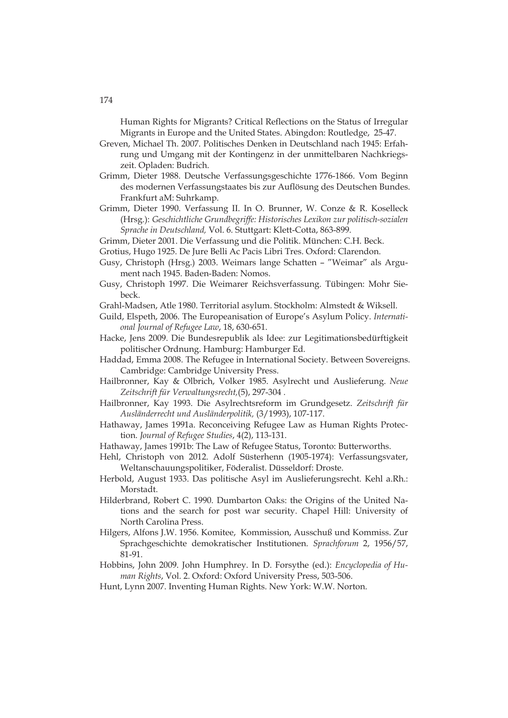Human Rights for Migrants? Critical Reflections on the Status of Irregular Migrants in Europe and the United States. Abingdon: Routledge, 25-47.

Greven, Michael Th. 2007. Politisches Denken in Deutschland nach 1945: Erfahrung und Umgang mit der Kontingenz in der unmittelbaren Nachkriegszeit. Opladen: Budrich.

Grimm, Dieter 1988. Deutsche Verfassungsgeschichte 1776-1866. Vom Beginn des modernen Verfassungstaates bis zur Auflösung des Deutschen Bundes. Frankfurt aM: Suhrkamp.

Grimm, Dieter 1990. Verfassung II. In O. Brunner, W. Conze & R. Koselleck (Hrsg.): *Geschichtliche Grundbegriffe: Historisches Lexikon zur politisch-sozialen Sprache in Deutschland,* Vol. 6. Stuttgart: Klett-Cotta, 863-899.

Grimm, Dieter 2001. Die Verfassung und die Politik. München: C.H. Beck.

Grotius, Hugo 1925. De Jure Belli Ac Pacis Libri Tres. Oxford: Clarendon.

Gusy, Christoph (Hrsg.) 2003. Weimars lange Schatten – "Weimar" als Argument nach 1945. Baden-Baden: Nomos.

Gusy, Christoph 1997. Die Weimarer Reichsverfassung. Tübingen: Mohr Siebeck.

Grahl-Madsen, Atle 1980. Territorial asylum. Stockholm: Almstedt & Wiksell.

Guild, Elspeth, 2006. The Europeanisation of Europe's Asylum Policy. *International Journal of Refugee Law*, 18, 630-651.

- Hacke, Jens 2009. Die Bundesrepublik als Idee: zur Legitimationsbedürftigkeit politischer Ordnung. Hamburg: Hamburger Ed.
- Haddad, Emma 2008. The Refugee in International Society. Between Sovereigns. Cambridge: Cambridge University Press.
- Hailbronner, Kay & Olbrich, Volker 1985. Asylrecht und Auslieferung. *Neue Zeitschrift für Verwaltungsrecht,*(5), 297-304 *.*
- Hailbronner, Kay 1993. Die Asylrechtsreform im Grundgesetz. *Zeitschrift für Ausländerrecht und Ausländerpolitik,* (3/1993), 107-117.
- Hathaway, James 1991a. Reconceiving Refugee Law as Human Rights Protection. *Journal of Refugee Studies*, 4(2), 113-131.

Hathaway, James 1991b: The Law of Refugee Status, Toronto: Butterworths.

- Hehl, Christoph von 2012. Adolf Süsterhenn (1905-1974): Verfassungsvater, Weltanschauungspolitiker, Föderalist. Düsseldorf: Droste.
- Herbold, August 1933. Das politische Asyl im Auslieferungsrecht. Kehl a.Rh.: Morstadt.
- Hilderbrand, Robert C. 1990. Dumbarton Oaks: the Origins of the United Nations and the search for post war security. Chapel Hill: University of North Carolina Press.
- Hilgers, Alfons J.W. 1956. Komitee, Kommission, Ausschuß und Kommiss. Zur Sprachgeschichte demokratischer Institutionen. *Sprachforum* 2, 1956/57, 81-91.

Hobbins, John 2009. John Humphrey. In D. Forsythe (ed.): *Encyclopedia of Human Rights*, Vol. 2. Oxford: Oxford University Press, 503-506.

Hunt, Lynn 2007. Inventing Human Rights. New York: W.W. Norton.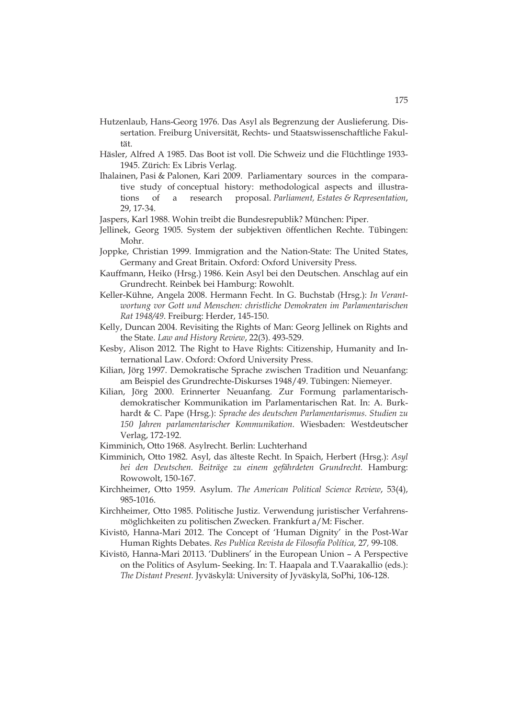- Hutzenlaub, Hans-Georg 1976. Das Asyl als Begrenzung der Auslieferung. Dissertation. Freiburg Universität, Rechts- und Staatswissenschaftliche Fakultät.
- Häsler, Alfred A 1985. Das Boot ist voll. Die Schweiz und die Flüchtlinge 1933- 1945. Zürich: Ex Libris Verlag.
- Ihalainen, Pasi & Palonen, Kari 2009. Parliamentary sources in the comparative study of conceptual history: methodological aspects and illustrations of a research proposal. *Parliament, Estates & Representation*, 29, 17-34.
- Jaspers, Karl 1988. Wohin treibt die Bundesrepublik? München: Piper.
- Jellinek, Georg 1905. System der subjektiven öffentlichen Rechte. Tübingen: Mohr.
- Joppke, Christian 1999. Immigration and the Nation-State: The United States, Germany and Great Britain. Oxford: Oxford University Press.
- Kauffmann, Heiko (Hrsg.) 1986. Kein Asyl bei den Deutschen. Anschlag auf ein Grundrecht. Reinbek bei Hamburg: Rowohlt.
- Keller-Kühne, Angela 2008. Hermann Fecht. In G. Buchstab (Hrsg.): *In Verantwortung vor Gott und Menschen: christliche Demokraten im Parlamentarischen Rat 1948/49*. Freiburg: Herder, 145-150.
- Kelly, Duncan 2004. Revisiting the Rights of Man: Georg Jellinek on Rights and the State. *Law and History Review*, 22(3). 493-529.
- Kesby, Alison 2012. The Right to Have Rights: Citizenship, Humanity and International Law. Oxford: Oxford University Press.
- Kilian, Jörg 1997. Demokratische Sprache zwischen Tradition und Neuanfang: am Beispiel des Grundrechte-Diskurses 1948/49. Tübingen: Niemeyer.
- Kilian, Jörg 2000. Erinnerter Neuanfang. Zur Formung parlamentarischdemokratischer Kommunikation im Parlamentarischen Rat. In: A. Burkhardt & C. Pape (Hrsg.): *Sprache des deutschen Parlamentarismus. Studien zu 150 Jahren parlamentarischer Kommunikation*. Wiesbaden: Westdeutscher Verlag, 172-192.
- Kimminich, Otto 1968. Asylrecht. Berlin: Luchterhand
- Kimminich, Otto 1982. Asyl, das älteste Recht. In Spaich, Herbert (Hrsg.): *Asyl bei den Deutschen. Beiträge zu einem gefährdeten Grundrecht.* Hamburg: Rowowolt, 150-167.
- Kirchheimer, Otto 1959. Asylum. *The American Political Science Review*, 53(4), 985-1016.
- Kirchheimer, Otto 1985. Politische Justiz. Verwendung juristischer Verfahrensmöglichkeiten zu politischen Zwecken. Frankfurt a/M: Fischer.
- Kivistö, Hanna-Mari 2012. The Concept of 'Human Dignity' in the Post-War Human Rights Debates. *Res Publica Revista de Filosofía Política,* 27*,* 99-108.
- Kivistö, Hanna-Mari 20113. 'Dubliners' in the European Union A Perspective on the Politics of Asylum- Seeking. In: T. Haapala and T.Vaarakallio (eds.): *The Distant Present.* Jyväskylä: University of Jyväskylä, SoPhi, 106-128.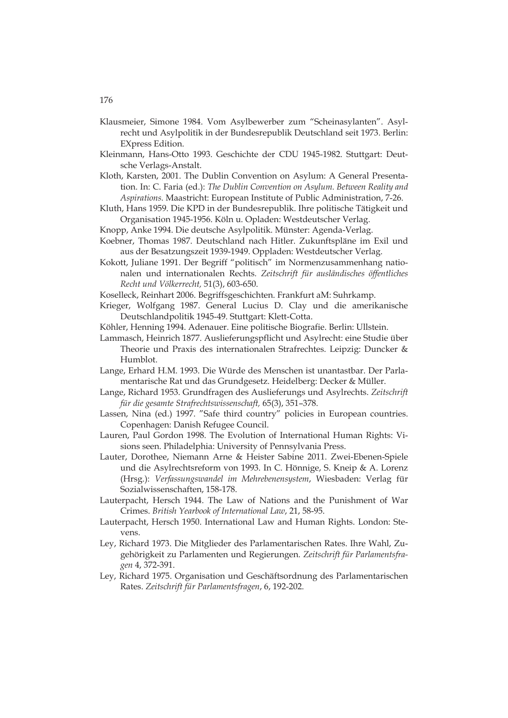- Klausmeier, Simone 1984. Vom Asylbewerber zum "Scheinasylanten". Asylrecht und Asylpolitik in der Bundesrepublik Deutschland seit 1973. Berlin: EXpress Edition.
- Kleinmann, Hans-Otto 1993. Geschichte der CDU 1945-1982. Stuttgart: Deutsche Verlags-Anstalt.
- Kloth, Karsten, 2001. The Dublin Convention on Asylum: A General Presentation. In: C. Faria (ed.): *The Dublin Convention on Asylum. Between Reality and Aspirations.* Maastricht: European Institute of Public Administration, 7-26.
- Kluth, Hans 1959. Die KPD in der Bundesrepublik. Ihre politische Tätigkeit und Organisation 1945-1956. Köln u. Opladen: Westdeutscher Verlag.
- Knopp, Anke 1994. Die deutsche Asylpolitik. Münster: Agenda-Verlag.
- Koebner, Thomas 1987. Deutschland nach Hitler. Zukunftspläne im Exil und aus der Besatzungszeit 1939-1949. Oppladen: Westdeutscher Verlag.
- Kokott, Juliane 1991. Der Begriff "politisch" im Normenzusammenhang nationalen und internationalen Rechts*. Zeitschrift für ausländisches öffentliches Recht und Völkerrecht,* 51(3), 603-650.
- Koselleck, Reinhart 2006. Begriffsgeschichten. Frankfurt aM: Suhrkamp.
- Krieger, Wolfgang 1987. General Lucius D. Clay und die amerikanische Deutschlandpolitik 1945-49. Stuttgart: Klett-Cotta.
- Köhler, Henning 1994. Adenauer. Eine politische Biografie. Berlin: Ullstein.
- Lammasch, Heinrich 1877. Auslieferungspflicht und Asylrecht: eine Studie über Theorie und Praxis des internationalen Strafrechtes. Leipzig: Duncker & Humblot.
- Lange, Erhard H.M. 1993. Die Würde des Menschen ist unantastbar. Der Parlamentarische Rat und das Grundgesetz. Heidelberg: Decker & Müller.
- Lange, Richard 1953. Grundfragen des Auslieferungs und Asylrechts. *Zeitschrift für die gesamte Strafrechtswissenschaft,* 65(3), 351–378.
- Lassen, Nina (ed.) 1997. "Safe third country" policies in European countries. Copenhagen: Danish Refugee Council.
- Lauren, Paul Gordon 1998. The Evolution of International Human Rights: Visions seen. Philadelphia: University of Pennsylvania Press.
- Lauter, Dorothee, Niemann Arne & Heister Sabine 2011. Zwei-Ebenen-Spiele und die Asylrechtsreform von 1993. In C. Hönnige, S. Kneip & A. Lorenz (Hrsg.): *Verfassungswandel im Mehrebenensystem*, Wiesbaden: Verlag für Sozialwissenschaften, 158-178.
- Lauterpacht, Hersch 1944. The Law of Nations and the Punishment of War Crimes. *British Yearbook of International Law*, 21, 58-95.
- Lauterpacht, Hersch 1950. International Law and Human Rights. London: Stevens.
- Ley, Richard 1973. Die Mitglieder des Parlamentarischen Rates. Ihre Wahl, Zugehörigkeit zu Parlamenten und Regierungen. *Zeitschrift für Parlamentsfragen* 4, 372-391.
- Ley, Richard 1975. Organisation und Geschäftsordnung des Parlamentarischen Rates. *Zeitschrift für Parlamentsfragen*, 6, 192-202.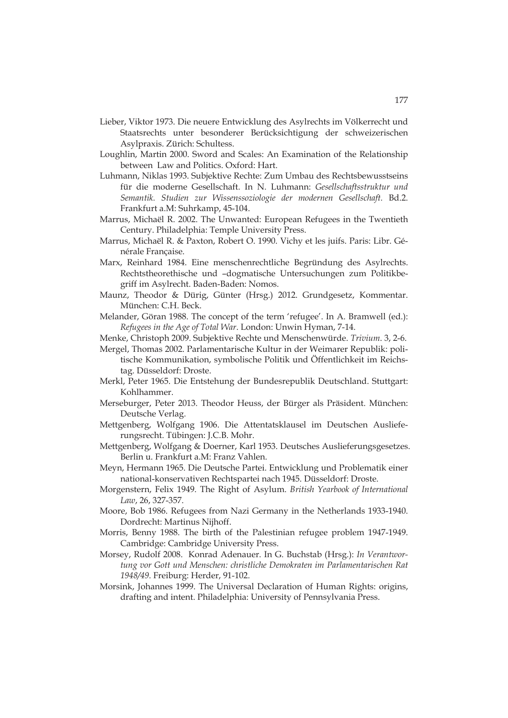- Lieber, Viktor 1973. Die neuere Entwicklung des Asylrechts im Völkerrecht und Staatsrechts unter besonderer Berücksichtigung der schweizerischen Asylpraxis. Zürich: Schultess.
- Loughlin, Martin 2000. Sword and Scales: An Examination of the Relationship between Law and Politics. Oxford: Hart.
- Luhmann, Niklas 1993. Subjektive Rechte: Zum Umbau des Rechtsbewusstseins für die moderne Gesellschaft. In N. Luhmann: *Gesellschaftsstruktur und Semantik. Studien zur Wissenssoziologie der modernen Gesellschaft.* Bd.2. Frankfurt a.M: Suhrkamp, 45-104.
- Marrus, Michaël R. 2002. The Unwanted: European Refugees in the Twentieth Century. Philadelphia: Temple University Press.
- Marrus, Michaël R. & Paxton, Robert O. 1990. Vichy et les juifs. Paris: Libr. Générale Française.
- Marx, Reinhard 1984. Eine menschenrechtliche Begründung des Asylrechts. Rechtstheorethische und –dogmatische Untersuchungen zum Politikbegriff im Asylrecht. Baden-Baden: Nomos.
- Maunz, Theodor & Dürig, Günter (Hrsg.) 2012. Grundgesetz, Kommentar. München: C.H. Beck.
- Melander, Göran 1988. The concept of the term 'refugee'. In A. Bramwell (ed.): *Refugees in the Age of Total War*. London: Unwin Hyman, 7-14.

Menke, Christoph 2009. Subjektive Rechte und Menschenwürde. *Trivium*. 3, 2-6.

- Mergel, Thomas 2002. Parlamentarische Kultur in der Weimarer Republik: politische Kommunikation, symbolische Politik und Öffentlichkeit im Reichstag. Düsseldorf: Droste.
- Merkl, Peter 1965. Die Entstehung der Bundesrepublik Deutschland. Stuttgart: Kohlhammer.
- Merseburger, Peter 2013. Theodor Heuss, der Bürger als Präsident. München: Deutsche Verlag.
- Mettgenberg, Wolfgang 1906. Die Attentatsklausel im Deutschen Auslieferungsrecht. Tübingen: J.C.B. Mohr.
- Mettgenberg, Wolfgang & Doerner, Karl 1953. Deutsches Auslieferungsgesetzes. Berlin u. Frankfurt a.M: Franz Vahlen.
- Meyn, Hermann 1965. Die Deutsche Partei. Entwicklung und Problematik einer national-konservativen Rechtspartei nach 1945. Düsseldorf: Droste.
- Morgenstern, Felix 1949. The Right of Asylum. *British Yearbook of International Law*, 26, 327-357.
- Moore, Bob 1986. Refugees from Nazi Germany in the Netherlands 1933-1940. Dordrecht: Martinus Nijhoff.
- Morris, Benny 1988. The birth of the Palestinian refugee problem 1947-1949. Cambridge: Cambridge University Press.
- Morsey, Rudolf 2008. Konrad Adenauer. In G. Buchstab (Hrsg.): *In Verantwortung vor Gott und Menschen: christliche Demokraten im Parlamentarischen Rat 1948/49*. Freiburg: Herder, 91-102.
- Morsink, Johannes 1999. The Universal Declaration of Human Rights: origins, drafting and intent. Philadelphia: University of Pennsylvania Press.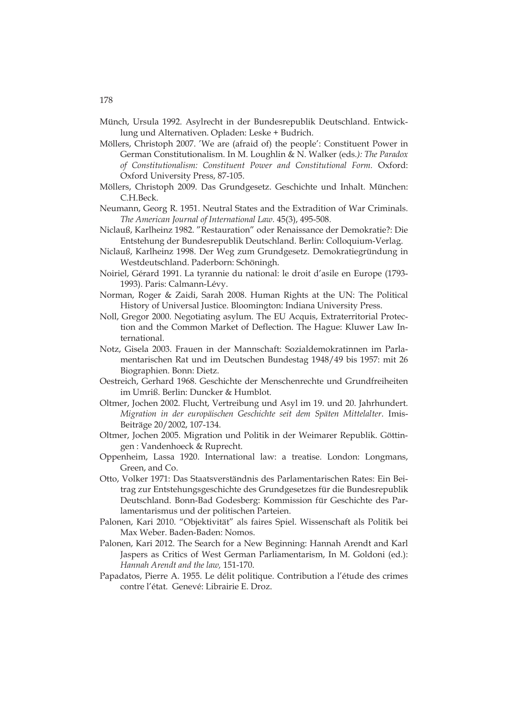- Münch, Ursula 1992. Asylrecht in der Bundesrepublik Deutschland. Entwicklung und Alternativen. Opladen: Leske + Budrich.
- Möllers, Christoph 2007. 'We are (afraid of) the people': Constituent Power in German Constitutionalism. In M. Loughlin & N. Walker (eds*.): The Paradox of Constitutionalism: Constituent Power and Constitutional Form.* Oxford: Oxford University Press, 87-105.
- Möllers, Christoph 2009. Das Grundgesetz. Geschichte und Inhalt. München: C.H.Beck.
- Neumann, Georg R. 1951. Neutral States and the Extradition of War Criminals. *The American Journal of International Law.* 45(3), 495-508.
- Niclauß, Karlheinz 1982. "Restauration" oder Renaissance der Demokratie?: Die Entstehung der Bundesrepublik Deutschland. Berlin: Colloquium-Verlag.
- Niclauß, Karlheinz 1998. Der Weg zum Grundgesetz. Demokratiegründung in Westdeutschland. Paderborn: Schöningh.
- Noiriel, Gérard 1991. La tyrannie du national: le droit d'asile en Europe (1793- 1993). Paris: Calmann-Lévy.
- Norman, Roger & Zaidi, Sarah 2008. Human Rights at the UN: The Political History of Universal Justice. Bloomington: Indiana University Press.
- Noll, Gregor 2000. Negotiating asylum. The EU Acquis, Extraterritorial Protection and the Common Market of Deflection. The Hague: Kluwer Law International.
- Notz, Gisela 2003. Frauen in der Mannschaft: Sozialdemokratinnen im Parlamentarischen Rat und im Deutschen Bundestag 1948/49 bis 1957: mit 26 Biographien. Bonn: Dietz.
- Oestreich, Gerhard 1968. Geschichte der Menschenrechte und Grundfreiheiten im Umriß. Berlin: Duncker & Humblot.
- Oltmer, Jochen 2002. Flucht, Vertreibung und Asyl im 19. und 20. Jahrhundert. *Migration in der europäischen Geschichte seit dem Späten Mittelalter*. Imis-Beiträge 20/2002, 107-134.
- Oltmer, Jochen 2005. Migration und Politik in der Weimarer Republik. Göttingen : Vandenhoeck & Ruprecht.
- Oppenheim, Lassa 1920. International law: a treatise. London: Longmans, Green, and Co.
- Otto, Volker 1971: Das Staatsverständnis des Parlamentarischen Rates: Ein Beitrag zur Entstehungsgeschichte des Grundgesetzes für die Bundesrepublik Deutschland. Bonn-Bad Godesberg: Kommission für Geschichte des Parlamentarismus und der politischen Parteien.
- Palonen, Kari 2010. "Objektivität" als faires Spiel. Wissenschaft als Politik bei Max Weber. Baden-Baden: Nomos.
- Palonen, Kari 2012. The Search for a New Beginning: Hannah Arendt and Karl Jaspers as Critics of West German Parliamentarism, In M. Goldoni (ed.): *Hannah Arendt and the law,* 151-170.
- Papadatos, Pierre A. 1955. Le délit politique. Contribution a l'étude des crimes contre l'état. Genevé: Librairie E. Droz.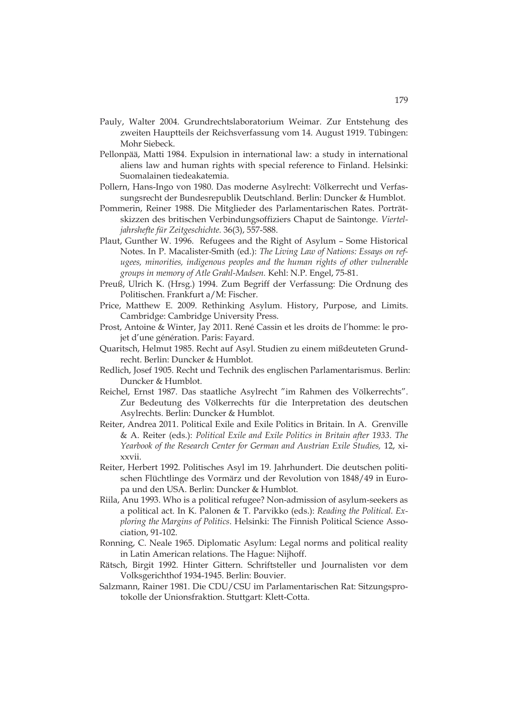- Pauly, Walter 2004. Grundrechtslaboratorium Weimar. Zur Entstehung des zweiten Hauptteils der Reichsverfassung vom 14. August 1919. Tübingen: Mohr Siebeck.
- Pellonpää, Matti 1984. Expulsion in international law: a study in international aliens law and human rights with special reference to Finland. Helsinki: Suomalainen tiedeakatemia.
- Pollern, Hans-Ingo von 1980. Das moderne Asylrecht: Völkerrecht und Verfassungsrecht der Bundesrepublik Deutschland. Berlin: Duncker & Humblot.
- Pommerin, Reiner 1988. Die Mitglieder des Parlamentarischen Rates. Porträtskizzen des britischen Verbindungsoffiziers Chaput de Saintonge. *Vierteljahrshefte für Zeitgeschichte.* 36(3), 557-588.
- Plaut, Gunther W. 1996. Refugees and the Right of Asylum Some Historical Notes. In P. Macalister-Smith (ed.): *The Living Law of Nations: Essays on refugees, minorities, indigenous peoples and the human rights of other vulnerable groups in memory of Atle Grahl-Madsen.* Kehl: N.P. Engel, 75-81.
- Preuß, Ulrich K. (Hrsg.) 1994. Zum Begriff der Verfassung: Die Ordnung des Politischen. Frankfurt a/M: Fischer.
- Price, Matthew E. 2009. Rethinking Asylum. History, Purpose, and Limits. Cambridge: Cambridge University Press.
- Prost, Antoine & Winter, Jay 2011. René Cassin et les droits de l'homme: le projet d'une génération. Paris: Fayard.
- Quaritsch, Helmut 1985. Recht auf Asyl. Studien zu einem mißdeuteten Grundrecht. Berlin: Duncker & Humblot.
- Redlich, Josef 1905. Recht und Technik des englischen Parlamentarismus. Berlin: Duncker & Humblot.
- Reichel, Ernst 1987. Das staatliche Asylrecht "im Rahmen des Völkerrechts". Zur Bedeutung des Völkerrechts für die Interpretation des deutschen Asylrechts. Berlin: Duncker & Humblot.
- Reiter, Andrea 2011. Political Exile and Exile Politics in Britain. In A. Grenville & A. Reiter (eds.): *Political Exile and Exile Politics in Britain after 1933*. *The Yearbook of the Research Center for German and Austrian Exile Studies,* 12, xixxvii.
- Reiter, Herbert 1992. Politisches Asyl im 19. Jahrhundert. Die deutschen politischen Flüchtlinge des Vormärz und der Revolution von 1848/49 in Europa und den USA. Berlin: Duncker & Humblot.
- Riila, Anu 1993. Who is a political refugee? Non-admission of asylum-seekers as a political act. In K. Palonen & T. Parvikko (eds.): *Reading the Political. Exploring the Margins of Politics*. Helsinki: The Finnish Political Science Association, 91-102.
- Ronning, C. Neale 1965. Diplomatic Asylum: Legal norms and political reality in Latin American relations. The Hague: Nijhoff.
- Rätsch, Birgit 1992. Hinter Gittern. Schriftsteller und Journalisten vor dem Volksgerichthof 1934-1945. Berlin: Bouvier.
- Salzmann, Rainer 1981. Die CDU/CSU im Parlamentarischen Rat: Sitzungsprotokolle der Unionsfraktion. Stuttgart: Klett-Cotta.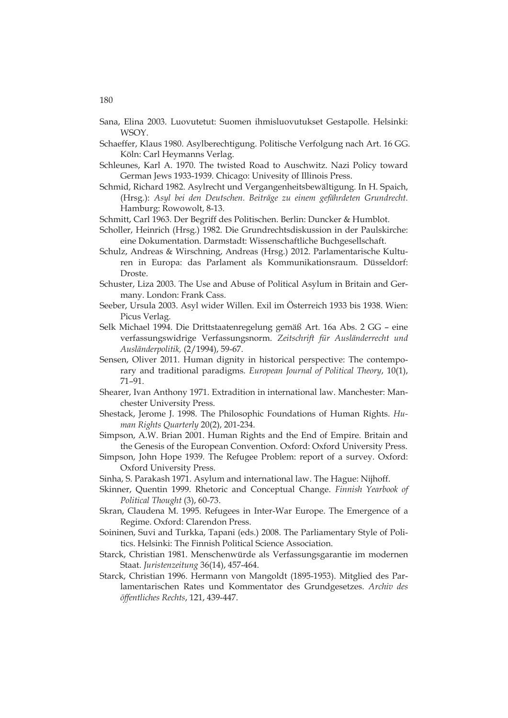- Sana, Elina 2003. Luovutetut: Suomen ihmisluovutukset Gestapolle. Helsinki: WSOY.
- Schaeffer, Klaus 1980. Asylberechtigung. Politische Verfolgung nach Art. 16 GG. Köln: Carl Heymanns Verlag.
- Schleunes, Karl A. 1970. The twisted Road to Auschwitz. Nazi Policy toward German Jews 1933-1939. Chicago: Univesity of Illinois Press.
- Schmid, Richard 1982. Asylrecht und Vergangenheitsbewältigung. In H. Spaich, (Hrsg.): *Asyl bei den Deutschen. Beiträge zu einem gefährdeten Grundrecht.*  Hamburg: Rowowolt, 8-13.
- Schmitt, Carl 1963. Der Begriff des Politischen. Berlin: Duncker & Humblot.
- Scholler, Heinrich (Hrsg.) 1982. Die Grundrechtsdiskussion in der Paulskirche: eine Dokumentation. Darmstadt: Wissenschaftliche Buchgesellschaft.
- Schulz, Andreas & Wirschning, Andreas (Hrsg.) 2012. Parlamentarische Kulturen in Europa: das Parlament als Kommunikationsraum. Düsseldorf: Droste.
- Schuster, Liza 2003. The Use and Abuse of Political Asylum in Britain and Germany. London: Frank Cass.
- Seeber, Ursula 2003. Asyl wider Willen. Exil im Österreich 1933 bis 1938. Wien: Picus Verlag.
- Selk Michael 1994. Die Drittstaatenregelung gemäß Art. 16a Abs. 2 GG eine verfassungswidrige Verfassungsnorm. *Zeitschrift für Ausländerrecht und Ausländerpolitik,* (2/1994), 59-67.
- Sensen, Oliver 2011. Human dignity in historical perspective: The contemporary and traditional paradigms. *European Journal of Political Theory*, 10(1), 71–91.
- Shearer, Ivan Anthony 1971. Extradition in international law. Manchester: Manchester University Press.
- Shestack, Jerome J. 1998. The Philosophic Foundations of Human Rights. *Human Rights Quarterly* 20(2), 201-234.
- Simpson, A.W. Brian 2001. Human Rights and the End of Empire. Britain and the Genesis of the European Convention. Oxford: Oxford University Press.
- Simpson, John Hope 1939. The Refugee Problem: report of a survey. Oxford: Oxford University Press.
- Sinha, S. Parakash 1971. Asylum and international law. The Hague: Nijhoff.
- Skinner, Quentin 1999. Rhetoric and Conceptual Change. *Finnish Yearbook of Political Thought* (3), 60-73.
- Skran, Claudena M. 1995. Refugees in Inter-War Europe. The Emergence of a Regime. Oxford: Clarendon Press.
- Soininen, Suvi and Turkka, Tapani (eds.) 2008. The Parliamentary Style of Politics. Helsinki: The Finnish Political Science Association.
- Starck, Christian 1981. Menschenwürde als Verfassungsgarantie im modernen Staat. *Juristenzeitung* 36(14), 457-464.
- Starck, Christian 1996. Hermann von Mangoldt (1895-1953). Mitglied des Parlamentarischen Rates und Kommentator des Grundgesetzes. *Archiv des öffentliches Rechts*, 121, 439-447.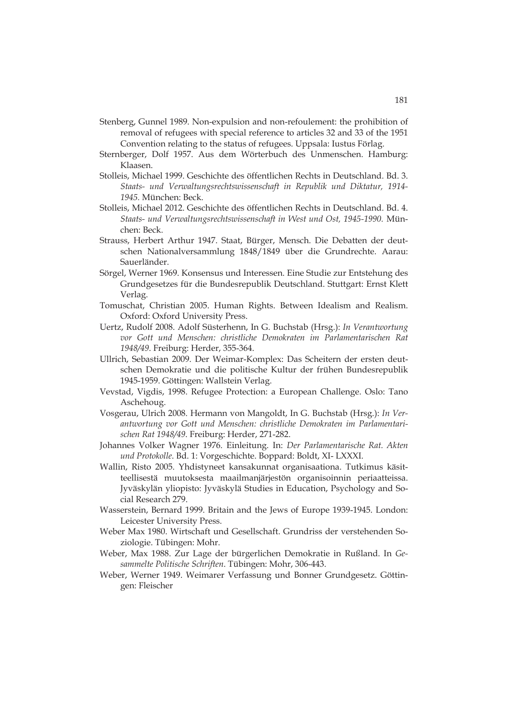- Stenberg, Gunnel 1989. Non-expulsion and non-refoulement: the prohibition of removal of refugees with special reference to articles 32 and 33 of the 1951 Convention relating to the status of refugees. Uppsala: Iustus Förlag.
- Sternberger, Dolf 1957. Aus dem Wörterbuch des Unmenschen. Hamburg: Klaasen.
- Stolleis, Michael 1999. Geschichte des öffentlichen Rechts in Deutschland. Bd. 3. *Staats- und Verwaltungsrechtswissenschaft in Republik und Diktatur, 1914- 1945.* München: Beck.
- Stolleis, Michael 2012. Geschichte des öffentlichen Rechts in Deutschland. Bd. 4. *Staats- und Verwaltungsrechtswissenschaft in West und Ost, 1945-1990.* München: Beck.
- Strauss, Herbert Arthur 1947. Staat, Bürger, Mensch. Die Debatten der deutschen Nationalversammlung 1848/1849 über die Grundrechte. Aarau: Sauerländer.
- Sörgel, Werner 1969. Konsensus und Interessen. Eine Studie zur Entstehung des Grundgesetzes für die Bundesrepublik Deutschland. Stuttgart: Ernst Klett Verlag.
- Tomuschat, Christian 2005. Human Rights. Between Idealism and Realism. Oxford: Oxford University Press.
- Uertz, Rudolf 2008. Adolf Süsterhenn, In G. Buchstab (Hrsg.): *In Verantwortung vor Gott und Menschen: christliche Demokraten im Parlamentarischen Rat 1948/49*. Freiburg: Herder, 355-364.
- Ullrich, Sebastian 2009. Der Weimar-Komplex: Das Scheitern der ersten deutschen Demokratie und die politische Kultur der frühen Bundesrepublik 1945-1959. Göttingen: Wallstein Verlag.
- Vevstad, Vigdis, 1998. Refugee Protection: a European Challenge. Oslo: Tano Aschehoug.
- Vosgerau, Ulrich 2008. Hermann von Mangoldt, In G. Buchstab (Hrsg.): *In Verantwortung vor Gott und Menschen: christliche Demokraten im Parlamentarischen Rat 1948/49*. Freiburg: Herder, 271-282.
- Johannes Volker Wagner 1976. Einleitung. In: *Der Parlamentarische Rat. Akten und Protokolle*. Bd. 1: Vorgeschichte. Boppard: Boldt, XI- LXXXI.
- Wallin, Risto 2005. Yhdistyneet kansakunnat organisaationa. Tutkimus käsitteellisestä muutoksesta maailmanjärjestön organisoinnin periaatteissa. Jyväskylän yliopisto: Jyväskylä Studies in Education, Psychology and Social Research 279.
- Wasserstein, Bernard 1999. Britain and the Jews of Europe 1939-1945. London: Leicester University Press.
- Weber Max 1980. Wirtschaft und Gesellschaft. Grundriss der verstehenden Soziologie. Tübingen: Mohr.
- Weber, Max 1988. Zur Lage der bürgerlichen Demokratie in Rußland. In *Gesammelte Politische Schriften*. Tübingen: Mohr, 306-443.
- Weber, Werner 1949. Weimarer Verfassung und Bonner Grundgesetz. Göttingen: Fleischer